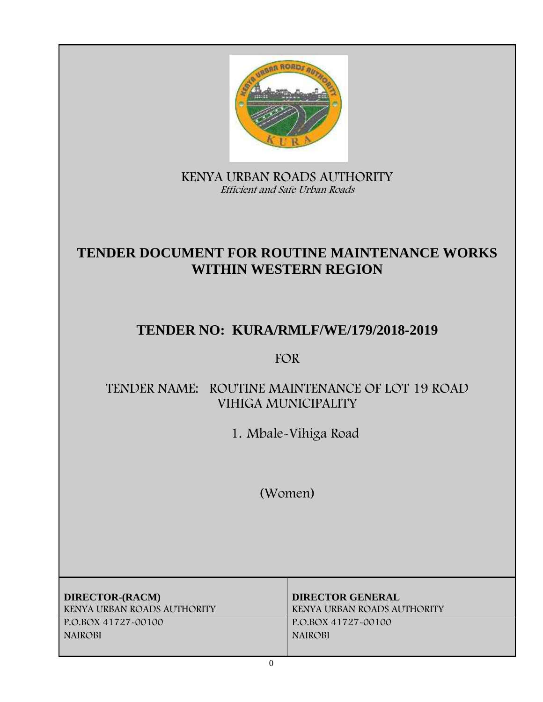

**KENYA URBAN ROADS AUTHORITY** *Efficient and Safe Urban Roads*

# **TENDER DOCUMENT FOR ROUTINE MAINTENANCE WORKS WITHIN WESTERN REGION**

# **TENDER NO: KURA/RMLF/WE/179/2018-2019**

## **FOR**

## **TENDER NAME: ROUTINE MAINTENANCE OF LOT 19 ROAD VIHIGA MUNICIPALITY**

**1. Mbale-Vihiga Road**

**(Women)**

**DIRECTOR-(RACM) DIRECTOR GENERAL KENYA URBAN ROADS AUTHORITY KENYA URBAN ROADS AUTHORITY P.O.BOX 41727-00100 P.O.BOX 41727-00100 NAIROBI NAIROBI**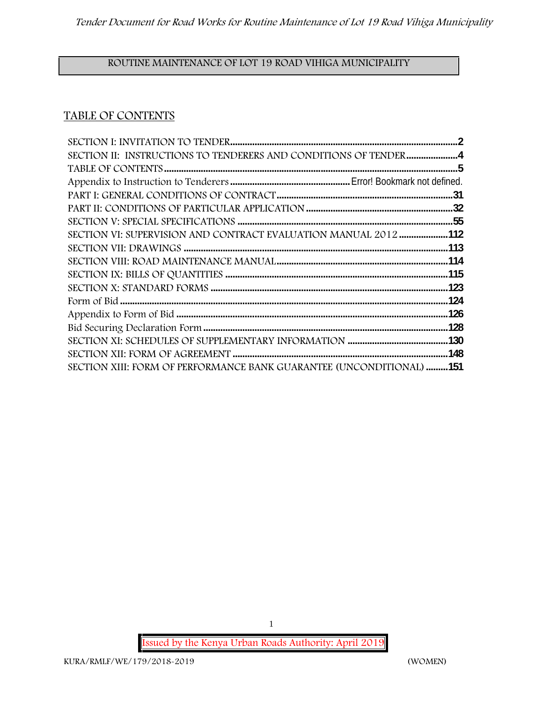## **ROUTINE MAINTENANCE OF LOT 19 ROAD VIHIGA MUNICIPALITY**

## **TABLE OF CONTENTS**

| SECTION II: INSTRUCTIONS TO TENDERERS AND CONDITIONS OF TENDER4             |  |
|-----------------------------------------------------------------------------|--|
|                                                                             |  |
|                                                                             |  |
|                                                                             |  |
|                                                                             |  |
|                                                                             |  |
| SECTION VI: SUPERVISION AND CONTRACT EVALUATION MANUAL 2012 112             |  |
|                                                                             |  |
|                                                                             |  |
|                                                                             |  |
|                                                                             |  |
|                                                                             |  |
|                                                                             |  |
|                                                                             |  |
|                                                                             |  |
|                                                                             |  |
| <b>SECTION XIII: FORM OF PERFORMANCE BANK GUARANTEE (UNCONDITIONAL) 151</b> |  |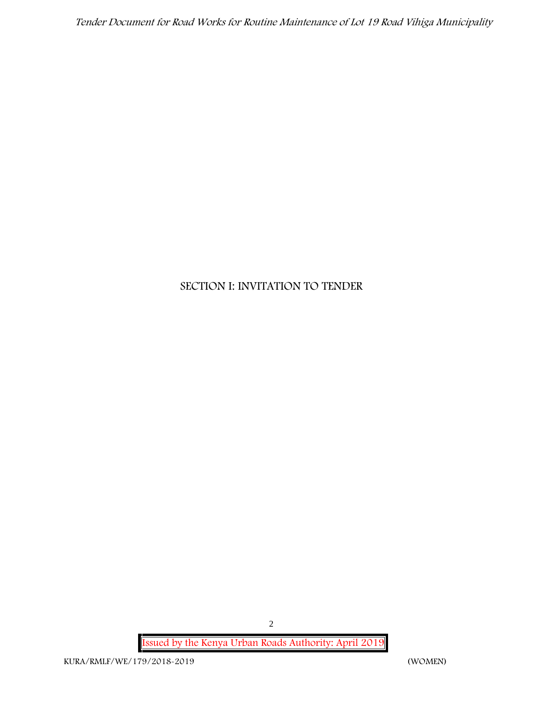## **SECTION I: INVITATION TO TENDER**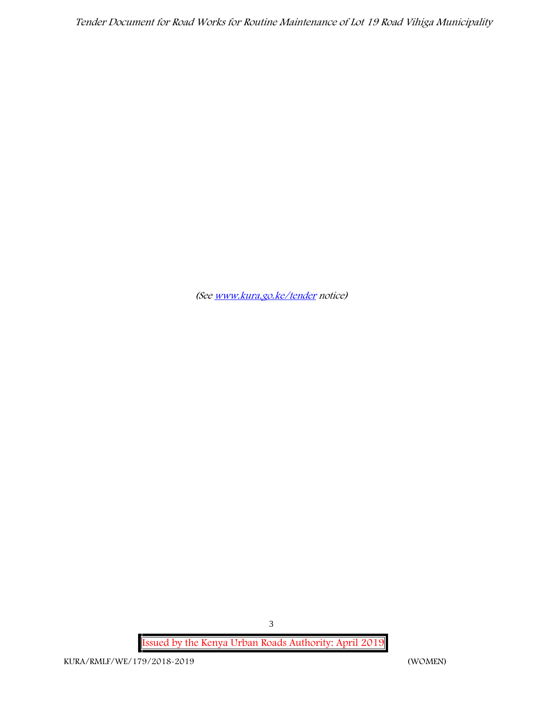*(See www.kura.go.ke/tender notice)*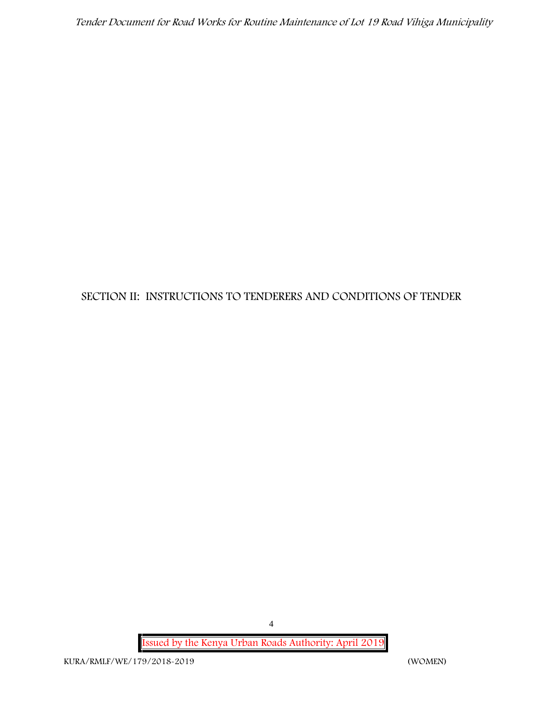## **SECTION II: INSTRUCTIONS TO TENDERERS AND CONDITIONS OF TENDER**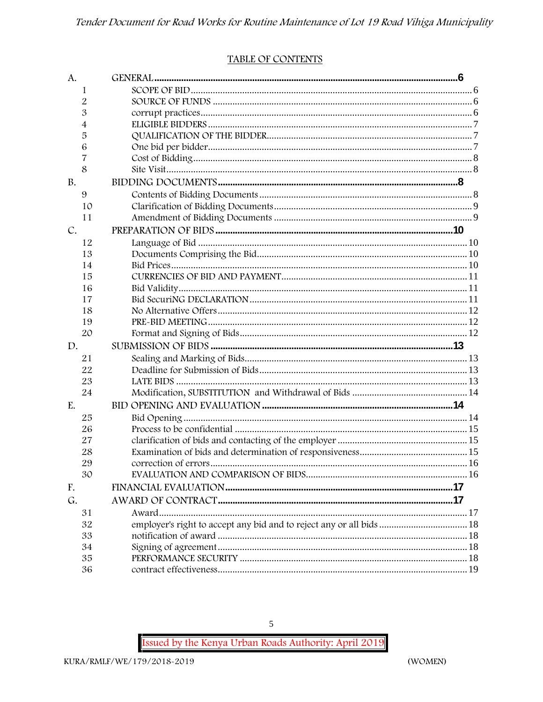#### TABLE OF CONTENTS

| A.        |                                                                      |  |
|-----------|----------------------------------------------------------------------|--|
| 1         |                                                                      |  |
| 2         |                                                                      |  |
| 3         |                                                                      |  |
| 4         |                                                                      |  |
| 5         |                                                                      |  |
| 6         |                                                                      |  |
| 7         |                                                                      |  |
| 8         |                                                                      |  |
| <b>B.</b> |                                                                      |  |
| 9         |                                                                      |  |
| 10        |                                                                      |  |
| 11        |                                                                      |  |
| C.        |                                                                      |  |
| 12        |                                                                      |  |
| 13        |                                                                      |  |
| 14        |                                                                      |  |
| 15        |                                                                      |  |
| 16        |                                                                      |  |
| 17        |                                                                      |  |
| 18        |                                                                      |  |
| 19        |                                                                      |  |
| 20        |                                                                      |  |
| D.        |                                                                      |  |
| 21        |                                                                      |  |
| 22        |                                                                      |  |
| 23        |                                                                      |  |
| 24        |                                                                      |  |
| E.        |                                                                      |  |
| 25        |                                                                      |  |
| 26        |                                                                      |  |
| 27        |                                                                      |  |
| 28        |                                                                      |  |
| 29        |                                                                      |  |
| 30        |                                                                      |  |
| F.        |                                                                      |  |
| G.        |                                                                      |  |
| 31        |                                                                      |  |
| 32        | employer's right to accept any bid and to reject any or all bids  18 |  |
| 33        |                                                                      |  |
| 34        |                                                                      |  |
| 35        |                                                                      |  |
| 36        |                                                                      |  |

5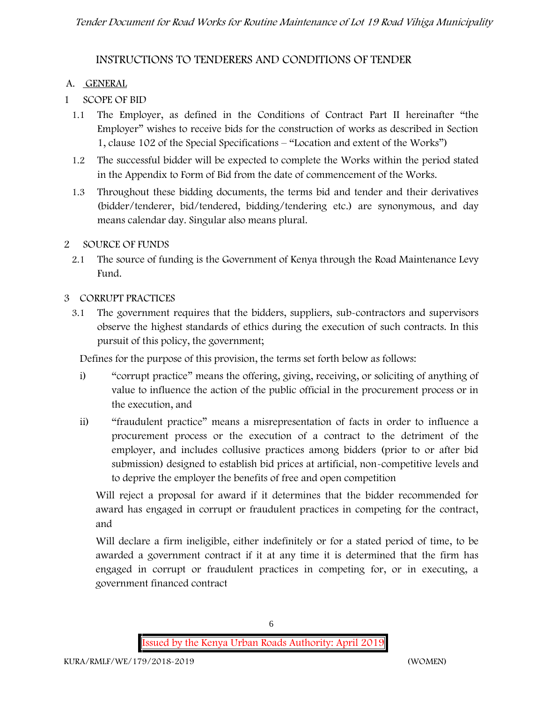## **INSTRUCTIONS TO TENDERERS AND CONDITIONS OF TENDER**

### **A. GENERAL**

- **1 SCOPE OF BID**
	- 1.1 The Employer, as defined in the Conditions of Contract Part II hereinafter "the Employer" wishes to receive bids for the construction of works as described in Section 1, clause 102 of the Special Specifications – "Location and extent of the Works")
	- 1.2 The successful bidder will be expected to complete the Works within the period stated in the Appendix to Form of Bid from the date of commencement of the Works.
	- 1.3 Throughout these bidding documents, the terms bid and tender and their derivatives (bidder/tenderer, bid/tendered, bidding/tendering etc.) are synonymous, and day means calendar day. Singular also means plural.
- **2 SOURCE OF FUNDS**
	- 2.1 The source of funding is the Government of Kenya through the Road Maintenance Levy Fund.

#### **3 CORRUPT PRACTICES**

3.1 The government requires that the bidders, suppliers, sub-contractors and supervisors observe the highest standards of ethics during the execution of such contracts. In this pursuit of this policy, the government;

Defines for the purpose of this provision, the terms set forth below as follows:

- i) "corrupt practice" means the offering, giving, receiving, or soliciting of anything of value to influence the action of the public official in the procurement process or in the execution, and
- ii) "fraudulent practice" means a misrepresentation of facts in order to influence a procurement process or the execution of a contract to the detriment of the employer, and includes collusive practices among bidders (prior to or after bid submission) designed to establish bid prices at artificial, non-competitive levels and to deprive the employer the benefits of free and open competition

Will reject a proposal for award if it determines that the bidder recommended for award has engaged in corrupt or fraudulent practices in competing for the contract, and

Will declare a firm ineligible, either indefinitely or for a stated period of time, to be awarded a government contract if it at any time it is determined that the firm has engaged in corrupt or fraudulent practices in competing for, or in executing, a government financed contract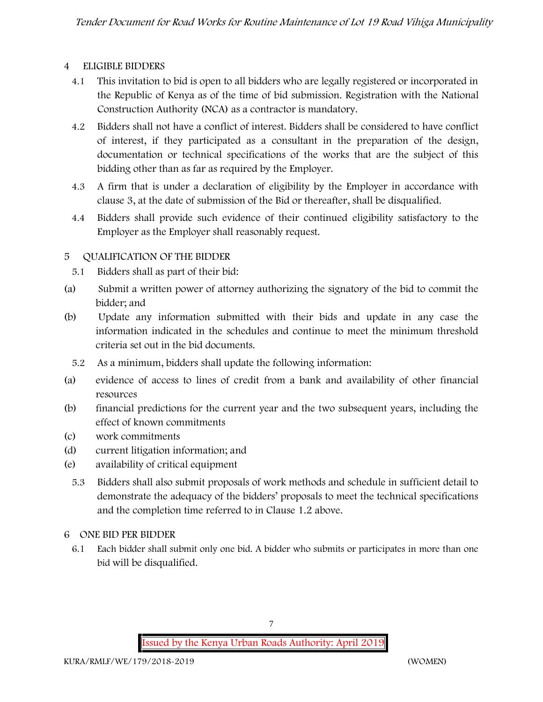#### **4 ELIGIBLE BIDDERS**

- 4.1 This invitation to bid is open to all bidders who are legally registered or incorporated in the Republic of Kenya as of the time of bid submission. Registration with the National Construction Authority (NCA) as a contractor is mandatory.
- 4.2 Bidders shall not have a conflict of interest. Bidders shall be considered to have conflict of interest, if they participated as a consultant in the preparation of the design, documentation or technical specifications of the works that are the subject of this bidding other than as far as required by the Employer.
- 4.3 A firm that is under a declaration of eligibility by the Employer in accordance with clause 3, at the date of submission of the Bid or thereafter, shall be disqualified.
- 4.4 Bidders shall provide such evidence of their continued eligibility satisfactory to the Employer as the Employer shall reasonably request.

#### **5 QUALIFICATION OF THE BIDDER**

- 5.1 Bidders shall as part of their bid:
- (a) Submit a written power of attorney authorizing the signatory of the bid to commit the bidder; and
- (b) Update any information submitted with their bids and update in any case the information indicated in the schedules and continue to meet the minimum threshold criteria set out in the bid documents.
	- 5.2 As a minimum, bidders shall update the following information:
- (a) evidence of access to lines of credit from a bank and availability of other financial resources
- (b) financial predictions for the current year and the two subsequent years, including the effect of known commitments
- (c) work commitments
- (d) current litigation information; and
- (e) availability of critical equipment
	- 5.3 Bidders shall also submit proposals of work methods and schedule in sufficient detail to demonstrate the adequacy of the bidders' proposals to meet the technical specifications and the completion time referred to in Clause 1.2 above.
- **6 ONE BID PER BIDDER**
	- 6.1 Each bidder shall submit only one bid. A bidder who submits or participates in more than one bid will be disqualified.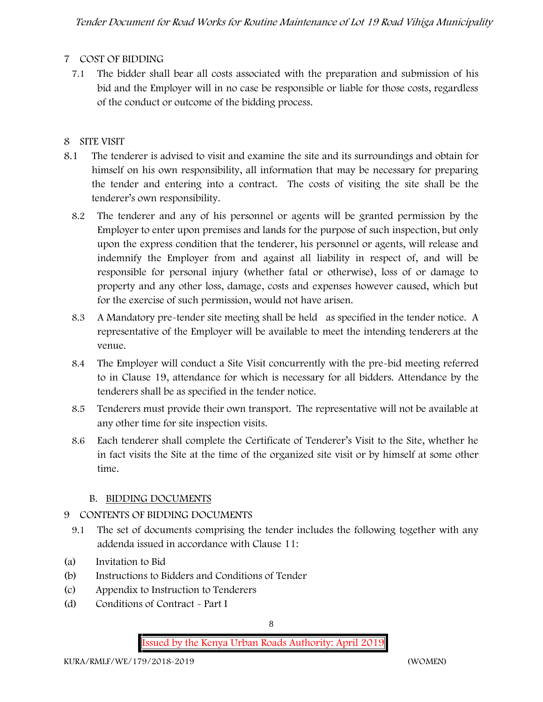## **7 COST OF BIDDING**

7.1 The bidder shall bear all costs associated with the preparation and submission of his bid and the Employer will in no case be responsible or liable for those costs, regardless of the conduct or outcome of the bidding process.

## **8 SITE VISIT**

- 8.1 The tenderer is advised to visit and examine the site and its surroundings and obtain for himself on his own responsibility, all information that may be necessary for preparing the tender and entering into a contract. The costs of visiting the site shall be the tenderer's own responsibility.
	- 8.2 The tenderer and any of his personnel or agents will be granted permission by the Employer to enter upon premises and lands for the purpose of such inspection, but only upon the express condition that the tenderer, his personnel or agents, will release and indemnify the Employer from and against all liability in respect of, and will be responsible for personal injury (whether fatal or otherwise), loss of or damage to property and any other loss, damage, costs and expenses however caused, which but for the exercise of such permission, would not have arisen.
	- 8.3 A Mandatory pre-tender site meeting shall be held as specified in the tender notice. A representative of the Employer will be available to meet the intending tenderers at the venue.
	- 8.4 The Employer will conduct a Site Visit concurrently with the pre-bid meeting referred to in Clause 19, attendance for which is necessary for all bidders. Attendance by the tenderers shall be as specified in the tender notice.
	- 8.5 Tenderers must provide their own transport. The representative will not be available at any other time for site inspection visits.
	- 8.6 Each tenderer shall complete the Certificate of Tenderer's Visit to the Site, whether he in fact visits the Site at the time of the organized site visit or by himself at some other time.

## **B. BIDDING DOCUMENTS**

## 9 CONTENTS OF BIDDING DOCUMENTS

- 9.1 The set of documents comprising the tender includes the following together with any addenda issued in accordance with Clause 11:
- (a) Invitation to Bid
- (b) Instructions to Bidders and Conditions of Tender
- (c) Appendix to Instruction to Tenderers
- (d) Conditions of Contract Part I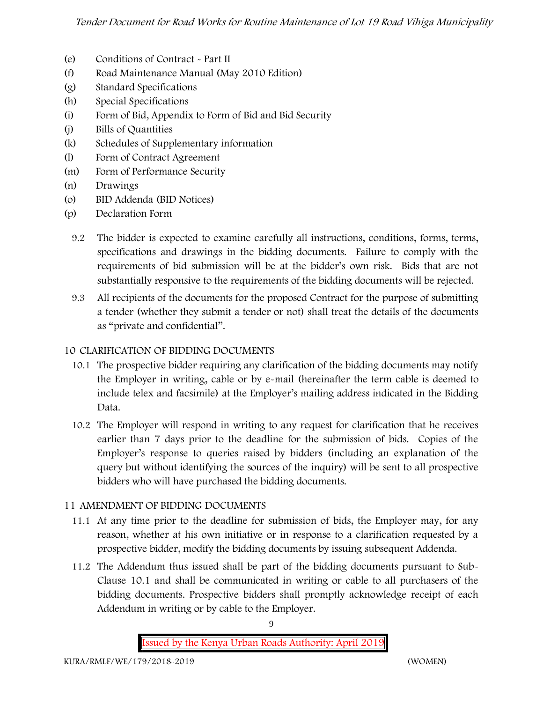- (e) Conditions of Contract Part II
- (f) Road Maintenance Manual (May 2010 Edition)
- (g) Standard Specifications
- (h) Special Specifications
- (i) Form of Bid, Appendix to Form of Bid and Bid Security
- (j) Bills of Quantities
- (k) Schedules of Supplementary information
- (l) Form of Contract Agreement
- (m) Form of Performance Security
- (n) Drawings
- (o) BID Addenda (BID Notices)
- (p) Declaration Form
	- 9.2 The bidder is expected to examine carefully all instructions, conditions, forms, terms, specifications and drawings in the bidding documents. Failure to comply with the requirements of bid submission will be at the bidder's own risk. Bids that are not substantially responsive to the requirements of the bidding documents will be rejected.
	- 9.3 All recipients of the documents for the proposed Contract for the purpose of submitting a tender (whether they submit a tender or not) shall treat the details of the documents as "private and confidential".

## **10 CLARIFICATION OF BIDDING DOCUMENTS**

- 10.1 The prospective bidder requiring any clarification of the bidding documents may notify the Employer in writing, cable or by e-mail (hereinafter the term cable is deemed to include telex and facsimile) at the Employer's mailing address indicated in the Bidding Data.
- 10.2 The Employer will respond in writing to any request for clarification that he receives earlier than 7 days prior to the deadline for the submission of bids. Copies of the Employer's response to queries raised by bidders (including an explanation of the query but without identifying the sources of the inquiry) will be sent to all prospective bidders who will have purchased the bidding documents.

## **11 AMENDMENT OF BIDDING DOCUMENTS**

- 11.1 At any time prior to the deadline for submission of bids, the Employer may, for any reason, whether at his own initiative or in response to a clarification requested by a prospective bidder, modify the bidding documents by issuing subsequent Addenda.
- 11.2 The Addendum thus issued shall be part of the bidding documents pursuant to Sub- Clause 10.1 and shall be communicated in writing or cable to all purchasers of the bidding documents. Prospective bidders shall promptly acknowledge receipt of each Addendum in writing or by cable to the Employer.

**Issued by the Kenya Urban Roads Authority: April 2019**

9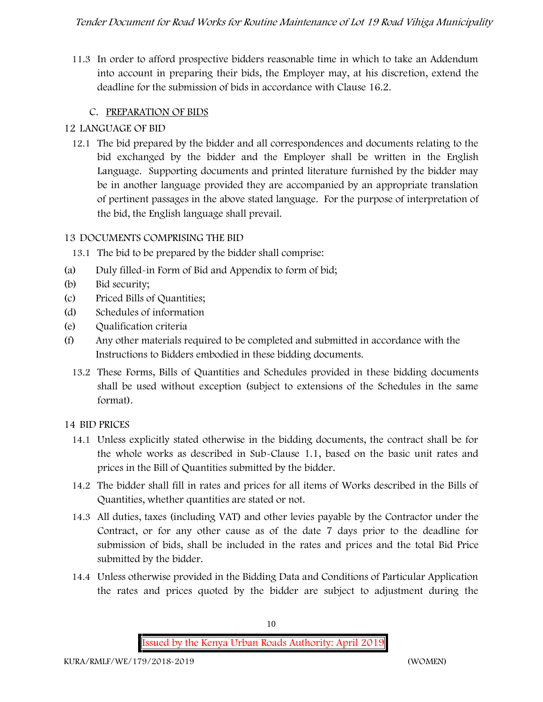11.3 In order to afford prospective bidders reasonable time in which to take an Addendum into account in preparing their bids, the Employer may, at his discretion, extend the deadline for the submission of bids in accordance with Clause 16.2.

## **C. PREPARATION OF BIDS**

## **12 LANGUAGE OF BID**

12.1 The bid prepared by the bidder and all correspondences and documents relating to the bid exchanged by the bidder and the Employer shall be written in the English Language. Supporting documents and printed literature furnished by the bidder may be in another language provided they are accompanied by an appropriate translation of pertinent passages in the above stated language. For the purpose of interpretation of the bid, the English language shall prevail.

#### **13 DOCUMENTS COMPRISING THE BID**

- 13.1 The bid to be prepared by the bidder shall comprise:
- (a) Duly filled-in Form of Bid and Appendix to form of bid;
- (b) Bid security;
- (c) Priced Bills of Quantities;
- (d) Schedules of information
- (e) Qualification criteria
- (f) Any other materials required to be completed and submitted in accordance with the Instructions to Bidders embodied in these bidding documents.
	- 13.2 These Forms, Bills of Quantities and Schedules provided in these bidding documents shall be used without exception (subject to extensions of the Schedules in the same format).

## **14 BID PRICES**

- 14.1 Unless explicitly stated otherwise in the bidding documents, the contract shall be for the whole works as described in Sub-Clause 1.1, based on the basic unit rates and prices in the Bill of Quantities submitted by the bidder.
- 14.2 The bidder shall fill in rates and prices for all items of Works described in the Bills of Quantities, whether quantities are stated or not.
- 14.3 All duties, taxes (including VAT) and other levies payable by the Contractor under the Contract, or for any other cause as of the date 7 days prior to the deadline for submission of bids, shall be included in the rates and prices and the total Bid Price submitted by the bidder.
- 14.4 Unless otherwise provided in the Bidding Data and Conditions of Particular Application the rates and prices quoted by the bidder are subject to adjustment during the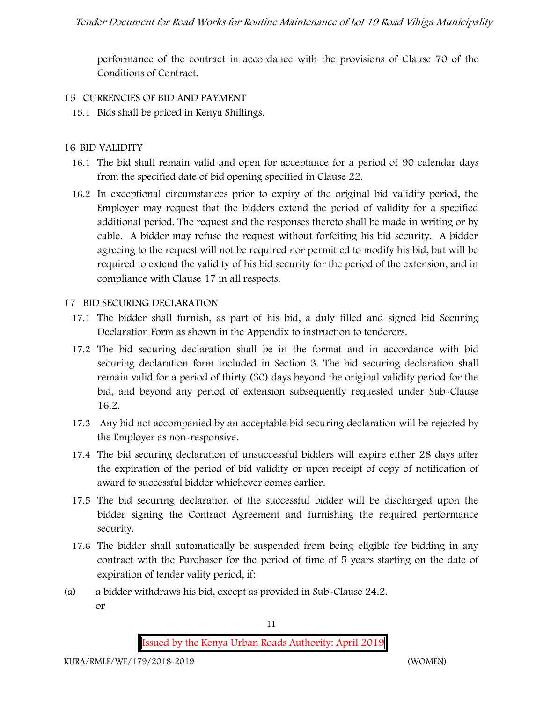performance of the contract in accordance with the provisions of Clause 70 of the Conditions of Contract.

#### **15 CURRENCIES OF BID AND PAYMENT**

15.1 Bids shall be priced in Kenya Shillings.

#### **16 BID VALIDITY**

- 16.1 The bid shall remain valid and open for acceptance for a period of 90 calendar days from the specified date of bid opening specified in Clause 22.
- 16.2 In exceptional circumstances prior to expiry of the original bid validity period, the Employer may request that the bidders extend the period of validity for a specified additional period. The request and the responses thereto shall be made in writing or by cable. A bidder may refuse the request without forfeiting his bid security. A bidder agreeing to the request will not be required nor permitted to modify his bid, but will be required to extend the validity of his bid security for the period of the extension, and in compliance with Clause 17 in all respects.

#### **17 BID SECURING DECLARATION**

- 17.1 The bidder shall furnish, as part of his bid, a duly filled and signed bid Securing Declaration Form as shown in the Appendix to instruction to tenderers.
- 17.2 The bid securing declaration shall be in the format and in accordance with bid securing declaration form included in Section 3. The bid securing declaration shall remain valid for a period of thirty (30) days beyond the original validity period for the bid, and beyond any period of extension subsequently requested under Sub-Clause 16.2.
- 17.3 Any bid not accompanied by an acceptable bid securing declaration will be rejected by the Employer as non-responsive.
- 17.4 The bid securing declaration of unsuccessful bidders will expire either 28 days after the expiration of the period of bid validity or upon receipt of copy of notification of award to successful bidder whichever comes earlier.
- 17.5 The bid securing declaration of the successful bidder will be discharged upon the bidder signing the Contract Agreement and furnishing the required performance security.
- 17.6 The bidder shall automatically be suspended from being eligible for bidding in any contract with the Purchaser for the period of time of 5 years starting on the date of expiration of tender vality period, if:
- (a) a bidder withdraws his bid, except as provided in Sub-Clause 24.2. or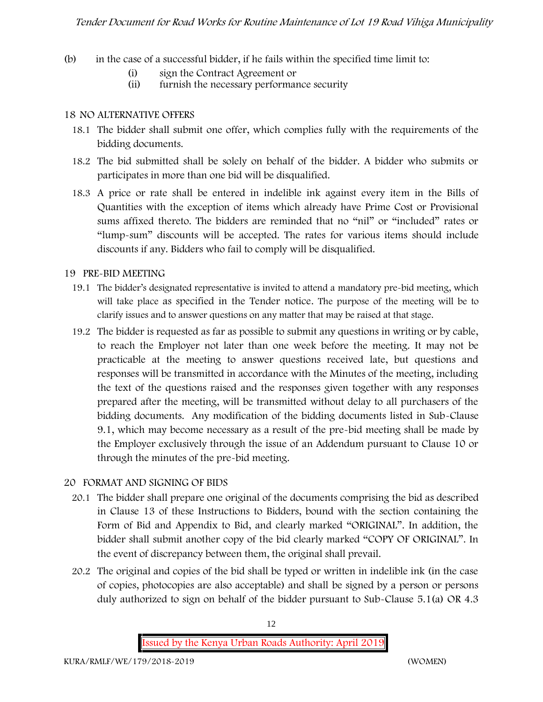- (b) in the case of a successful bidder, if he fails within the specified time limit to:
	- (i) sign the Contract Agreement or
	- (ii) furnish the necessary performance security

#### **18 NO ALTERNATIVE OFFERS**

- 18.1 The bidder shall submit one offer, which complies fully with the requirements of the bidding documents.
- 18.2 The bid submitted shall be solely on behalf of the bidder. A bidder who submits or participates in more than one bid will be disqualified.
- 18.3 A price or rate shall be entered in indelible ink against every item in the Bills of Quantities with the exception of items which already have Prime Cost or Provisional sums affixed thereto. The bidders are reminded that no "nil" or "included" rates or "lump-sum" discounts will be accepted. The rates for various items should include discounts if any. Bidders who fail to comply will be disqualified.

#### **19 PRE-BID MEETING**

- 19.1 The bidder's designated representative is invited to attend a mandatory pre-bid meeting, which will take place as specified in the Tender notice. The purpose of the meeting will be to clarify issues and to answer questions on any matter that may be raised at that stage.
- 19.2 The bidder is requested as far as possible to submit any questions in writing or by cable, to reach the Employer not later than one week before the meeting. It may not be practicable at the meeting to answer questions received late, but questions and responses will be transmitted in accordance with the Minutes of the meeting, including the text of the questions raised and the responses given together with any responses prepared after the meeting, will be transmitted without delay to all purchasers of the bidding documents. Any modification of the bidding documents listed in Sub-Clause 9.1, which may become necessary as a result of the pre-bid meeting shall be made by the Employer exclusively through the issue of an Addendum pursuant to Clause 10 or through the minutes of the pre-bid meeting.

#### **20 FORMAT AND SIGNING OF BIDS**

- 20.1 The bidder shall prepare one original of the documents comprising the bid as described in Clause 13 of these Instructions to Bidders, bound with the section containing the Form of Bid and Appendix to Bid, and clearly marked "ORIGINAL". In addition, the bidder shall submit another copy of the bid clearly marked "COPY OF ORIGINAL". In the event of discrepancy between them, the original shall prevail.
- 20.2 The original and copies of the bid shall be typed or written in indelible ink (in the case of copies, photocopies are also acceptable) and shall be signed by a person or persons duly authorized to sign on behalf of the bidder pursuant to Sub-Clause 5.1(a) OR 4.3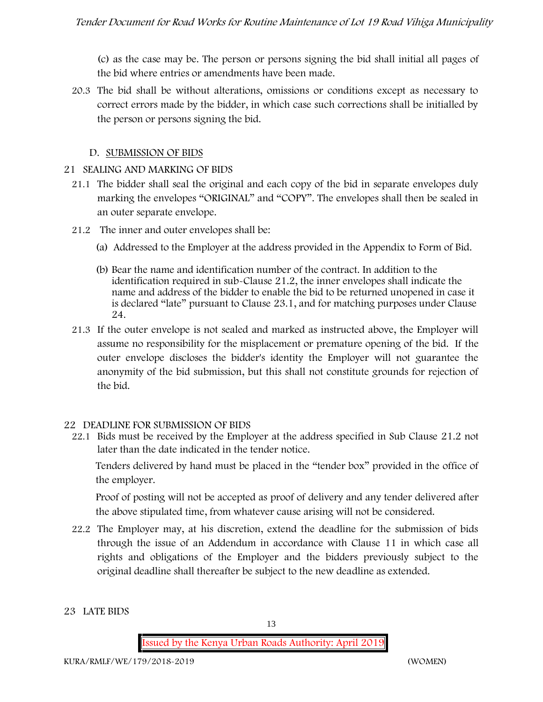(c) as the case may be. The person or persons signing the bid shall initial all pages of the bid where entries or amendments have been made.

20.3 The bid shall be without alterations, omissions or conditions except as necessary to correct errors made by the bidder, in which case such corrections shall be initialled by the person or persons signing the bid.

#### **D. SUBMISSION OF BIDS**

#### **21 SEALING AND MARKING OF BIDS**

- 21.1 The bidder shall seal the original and each copy of the bid in separate envelopes duly marking the envelopes "ORIGINAL" and "COPY". The envelopes shall then be sealed in an outer separate envelope.
- 21.2 The inner and outer envelopes shall be:
	- (a) Addressed to the Employer at the address provided in the Appendix to Form of Bid.
	- (b) Bear the name and identification number of the contract. In addition to the identification required in sub-Clause 21.2, the inner envelopes shall indicate the name and address of the bidder to enable the bid to be returned unopened in case it is declared "late" pursuant to Clause 23.1, and for matching purposes under Clause 24.
- 21.3 If the outer envelope is not sealed and marked as instructed above, the Employer will assume no responsibility for the misplacement or premature opening of the bid. If the outer envelope discloses the bidder's identity the Employer will not guarantee the anonymity of the bid submission, but this shall not constitute grounds for rejection of the bid.

#### **22 DEADLINE FOR SUBMISSION OF BIDS**

22.1 Bids must be received by the Employer at the address specified in Sub Clause 21.2 not later than **the date indicated in the tender notice.**

Tenders delivered by hand must be placed in the "tender box" provided in the office of the employer.

Proof of posting will not be accepted as proof of delivery and any tender delivered after the above stipulated time, from whatever cause arising will not be considered.

22.2 The Employer may, at his discretion, extend the deadline for the submission of bids through the issue of an Addendum in accordance with Clause 11 in which case all rights and obligations of the Employer and the bidders previously subject to the original deadline shall thereafter be subject to the new deadline as extended.

#### **23 LATE BIDS**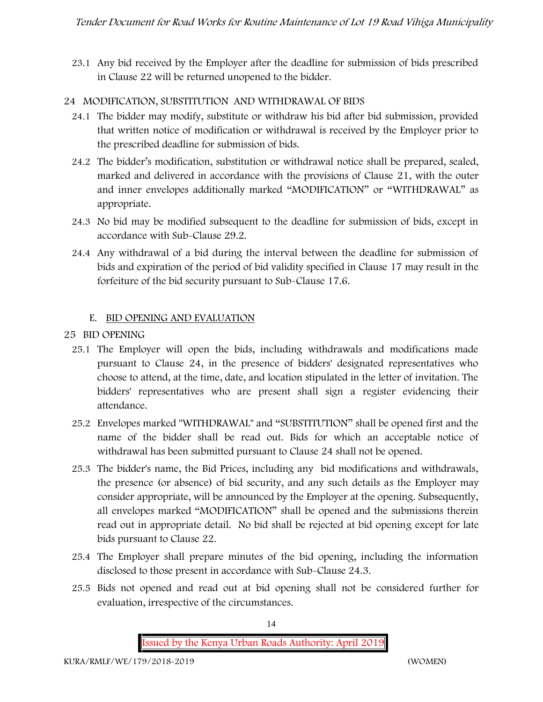23.1 Any bid received by the Employer after the deadline for submission of bids prescribed in Clause 22 will be returned unopened to the bidder.

### **24 MODIFICATION, SUBSTITUTION AND WITHDRAWAL OF BIDS**

- 24.1 The bidder may modify, substitute or withdraw his bid after bid submission, provided that written notice of modification or withdrawal is received by the Employer prior to the prescribed deadline for submission of bids.
- 24.2 The bidder's modification, substitution or withdrawal notice shall be prepared, sealed, marked and delivered in accordance with the provisions of Clause 21, with the outer and inner envelopes additionally marked "MODIFICATION" or "WITHDRAWAL" as appropriate.
- 24.3 No bid may be modified subsequent to the deadline for submission of bids, except in accordance with Sub-Clause 29.2.
- 24.4 Any withdrawal of a bid during the interval between the deadline for submission of bids and expiration of the period of bid validity specified in Clause 17 may result in the forfeiture of the bid security pursuant to Sub-Clause 17.6.

#### **E. BID OPENING AND EVALUATION**

- **25 BID OPENING**
	- 25.1 The Employer will open the bids, including withdrawals and modifications made pursuant to Clause 24, in the presence of bidders' designated representatives who choose to attend, at the time, date, and location stipulated in the letter of invitation. The bidders' representatives who are present shall sign a register evidencing their attendance.
	- 25.2 Envelopes marked "WITHDRAWAL" and "SUBSTITUTION" shall be opened first and the name of the bidder shall be read out. Bids for which an acceptable notice of withdrawal has been submitted pursuant to Clause 24 shall not be opened.
	- 25.3 The bidder's name, the Bid Prices, including any bid modifications and withdrawals, the presence (or absence) of bid security, and any such details as the Employer may consider appropriate, will be announced by the Employer at the opening. Subsequently, all envelopes marked "MODIFICATION" shall be opened and the submissions therein read out in appropriate detail. No bid shall be rejected at bid opening except for late bids pursuant to Clause 22.
	- 25.4 The Employer shall prepare minutes of the bid opening, including the information disclosed to those present in accordance with Sub-Clause 24.3.
	- 25.5 Bids not opened and read out at bid opening shall not be considered further for evaluation, irrespective of the circumstances.

14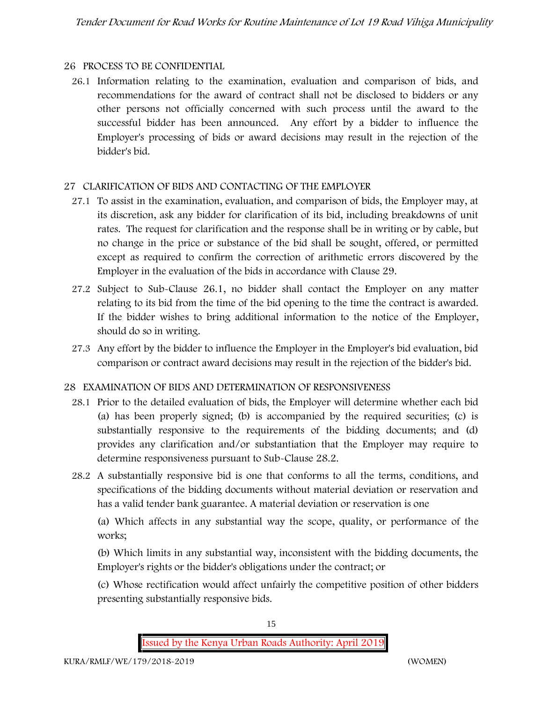#### **26 PROCESS TO BE CONFIDENTIAL**

26.1 Information relating to the examination, evaluation and comparison of bids, and recommendations for the award of contract shall not be disclosed to bidders or any other persons not officially concerned with such process until the award to the successful bidder has been announced. Any effort by a bidder to influence the Employer's processing of bids or award decisions may result in the rejection of the bidder's bid.

## **27 CLARIFICATION OF BIDS AND CONTACTING OF THE EMPLOYER**

- 27.1 To assist in the examination, evaluation, and comparison of bids, the Employer may, at its discretion, ask any bidder for clarification of its bid, including breakdowns of unit rates. The request for clarification and the response shall be in writing or by cable, but no change in the price or substance of the bid shall be sought, offered, or permitted except as required to confirm the correction of arithmetic errors discovered by the Employer in the evaluation of the bids in accordance with Clause 29.
- 27.2 Subject to Sub-Clause 26.1, no bidder shall contact the Employer on any matter relating to its bid from the time of the bid opening to the time the contract is awarded. If the bidder wishes to bring additional information to the notice of the Employer, should do so in writing.
- 27.3 Any effort by the bidder to influence the Employer in the Employer's bid evaluation, bid comparison or contract award decisions may result in the rejection of the bidder's bid.

## **28 EXAMINATION OF BIDS AND DETERMINATION OF RESPONSIVENESS**

- 28.1 Prior to the detailed evaluation of bids, the Employer will determine whether each bid (a) has been properly signed; (b) is accompanied by the required securities; (c) is substantially responsive to the requirements of the bidding documents; and (d) provides any clarification and/or substantiation that the Employer may require to determine responsiveness pursuant to Sub-Clause 28.2.
- 28.2 A substantially responsive bid is one that conforms to all the terms, conditions, and specifications of the bidding documents without material deviation or reservation and has a valid tender bank guarantee. A material deviation or reservation is one

(a) Which affects in any substantial way the scope, quality, or performance of the works;

(b) Which limits in any substantial way, inconsistent with the bidding documents, the Employer's rights or the bidder's obligations under the contract; or

(c) Whose rectification would affect unfairly the competitive position of other bidders presenting substantially responsive bids.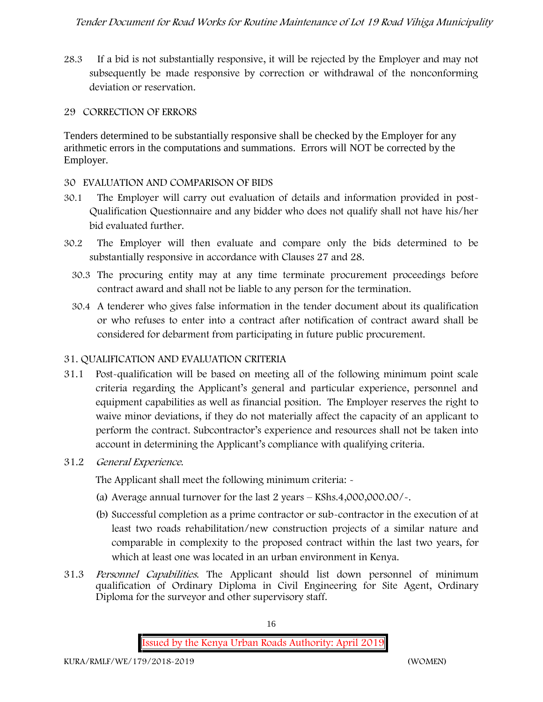28.3 If a bid is not substantially responsive, it will be rejected by the Employer and may not subsequently be made responsive by correction or withdrawal of the nonconforming deviation or reservation.

#### **29 CORRECTION OF ERRORS**

Tenders determined to be substantially responsive shall be checked by the Employer for any arithmetic errors in the computations and summations. Errors will NOT be corrected by the Employer.

#### **30 EVALUATION AND COMPARISON OF BIDS**

- 30.1 The Employer will carry out evaluation of details and information provided in post- Qualification Questionnaire and any bidder who does not qualify shall not have his/her bid evaluated further.
- 30.2 The Employer will then evaluate and compare only the bids determined to be substantially responsive in accordance with Clauses 27 and 28.
	- 30.3 The procuring entity may at any time terminate procurement proceedings before contract award and shall not be liable to any person for the termination.
	- 30.4 A tenderer who gives false information in the tender document about its qualification or who refuses to enter into a contract after notification of contract award shall be considered for debarment from participating in future public procurement.

## **31. QUALIFICATION AND EVALUATION CRITERIA**

- 31.1 Post-qualification will be based on meeting all of the following minimum point scale criteria regarding the Applicant's general and particular experience, personnel and equipment capabilities as well as financial position. The Employer reserves the right to waive minor deviations, if they do not materially affect the capacity of an applicant to perform the contract. Subcontractor's experience and resources shall not be taken into account in determining the Applicant's compliance with qualifying criteria.
- **31.2** *General Experience***.**

The Applicant shall meet the following minimum criteria: -

- (a) Average annual turnover for the last 2 years **KShs.4,000,000.00/-.**
- (b) Successful completion as a prime contractor or sub-contractor in the execution of at least two roads rehabilitation/new construction projects of a similar nature and comparable in complexity to the proposed contract within the last two years, for which at least one was located in an urban environment in Kenya.
- 31.3 *Personnel Capabilities***.** The Applicant should list down personnel of minimum qualification of Ordinary Diploma in Civil Engineering for Site Agent, Ordinary Diploma for the surveyor and other supervisory staff.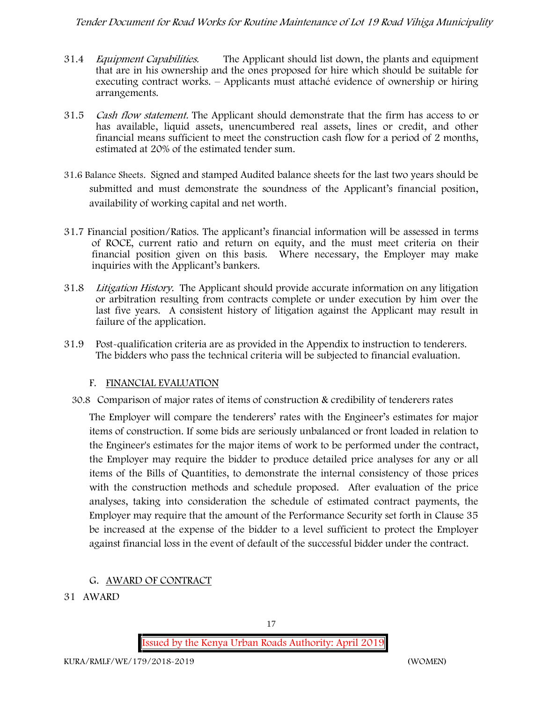- 31.4 *Equipment Capabilities.* The Applicant should list down, the plants and equipment that are in his ownership and the ones proposed for hire which should be suitable for executing contract works. – Applicants must attaché evidence of ownership or hiring arrangements.
- 31.5 *Cash flow statement.* The Applicant should demonstrate that the firm has access to or has available, liquid assets, unencumbered real assets, lines or credit, and other financial means sufficient to meet the construction cash flow for a period of 2 months, estimated at 20% of the estimated tender sum.
- **31.6 Balance Sheets***.* Signed and stamped Audited balance sheets for the last two years should be submitted and must demonstrate the soundness of the Applicant's financial position, availability of working capital and net worth.
- **31.7 Financial position/Ratios.** The applicant's financial information will be assessed in terms of ROCE, current ratio and return on equity, and the must meet criteria on their financial position given on this basis. Where necessary, the Employer may make inquiries with the Applicant's bankers.
- 31.8 *Litigation History.* The Applicant should provide accurate information on any litigation or arbitration resulting from contracts complete or under execution by him over the last five years. A consistent history of litigation against the Applicant may result in failure of the application.
- 31.9 Post-qualification criteria are as provided in the Appendix to instruction to tenderers. The bidders who pass the technical criteria will be subjected to financial evaluation.

## **F. FINANCIAL EVALUATION**

30.8 Comparison of major rates of items of construction & credibility of tenderers rates

The Employer will compare the tenderers' rates with the Engineer's estimates for major items of construction. If some bids are seriously unbalanced or front loaded in relation to the Engineer's estimates for the major items of work to be performed under the contract, the Employer may require the bidder to produce detailed price analyses for any or all items of the Bills of Quantities, to demonstrate the internal consistency of those prices with the construction methods and schedule proposed. After evaluation of the price analyses, taking into consideration the schedule of estimated contract payments, the Employer may require that the amount of the Performance Security set forth in Clause 35 be increased at the expense of the bidder to a level sufficient to protect the Employer against financial loss in the event of default of the successful bidder under the contract.

## **G. AWARD OF CONTRACT**

**31 AWARD**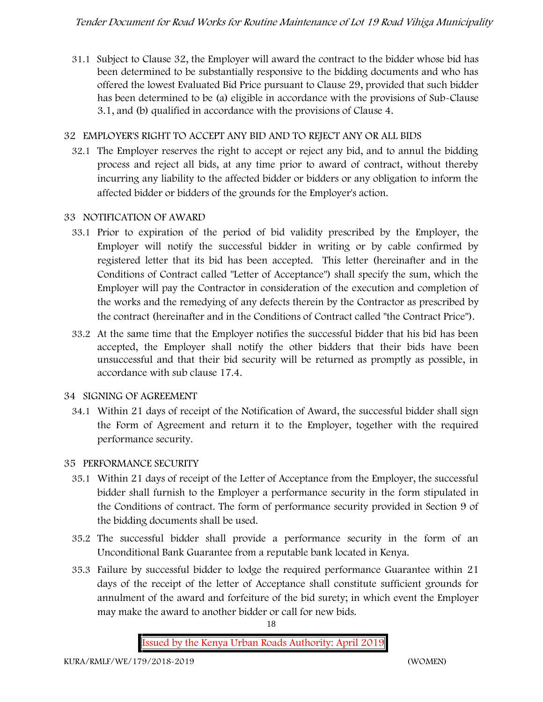31.1 Subject to Clause 32, the Employer will award the contract to the bidder whose bid has been determined to be substantially responsive to the bidding documents and who has offered the lowest Evaluated Bid Price pursuant to Clause 29, provided that such bidder has been determined to be (a) eligible in accordance with the provisions of Sub-Clause 3.1, and (b) qualified in accordance with the provisions of Clause 4.

## **32 EMPLOYER'S RIGHT TO ACCEPT ANY BID AND TO REJECT ANY OR ALL BIDS**

32.1 The Employer reserves the right to accept or reject any bid, and to annul the bidding process and reject all bids, at any time prior to award of contract, without thereby incurring any liability to the affected bidder or bidders or any obligation to inform the affected bidder or bidders of the grounds for the Employer's action.

#### **33 NOTIFICATION OF AWARD**

- 33.1 Prior to expiration of the period of bid validity prescribed by the Employer, the Employer will notify the successful bidder in writing or by cable confirmed by registered letter that its bid has been accepted. This letter (hereinafter and in the Conditions of Contract called "Letter of Acceptance") shall specify the sum, which the Employer will pay the Contractor in consideration of the execution and completion of the works and the remedying of any defects therein by the Contractor as prescribed by the contract (hereinafter and in the Conditions of Contract called "the Contract Price").
- 33.2 At the same time that the Employer notifies the successful bidder that his bid has been accepted, the Employer shall notify the other bidders that their bids have been unsuccessful and that their bid security will be returned as promptly as possible, in accordance with sub clause 17.4.

#### **34 SIGNING OF AGREEMENT**

34.1 Within 21 days of receipt of the Notification of Award, the successful bidder shall sign the Form of Agreement and return it to the Employer, together with the required performance security.

## **35 PERFORMANCE SECURITY**

- 35.1 Within 21 days of receipt of the Letter of Acceptance from the Employer, the successful bidder shall furnish to the Employer a performance security in the form stipulated in the Conditions of contract. The form of performance security provided in Section 9 of the bidding documents shall be used.
- 35.2 The successful bidder shall provide a performance security in the form of an Unconditional Bank Guarantee from a reputable bank located in Kenya.
- 35.3 Failure by successful bidder to lodge the required performance Guarantee within 21 days of the receipt of the letter of Acceptance shall constitute sufficient grounds for annulment of the award and forfeiture of the bid surety; in which event the Employer may make the award to another bidder or call for new bids.

18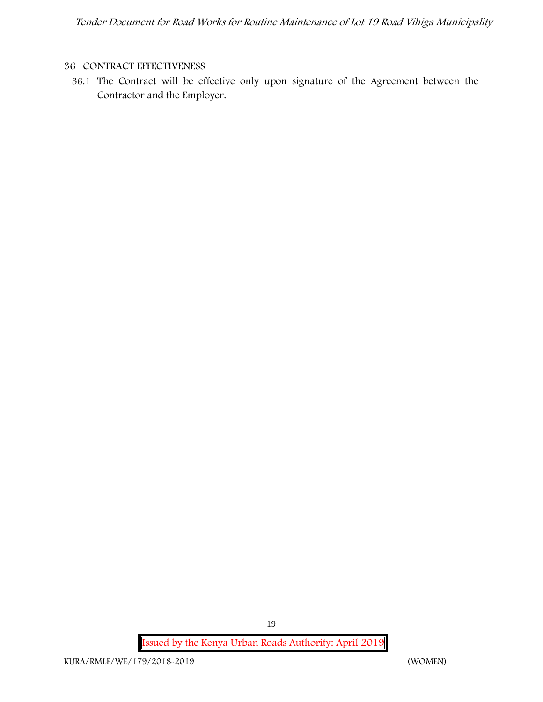#### **36 CONTRACT EFFECTIVENESS**

36.1 The Contract will be effective only upon signature of the Agreement between the Contractor and the Employer.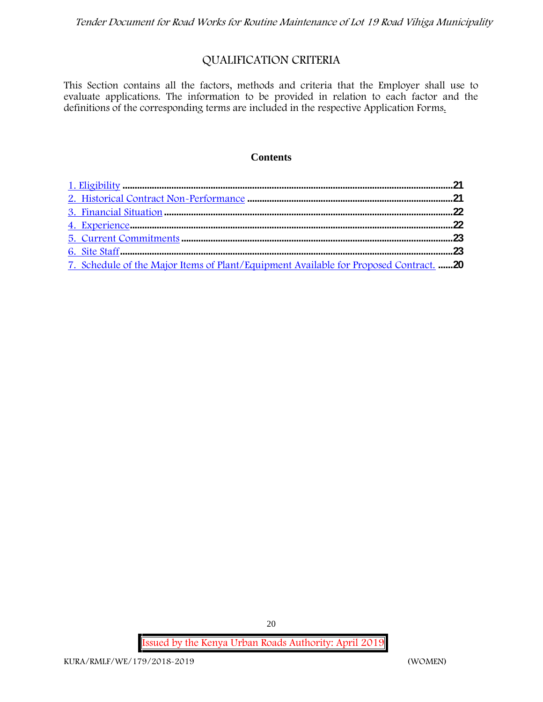## **QUALIFICATION CRITERIA**

This Section contains all the factors, methods and criteria that the Employer shall use to evaluate applications. The information to be provided in relation to each factor and the definitions of the corresponding terms are included in the respective Application Forms.

#### **Contents**

| 7. Schedule of the Major Items of Plant/Equipment Available for Proposed Contract. 20 |  |
|---------------------------------------------------------------------------------------|--|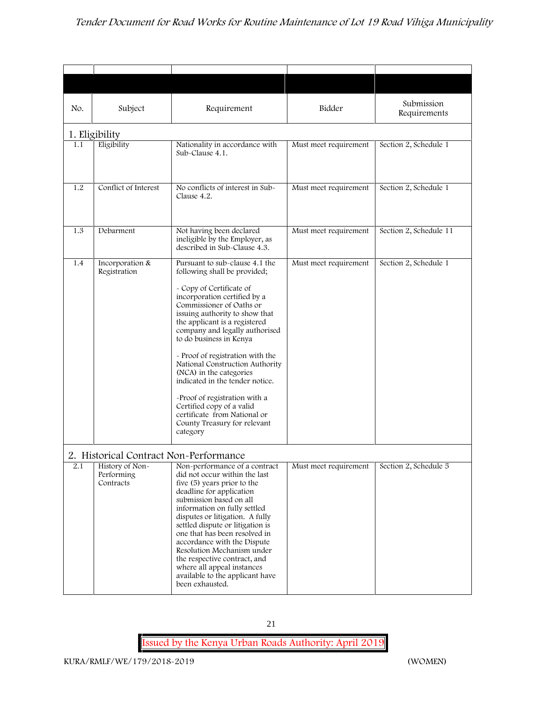| No. | Subject                                                                              | Requirement                                                                                                                                                                                                                                                                                                                                                                                                                                                                                                                                                           | Bidder                | Submission<br>Requirements |
|-----|--------------------------------------------------------------------------------------|-----------------------------------------------------------------------------------------------------------------------------------------------------------------------------------------------------------------------------------------------------------------------------------------------------------------------------------------------------------------------------------------------------------------------------------------------------------------------------------------------------------------------------------------------------------------------|-----------------------|----------------------------|
|     | 1. Eligibility                                                                       |                                                                                                                                                                                                                                                                                                                                                                                                                                                                                                                                                                       |                       |                            |
| 1.1 | Eligibility                                                                          | Nationality in accordance with<br>Sub-Clause 4.1.                                                                                                                                                                                                                                                                                                                                                                                                                                                                                                                     | Must meet requirement | Section 2, Schedule 1      |
| 1.2 | Conflict of Interest                                                                 | No conflicts of interest in Sub-<br>Clause 4.2.                                                                                                                                                                                                                                                                                                                                                                                                                                                                                                                       | Must meet requirement | Section 2, Schedule 1      |
| 1.3 | Debarment                                                                            | Not having been declared<br>ineligible by the Employer, as<br>described in Sub-Clause 4.3.                                                                                                                                                                                                                                                                                                                                                                                                                                                                            | Must meet requirement | Section 2, Schedule 11     |
| 1.4 | Incorporation &<br>Registration                                                      | Pursuant to sub-clause 4.1 the<br>following shall be provided;<br>- Copy of Certificate of<br>incorporation certified by a<br>Commissioner of Oaths or<br>issuing authority to show that<br>the applicant is a registered<br>company and legally authorised<br>to do business in Kenya<br>- Proof of registration with the<br>National Construction Authority<br>(NCA) in the categories<br>indicated in the tender notice.<br>-Proof of registration with a<br>Certified copy of a valid<br>certificate from National or<br>County Treasury for relevant<br>category | Must meet requirement | Section 2, Schedule 1      |
| 2.1 | 2. Historical Contract Non-Performance<br>History of Non-<br>Performing<br>Contracts | Non-performance of a contract<br>did not occur within the last<br>five (5) years prior to the<br>deadline for application<br>submission based on all<br>information on fully settled<br>disputes or litigation. A fully<br>settled dispute or litigation is<br>one that has been resolved in<br>accordance with the Dispute<br>Resolution Mechanism under<br>the respective contract, and<br>where all appeal instances<br>available to the applicant have<br>been exhausted.                                                                                         | Must meet requirement | Section 2, Schedule 5      |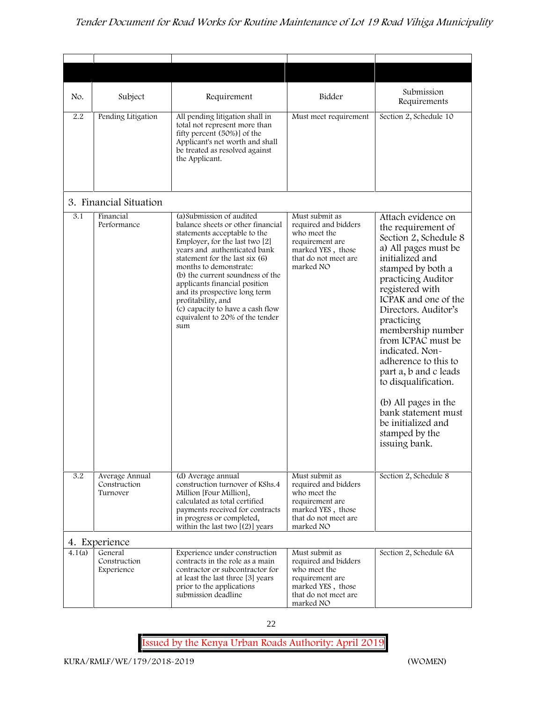| No.    | Subject                                    | Requirement                                                                                                                                                                                                                                                                                                                                                                                                                            | Bidder                                                                                                                              | Submission<br>Requirements                                                                                                                                                                                                                                                                                                                                                                                                                                                              |
|--------|--------------------------------------------|----------------------------------------------------------------------------------------------------------------------------------------------------------------------------------------------------------------------------------------------------------------------------------------------------------------------------------------------------------------------------------------------------------------------------------------|-------------------------------------------------------------------------------------------------------------------------------------|-----------------------------------------------------------------------------------------------------------------------------------------------------------------------------------------------------------------------------------------------------------------------------------------------------------------------------------------------------------------------------------------------------------------------------------------------------------------------------------------|
| 2.2    | Pending Litigation                         | All pending litigation shall in<br>total not represent more than<br>fifty percent (50%)] of the<br>Applicant's net worth and shall<br>be treated as resolved against<br>the Applicant.                                                                                                                                                                                                                                                 | Must meet requirement                                                                                                               | Section 2, Schedule 10                                                                                                                                                                                                                                                                                                                                                                                                                                                                  |
|        | 3. Financial Situation                     |                                                                                                                                                                                                                                                                                                                                                                                                                                        |                                                                                                                                     |                                                                                                                                                                                                                                                                                                                                                                                                                                                                                         |
| 3.1    | Financial<br>Performance                   | (a) Submission of audited<br>balance sheets or other financial<br>statements acceptable to the<br>Employer, for the last two [2]<br>years and authenticated bank<br>statement for the last six (6)<br>months to demonstrate:<br>(b) the current soundness of the<br>applicants financial position<br>and its prospective long term<br>profitability, and<br>(c) capacity to have a cash flow<br>equivalent to 20% of the tender<br>sum | Must submit as<br>required and bidders<br>who meet the<br>requirement are<br>marked YES, those<br>that do not meet are<br>marked NO | Attach evidence on<br>the requirement of<br>Section 2, Schedule 8<br>a) All pages must be<br>initialized and<br>stamped by both a<br>practicing Auditor<br>registered with<br>ICPAK and one of the<br>Directors. Auditor's<br>practicing<br>membership number<br>from ICPAC must be<br>indicated. Non-<br>adherence to this to<br>part a, b and c leads<br>to disqualification.<br>(b) All pages in the<br>bank statement must<br>be initialized and<br>stamped by the<br>issuing bank. |
| 3.2    | Average Annual<br>Construction<br>Turnover | (d) Average annual<br>construction turnover of KShs.4<br>Million [Four Million],<br>calculated as total certified<br>payments received for contracts<br>in progress or completed,<br>within the last two $[(2)]$ years                                                                                                                                                                                                                 | Must submit as<br>required and bidders<br>who meet the<br>requirement are<br>marked YES, those<br>that do not meet are<br>marked NO | Section 2, Schedule 8                                                                                                                                                                                                                                                                                                                                                                                                                                                                   |
|        | 4. Experience                              |                                                                                                                                                                                                                                                                                                                                                                                                                                        |                                                                                                                                     |                                                                                                                                                                                                                                                                                                                                                                                                                                                                                         |
| 4.1(a) | General<br>Construction<br>Experience      | Experience under construction<br>contracts in the role as a main<br>contractor or subcontractor for<br>at least the last three [3] years<br>prior to the applications<br>submission deadline                                                                                                                                                                                                                                           | Must submit as<br>required and bidders<br>who meet the<br>requirement are<br>marked YES, those<br>that do not meet are<br>marked NO | Section 2, Schedule 6A                                                                                                                                                                                                                                                                                                                                                                                                                                                                  |

22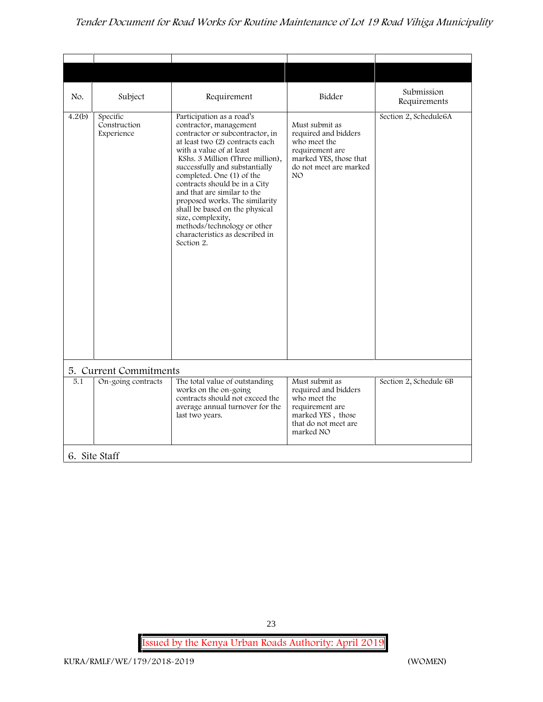| No.    | Subject                                | Requirement                                                                                                                                                                                                                                                                                                                                                                                                                                                                                       | Bidder                                                                                                                               | Submission<br>Requirements |
|--------|----------------------------------------|---------------------------------------------------------------------------------------------------------------------------------------------------------------------------------------------------------------------------------------------------------------------------------------------------------------------------------------------------------------------------------------------------------------------------------------------------------------------------------------------------|--------------------------------------------------------------------------------------------------------------------------------------|----------------------------|
| 4.2(b) | Specific<br>Construction<br>Experience | Participation as a road's<br>contractor, management<br>contractor or subcontractor, in<br>at least two (2) contracts each<br>with a value of at least<br>KShs. 3 Million (Three million),<br>successfully and substantially<br>completed. One (1) of the<br>contracts should be in a City<br>and that are similar to the<br>proposed works. The similarity<br>shall be based on the physical<br>size, complexity,<br>methods/technology or other<br>characteristics as described in<br>Section 2. | Must submit as<br>required and bidders<br>who meet the<br>requirement are<br>marked YES, those that<br>do not meet are marked<br>NO. | Section 2, Schedule6A      |
|        | 5. Current Commitments                 |                                                                                                                                                                                                                                                                                                                                                                                                                                                                                                   |                                                                                                                                      |                            |
| 5.1    | On-going contracts                     | The total value of outstanding<br>works on the on-going<br>contracts should not exceed the<br>average annual turnover for the<br>last two years.                                                                                                                                                                                                                                                                                                                                                  | Must submit as<br>required and bidders<br>who meet the<br>requirement are<br>marked YES, those<br>that do not meet are<br>marked NO  | Section 2, Schedule 6B     |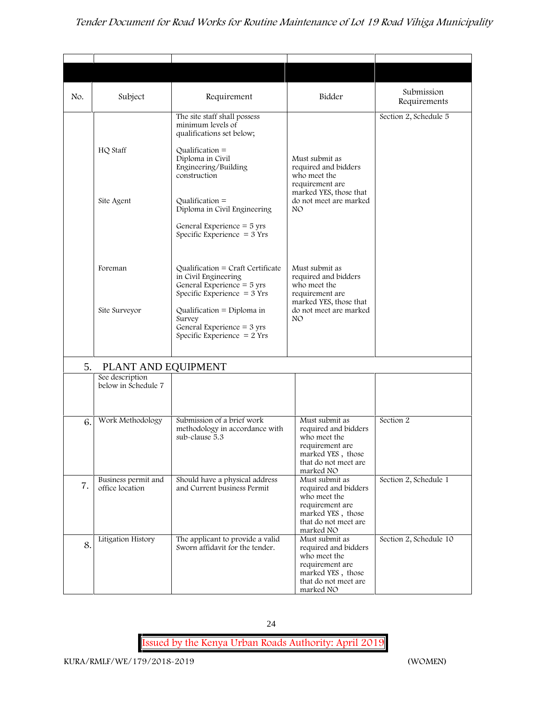| No. | Subject                                | Requirement                                                                                                                | Bidder                                                                                                                              | Submission<br>Requirements |
|-----|----------------------------------------|----------------------------------------------------------------------------------------------------------------------------|-------------------------------------------------------------------------------------------------------------------------------------|----------------------------|
|     |                                        | The site staff shall possess<br>minimum levels of<br>qualifications set below;                                             |                                                                                                                                     | Section 2, Schedule 5      |
|     | HQ Staff                               | $Qualification =$<br>Diploma in Civil<br>Engineering/Building<br>construction                                              | Must submit as<br>required and bidders<br>who meet the<br>requirement are                                                           |                            |
|     | Site Agent                             | Qualification $=$<br>Diploma in Civil Engineering                                                                          | marked YES, those that<br>do not meet are marked<br>NO.                                                                             |                            |
|     |                                        | General Experience $=$ 5 yrs<br>Specific Experience $=$ 3 Yrs                                                              |                                                                                                                                     |                            |
|     | Foreman                                | Qualification = Craft Certificate<br>in Civil Engineering<br>General Experience $=$ 5 yrs<br>Specific Experience $=$ 3 Yrs | Must submit as<br>required and bidders<br>who meet the<br>requirement are                                                           |                            |
|     | Site Surveyor                          | Qualification = Diploma in<br>Survey<br>General Experience $=$ 3 yrs<br>Specific Experience $= 2$ Yrs                      | marked YES, those that<br>do not meet are marked<br>NO.                                                                             |                            |
| 5.  | PLANT AND EQUIPMENT                    |                                                                                                                            |                                                                                                                                     |                            |
|     | See description<br>below in Schedule 7 |                                                                                                                            |                                                                                                                                     |                            |
| 6.  | Work Methodology                       | Submission of a brief work<br>methodology in accordance with<br>sub-clause 5.3                                             | Must submit as<br>required and bidders<br>who meet the<br>requirement are<br>marked YES, those<br>that do not meet are<br>marked NO | Section 2                  |
| 7.  | Business permit and<br>office location | Should have a physical address<br>and Current business Permit                                                              | Must submit as<br>required and bidders<br>who meet the<br>requirement are<br>marked YES, those<br>that do not meet are<br>marked NO | Section 2, Schedule 1      |
| 8.  | Litigation History                     | The applicant to provide a valid<br>Sworn affidavit for the tender.                                                        | Must submit as<br>required and bidders<br>who meet the<br>requirement are<br>marked YES, those<br>that do not meet are<br>marked NO | Section 2, Schedule 10     |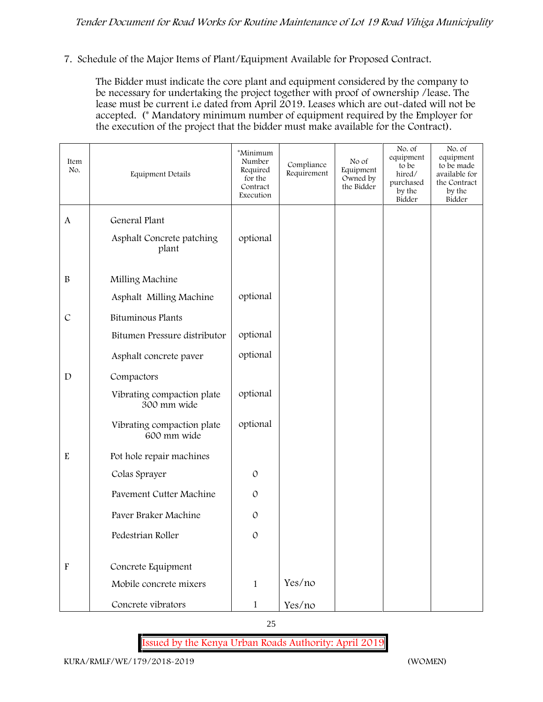#### **7. Schedule of the Major Items of Plant/Equipment Available for Proposed Contract.**

The Bidder must indicate the core plant and equipment considered by the company to be necessary for undertaking the project together with proof of ownership /lease. The lease must be current i.e dated from April 2019. Leases which are out-dated will not be accepted. (\* Mandatory minimum number of equipment required by the Employer for the execution of the project that the bidder must make available for the Contract).

| Item<br>No.               | Equipment Details                         | *Minimum<br>Number<br>Required<br>for the<br>Contract<br>Execution | Compliance<br>Requirement | No of<br>Equipment<br>Owned by<br>the Bidder | No. of<br>equipment<br>to be<br>hired/<br>purchased<br>by the<br>Bidder | No. of<br>equipment<br>to be made<br>available for<br>the Contract<br>by the<br>Bidder |
|---------------------------|-------------------------------------------|--------------------------------------------------------------------|---------------------------|----------------------------------------------|-------------------------------------------------------------------------|----------------------------------------------------------------------------------------|
| $\mathbf{A}$              | General Plant                             |                                                                    |                           |                                              |                                                                         |                                                                                        |
|                           | Asphalt Concrete patching<br>plant        | optional                                                           |                           |                                              |                                                                         |                                                                                        |
| $\, {\bf B}$              | Milling Machine                           |                                                                    |                           |                                              |                                                                         |                                                                                        |
|                           | Asphalt Milling Machine                   | optional                                                           |                           |                                              |                                                                         |                                                                                        |
| $\mathcal{C}$             | <b>Bituminous Plants</b>                  |                                                                    |                           |                                              |                                                                         |                                                                                        |
|                           | Bitumen Pressure distributor              | optional                                                           |                           |                                              |                                                                         |                                                                                        |
|                           | Asphalt concrete paver                    | optional                                                           |                           |                                              |                                                                         |                                                                                        |
| $\mathbf D$               | Compactors                                |                                                                    |                           |                                              |                                                                         |                                                                                        |
|                           | Vibrating compaction plate<br>300 mm wide | optional                                                           |                           |                                              |                                                                         |                                                                                        |
|                           | Vibrating compaction plate<br>600 mm wide | optional                                                           |                           |                                              |                                                                         |                                                                                        |
| $\mathbf E$               | Pot hole repair machines                  |                                                                    |                           |                                              |                                                                         |                                                                                        |
|                           | Colas Sprayer                             | $\mathcal{O}$                                                      |                           |                                              |                                                                         |                                                                                        |
|                           | Pavement Cutter Machine                   | $\mathcal{O}$                                                      |                           |                                              |                                                                         |                                                                                        |
|                           | Paver Braker Machine                      | $\mathcal{O}$                                                      |                           |                                              |                                                                         |                                                                                        |
|                           | Pedestrian Roller                         | $\mathcal{O}$                                                      |                           |                                              |                                                                         |                                                                                        |
| $\boldsymbol{\mathrm{F}}$ | Concrete Equipment                        |                                                                    |                           |                                              |                                                                         |                                                                                        |
|                           | Mobile concrete mixers                    | $\mathbf{1}$                                                       | Yes/no                    |                                              |                                                                         |                                                                                        |
|                           | Concrete vibrators                        | $\mathbf{1}$                                                       | Yes/no                    |                                              |                                                                         |                                                                                        |

25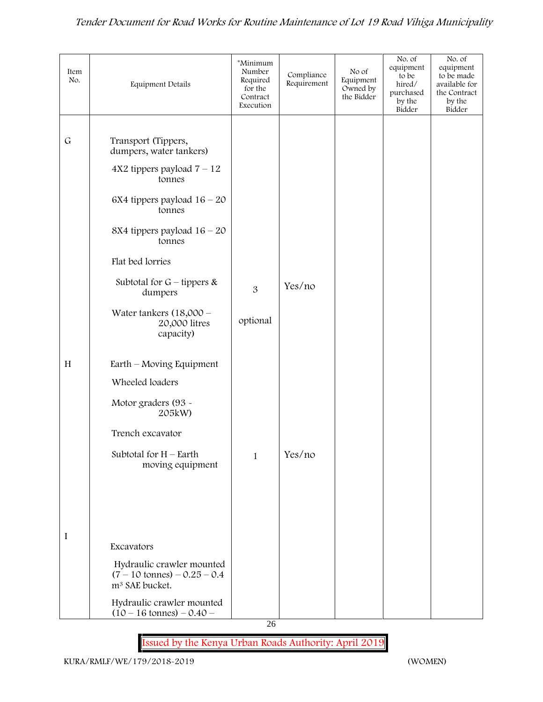| Item<br>No.  | Equipment Details                                                                                                                                                                                                                                                                             | *Minimum<br>Number<br>Required<br>for the<br>Contract<br>Execution | Compliance<br>Requirement | No of<br>Equipment<br>Owned by<br>the Bidder | No. of<br>equipment<br>to be<br>hired/<br>purchased<br>by the<br>Bidder | No. of<br>equipment<br>to be made<br>available for<br>the Contract<br>by the<br>Bidder |
|--------------|-----------------------------------------------------------------------------------------------------------------------------------------------------------------------------------------------------------------------------------------------------------------------------------------------|--------------------------------------------------------------------|---------------------------|----------------------------------------------|-------------------------------------------------------------------------|----------------------------------------------------------------------------------------|
| $\mathsf{G}$ | Transport (Tippers,<br>dumpers, water tankers)<br>$4X2$ tippers payload $7 - 12$<br>tonnes<br>6X4 tippers payload $16 - 20$<br>tonnes<br>8X4 tippers payload $16 - 20$<br>tonnes<br>Flat bed lorries<br>Subtotal for $G$ – tippers &<br>dumpers<br>Water tankers $(18,000 -$<br>20,000 litres | 3<br>optional                                                      | Yes/no                    |                                              |                                                                         |                                                                                        |
| H            | capacity)<br>Earth – Moving Equipment<br>Wheeled loaders<br>Motor graders (93 -<br>205kW)<br>Trench excavator<br>Subtotal for $H$ – Earth<br>moving equipment                                                                                                                                 | $\mathbf{1}$                                                       | Yes/no                    |                                              |                                                                         |                                                                                        |
| I            | Excavators<br>Hydraulic crawler mounted<br>$(7 - 10 \text{ tonnes}) - 0.25 - 0.4$<br>m <sup>3</sup> SAE bucket.<br>Hydraulic crawler mounted<br>$(10 - 16 \text{ tonnes}) - 0.40 -$                                                                                                           | 26                                                                 |                           |                                              |                                                                         |                                                                                        |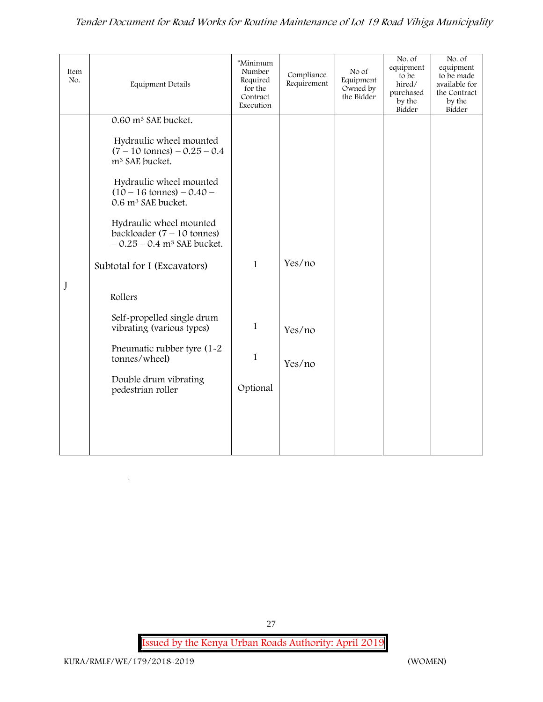| Item<br>No. | <b>Equipment Details</b>                                                                            | *Minimum<br>Number<br>Required<br>for the<br>Contract<br>Execution | Compliance<br>Requirement | No of<br>Equipment<br>Owned by<br>the Bidder | No. of<br>equipment<br>to be<br>hired/<br>purchased<br>by the<br>Bidder | No. of<br>equipment<br>to be made<br>available for<br>the Contract<br>by the<br>Bidder |
|-------------|-----------------------------------------------------------------------------------------------------|--------------------------------------------------------------------|---------------------------|----------------------------------------------|-------------------------------------------------------------------------|----------------------------------------------------------------------------------------|
|             | 0.60 m <sup>3</sup> SAE bucket.                                                                     |                                                                    |                           |                                              |                                                                         |                                                                                        |
|             | Hydraulic wheel mounted<br>$(7 - 10 \text{ tonnes}) - 0.25 - 0.4$<br>m <sup>3</sup> SAE bucket.     |                                                                    |                           |                                              |                                                                         |                                                                                        |
|             | Hydraulic wheel mounted<br>$(10 - 16 \text{ tonnes}) - 0.40 -$<br>0.6 m <sup>3</sup> SAE bucket.    |                                                                    |                           |                                              |                                                                         |                                                                                        |
|             | Hydraulic wheel mounted<br>backloader $(7 - 10$ tonnes)<br>$-0.25 - 0.4$ m <sup>3</sup> SAE bucket. |                                                                    |                           |                                              |                                                                         |                                                                                        |
|             | Subtotal for I (Excavators)                                                                         | $\mathbf{1}$                                                       | Yes/no                    |                                              |                                                                         |                                                                                        |
| J           | Rollers                                                                                             |                                                                    |                           |                                              |                                                                         |                                                                                        |
|             | Self-propelled single drum<br>vibrating (various types)                                             | $\mathbf{1}$                                                       | Yes/no                    |                                              |                                                                         |                                                                                        |
|             | Pneumatic rubber tyre (1-2<br>tonnes/wheel)                                                         | $\mathbf{1}$                                                       | Yes/no                    |                                              |                                                                         |                                                                                        |
|             | Double drum vibrating<br>pedestrian roller                                                          | Optional                                                           |                           |                                              |                                                                         |                                                                                        |
|             |                                                                                                     |                                                                    |                           |                                              |                                                                         |                                                                                        |
|             |                                                                                                     |                                                                    |                           |                                              |                                                                         |                                                                                        |

`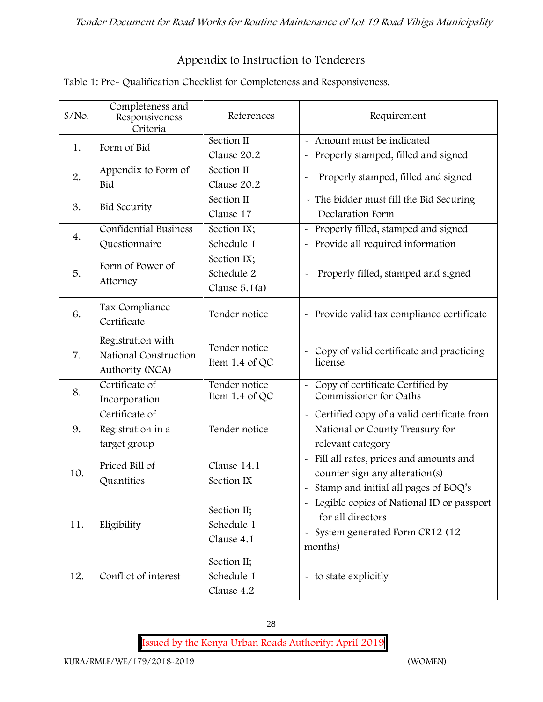# **Appendix to Instruction to Tenderers**

| Table 1: Pre- Qualification Checklist for Completeness and Responsiveness. |  |
|----------------------------------------------------------------------------|--|
|                                                                            |  |

| $S/NO$ . | Completeness and<br>Responsiveness<br>Criteria                | References                                   | Requirement                                                                                                                          |  |
|----------|---------------------------------------------------------------|----------------------------------------------|--------------------------------------------------------------------------------------------------------------------------------------|--|
| 1.       | Form of Bid                                                   | Section II<br>Clause 20.2                    | Amount must be indicated<br>Properly stamped, filled and signed<br>$\tilde{\phantom{a}}$                                             |  |
| 2.       | Appendix to Form of<br>Bid                                    | Section II<br>Clause 20.2                    | Properly stamped, filled and signed<br>$\ddot{\phantom{1}}$                                                                          |  |
| 3.       | <b>Bid Security</b>                                           | Section II<br>Clause 17                      | - The bidder must fill the Bid Securing<br>Declaration Form                                                                          |  |
| 4.       | <b>Confidential Business</b><br>Questionnaire                 | Section IX;<br>Schedule 1                    | Properly filled, stamped and signed<br>Provide all required information                                                              |  |
| 5.       | Form of Power of<br>Attorney                                  | Section IX;<br>Schedule 2<br>Clause $5.1(a)$ | Properly filled, stamped and signed                                                                                                  |  |
| 6.       | Tax Compliance<br>Certificate                                 | Tender notice                                | - Provide valid tax compliance certificate                                                                                           |  |
| 7.       | Registration with<br>National Construction<br>Authority (NCA) | Tender notice<br>Item 1.4 of QC              | Copy of valid certificate and practicing<br>$\tilde{\phantom{a}}$<br>license                                                         |  |
| 8.       | Certificate of<br>Incorporation                               | Tender notice<br>Item 1.4 of QC              | Copy of certificate Certified by<br>Commissioner for Oaths                                                                           |  |
| 9.       | Certificate of<br>Registration in a<br>target group           | Tender notice                                | Certified copy of a valid certificate from<br>$\tilde{\phantom{a}}$<br>National or County Treasury for<br>relevant category          |  |
| 10.      | Priced Bill of<br>Quantities                                  | Clause 14.1<br>Section IX                    | Fill all rates, prices and amounts and<br>counter sign any alteration(s)<br>Stamp and initial all pages of BOQ's                     |  |
| 11.      | Eligibility                                                   | Section II;<br>Schedule 1<br>Clause 4.1      | Legible copies of National ID or passport<br>for all directors<br>System generated Form CR12 (12<br>$\tilde{\phantom{a}}$<br>months) |  |
| 12.      | Conflict of interest                                          | Section II;<br>Schedule 1<br>Clause 4.2      | - to state explicitly                                                                                                                |  |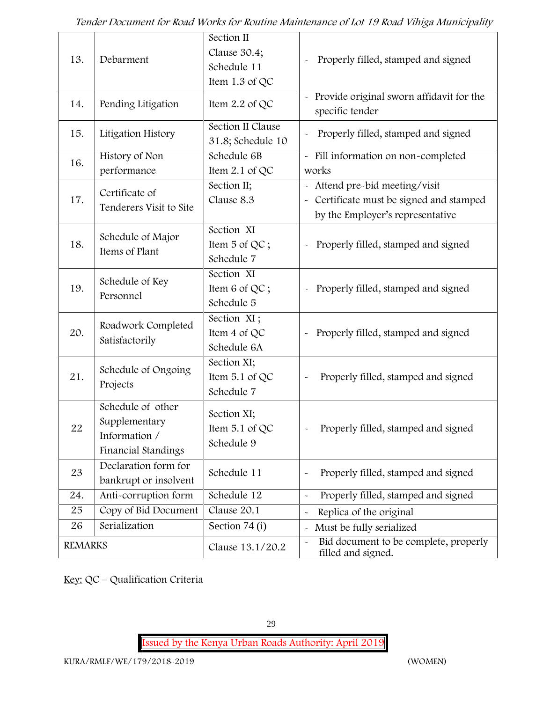| 13.            | Debarment                                                                  | Section II<br>Clause 30.4;<br>Schedule 11<br>Item $1.3$ of QC | Properly filled, stamped and signed                                                                          |
|----------------|----------------------------------------------------------------------------|---------------------------------------------------------------|--------------------------------------------------------------------------------------------------------------|
| 14.            | Pending Litigation                                                         | Item 2.2 of QC                                                | Provide original sworn affidavit for the<br>specific tender                                                  |
| 15.            | Litigation History                                                         | Section II Clause<br>31.8; Schedule 10                        | Properly filled, stamped and signed                                                                          |
| 16.            | History of Non<br>performance                                              | Schedule 6B<br>Item $2.1$ of QC                               | - Fill information on non-completed<br>works                                                                 |
| 17.            | Certificate of<br>Tenderers Visit to Site                                  | Section II;<br>Clause 8.3                                     | Attend pre-bid meeting/visit<br>- Certificate must be signed and stamped<br>by the Employer's representative |
| 18.            | Schedule of Major<br>Items of Plant                                        | Section XI<br>Item 5 of QC;<br>Schedule 7                     | Properly filled, stamped and signed                                                                          |
| 19.            | Schedule of Key<br>Personnel                                               | Section XI<br>Item 6 of QC;<br>Schedule 5                     | Properly filled, stamped and signed<br>$\tilde{}$                                                            |
| 20.            | Roadwork Completed<br>Satisfactorily                                       | Section XI;<br>Item 4 of QC<br>Schedule 6A                    | Properly filled, stamped and signed<br>$\tilde{\phantom{a}}$                                                 |
| 21.            | Schedule of Ongoing<br>Projects                                            | Section XI;<br>Item 5.1 of QC<br>Schedule 7                   | Properly filled, stamped and signed                                                                          |
| 22             | Schedule of other<br>Supplementary<br>Information /<br>Financial Standings | Section XI;<br>Item $5.1$ of QC<br>Schedule 9                 | Properly filled, stamped and signed                                                                          |
| 23             | Declaration form for<br>bankrupt or insolvent                              | Schedule 11                                                   | Properly filled, stamped and signed                                                                          |
| 24.            | Anti-corruption form                                                       | Schedule 12                                                   | Properly filled, stamped and signed                                                                          |
| 25             | Copy of Bid Document                                                       | Clause 20.1                                                   | Replica of the original                                                                                      |
| 26             | Serialization                                                              | Section 74 (i)                                                | Must be fully serialized                                                                                     |
| <b>REMARKS</b> |                                                                            | Clause 13.1/20.2                                              | Bid document to be complete, properly<br>$\tilde{\phantom{a}}$<br>filled and signed.                         |

**Key:** QC – Qualification Criteria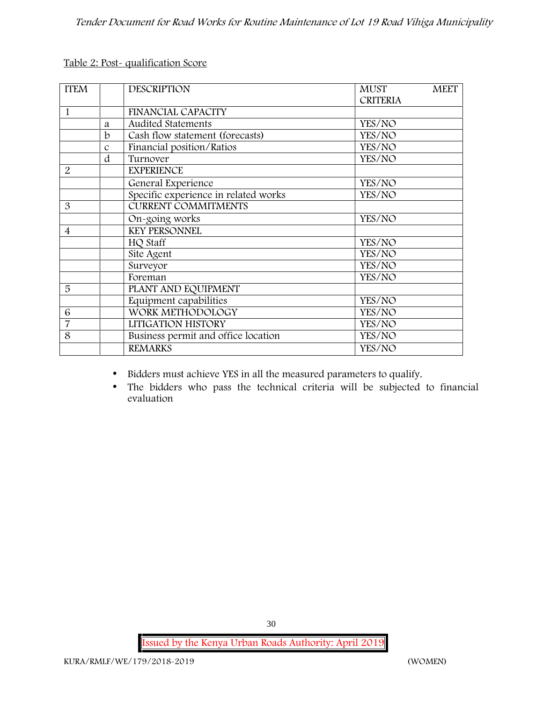| <b>CRITERIA</b><br><b>FINANCIAL CAPACITY</b><br>1<br>Audited Statements<br>YES/NO<br>a<br>Cash flow statement (forecasts)<br>b<br>YES/NO<br>Financial position/Ratios<br>YES/NO<br>$\mathcal{C}$<br>d<br>Turnover<br>YES/NO<br>2<br><b>EXPERIENCE</b><br>General Experience<br>YES/NO<br>Specific experience in related works<br>YES/NO<br><b>CURRENT COMMITMENTS</b><br>3<br>On-going works<br>YES/NO<br><b>KEY PERSONNEL</b><br>$\overline{\mathcal{A}}$<br>HQ Staff<br>YES/NO<br>Site Agent<br>YES/NO |  |
|----------------------------------------------------------------------------------------------------------------------------------------------------------------------------------------------------------------------------------------------------------------------------------------------------------------------------------------------------------------------------------------------------------------------------------------------------------------------------------------------------------|--|
|                                                                                                                                                                                                                                                                                                                                                                                                                                                                                                          |  |
|                                                                                                                                                                                                                                                                                                                                                                                                                                                                                                          |  |
|                                                                                                                                                                                                                                                                                                                                                                                                                                                                                                          |  |
|                                                                                                                                                                                                                                                                                                                                                                                                                                                                                                          |  |
|                                                                                                                                                                                                                                                                                                                                                                                                                                                                                                          |  |
|                                                                                                                                                                                                                                                                                                                                                                                                                                                                                                          |  |
|                                                                                                                                                                                                                                                                                                                                                                                                                                                                                                          |  |
|                                                                                                                                                                                                                                                                                                                                                                                                                                                                                                          |  |
|                                                                                                                                                                                                                                                                                                                                                                                                                                                                                                          |  |
|                                                                                                                                                                                                                                                                                                                                                                                                                                                                                                          |  |
|                                                                                                                                                                                                                                                                                                                                                                                                                                                                                                          |  |
|                                                                                                                                                                                                                                                                                                                                                                                                                                                                                                          |  |
|                                                                                                                                                                                                                                                                                                                                                                                                                                                                                                          |  |
|                                                                                                                                                                                                                                                                                                                                                                                                                                                                                                          |  |
| Surveyor<br>YES/NO                                                                                                                                                                                                                                                                                                                                                                                                                                                                                       |  |
| Foreman<br>YES/NO                                                                                                                                                                                                                                                                                                                                                                                                                                                                                        |  |
| 5<br>PLANT AND EQUIPMENT                                                                                                                                                                                                                                                                                                                                                                                                                                                                                 |  |
| Equipment capabilities<br>YES/NO                                                                                                                                                                                                                                                                                                                                                                                                                                                                         |  |
| WORK METHODOLOGY<br>6<br>YES/NO                                                                                                                                                                                                                                                                                                                                                                                                                                                                          |  |
| $\overline{7}$<br>LITIGATION HISTORY<br>YES/NO                                                                                                                                                                                                                                                                                                                                                                                                                                                           |  |
| Business permit and office location<br>8<br>YES/NO                                                                                                                                                                                                                                                                                                                                                                                                                                                       |  |
| <b>REMARKS</b><br>YES/NO                                                                                                                                                                                                                                                                                                                                                                                                                                                                                 |  |

**Table 2: Post- qualification Score**

Bidders must achieve YES in all the measured parameters to qualify.

 The bidders who pass the technical criteria will be subjected to financial evaluation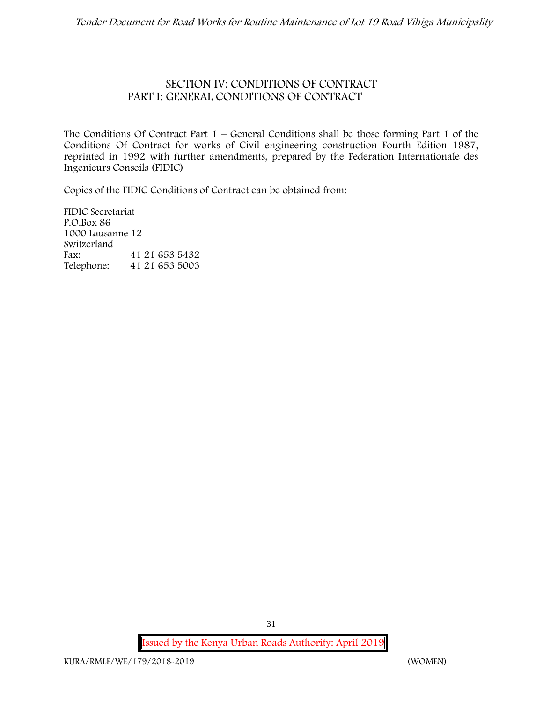## **SECTION IV: CONDITIONS OF CONTRACT PART I: GENERAL CONDITIONS OF CONTRACT**

The Conditions Of Contract Part  $1$  – General Conditions shall be those forming Part 1 of the Conditions Of Contract for works of Civil engineering construction Fourth Edition 1987, reprinted in 1992 with further amendments, prepared by the Federation Internationale des Ingenieurs Conseils (FIDIC)

Copies of the FIDIC Conditions of Contract can be obtained from:

FIDIC Secretariat P.O.Box 86 1000 Lausanne 12 **Switzerland** Fax: 41 21 653 5432<br>Telephone: 41 21 653 5003 Telephone: 41 21 653 5003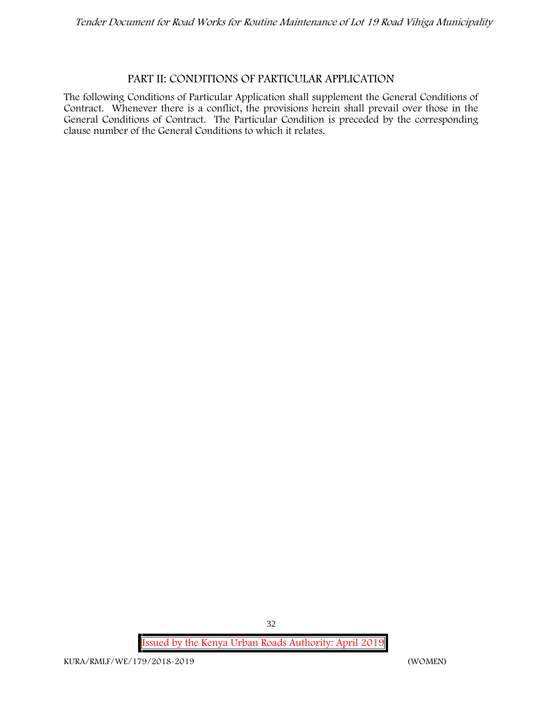#### **PART II: CONDITIONS OF PARTICULAR APPLICATION**

The following Conditions of Particular Application shall supplement the General Conditions of Contract. Whenever there is a conflict, the provisions herein shall prevail over those in the General Conditions of Contract. The Particular Condition is preceded by the corresponding clause number of the General Conditions to which it relates.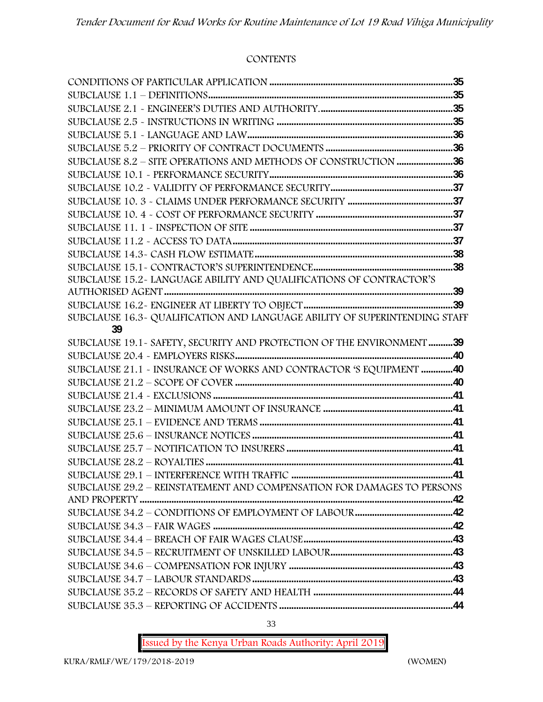#### **CONTENTS**

| SUBCLAUSE 8.2 - SITE OPERATIONS AND METHODS OF CONSTRUCTION 36             |  |
|----------------------------------------------------------------------------|--|
|                                                                            |  |
|                                                                            |  |
|                                                                            |  |
|                                                                            |  |
|                                                                            |  |
|                                                                            |  |
|                                                                            |  |
|                                                                            |  |
| SUBCLAUSE 15.2~ LANGUAGE ABILITY AND QUALIFICATIONS OF CONTRACTOR'S        |  |
|                                                                            |  |
|                                                                            |  |
| SUBCLAUSE 16.3- QUALIFICATION AND LANGUAGE ABILITY OF SUPERINTENDING STAFF |  |
| 39                                                                         |  |
| SUBCLAUSE 19.1 - SAFETY, SECURITY AND PROTECTION OF THE ENVIRONMENT 39     |  |
|                                                                            |  |
| SUBCLAUSE 21.1 - INSURANCE OF WORKS AND CONTRACTOR 'S EQUIPMENT 40         |  |
|                                                                            |  |
|                                                                            |  |
|                                                                            |  |
|                                                                            |  |
|                                                                            |  |
|                                                                            |  |
|                                                                            |  |
|                                                                            |  |
| SUBCLAUSE 29.2 - REINSTATEMENT AND COMPENSATION FOR DAMAGES TO PERSONS     |  |
|                                                                            |  |
|                                                                            |  |
|                                                                            |  |
|                                                                            |  |
|                                                                            |  |
|                                                                            |  |
|                                                                            |  |
|                                                                            |  |
|                                                                            |  |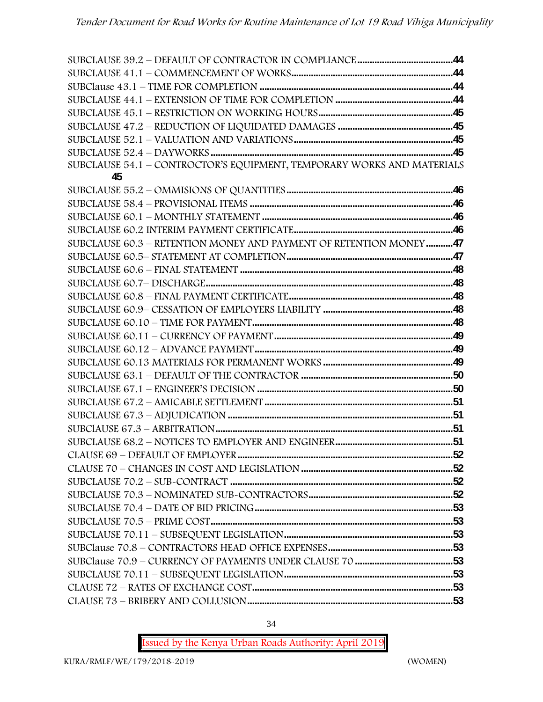| SUBCLAUSE 54.1 - CONTROCTOR'S EQUIPMENT, TEMPORARY WORKS AND MATERIALS |  |
|------------------------------------------------------------------------|--|
| 45                                                                     |  |
|                                                                        |  |
|                                                                        |  |
|                                                                        |  |
|                                                                        |  |
| SUBCLAUSE 60.3 - RETENTION MONEY AND PAYMENT OF RETENTION MONEY47      |  |
|                                                                        |  |
|                                                                        |  |
|                                                                        |  |
|                                                                        |  |
|                                                                        |  |
|                                                                        |  |
|                                                                        |  |
|                                                                        |  |
|                                                                        |  |
|                                                                        |  |
|                                                                        |  |
|                                                                        |  |
|                                                                        |  |
|                                                                        |  |
|                                                                        |  |
|                                                                        |  |
|                                                                        |  |
|                                                                        |  |
|                                                                        |  |
|                                                                        |  |
|                                                                        |  |
|                                                                        |  |
|                                                                        |  |
|                                                                        |  |
|                                                                        |  |
|                                                                        |  |
|                                                                        |  |
|                                                                        |  |

34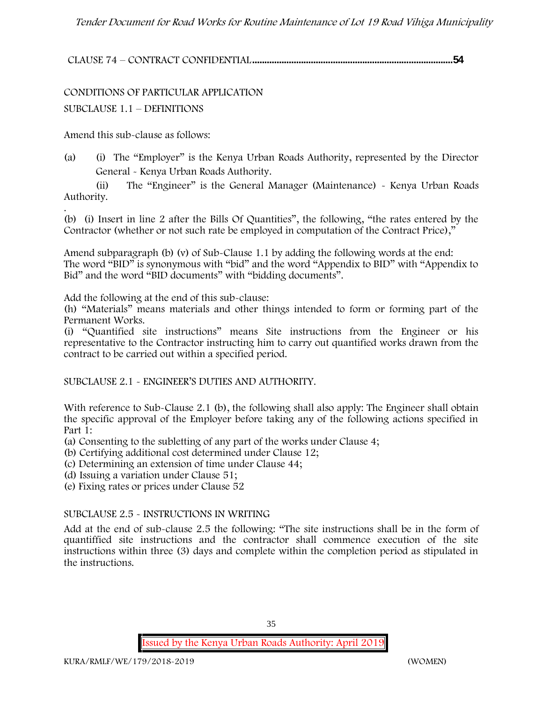**CLAUSE 74 – CONTRACT CONFIDENTIAL..................................................................................54**

CONDITIONS OF PARTICULAR APPLICATION SUBCLAUSE 1.1 – DEFINITIONS

Amend this sub-clause as follows:

(a) (i) The "Employer" is the Kenya Urban Roads Authority, represented by the Director General - Kenya Urban Roads Authority.

(ii) The "Engineer" is the General Manager (Maintenance) - Kenya Urban Roads Authority.

.(b) (i) Insert in line 2 after the Bills Of Quantities", the following, "the rates entered by the Contractor (whether or not such rate be employed in computation of the Contract Price),"

Amend subparagraph (b) (v) of Sub-Clause 1.1 by adding the following words at the end: The word "BID" is synonymous with "bid" and the word "Appendix to BID" with "Appendix to Bid" and the word "BID documents" with "bidding documents".

Add the following at the end of this sub-clause:

(h) "Materials" means materials and other things intended to form or forming part of the Permanent Works.

(i) "Quantified site instructions" means Site instructions from the Engineer or his representative to the Contractor instructing him to carry out quantified works drawn from the contract to be carried out within a specified period.

SUBCLAUSE 2.1 - ENGINEER'S DUTIES AND AUTHORITY.

With reference to Sub-Clause 2.1 (b), the following shall also apply: The Engineer shall obtain the specific approval of the Employer before taking any of the following actions specified in Part 1:

(a) Consenting to the subletting of any part of the works under Clause 4;

- (b) Certifying additional cost determined under Clause 12;
- (c) Determining an extension of time under Clause 44;

(d) Issuing a variation under Clause 51;

(e) Fixing rates or prices under Clause 52

#### SUBCLAUSE 2.5 - INSTRUCTIONS IN WRITING

Add at the end of sub-clause 2.5 the following: "The site instructions shall be in the form of quantiffied site instructions and the contractor shall commence execution of the site instructions within three (3) days and complete within the completion period as stipulated in the instructions.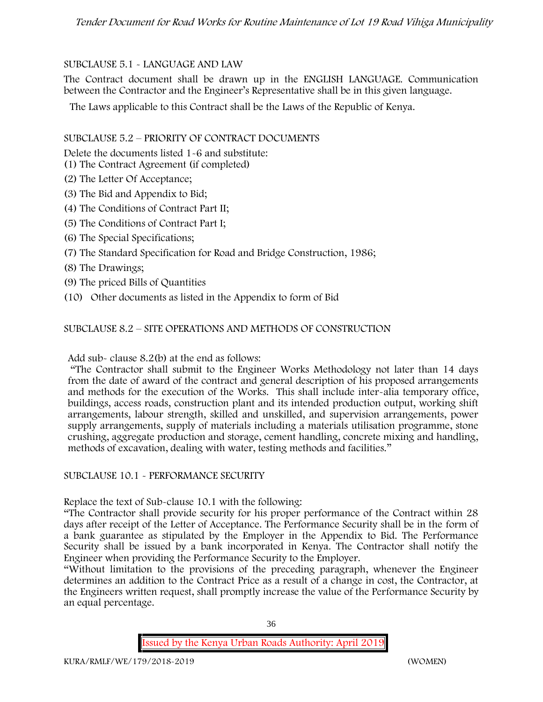# SUBCLAUSE 5.1 - LANGUAGE AND LAW

The Contract document shall be drawn up in the ENGLISH LANGUAGE. Communication between the Contractor and the Engineer's Representative shall be in this given language.

The Laws applicable to this Contract shall be the Laws of the Republic of Kenya.

## SUBCLAUSE 5.2 – PRIORITY OF CONTRACT DOCUMENTS

Delete the documents listed 1-6 and substitute:

- (1) The Contract Agreement (if completed)
- (2) The Letter Of Acceptance;
- (3) The Bid and Appendix to Bid;
- (4) The Conditions of Contract Part II;
- (5) The Conditions of Contract Part I;
- (6) The Special Specifications;
- (7) The Standard Specification for Road and Bridge Construction, 1986;
- (8) The Drawings;
- (9) The priced Bills of Quantities
- (10) Other documents as listed in the Appendix to form of Bid

# SUBCLAUSE 8.2 – SITE OPERATIONS AND METHODS OF CONSTRUCTION

Add sub- clause 8.2(b) at the end as follows:

"The Contractor shall submit to the Engineer Works Methodology not later than 14 days from the date of award of the contract and general description of his proposed arrangements and methods for the execution of the Works. This shall include inter-alia temporary office, buildings, access roads, construction plant and its intended production output, working shift arrangements, labour strength, skilled and unskilled, and supervision arrangements, power supply arrangements, supply of materials including a materials utilisation programme, stone crushing, aggregate production and storage, cement handling, concrete mixing and handling, methods of excavation, dealing with water, testing methods and facilities."

## SUBCLAUSE 10.1 - PERFORMANCE SECURITY

Replace the text of Sub-clause 10.1 with the following:

"The Contractor shall provide security for his proper performance of the Contract within 28 days after receipt of the Letter of Acceptance. The Performance Security shall be in the form of a bank guarantee as stipulated by the Employer in the Appendix to Bid. The Performance Security shall be issued by a bank incorporated in Kenya. The Contractor shall notify the Engineer when providing the Performance Security to the Employer.

"Without limitation to the provisions of the preceding paragraph, whenever the Engineer determines an addition to the Contract Price as a result of a change in cost, the Contractor, at the Engineers written request, shall promptly increase the value of the Performance Security by an equal percentage.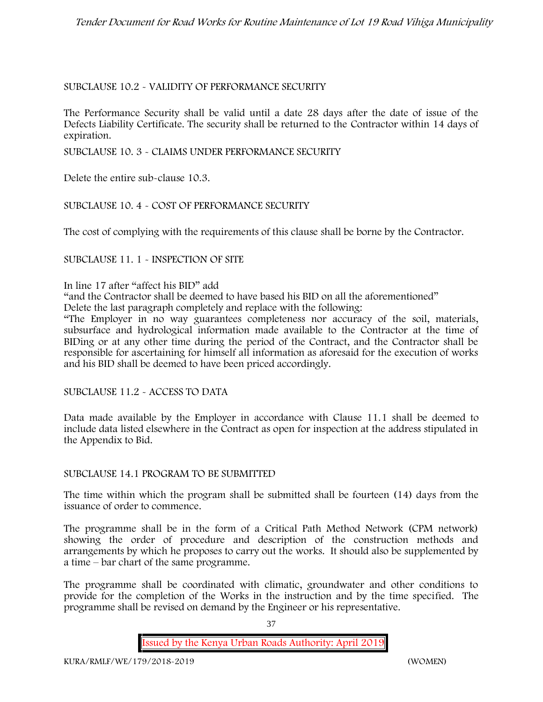## SUBCLAUSE 10.2 - VALIDITY OF PERFORMANCE SECURITY

The Performance Security shall be valid until a date 28 days after the date of issue of the Defects Liability Certificate. The security shall be returned to the Contractor within 14 days of expiration.

SUBCLAUSE 10. 3 - CLAIMS UNDER PERFORMANCE SECURITY

Delete the entire sub-clause 10.3.

#### SUBCLAUSE 10. 4 - COST OF PERFORMANCE SECURITY

The cost of complying with the requirements of this clause shall be borne by the Contractor.

#### SUBCLAUSE 11. 1 - INSPECTION OF SITE

In line 17 after "affect his BID" add

"and the Contractor shall be deemed to have based his BID on all the aforementioned"

Delete the last paragraph completely and replace with the following:

"The Employer in no way guarantees completeness nor accuracy of the soil, materials, subsurface and hydrological information made available to the Contractor at the time of BIDing or at any other time during the period of the Contract, and the Contractor shall be responsible for ascertaining for himself all information as aforesaid for the execution of works and his BID shall be deemed to have been priced accordingly.

SUBCLAUSE 11.2 - ACCESS TO DATA

Data made available by the Employer in accordance with Clause 11.1 shall be deemed to include data listed elsewhere in the Contract as open for inspection at the address stipulated in the Appendix to Bid.

#### SUBCLAUSE 14.1 PROGRAM TO BE SUBMITTED

The time within which the program shall be submitted shall be fourteen (14) days from the issuance of order to commence**.**

The programme shall be in the form of a Critical Path Method Network (CPM network) showing the order of procedure and description of the construction methods and arrangements by which he proposes to carry out the works. It should also be supplemented by a time – bar chart of the same programme.

The programme shall be coordinated with climatic, groundwater and other conditions to provide for the completion of the Works in the instruction and by the time specified. The programme shall be revised on demand by the Engineer or his representative.

37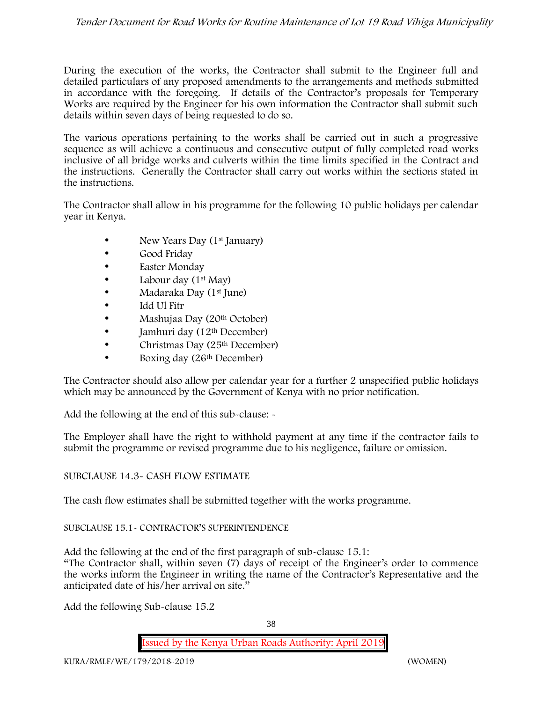During the execution of the works, the Contractor shall submit to the Engineer full and detailed particulars of any proposed amendments to the arrangements and methods submitted in accordance with the foregoing. If details of the Contractor's proposals for Temporary Works are required by the Engineer for his own information the Contractor shall submit such details within seven days of being requested to do so.

The various operations pertaining to the works shall be carried out in such a progressive sequence as will achieve a continuous and consecutive output of fully completed road works inclusive of all bridge works and culverts within the time limits specified in the Contract and the instructions. Generally the Contractor shall carry out works within the sections stated in the instructions.

The Contractor shall allow in his programme for the following 10 public holidays per calendar year in Kenya.

- New Years Day (1<sup>st</sup> January)
- Good Friday
- **Easter Monday**
- Labour day  $(1<sup>st</sup>$  May)
- Madaraka Day (1st June)
- Idd Ul Fitr
- Mashujaa Day (20th October)
- $\bullet$  Jamhuri day (12<sup>th</sup> December)
- Christmas Day (25<sup>th</sup> December)
- Boxing day (26<sup>th</sup> December)

The Contractor should also allow per calendar year for a further 2 unspecified public holidays which may be announced by the Government of Kenya with no prior notification.

Add the following at the end of this sub-clause: -

The Employer shall have the right to withhold payment at any time if the contractor fails to submit the programme or revised programme due to his negligence, failure or omission.

# SUBCLAUSE 14.3- CASH FLOW ESTIMATE

The cash flow estimates shall be submitted together with the works programme.

## SUBCLAUSE 15.1- CONTRACTOR'S SUPERINTENDENCE

Add the following at the end of the first paragraph of sub-clause 15.1:

"The Contractor shall, within seven (7) days of receipt of the Engineer's order to commence the works inform the Engineer in writing the name of the Contractor's Representative and the anticipated date of his/her arrival on site."

Add the following Sub-clause 15.2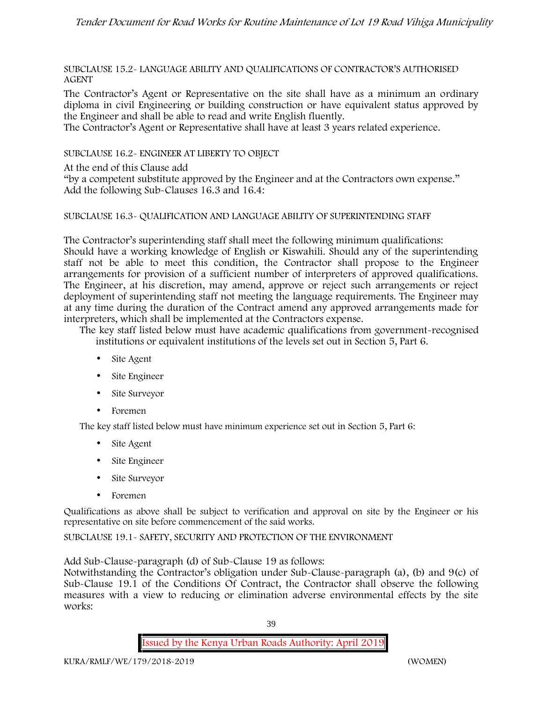SUBCLAUSE 15.2- LANGUAGE ABILITY AND QUALIFICATIONS OF CONTRACTOR'S AUTHORISED AGENT

The Contractor's Agent or Representative on the site shall have as a minimum an ordinary diploma in civil Engineering or building construction or have equivalent status approved by the Engineer and shall be able to read and write English fluently.

The Contractor's Agent or Representative shall have at least 3 years related experience.

SUBCLAUSE 16.2- ENGINEER AT LIBERTY TO OBJECT

At the end of this Clause add

"by a competent substitute approved by the Engineer and at the Contractors own expense." Add the following Sub-Clauses 16.3 and 16.4:

#### SUBCLAUSE 16.3- QUALIFICATION AND LANGUAGE ABILITY OF SUPERINTENDING STAFF

The Contractor's superintending staff shall meet the following minimum qualifications: Should have a working knowledge of English or Kiswahili. Should any of the superintending staff not be able to meet this condition, the Contractor shall propose to the Engineer arrangements for provision of a sufficient number of interpreters of approved qualifications. The Engineer, at his discretion, may amend, approve or reject such arrangements or reject deployment of superintending staff not meeting the language requirements. The Engineer may at any time during the duration of the Contract amend any approved arrangements made for interpreters, which shall be implemented at the Contractors expense.

The key staff listed below must have academic qualifications from government-recognised institutions or equivalent institutions of the levels set out in Section 5, Part 6.

- Site Agent
- Site Engineer
- Site Surveyor
- Foremen

The key staff listed below must have minimum experience set out in Section 5, Part 6:

- Site Agent
- Site Engineer
- Site Surveyor
- Foremen

Qualifications as above shall be subject to verification and approval on site by the Engineer or his representative on site before commencement of the said works.

SUBCLAUSE 19.1- SAFETY, SECURITY AND PROTECTION OF THE ENVIRONMENT

Add Sub-Clause-paragraph (d) of Sub-Clause 19 as follows:

Notwithstanding the Contractor's obligation under Sub-Clause-paragraph (a), (b) and 9(c) of Sub-Clause 19.1 of the Conditions Of Contract, the Contractor shall observe the following measures with a view to reducing or elimination adverse environmental effects by the site works: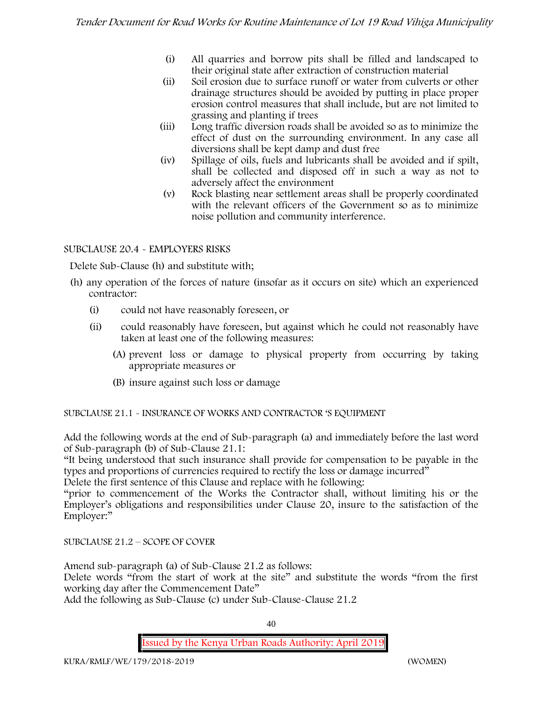- (i) All quarries and borrow pits shall be filled and landscaped to their original state after extraction of construction material
- (ii) Soil erosion due to surface runoff or water from culverts or other drainage structures should be avoided by putting in place proper erosion control measures that shall include, but are not limited to grassing and planting if trees
- (iii) Long traffic diversion roads shall be avoided so as to minimize the effect of dust on the surrounding environment. In any case all diversions shall be kept damp and dust free
- (iv) Spillage of oils, fuels and lubricants shall be avoided and if spilt, shall be collected and disposed off in such a way as not to adversely affect the environment
- (v) Rock blasting near settlement areas shall be properly coordinated with the relevant officers of the Government so as to minimize noise pollution and community interference.

## SUBCLAUSE 20.4 - EMPLOYERS RISKS

Delete Sub-Clause (h) and substitute with;

- (h) any operation of the forces of nature (insofar as it occurs on site) which an experienced contractor:
	- (i) could not have reasonably foreseen, or
	- (ii) could reasonably have foreseen, but against which he could not reasonably have taken at least one of the following measures:
		- (A) prevent loss or damage to physical property from occurring by taking appropriate measures or
		- (B) insure against such loss or damage

SUBCLAUSE 21.1 - INSURANCE OF WORKS AND CONTRACTOR 'S EQUIPMENT

Add the following words at the end of Sub-paragraph (a) and immediately before the last word of Sub-paragraph (b) of Sub-Clause 21.1:

"It being understood that such insurance shall provide for compensation to be payable in the types and proportions of currencies required to rectify the loss or damage incurred"

Delete the first sentence of this Clause and replace with he following:

"prior to commencement of the Works the Contractor shall, without limiting his or the Employer's obligations and responsibilities under Clause 20, insure to the satisfaction of the Employer:"

SUBCLAUSE 21.2 – SCOPE OF COVER

Amend sub-paragraph (a) of Sub-Clause 21.2 as follows:

Delete words "from the start of work at the site" and substitute the words "from the first working day after the Commencement Date"

Add the following as Sub-Clause (c) under Sub-Clause-Clause 21.2

40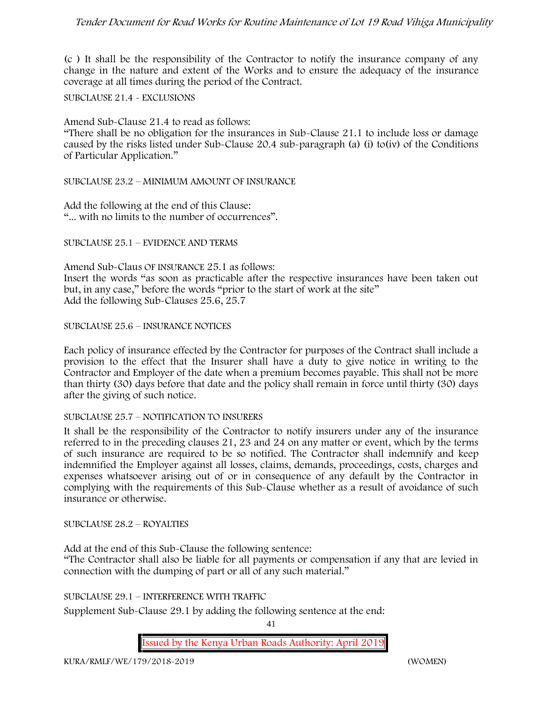(c ) It shall be the responsibility of the Contractor to notify the insurance company of any change in the nature and extent of the Works and to ensure the adequacy of the insurance coverage at all times during the period of the Contract.

SUBCLAUSE 21.4 - EXCLUSIONS

Amend Sub-Clause 21.4 to read as follows:

"There shall be no obligation for the insurances in Sub-Clause 21.1 to include loss or damage caused by the risks listed under Sub-Clause 20.4 sub-paragraph (a) (i) to(iv) of the Conditions of Particular Application."

SUBCLAUSE 23.2 – MINIMUM AMOUNT OF INSURANCE

Add the following at the end of this Clause: "... with no limits to the number of occurrences".

SUBCLAUSE 25.1 – EVIDENCE AND TERMS

Amend Sub-Claus OF INSURANCE 25.1 as follows: Insert the words "as soon as practicable after the respective insurances have been taken out but, in any case," before the words "prior to the start of work at the site" Add the following Sub-Clauses 25.6, 25.7

SUBCLAUSE 25.6 – INSURANCE NOTICES

Each policy of insurance effected by the Contractor for purposes of the Contract shall include a provision to the effect that the Insurer shall have a duty to give notice in writing to the Contractor and Employer of the date when a premium becomes payable. This shall not be more than thirty (30) days before that date and the policy shall remain in force until thirty (30) days after the giving of such notice.

#### SUBCLAUSE 25.7 – NOTIFICATION TO INSURERS

It shall be the responsibility of the Contractor to notify insurers under any of the insurance referred to in the preceding clauses 21, 23 and 24 on any matter or event, which by the terms of such insurance are required to be so notified. The Contractor shall indemnify and keep indemnified the Employer against all losses, claims, demands, proceedings, costs, charges and expenses whatsoever arising out of or in consequence of any default by the Contractor in complying with the requirements of this Sub-Clause whether as a result of avoidance of such insurance or otherwise.

SUBCLAUSE 28.2 – ROYALTIES

Add at the end of this Sub-Clause the following sentence: "The Contractor shall also be liable for all payments or compensation if any that are levied in connection with the dumping of part or all of any such material."

SUBCLAUSE 29.1 – INTERFERENCE WITH TRAFFIC

Supplement Sub-Clause 29.1 by adding the following sentence at the end:

41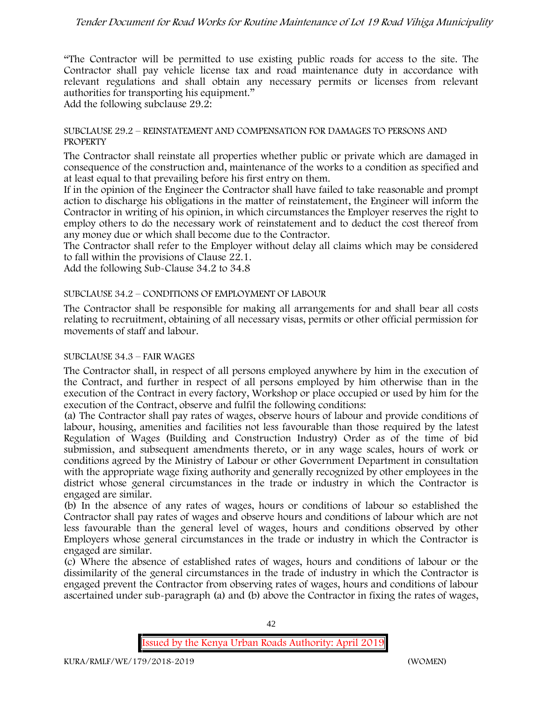"The Contractor will be permitted to use existing public roads for access to the site. The Contractor shall pay vehicle license tax and road maintenance duty in accordance with relevant regulations and shall obtain any necessary permits or licenses from relevant authorities for transporting his equipment."

Add the following subclause 29.2:

#### SUBCLAUSE 29.2 – REINSTATEMENT AND COMPENSATION FOR DAMAGES TO PERSONS AND **PROPERTY**

The Contractor shall reinstate all properties whether public or private which are damaged in consequence of the construction and, maintenance of the works to a condition as specified and at least equal to that prevailing before his first entry on them.

If in the opinion of the Engineer the Contractor shall have failed to take reasonable and prompt action to discharge his obligations in the matter of reinstatement, the Engineer will inform the Contractor in writing of his opinion, in which circumstances the Employer reserves the right to employ others to do the necessary work of reinstatement and to deduct the cost thereof from any money due or which shall become due to the Contractor.

The Contractor shall refer to the Employer without delay all claims which may be considered to fall within the provisions of Clause 22.1.

Add the following Sub-Clause 34.2 to 34.8

#### SUBCLAUSE 34.2 – CONDITIONS OF EMPLOYMENT OF LABOUR

The Contractor shall be responsible for making all arrangements for and shall bear all costs relating to recruitment, obtaining of all necessary visas, permits or other official permission for movements of staff and labour.

#### SUBCLAUSE 34.3 – FAIR WAGES

The Contractor shall, in respect of all persons employed anywhere by him in the execution of the Contract, and further in respect of all persons employed by him otherwise than in the execution of the Contract in every factory, Workshop or place occupied or used by him for the execution of the Contract, observe and fulfil the following conditions:

(a) The Contractor shall pay rates of wages, observe hours of labour and provide conditions of labour, housing, amenities and facilities not less favourable than those required by the latest Regulation of Wages (Building and Construction Industry) Order as of the time of bid submission, and subsequent amendments thereto, or in any wage scales, hours of work or conditions agreed by the Ministry of Labour or other Government Department in consultation with the appropriate wage fixing authority and generally recognized by other employees in the district whose general circumstances in the trade or industry in which the Contractor is engaged are similar.

(b) In the absence of any rates of wages, hours or conditions of labour so established the Contractor shall pay rates of wages and observe hours and conditions of labour which are not less favourable than the general level of wages, hours and conditions observed by other Employers whose general circumstances in the trade or industry in which the Contractor is engaged are similar.

(c) Where the absence of established rates of wages, hours and conditions of labour or the dissimilarity of the general circumstances in the trade of industry in which the Contractor is engaged prevent the Contractor from observing rates of wages, hours and conditions of labour ascertained under sub-paragraph (a) and (b) above the Contractor in fixing the rates of wages,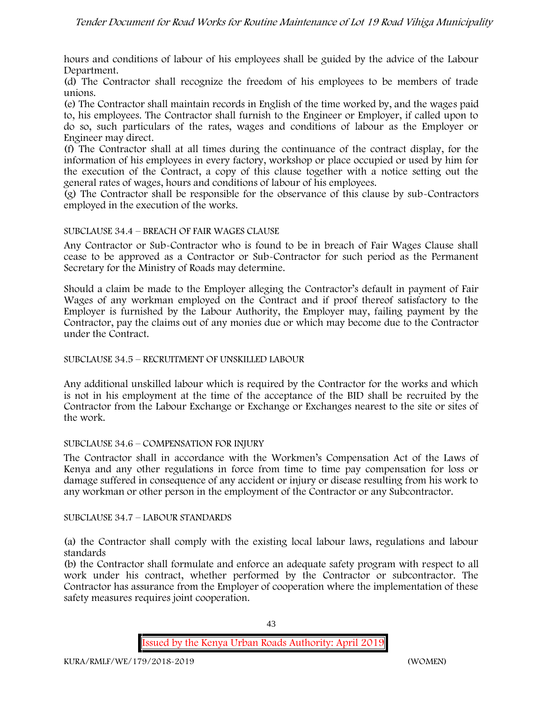hours and conditions of labour of his employees shall be guided by the advice of the Labour Department.

(d) The Contractor shall recognize the freedom of his employees to be members of trade unions.

(e) The Contractor shall maintain records in English of the time worked by, and the wages paid to, his employees. The Contractor shall furnish to the Engineer or Employer, if called upon to do so, such particulars of the rates, wages and conditions of labour as the Employer or Engineer may direct.

(f) The Contractor shall at all times during the continuance of the contract display, for the information of his employees in every factory, workshop or place occupied or used by him for the execution of the Contract, a copy of this clause together with a notice setting out the general rates of wages, hours and conditions of labour of his employees.

(g) The Contractor shall be responsible for the observance of this clause by sub-Contractors employed in the execution of the works.

#### SUBCLAUSE 34.4 – BREACH OF FAIR WAGES CLAUSE

Any Contractor or Sub-Contractor who is found to be in breach of Fair Wages Clause shall cease to be approved as a Contractor or Sub-Contractor for such period as the Permanent Secretary for the Ministry of Roads may determine.

Should a claim be made to the Employer alleging the Contractor's default in payment of Fair Wages of any workman employed on the Contract and if proof thereof satisfactory to the Employer is furnished by the Labour Authority, the Employer may, failing payment by the Contractor, pay the claims out of any monies due or which may become due to the Contractor under the Contract.

#### SUBCLAUSE 34.5 – RECRUITMENT OF UNSKILLED LABOUR

Any additional unskilled labour which is required by the Contractor for the works and which is not in his employment at the time of the acceptance of the BID shall be recruited by the Contractor from the Labour Exchange or Exchange or Exchanges nearest to the site or sites of the work.

#### SUBCLAUSE 34.6 – COMPENSATION FOR INJURY

The Contractor shall in accordance with the Workmen's Compensation Act of the Laws of Kenya and any other regulations in force from time to time pay compensation for loss or damage suffered in consequence of any accident or injury or disease resulting from his work to any workman or other person in the employment of the Contractor or any Subcontractor.

#### SUBCLAUSE 34.7 – LABOUR STANDARDS

(a) the Contractor shall comply with the existing local labour laws, regulations and labour standards

(b) the Contractor shall formulate and enforce an adequate safety program with respect to all work under his contract, whether performed by the Contractor or subcontractor. The Contractor has assurance from the Employer of cooperation where the implementation of these safety measures requires joint cooperation.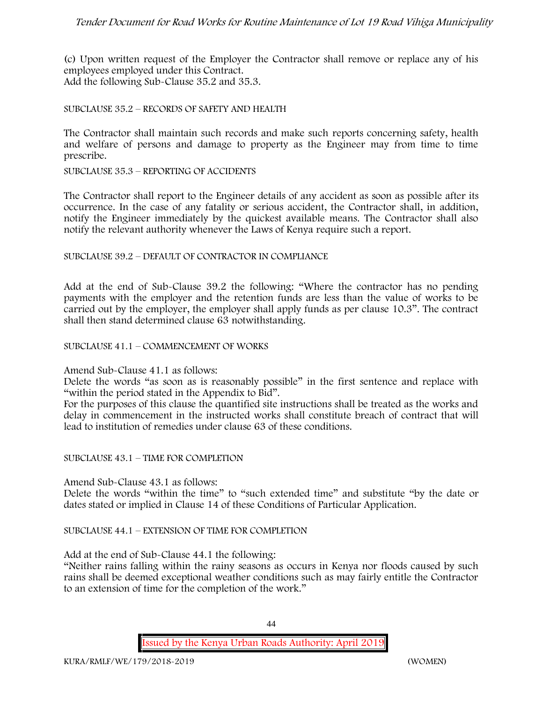(c) Upon written request of the Employer the Contractor shall remove or replace any of his employees employed under this Contract. Add the following Sub-Clause 35.2 and 35.3.

#### SUBCLAUSE 35.2 – RECORDS OF SAFETY AND HEALTH

The Contractor shall maintain such records and make such reports concerning safety, health and welfare of persons and damage to property as the Engineer may from time to time prescribe.

SUBCLAUSE 35.3 – REPORTING OF ACCIDENTS

The Contractor shall report to the Engineer details of any accident as soon as possible after its occurrence. In the case of any fatality or serious accident, the Contractor shall, in addition, notify the Engineer immediately by the quickest available means. The Contractor shall also notify the relevant authority whenever the Laws of Kenya require such a report.

#### SUBCLAUSE 39.2 – DEFAULT OF CONTRACTOR IN COMPLIANCE

Add at the end of Sub-Clause 39.2 the following: "Where the contractor has no pending payments with the employer and the retention funds are less than the value of works to be carried out by the employer, the employer shall apply funds as per clause 10.3". The contract shall then stand determined clause 63 notwithstanding.

#### SUBCLAUSE 41.1 – COMMENCEMENT OF WORKS

#### Amend Sub-Clause 41.1 as follows:

Delete the words "as soon as is reasonably possible" in the first sentence and replace with "within the period stated in the Appendix to Bid".

For the purposes of this clause the quantified site instructions shall be treated as the works and delay in commencement in the instructed works shall constitute breach of contract that will lead to institution of remedies under clause 63 of these conditions.

#### SUBCLAUSE 43.1 – TIME FOR COMPLETION

Amend Sub-Clause 43.1 as follows:

Delete the words "within the time" to "such extended time" and substitute "by the date or dates stated or implied in Clause 14 of these Conditions of Particular Application.

#### SUBCLAUSE 44.1 – EXTENSION OF TIME FOR COMPLETION

Add at the end of Sub-Clause 44.1 the following:

"Neither rains falling within the rainy seasons as occurs in Kenya nor floods caused by such rains shall be deemed exceptional weather conditions such as may fairly entitle the Contractor to an extension of time for the completion of the work."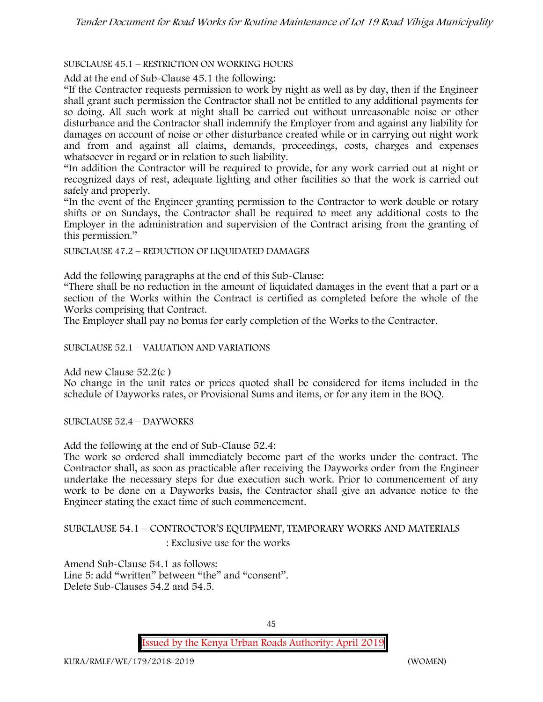# SUBCLAUSE 45.1 – RESTRICTION ON WORKING HOURS

Add at the end of Sub-Clause 45.1 the following:

"If the Contractor requests permission to work by night as well as by day, then if the Engineer shall grant such permission the Contractor shall not be entitled to any additional payments for so doing. All such work at night shall be carried out without unreasonable noise or other disturbance and the Contractor shall indemnify the Employer from and against any liability for damages on account of noise or other disturbance created while or in carrying out night work and from and against all claims, demands, proceedings, costs, charges and expenses whatsoever in regard or in relation to such liability.

"In addition the Contractor will be required to provide, for any work carried out at night or recognized days of rest, adequate lighting and other facilities so that the work is carried out safely and properly.

"In the event of the Engineer granting permission to the Contractor to work double or rotary shifts or on Sundays, the Contractor shall be required to meet any additional costs to the Employer in the administration and supervision of the Contract arising from the granting of this permission."

SUBCLAUSE 47.2 – REDUCTION OF LIQUIDATED DAMAGES

Add the following paragraphs at the end of this Sub-Clause:

"There shall be no reduction in the amount of liquidated damages in the event that a part or a section of the Works within the Contract is certified as completed before the whole of the Works comprising that Contract.

The Employer shall pay no bonus for early completion of the Works to the Contractor.

SUBCLAUSE 52.1 – VALUATION AND VARIATIONS

Add new Clause 52.2(c )

No change in the unit rates or prices quoted shall be considered for items included in the schedule of Dayworks rates, or Provisional Sums and items, or for any item in the BOQ.

SUBCLAUSE 52.4 – DAYWORKS

Add the following at the end of Sub-Clause 52.4:

The work so ordered shall immediately become part of the works under the contract. The Contractor shall, as soon as practicable after receiving the Dayworks order from the Engineer undertake the necessary steps for due execution such work. Prior to commencement of any work to be done on a Dayworks basis, the Contractor shall give an advance notice to the Engineer stating the exact time of such commencement.

SUBCLAUSE 54.1 – CONTROCTOR'S EQUIPMENT, TEMPORARY WORKS AND MATERIALS : Exclusive use for the works

Amend Sub-Clause 54.1 as follows: Line 5: add "written" between "the" and "consent". Delete Sub-Clauses 54.2 and 54.5.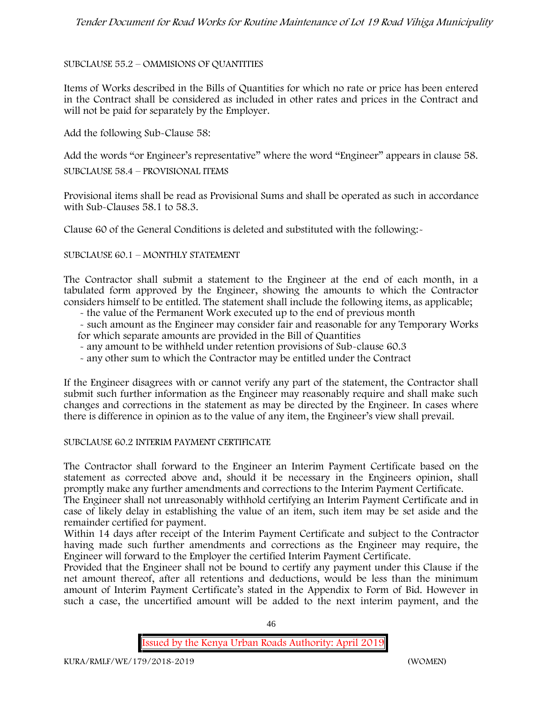## SUBCLAUSE 55.2 – OMMISIONS OF QUANTITIES

Items of Works described in the Bills of Quantities for which no rate or price has been entered in the Contract shall be considered as included in other rates and prices in the Contract and will not be paid for separately by the Employer.

Add the following Sub-Clause 58:

Add the words "or Engineer's representative" where the word "Engineer" appears in clause 58.

SUBCLAUSE 58.4 – PROVISIONAL ITEMS

Provisional items shall be read as Provisional Sums and shall be operated as such in accordance with Sub-Clauses 58.1 to 58.3.

Clause 60 of the General Conditions is deleted and substituted with the following:-

#### SUBCLAUSE 60.1 – MONTHLY STATEMENT

The Contractor shall submit a statement to the Engineer at the end of each month, in a tabulated form approved by the Engineer, showing the amounts to which the Contractor considers himself to be entitled. The statement shall include the following items, as applicable;

- the value of the Permanent Work executed up to the end of previous month
- such amount as the Engineer may consider fair and reasonable for any Temporary Works for which separate amounts are provided in the Bill of Quantities
- any amount to be withheld under retention provisions of Sub-clause 60.3
- any other sum to which the Contractor may be entitled under the Contract

If the Engineer disagrees with or cannot verify any part of the statement, the Contractor shall submit such further information as the Engineer may reasonably require and shall make such changes and corrections in the statement as may be directed by the Engineer. In cases where there is difference in opinion as to the value of any item, the Engineer's view shall prevail.

#### SUBCLAUSE 60.2 INTERIM PAYMENT CERTIFICATE

The Contractor shall forward to the Engineer an Interim Payment Certificate based on the statement as corrected above and, should it be necessary in the Engineers opinion, shall promptly make any further amendments and corrections to the Interim Payment Certificate.

The Engineer shall not unreasonably withhold certifying an Interim Payment Certificate and in case of likely delay in establishing the value of an item, such item may be set aside and the remainder certified for payment.

Within 14 days after receipt of the Interim Payment Certificate and subject to the Contractor having made such further amendments and corrections as the Engineer may require, the Engineer will forward to the Employer the certified Interim Payment Certificate.

Provided that the Engineer shall not be bound to certify any payment under this Clause if the net amount thereof, after all retentions and deductions, would be less than the minimum amount of Interim Payment Certificate's stated in the Appendix to Form of Bid. However in such a case, the uncertified amount will be added to the next interim payment, and the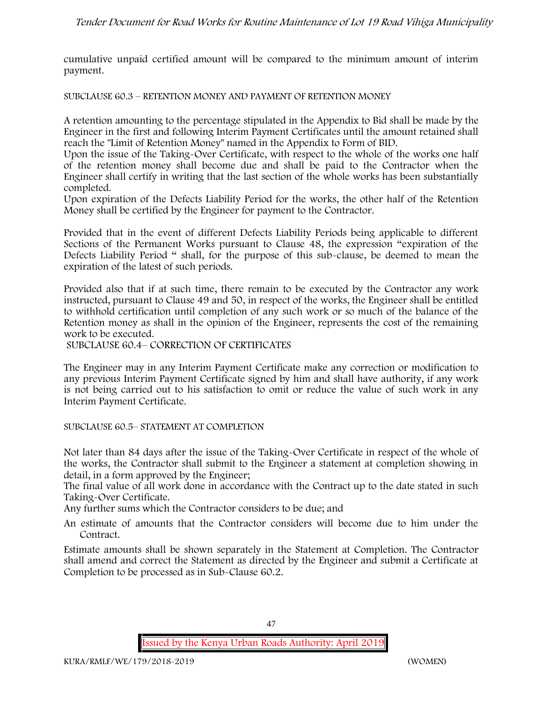cumulative unpaid certified amount will be compared to the minimum amount of interim payment.

SUBCLAUSE 60.3 – RETENTION MONEY AND PAYMENT OF RETENTION MONEY

A retention amounting to the percentage stipulated in the Appendix to Bid shall be made by the Engineer in the first and following Interim Payment Certificates until the amount retained shall reach the "Limit of Retention Money" named in the Appendix to Form of BID.

Upon the issue of the Taking-Over Certificate, with respect to the whole of the works one half of the retention money shall become due and shall be paid to the Contractor when the Engineer shall certify in writing that the last section of the whole works has been substantially completed.

Upon expiration of the Defects Liability Period for the works, the other half of the Retention Money shall be certified by the Engineer for payment to the Contractor.

Provided that in the event of different Defects Liability Periods being applicable to different Sections of the Permanent Works pursuant to Clause 48, the expression "expiration of the Defects Liability Period " shall, for the purpose of this sub-clause, be deemed to mean the expiration of the latest of such periods.

Provided also that if at such time, there remain to be executed by the Contractor any work instructed, pursuant to Clause 49 and 50, in respect of the works, the Engineer shall be entitled to withhold certification until completion of any such work or so much of the balance of the Retention money as shall in the opinion of the Engineer, represents the cost of the remaining work to be executed.

SUBCLAUSE 60.4– CORRECTION OF CERTIFICATES

The Engineer may in any Interim Payment Certificate make any correction or modification to any previous Interim Payment Certificate signed by him and shall have authority, if any work is not being carried out to his satisfaction to omit or reduce the value of such work in any Interim Payment Certificate.

SUBCLAUSE 60.5– STATEMENT AT COMPLETION

Not later than 84 days after the issue of the Taking-Over Certificate in respect of the whole of the works, the Contractor shall submit to the Engineer a statement at completion showing in detail, in a form approved by the Engineer;

The final value of all work done in accordance with the Contract up to the date stated in such Taking-Over Certificate.

Any further sums which the Contractor considers to be due; and

An estimate of amounts that the Contractor considers will become due to him under the Contract.

Estimate amounts shall be shown separately in the Statement at Completion. The Contractor shall amend and correct the Statement as directed by the Engineer and submit a Certificate at Completion to be processed as in Sub-Clause 60.2.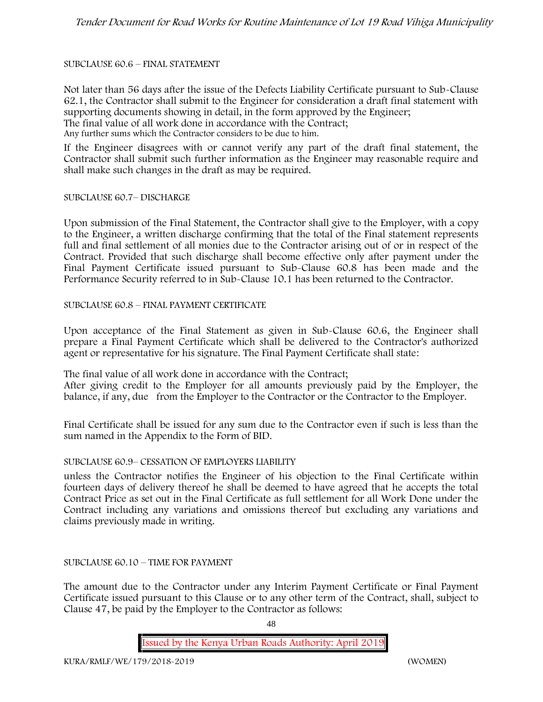#### SUBCLAUSE 60.6 – FINAL STATEMENT

Not later than 56 days after the issue of the Defects Liability Certificate pursuant to Sub-Clause 62.1, the Contractor shall submit to the Engineer for consideration a draft final statement with supporting documents showing in detail, in the form approved by the Engineer; The final value of all work done in accordance with the Contract; Any further sums which the Contractor considers to be due to him.

If the Engineer disagrees with or cannot verify any part of the draft final statement, the Contractor shall submit such further information as the Engineer may reasonable require and shall make such changes in the draft as may be required.

SUBCLAUSE 60.7– DISCHARGE

Upon submission of the Final Statement, the Contractor shall give to the Employer, with a copy to the Engineer, a written discharge confirming that the total of the Final statement represents full and final settlement of all monies due to the Contractor arising out of or in respect of the Contract. Provided that such discharge shall become effective only after payment under the Final Payment Certificate issued pursuant to Sub-Clause 60.8 has been made and the Performance Security referred to in Sub-Clause 10.1 has been returned to the Contractor.

SUBCLAUSE 60.8 – FINAL PAYMENT CERTIFICATE

Upon acceptance of the Final Statement as given in Sub-Clause 60.6, the Engineer shall prepare a Final Payment Certificate which shall be delivered to the Contractor's authorized agent or representative for his signature. The Final Payment Certificate shall state:

The final value of all work done in accordance with the Contract;

After giving credit to the Employer for all amounts previously paid by the Employer, the balance, if any, due from the Employer to the Contractor or the Contractor to the Employer.

Final Certificate shall be issued for any sum due to the Contractor even if such is less than the sum named in the Appendix to the Form of BID.

#### SUBCLAUSE 60.9– CESSATION OF EMPLOYERS LIABILITY

unless the Contractor notifies the Engineer of his objection to the Final Certificate within fourteen days of delivery thereof he shall be deemed to have agreed that he accepts the total Contract Price as set out in the Final Certificate as full settlement for all Work Done under the Contract including any variations and omissions thereof but excluding any variations and claims previously made in writing.

#### SUBCLAUSE 60.10 – TIME FOR PAYMENT

The amount due to the Contractor under any Interim Payment Certificate or Final Payment Certificate issued pursuant to this Clause or to any other term of the Contract, shall, subject to Clause 47, be paid by the Employer to the Contractor as follows:

48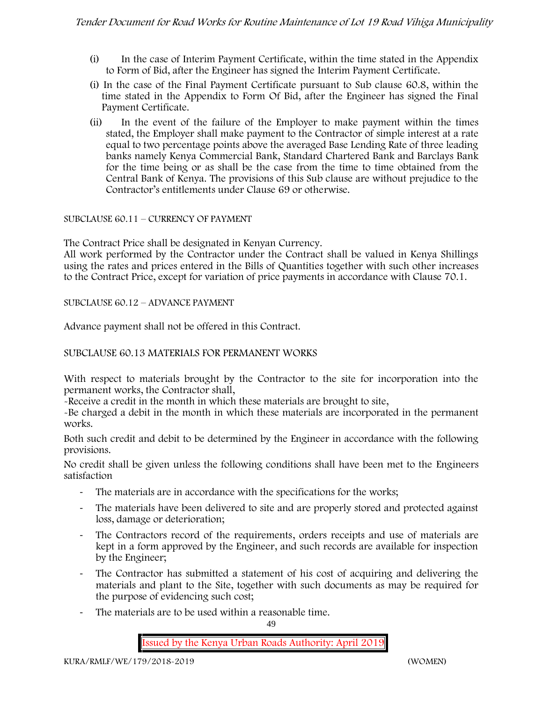- (i) In the case of Interim Payment Certificate, within the time stated in the Appendix to Form of Bid, after the Engineer has signed the Interim Payment Certificate.
- (i) In the case of the Final Payment Certificate pursuant to Sub clause 60.8, within the time stated in the Appendix to Form Of Bid, after the Engineer has signed the Final Payment Certificate.
- (ii) In the event of the failure of the Employer to make payment within the times stated, the Employer shall make payment to the Contractor of simple interest at a rate equal to two percentage points above the averaged Base Lending Rate of three leading banks namely Kenya Commercial Bank, Standard Chartered Bank and Barclays Bank for the time being or as shall be the case from the time to time obtained from the Central Bank of Kenya. The provisions of this Sub clause are without prejudice to the Contractor's entitlements under Clause 69 or otherwise.

#### SUBCLAUSE 60.11 – CURRENCY OF PAYMENT

The Contract Price shall be designated in Kenyan Currency.

All work performed by the Contractor under the Contract shall be valued in Kenya Shillings using the rates and prices entered in the Bills of Quantities together with such other increases to the Contract Price, except for variation of price payments in accordance with Clause 70.1.

#### SUBCLAUSE 60.12 – ADVANCE PAYMENT

Advance payment shall not be offered in this Contract.

## SUBCLAUSE 60.13 MATERIALS FOR PERMANENT WORKS

With respect to materials brought by the Contractor to the site for incorporation into the permanent works, the Contractor shall,

-Receive a credit in the month in which these materials are brought to site,

-Be charged a debit in the month in which these materials are incorporated in the permanent works.

Both such credit and debit to be determined by the Engineer in accordance with the following provisions.

No credit shall be given unless the following conditions shall have been met to the Engineers satisfaction

- The materials are in accordance with the specifications for the works;
- The materials have been delivered to site and are properly stored and protected against loss, damage or deterioration;
- The Contractors record of the requirements, orders receipts and use of materials are kept in a form approved by the Engineer, and such records are available for inspection by the Engineer;
- The Contractor has submitted a statement of his cost of acquiring and delivering the materials and plant to the Site, together with such documents as may be required for the purpose of evidencing such cost;
- The materials are to be used within a reasonable time.

 $49$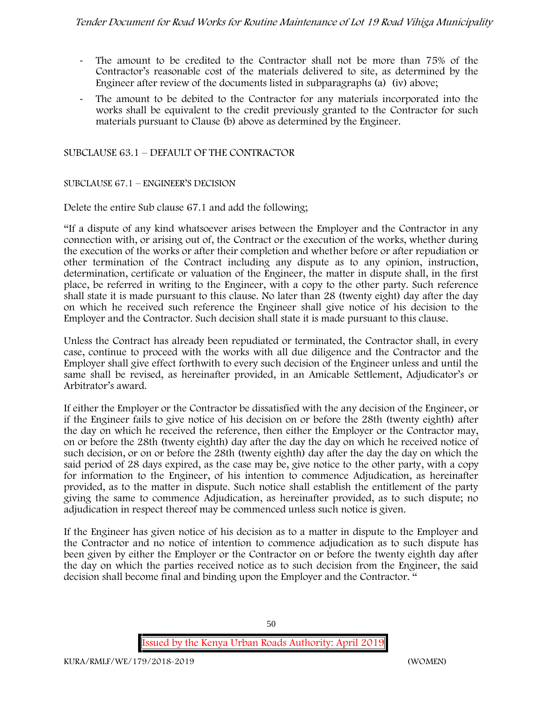- The amount to be credited to the Contractor shall not be more than 75% of the Contractor's reasonable cost of the materials delivered to site, as determined by the Engineer after review of the documents listed in subparagraphs (a) (iv) above;
- The amount to be debited to the Contractor for any materials incorporated into the works shall be equivalent to the credit previously granted to the Contractor for such materials pursuant to Clause (b) above as determined by the Engineer.

## SUBCLAUSE 63.1 – DEFAULT OF THE CONTRACTOR

## SUBCLAUSE 67.1 – ENGINEER'S DECISION

Delete the entire Sub clause 67.1 and add the following;

"If a dispute of any kind whatsoever arises between the Employer and the Contractor in any connection with, or arising out of, the Contract or the execution of the works, whether during the execution of the works or after their completion and whether before or after repudiation or other termination of the Contract including any dispute as to any opinion, instruction, determination, certificate or valuation of the Engineer, the matter in dispute shall, in the first place, be referred in writing to the Engineer, with a copy to the other party. Such reference shall state it is made pursuant to this clause. No later than 28 (twenty eight) day after the day on which he received such reference the Engineer shall give notice of his decision to the Employer and the Contractor. Such decision shall state it is made pursuant to this clause.

Unless the Contract has already been repudiated or terminated, the Contractor shall, in every case, continue to proceed with the works with all due diligence and the Contractor and the Employer shall give effect forthwith to every such decision of the Engineer unless and until the same shall be revised, as hereinafter provided, in an Amicable Settlement, Adjudicator's or Arbitrator's award.

If either the Employer or the Contractor be dissatisfied with the any decision of the Engineer, or if the Engineer fails to give notice of his decision on or before the 28th (twenty eighth) after the day on which he received the reference, then either the Employer or the Contractor may, on or before the 28th (twenty eighth) day after the day the day on which he received notice of such decision, or on or before the 28th (twenty eighth) day after the day the day on which the said period of 28 days expired, as the case may be, give notice to the other party, with a copy for information to the Engineer, of his intention to commence Adjudication, as hereinafter provided, as to the matter in dispute. Such notice shall establish the entitlement of the party giving the same to commence Adjudication, as hereinafter provided, as to such dispute; no adjudication in respect thereof may be commenced unless such notice is given.

If the Engineer has given notice of his decision as to a matter in dispute to the Employer and the Contractor and no notice of intention to commence adjudication as to such dispute has been given by either the Employer or the Contractor on or before the twenty eighth day after the day on which the parties received notice as to such decision from the Engineer, the said decision shall become final and binding upon the Employer and the Contractor. "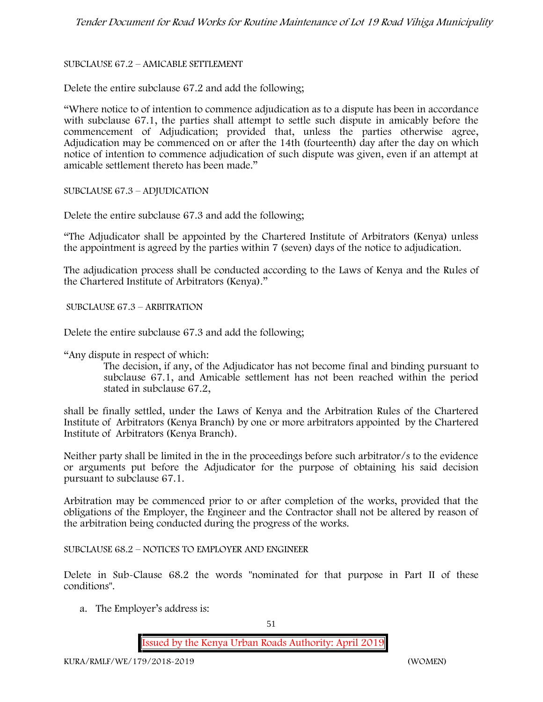## SUBCLAUSE 67.2 – AMICABLE SETTLEMENT

Delete the entire subclause 67.2 and add the following;

"Where notice to of intention to commence adjudication as to a dispute has been in accordance with subclause 67.1, the parties shall attempt to settle such dispute in amicably before the commencement of Adjudication; provided that, unless the parties otherwise agree, Adjudication may be commenced on or after the 14th (fourteenth) day after the day on which notice of intention to commence adjudication of such dispute was given, even if an attempt at amicable settlement thereto has been made."

SUBCLAUSE 67.3 – ADJUDICATION

Delete the entire subclause 67.3 and add the following;

"The Adjudicator shall be appointed by the Chartered Institute of Arbitrators (Kenya) unless the appointment is agreed by the parties within 7 (seven) days of the notice to adjudication.

The adjudication process shall be conducted according to the Laws of Kenya and the Rules of the Chartered Institute of Arbitrators (Kenya)."

SUBCLAUSE 67.3 – ARBITRATION

Delete the entire subclause 67.3 and add the following;

"Any dispute in respect of which:

The decision, if any, of the Adjudicator has not become final and binding pursuant to subclause 67.1, and Amicable settlement has not been reached within the period stated in subclause 67.2,

shall be finally settled, under the Laws of Kenya and the Arbitration Rules of the Chartered Institute of Arbitrators (Kenya Branch) by one or more arbitrators appointed by the Chartered Institute of Arbitrators (Kenya Branch).

Neither party shall be limited in the in the proceedings before such arbitrator/s to the evidence or arguments put before the Adjudicator for the purpose of obtaining his said decision pursuant to subclause 67.1.

Arbitration may be commenced prior to or after completion of the works, provided that the obligations of the Employer, the Engineer and the Contractor shall not be altered by reason of the arbitration being conducted during the progress of the works.

SUBCLAUSE 68.2 – NOTICES TO EMPLOYER AND ENGINEER

Delete in Sub-Clause 68.2 the words "nominated for that purpose in Part II of these conditions".

a. The Employer's address is: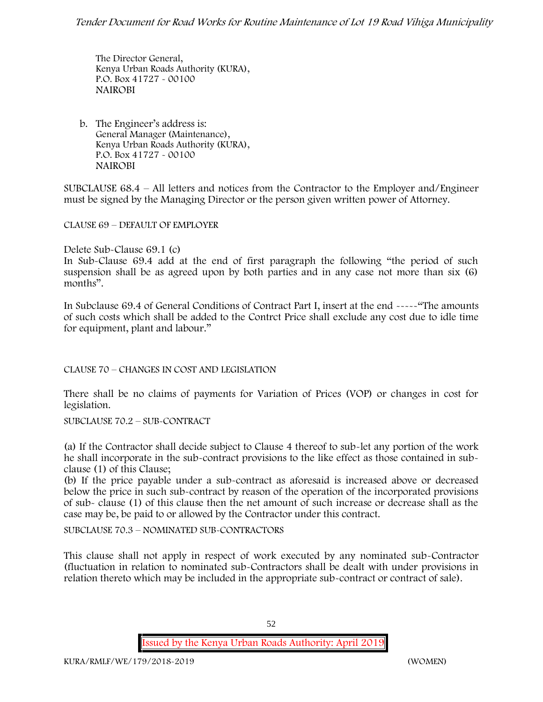The Director General, Kenya Urban Roads Authority (KURA), P.O. Box 41727 - 00100 **NAIROBI**

b. The Engineer's address is: General Manager (Maintenance), Kenya Urban Roads Authority (KURA), P.O. Box 41727 - 00100 **NAIROBI**

SUBCLAUSE 68.4 – All letters and notices from the Contractor to the Employer and/Engineer must be signed by the Managing Director or the person given written power of Attorney.

CLAUSE 69 – DEFAULT OF EMPLOYER

Delete Sub-Clause 69.1 (c)

In Sub-Clause 69.4 add at the end of first paragraph the following "the period of such suspension shall be as agreed upon by both parties and in any case not more than six (6) months".

In Subclause 69.4 of General Conditions of Contract Part I, insert at the end -----"The amounts of such costs which shall be added to the Contrct Price shall exclude any cost due to idle time for equipment, plant and labour."

CLAUSE 70 – CHANGES IN COST AND LEGISLATION

There shall be no claims of payments for Variation of Prices (VOP) or changes in cost for legislation.

SUBCLAUSE 70.2 – SUB-CONTRACT

(a) If the Contractor shall decide subject to Clause 4 thereof to sub-let any portion of the work he shall incorporate in the sub-contract provisions to the like effect as those contained in sub clause (1) of this Clause;

(b) If the price payable under a sub-contract as aforesaid is increased above or decreased below the price in such sub-contract by reason of the operation of the incorporated provisions of sub- clause (1) of this clause then the net amount of such increase or decrease shall as the case may be, be paid to or allowed by the Contractor under this contract.

SUBCLAUSE 70.3 – NOMINATED SUB-CONTRACTORS

This clause shall not apply in respect of work executed by any nominated sub-Contractor (fluctuation in relation to nominated sub-Contractors shall be dealt with under provisions in relation thereto which may be included in the appropriate sub-contract or contract of sale).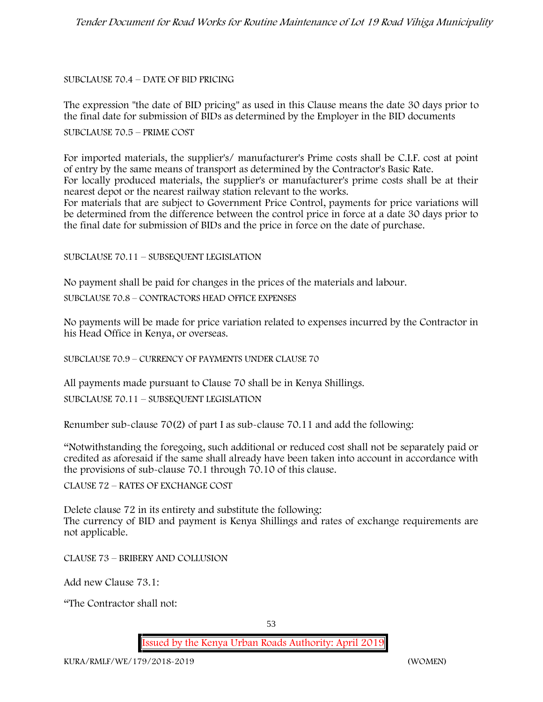#### SUBCLAUSE 70.4 – DATE OF BID PRICING

The expression "the date of BID pricing" as used in this Clause means the date 30 days prior to the final date for submission of BIDs as determined by the Employer in the BID documents

SUBCLAUSE 70.5 – PRIME COST

For imported materials, the supplier's/ manufacturer's Prime costs shall be C.I.F. cost at point of entry by the same means of transport as determined by the Contractor's Basic Rate. For locally produced materials, the supplier's or manufacturer's prime costs shall be at their nearest depot or the nearest railway station relevant to the works.

For materials that are subject to Government Price Control, payments for price variations will be determined from the difference between the control price in force at a date 30 days prior to the final date for submission of BIDs and the price in force on the date of purchase.

#### SUBCLAUSE 70.11 – SUBSEQUENT LEGISLATION

No payment shall be paid for changes in the prices of the materials and labour.

SUBCLAUSE 70.8 – CONTRACTORS HEAD OFFICE EXPENSES

No payments will be made for price variation related to expenses incurred by the Contractor in his Head Office in Kenya, or overseas.

SUBCLAUSE 70.9 – CURRENCY OF PAYMENTS UNDER CLAUSE 70

All payments made pursuant to Clause 70 shall be in Kenya Shillings.

SUBCLAUSE 70.11 – SUBSEQUENT LEGISLATION

Renumber sub-clause 70(2) of part I as sub-clause 70.11 and add the following:

"Notwithstanding the foregoing, such additional or reduced cost shall not be separately paid or credited as aforesaid if the same shall already have been taken into account in accordance with the provisions of sub-clause 70.1 through 70.10 of this clause.

CLAUSE 72 – RATES OF EXCHANGE COST

Delete clause 72 in its entirety and substitute the following: The currency of BID and payment is Kenya Shillings and rates of exchange requirements are not applicable.

CLAUSE 73 – BRIBERY AND COLLUSION

Add new Clause 73.1:

"The Contractor shall not: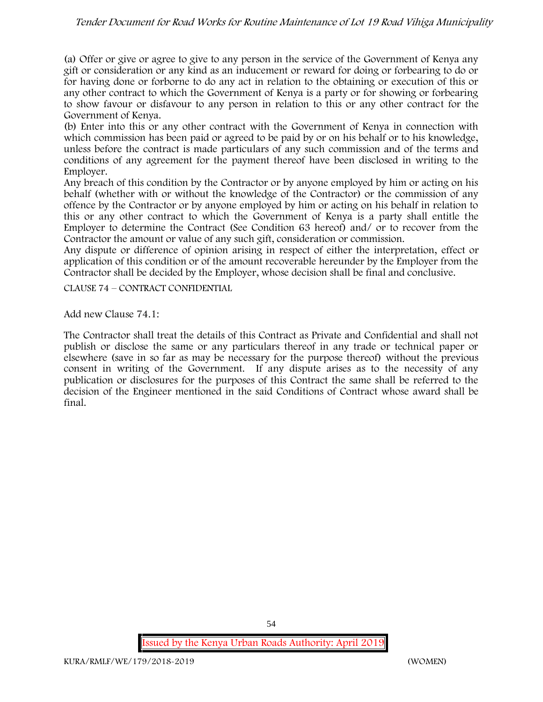(a) Offer or give or agree to give to any person in the service of the Government of Kenya any gift or consideration or any kind as an inducement or reward for doing or forbearing to do or for having done or forborne to do any act in relation to the obtaining or execution of this or any other contract to which the Government of Kenya is a party or for showing or forbearing to show favour or disfavour to any person in relation to this or any other contract for the Government of Kenya.

(b) Enter into this or any other contract with the Government of Kenya in connection with which commission has been paid or agreed to be paid by or on his behalf or to his knowledge, unless before the contract is made particulars of any such commission and of the terms and conditions of any agreement for the payment thereof have been disclosed in writing to the Employer.

Any breach of this condition by the Contractor or by anyone employed by him or acting on his behalf (whether with or without the knowledge of the Contractor) or the commission of any offence by the Contractor or by anyone employed by him or acting on his behalf in relation to this or any other contract to which the Government of Kenya is a party shall entitle the Employer to determine the Contract (See Condition 63 hereof) and/ or to recover from the Contractor the amount or value of any such gift, consideration or commission.

Any dispute or difference of opinion arising in respect of either the interpretation, effect or application of this condition or of the amount recoverable hereunder by the Employer from the Contractor shall be decided by the Employer, whose decision shall be final and conclusive.

CLAUSE 74 – CONTRACT CONFIDENTIAL

Add new Clause 74.1:

The Contractor shall treat the details of this Contract as Private and Confidential and shall not publish or disclose the same or any particulars thereof in any trade or technical paper or elsewhere (save in so far as may be necessary for the purpose thereof) without the previous consent in writing of the Government. If any dispute arises as to the necessity of any publication or disclosures for the purposes of this Contract the same shall be referred to the decision of the Engineer mentioned in the said Conditions of Contract whose award shall be final.

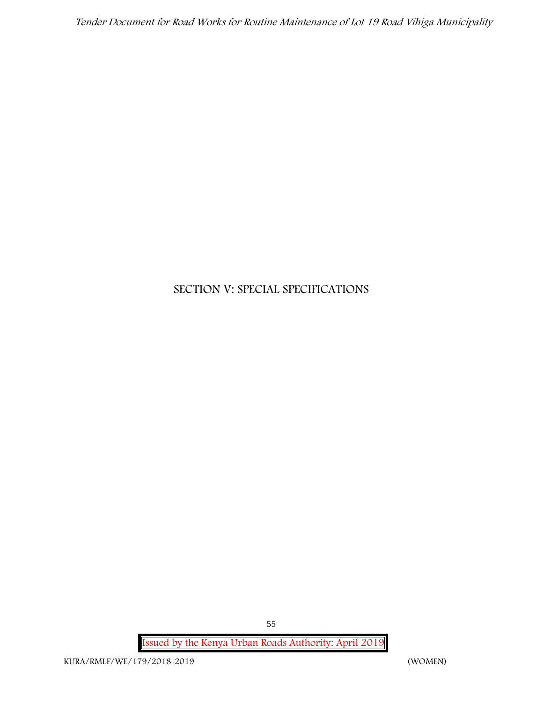# **SECTION V: SPECIAL SPECIFICATIONS**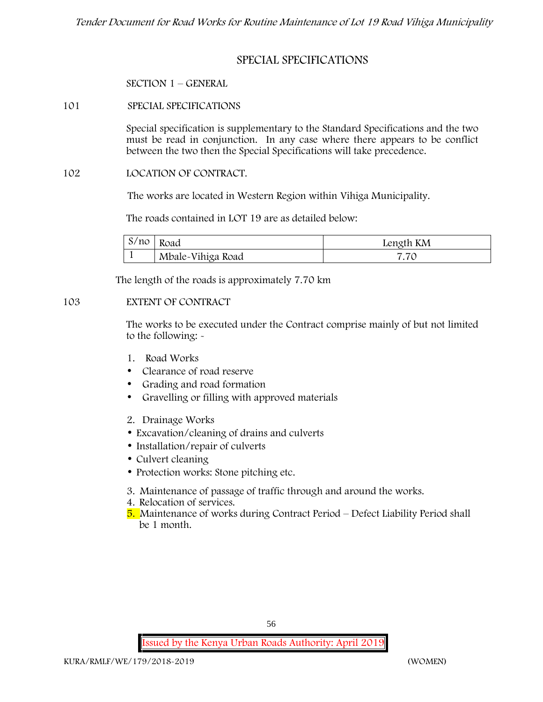# **SPECIAL SPECIFICATIONS**

#### **SECTION 1 – GENERAL**

**101 SPECIAL SPECIFICATIONS**

Special specification is supplementary to the Standard Specifications and the two must be read in conjunction. In any case where there appears to be conflict between the two then the Special Specifications will take precedence.

#### **102 LOCATION OF CONTRACT.**

The works are located in Western Region within Vihiga Municipality.

The roads contained in LOT 19 are as detailed below:

| S/no | Road              | Length KM |
|------|-------------------|-----------|
|      | Mbale-Vihiga Road | 7.7C      |

The length of the roads is approximately 7.70 km

#### **103 EXTENT OF CONTRACT**

The works to be executed under the Contract comprise mainly of but not limited to the following: -

- **1. Road Works**
- Clearance of road reserve
- Grading and road formation
- Gravelling or filling with approved materials
- **2. Drainage Works**
- Excavation/cleaning of drains and culverts
- Installation/repair of culverts
- Culvert cleaning
- Protection works: Stone pitching etc.
- **3. Maintenance of passage of traffic through and around the works.**
- **4. Relocation of services.**
- **5. Maintenance of works during Contract Period – Defect Liability Period shall be 1 month.**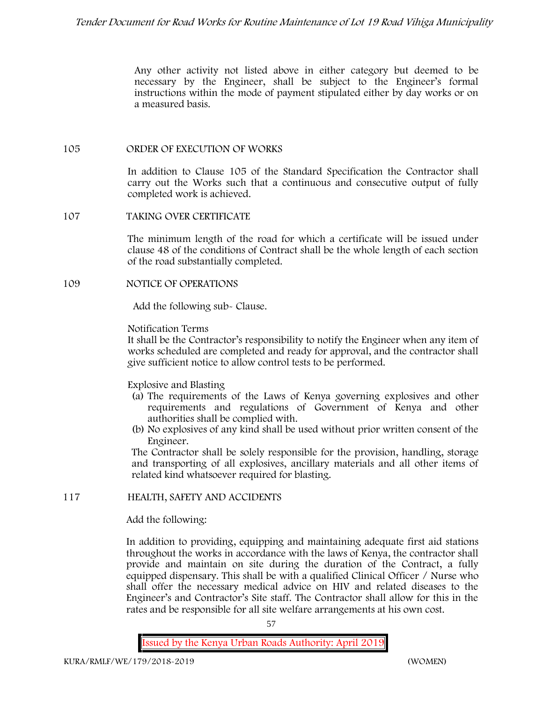Any other activity not listed above in either category but deemed to be necessary by the Engineer, shall be subject to the Engineer's formal instructions within the mode of payment stipulated either by day works or on a measured basis.

#### **105 ORDER OF EXECUTION OF WORKS**

In addition to Clause 105 of the Standard Specification the Contractor shall carry out the Works such that a continuous and consecutive output of fully completed work is achieved.

#### **107 TAKING OVER CERTIFICATE**

The minimum length of the road for which a certificate will be issued under clause 48 of the conditions of Contract shall be the whole length of each section of the road substantially completed.

#### **109 NOTICE OF OPERATIONS**

Add the following sub- Clause.

#### Notification Terms

It shall be the Contractor's responsibility to notify the Engineer when any item of works scheduled are completed and ready for approval, and the contractor shall give sufficient notice to allow control tests to be performed.

#### Explosive and Blasting

- (a) The requirements of the Laws of Kenya governing explosives and other requirements and regulations of Government of Kenya and other authorities shall be complied with.
- (b) No explosives of any kind shall be used without prior written consent of the Engineer.

The Contractor shall be solely responsible for the provision, handling, storage and transporting of all explosives, ancillary materials and all other items of related kind whatsoever required for blasting.

## **117 HEALTH, SAFETY AND ACCIDENTS**

## Add the following:

In addition to providing, equipping and maintaining adequate first aid stations throughout the works in accordance with the laws of Kenya, the contractor shall provide and maintain on site during the duration of the Contract, a fully equipped dispensary. This shall be with a qualified Clinical Officer / Nurse who shall offer the necessary medical advice on HIV and related diseases to the Engineer's and Contractor's Site staff. The Contractor shall allow for this in the rates and be responsible for all site welfare arrangements at his own cost.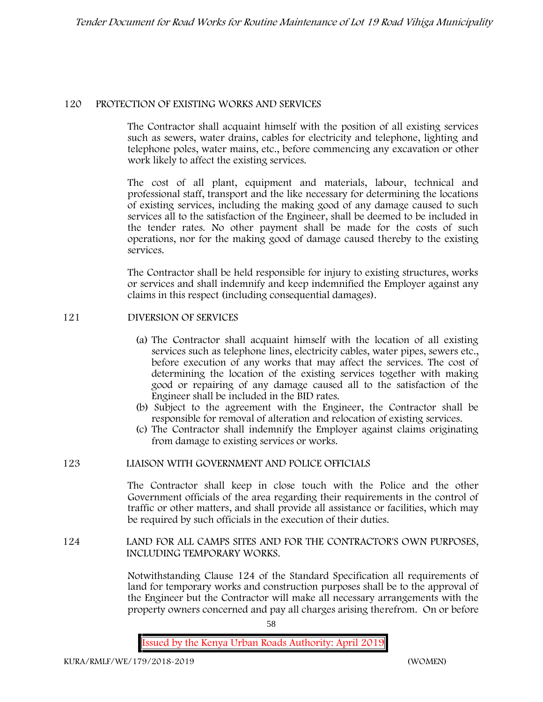#### **120 PROTECTION OF EXISTING WORKS AND SERVICES**

The Contractor shall acquaint himself with the position of all existing services such as sewers, water drains, cables for electricity and telephone, lighting and telephone poles, water mains, etc., before commencing any excavation or other work likely to affect the existing services.

The cost of all plant, equipment and materials, labour, technical and professional staff, transport and the like necessary for determining the locations of existing services, including the making good of any damage caused to such services all to the satisfaction of the Engineer, shall be deemed to be included in the tender rates. No other payment shall be made for the costs of such operations, nor for the making good of damage caused thereby to the existing services.

The Contractor shall be held responsible for injury to existing structures, works or services and shall indemnify and keep indemnified the Employer against any claims in this respect (including consequential damages).

## **121 DIVERSION OF SERVICES**

- (a) The Contractor shall acquaint himself with the location of all existing services such as telephone lines, electricity cables, water pipes, sewers etc., before execution of any works that may affect the services. The cost of determining the location of the existing services together with making good or repairing of any damage caused all to the satisfaction of the Engineer shall be included in the BID rates.
- (b) Subject to the agreement with the Engineer, the Contractor shall be responsible for removal of alteration and relocation of existing services.
- (c) The Contractor shall indemnify the Employer against claims originating from damage to existing services or works.

#### **123 LIAISON WITH GOVERNMENT AND POLICE OFFICIALS**

The Contractor shall keep in close touch with the Police and the other Government officials of the area regarding their requirements in the control of traffic or other matters, and shall provide all assistance or facilities, which may be required by such officials in the execution of their duties.

#### **124 LAND FOR ALL CAMPS SITES AND FOR THE CONTRACTOR'S OWN PURPOSES, INCLUDING TEMPORARY WORKS.**

Notwithstanding Clause 124 of the Standard Specification all requirements of land for temporary works and construction purposes shall be to the approval of the Engineer but the Contractor will make all necessary arrangements with the property owners concerned and pay all charges arising therefrom. On or before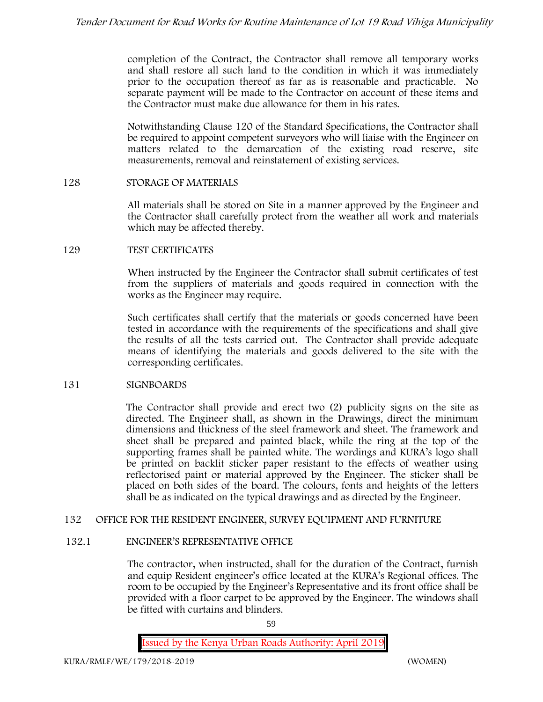completion of the Contract, the Contractor shall remove all temporary works and shall restore all such land to the condition in which it was immediately prior to the occupation thereof as far as is reasonable and practicable. No separate payment will be made to the Contractor on account of these items and the Contractor must make due allowance for them in his rates.

Notwithstanding Clause 120 of the Standard Specifications, the Contractor shall be required to appoint competent surveyors who will liaise with the Engineer on matters related to the demarcation of the existing road reserve, site measurements, removal and reinstatement of existing services.

#### **128 STORAGE OF MATERIALS**

All materials shall be stored on Site in a manner approved by the Engineer and the Contractor shall carefully protect from the weather all work and materials which may be affected thereby.

#### **129 TEST CERTIFICATES**

When instructed by the Engineer the Contractor shall submit certificates of test from the suppliers of materials and goods required in connection with the works as the Engineer may require.

Such certificates shall certify that the materials or goods concerned have been tested in accordance with the requirements of the specifications and shall give the results of all the tests carried out. The Contractor shall provide adequate means of identifying the materials and goods delivered to the site with the corresponding certificates.

## **131 SIGNBOARDS**

The Contractor shall provide and erect two (2) publicity signs on the site as directed. The Engineer shall, as shown in the Drawings, direct the minimum dimensions and thickness of the steel framework and sheet. The framework and sheet shall be prepared and painted black, while the ring at the top of the supporting frames shall be painted white. The wordings and KURA's logo shall be printed on backlit sticker paper resistant to the effects of weather using reflectorised paint or material approved by the Engineer. The sticker shall be placed on both sides of the board. The colours, fonts and heights of the letters shall be as indicated on the typical drawings and as directed by the Engineer.

## **132 OFFICE FOR THE RESIDENT ENGINEER, SURVEY EQUIPMENT AND FURNITURE**

#### **132.1 ENGINEER'S REPRESENTATIVE OFFICE**

The contractor, when instructed, shall for the duration of the Contract, furnish and equip Resident engineer's office located at the KURA's Regional offices. The room to be occupied by the Engineer's Representative and its front office shall be provided with a floor carpet to be approved by the Engineer. The windows shall be fitted with curtains and blinders.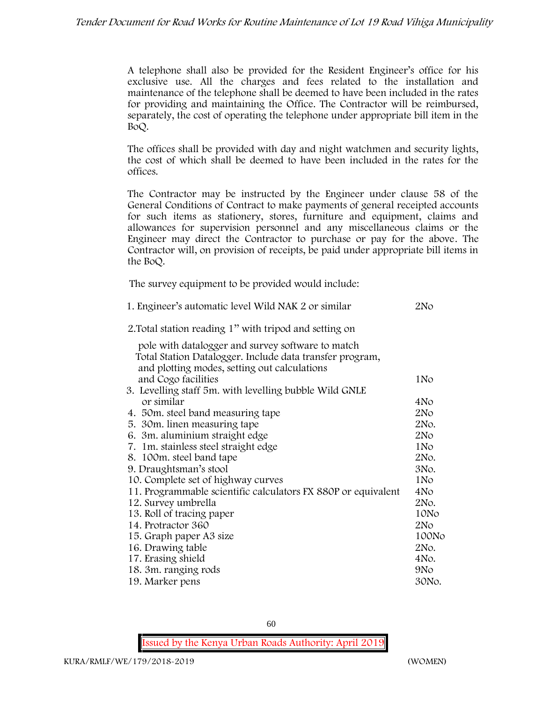A telephone shall also be provided for the Resident Engineer's office for his exclusive use. All the charges and fees related to the installation and maintenance of the telephone shall be deemed to have been included in the rates for providing and maintaining the Office. The Contractor will be reimbursed, separately, the cost of operating the telephone under appropriate bill item in the BoQ.

The offices shall be provided with day and night watchmen and security lights, the cost of which shall be deemed to have been included in the rates for the offices.

The Contractor may be instructed by the Engineer under clause 58 of the General Conditions of Contract to make payments of general receipted accounts for such items as stationery, stores, furniture and equipment, claims and allowances for supervision personnel and any miscellaneous claims or the Engineer may direct the Contractor to purchase or pay for the above. The Contractor will, on provision of receipts, be paid under appropriate bill items in the BoQ.

**The survey equipment to be provided would include:**

| 1. Engineer's automatic level Wild NAK 2 or similar           | 2N <sub>O</sub> |
|---------------------------------------------------------------|-----------------|
| 2. Total station reading 1" with tripod and setting on        |                 |
| pole with datalogger and survey software to match             |                 |
| Total Station Datalogger. Include data transfer program,      |                 |
| and plotting modes, setting out calculations                  |                 |
| and Cogo facilities                                           | 1No             |
| 3. Levelling staff 5m. with levelling bubble Wild GNLE        |                 |
| or similar                                                    | 4No             |
| 4. 50 m. steel band measuring tape                            | 2No             |
| 5. 30m. linen measuring tape                                  | 2No.            |
| 6. 3m. aluminium straight edge                                | 2N <sub>O</sub> |
| 7. 1m. stainless steel straight edge                          | 1N <sub>o</sub> |
| 8. 100m. steel band tape                                      | 2No.            |
| 9. Draughtsman's stool                                        | 3No.            |
| 10. Complete set of highway curves                            | 1N <sub>o</sub> |
| 11. Programmable scientific calculators FX 880P or equivalent | 4N <sub>o</sub> |
| 12. Survey umbrella                                           | 2No.            |
| 13. Roll of tracing paper                                     | 10No            |
| 14. Protractor 360                                            | 2No             |
| 15. Graph paper A3 size                                       | 100No           |
| 16. Drawing table                                             | 2No.            |
| 17. Erasing shield                                            | 4No.            |
| 18. 3m. ranging rods                                          | 9N <sub>o</sub> |
| 19. Marker pens                                               | 30No.           |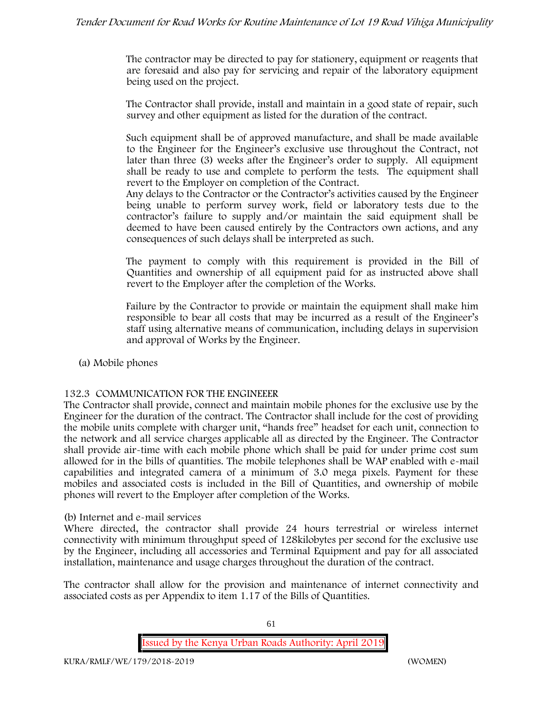The contractor may be directed to pay for stationery, equipment or reagents that are foresaid and also pay for servicing and repair of the laboratory equipment being used on the project.

The Contractor shall provide, install and maintain in a good state of repair, such survey and other equipment as listed for the duration of the contract.

Such equipment shall be of approved manufacture, and shall be made available to the Engineer for the Engineer's exclusive use throughout the Contract, not later than three (3) weeks after the Engineer's order to supply. All equipment shall be ready to use and complete to perform the tests. The equipment shall revert to the Employer on completion of the Contract.

Any delays to the Contractor or the Contractor's activities caused by the Engineer being unable to perform survey work, field or laboratory tests due to the contractor's failure to supply and/or maintain the said equipment shall be deemed to have been caused entirely by the Contractors own actions, and any consequences of such delays shall be interpreted as such.

The payment to comply with this requirement is provided in the Bill of Quantities and ownership of all equipment paid for as instructed above shall revert to the Employer after the completion of the Works.

Failure by the Contractor to provide or maintain the equipment shall make him responsible to bear all costs that may be incurred as a result of the Engineer's staff using alternative means of communication, including delays in supervision and approval of Works by the Engineer.

**(a) Mobile phones**

## **132.3 COMMUNICATION FOR THE ENGINEEER**

The Contractor shall provide, connect and maintain mobile phones for the exclusive use by the Engineer for the duration of the contract. The Contractor shall include for the cost of providing the mobile units complete with charger unit, "hands free" headset for each unit, connection to the network and all service charges applicable all as directed by the Engineer. The Contractor shall provide air-time with each mobile phone which shall be paid for under prime cost sum allowed for in the bills of quantities. The mobile telephones shall be WAP enabled with e-mail capabilities and integrated camera of a minimum of 3.0 mega pixels. Payment for these mobiles and associated costs is included in the Bill of Quantities, and ownership of mobile phones will revert to the Employer after completion of the Works.

#### **(b) Internet and e-mail services**

Where directed, the contractor shall provide 24 hours terrestrial or wireless internet connectivity with minimum throughput speed of 128kilobytes per second for the exclusive use by the Engineer, including all accessories and Terminal Equipment and pay for all associated installation, maintenance and usage charges throughout the duration of the contract.

The contractor shall allow for the provision and maintenance of internet connectivity and associated costs as per Appendix to item 1.17 of the Bills of Quantities.

**Issued by the Kenya Urban Roads Authority: April 2019**

61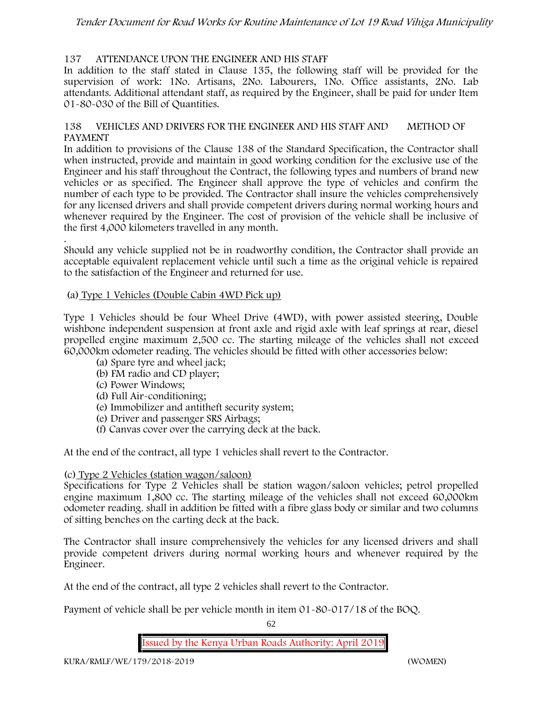## **137 ATTENDANCE UPON THE ENGINEER AND HIS STAFF**

In addition to the staff stated in Clause 135, the following staff will be provided for the supervision of work: 1No. Artisans, 2No. Labourers, 1No. Office assistants, 2No. Lab attendants. Additional attendant staff, as required by the Engineer, shall be paid for under Item 01-80-030 of the Bill of Quantities.

#### **138 VEHICLES AND DRIVERS FOR THE ENGINEER AND HIS STAFF AND METHOD OF PAYMENT**

In addition to provisions of the Clause 138 of the Standard Specification, the Contractor shall when instructed, provide and maintain in good working condition for the exclusive use of the Engineer and his staff throughout the Contract, the following types and numbers of brand new vehicles or as specified. The Engineer shall approve the type of vehicles and confirm the number of each type to be provided. The Contractor shall insure the vehicles comprehensively for any licensed drivers and shall provide competent drivers during normal working hours and whenever required by the Engineer. The cost of provision of the vehicle shall be inclusive of the first 4,000 kilometers travelled in any month.

.Should any vehicle supplied not be in roadworthy condition, the Contractor shall provide an acceptable equivalent replacement vehicle until such a time as the original vehicle is repaired to the satisfaction of the Engineer and returned for use.

#### **(a) Type 1 Vehicles (Double Cabin 4WD Pick up)**

Type 1 Vehicles should be four Wheel Drive (4WD), with power assisted steering, Double wishbone independent suspension at front axle and rigid axle with leaf springs at rear, diesel propelled engine maximum 2,500 cc. The starting mileage of the vehicles shall not exceed 60,000km odometer reading. The vehicles should be fitted with other accessories below:

- (a) Spare tyre and wheel jack;
- (b) FM radio and CD player;
- (c) Power Windows;
- (d) Full Air-conditioning;
- (e) Immobilizer and antitheft security system;
- (e) Driver and passenger SRS Airbags;
- (f) Canvas cover over the carrying deck at the back.

At the end of the contract, all type 1 vehicles shall revert to the Contractor.

## **(c) Type 2 Vehicles (station wagon/saloon)**

Specifications for Type 2 Vehicles shall be station wagon/saloon vehicles; petrol propelled engine maximum 1,800 cc. The starting mileage of the vehicles shall not exceed 60,000km odometer reading. shall in addition be fitted with a fibre glass body or similar and two columns of sitting benches on the carting deck at the back.

The Contractor shall insure comprehensively the vehicles for any licensed drivers and shall provide competent drivers during normal working hours and whenever required by the Engineer.

At the end of the contract, all type 2 vehicles shall revert to the Contractor.

Payment of vehicle shall be per vehicle month in item 01-80-017/18 of the BOQ.

62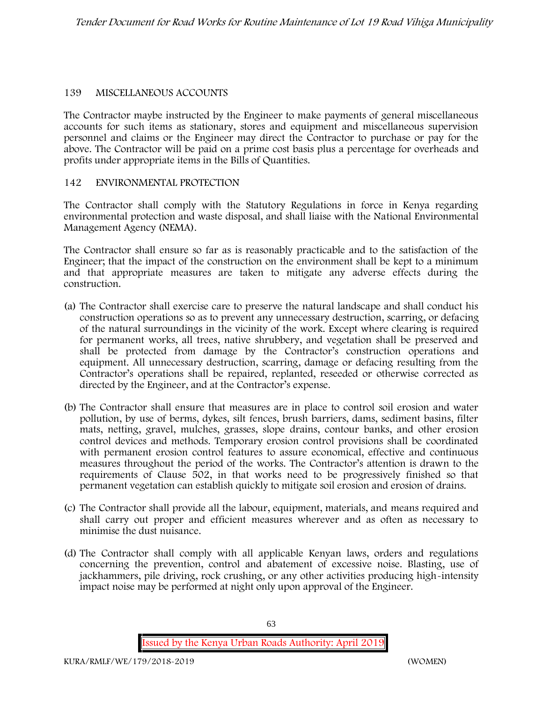## **139 MISCELLANEOUS ACCOUNTS**

The Contractor maybe instructed by the Engineer to make payments of general miscellaneous accounts for such items as stationary, stores and equipment and miscellaneous supervision personnel and claims or the Engineer may direct the Contractor to purchase or pay for the above. The Contractor will be paid on a prime cost basis plus a percentage for overheads and profits under appropriate items in the Bills of Quantities.

#### **142 ENVIRONMENTAL PROTECTION**

The Contractor shall comply with the Statutory Regulations in force in Kenya regarding environmental protection and waste disposal, and shall liaise with the National Environmental Management Agency (NEMA).

The Contractor shall ensure so far as is reasonably practicable and to the satisfaction of the Engineer; that the impact of the construction on the environment shall be kept to a minimum and that appropriate measures are taken to mitigate any adverse effects during the construction.

- (a) The Contractor shall exercise care to preserve the natural landscape and shall conduct his construction operations so as to prevent any unnecessary destruction, scarring, or defacing of the natural surroundings in the vicinity of the work. Except where clearing is required for permanent works, all trees, native shrubbery, and vegetation shall be preserved and shall be protected from damage by the Contractor's construction operations and equipment. All unnecessary destruction, scarring, damage or defacing resulting from the Contractor's operations shall be repaired, replanted, reseeded or otherwise corrected as directed by the Engineer, and at the Contractor's expense.
- (b) The Contractor shall ensure that measures are in place to control soil erosion and water pollution, by use of berms, dykes, silt fences, brush barriers, dams, sediment basins, filter mats, netting, gravel, mulches, grasses, slope drains, contour banks, and other erosion control devices and methods. Temporary erosion control provisions shall be coordinated with permanent erosion control features to assure economical, effective and continuous measures throughout the period of the works. The Contractor's attention is drawn to the requirements of Clause 502, in that works need to be progressively finished so that permanent vegetation can establish quickly to mitigate soil erosion and erosion of drains.
- (c) The Contractor shall provide all the labour, equipment, materials, and means required and shall carry out proper and efficient measures wherever and as often as necessary to minimise the dust nuisance.
- (d) The Contractor shall comply with all applicable Kenyan laws, orders and regulations concerning the prevention, control and abatement of excessive noise. Blasting, use of jackhammers, pile driving, rock crushing, or any other activities producing high-intensity impact noise may be performed at night only upon approval of the Engineer.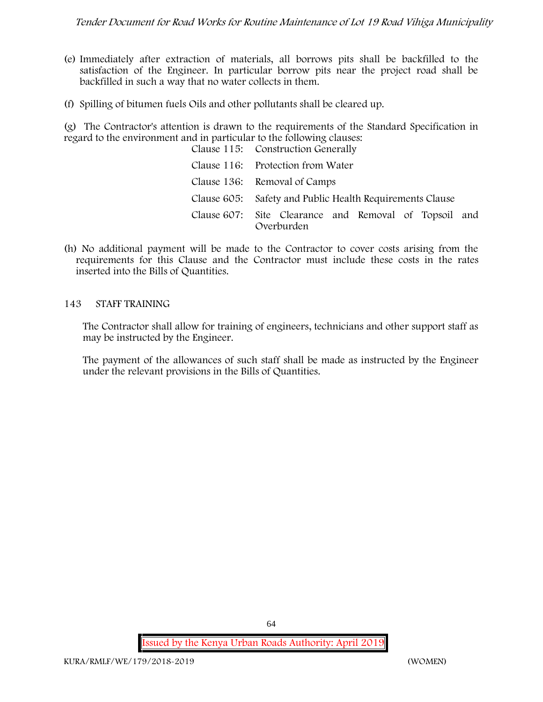- (e) Immediately after extraction of materials, all borrows pits shall be backfilled to the satisfaction of the Engineer. In particular borrow pits near the project road shall be backfilled in such a way that no water collects in them.
- (f) Spilling of bitumen fuels Oils and other pollutants shall be cleared up.

(g) The Contractor's attention is drawn to the requirements of the Standard Specification in regard to the environment and in particular to the following clauses:

| Clause 115: Construction Generally                                  |
|---------------------------------------------------------------------|
| Clause 116: Protection from Water                                   |
| Clause 136: Removal of Camps                                        |
| Clause 605: Safety and Public Health Requirements Clause            |
| Clause 607: Site Clearance and Removal of Topsoil and<br>Overburden |

(h) No additional payment will be made to the Contractor to cover costs arising from the requirements for this Clause and the Contractor must include these costs in the rates inserted into the Bills of Quantities.

#### **143 STAFF TRAINING**

The Contractor shall allow for training of engineers, technicians and other support staff as may be instructed by the Engineer.

The payment of the allowances of such staff shall be made as instructed by the Engineer under the relevant provisions in the Bills of Quantities.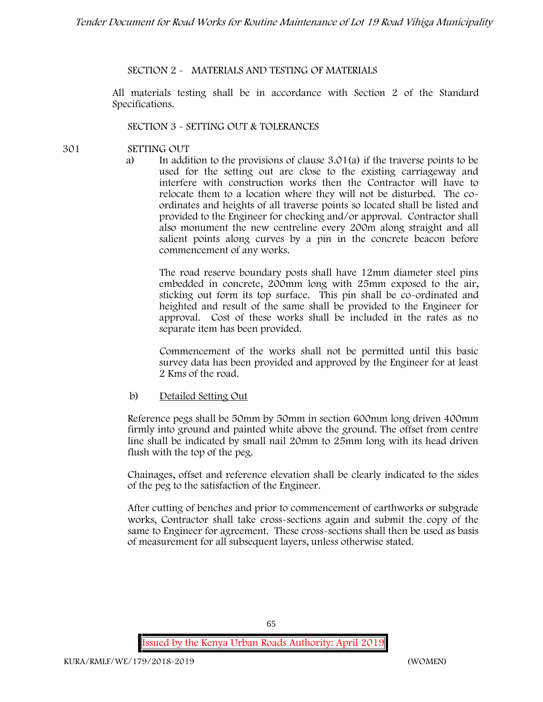## **SECTION 2 - MATERIALS AND TESTING OF MATERIALS**

All materials testing shall be in accordance with Section 2 of the Standard Specifications.

#### **SECTION 3 - SETTING OUT & TOLERANCES**

- **301 SETTING OUT**
	- a) In addition to the provisions of clause 3.01(a) if the traverse points to be used for the setting out are close to the existing carriageway and interfere with construction works then the Contractor will have to relocate them to a location where they will not be disturbed. The co ordinates and heights of all traverse points so located shall be listed and provided to the Engineer for checking and/or approval. Contractor shall also monument the new centreline every 200m along straight and all salient points along curves by a pin in the concrete beacon before commencement of any works.

The road reserve boundary posts shall have 12mm diameter steel pins embedded in concrete, 200mm long with 25mm exposed to the air, sticking out form its top surface. This pin shall be co-ordinated and heighted and result of the same shall be provided to the Engineer for approval. Cost of these works shall be included in the rates as no separate item has been provided.

Commencement of the works shall not be permitted until this basic survey data has been provided and approved by the Engineer for at least 2 Kms of the road.

b) Detailed Setting Out

Reference pegs shall be 50mm by 50mm in section 600mm long driven 400mm firmly into ground and painted white above the ground. The offset from centre line shall be indicated by small nail 20mm to 25mm long with its head driven flush with the top of the peg.

Chainages, offset and reference elevation shall be clearly indicated to the sides of the peg to the satisfaction of the Engineer.

After cutting of benches and prior to commencement of earthworks or subgrade works, Contractor shall take cross-sections again and submit the copy of the same to Engineer for agreement. These cross-sections shall then be used as basis of measurement for all subsequent layers, unless otherwise stated.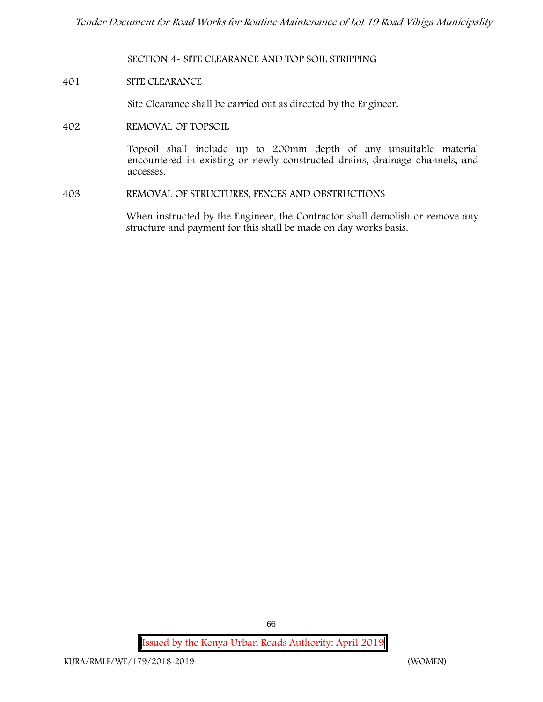**SECTION 4- SITE CLEARANCE AND TOP SOIL STRIPPING**

#### **401 SITE CLEARANCE**

Site Clearance shall be carried out as directed by the Engineer.

**402 REMOVAL OF TOPSOIL**

Topsoil shall include up to 200mm depth of any unsuitable material encountered in existing or newly constructed drains, drainage channels, and accesses.

**403 REMOVAL OF STRUCTURES, FENCES AND OBSTRUCTIONS**

When instructed by the Engineer, the Contractor shall demolish or remove any structure and payment for this shall be made on day works basis.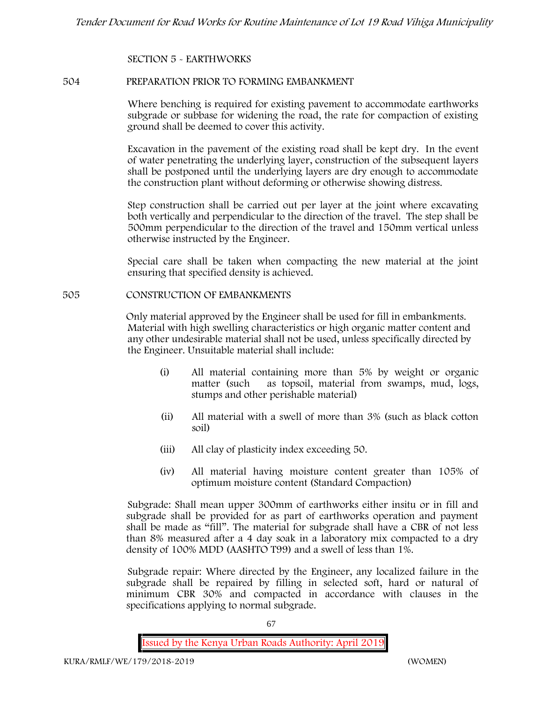#### **SECTION 5 - EARTHWORKS**

#### **504 PREPARATION PRIOR TO FORMING EMBANKMENT**

Where benching is required for existing pavement to accommodate earthworks subgrade or subbase for widening the road, the rate for compaction of existing ground shall be deemed to cover this activity.

Excavation in the pavement of the existing road shall be kept dry. In the event of water penetrating the underlying layer, construction of the subsequent layers shall be postponed until the underlying layers are dry enough to accommodate the construction plant without deforming or otherwise showing distress.

Step construction shall be carried out per layer at the joint where excavating both vertically and perpendicular to the direction of the travel. The step shall be 500mm perpendicular to the direction of the travel and 150mm vertical unless otherwise instructed by the Engineer.

Special care shall be taken when compacting the new material at the joint ensuring that specified density is achieved.

#### **505 CONSTRUCTION OF EMBANKMENTS**

Only material approved by the Engineer shall be used for fill in embankments. Material with high swelling characteristics or high organic matter content and any other undesirable material shall not be used, unless specifically directed by the Engineer. Unsuitable material shall include:

- (i) All material containing more than 5% by weight or organic matter (such as topsoil, material from swamps, mud, logs, stumps and other perishable material)
- (ii) All material with a swell of more than 3% (such as black cotton soil)
- (iii) All clay of plasticity index exceeding 50.
- (iv) All material having moisture content greater than 105% of optimum moisture content (Standard Compaction)

Subgrade: Shall mean upper 300mm of earthworks either insitu or in fill and subgrade shall be provided for as part of earthworks operation and payment shall be made as "fill". The material for subgrade shall have a CBR of not less than 8% measured after a 4 day soak in a laboratory mix compacted to a dry density of 100% MDD (AASHTO T99) and a swell of less than 1%.

Subgrade repair: Where directed by the Engineer, any localized failure in the subgrade shall be repaired by filling in selected soft, hard or natural of minimum CBR 30% and compacted in accordance with clauses in the specifications applying to normal subgrade.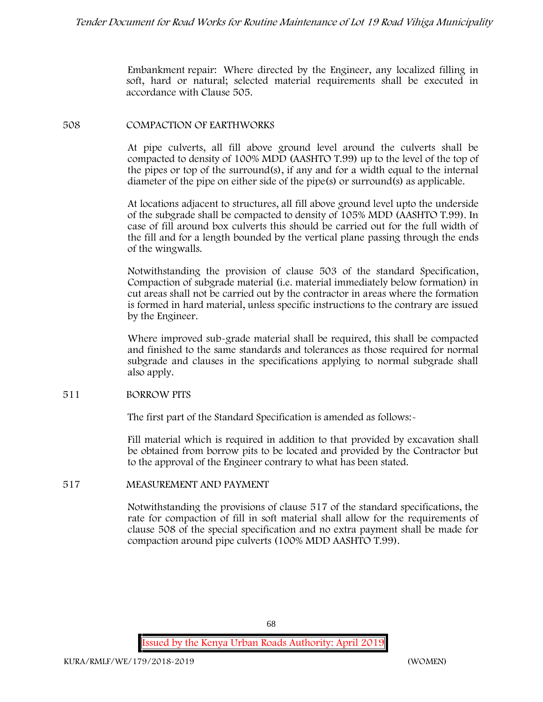Embankment repair: Where directed by the Engineer, any localized filling in soft, hard or natural; selected material requirements shall be executed in accordance with Clause 505.

#### **508 COMPACTION OF EARTHWORKS**

At pipe culverts, all fill above ground level around the culverts shall be compacted to density of 100% MDD (AASHTO T.99) up to the level of the top of the pipes or top of the surround(s), if any and for a width equal to the internal diameter of the pipe on either side of the pipe(s) or surround(s) as applicable.

At locations adjacent to structures, all fill above ground level upto the underside of the subgrade shall be compacted to density of 105% MDD (AASHTO T.99). In case of fill around box culverts this should be carried out for the full width of the fill and for a length bounded by the vertical plane passing through the ends of the wingwalls.

Notwithstanding the provision of clause 503 of the standard Specification, Compaction of subgrade material (i.e. material immediately below formation) in cut areas shall not be carried out by the contractor in areas where the formation is formed in hard material, unless specific instructions to the contrary are issued by the Engineer.

Where improved sub-grade material shall be required, this shall be compacted and finished to the same standards and tolerances as those required for normal subgrade and clauses in the specifications applying to normal subgrade shall also apply.

## **511 BORROW PITS**

The first part of the Standard Specification is amended as follows:

Fill material which is required in addition to that provided by excavation shall be obtained from borrow pits to be located and provided by the Contractor but to the approval of the Engineer contrary to what has been stated.

#### **517 MEASUREMENT AND PAYMENT**

Notwithstanding the provisions of clause 517 of the standard specifications, the rate for compaction of fill in soft material shall allow for the requirements of clause 508 of the special specification and no extra payment shall be made for compaction around pipe culverts (100% MDD AASHTO T.99).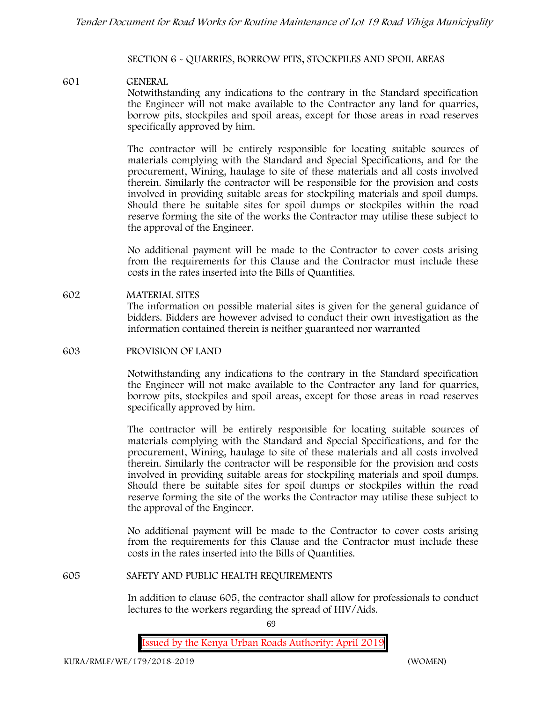#### **SECTION 6 - QUARRIES, BORROW PITS, STOCKPILES AND SPOIL AREAS**

#### **601 GENERAL**

Notwithstanding any indications to the contrary in the Standard specification the Engineer will not make available to the Contractor any land for quarries, borrow pits, stockpiles and spoil areas, except for those areas in road reserves specifically approved by him.

The contractor will be entirely responsible for locating suitable sources of materials complying with the Standard and Special Specifications, and for the procurement, Wining, haulage to site of these materials and all costs involved therein. Similarly the contractor will be responsible for the provision and costs involved in providing suitable areas for stockpiling materials and spoil dumps. Should there be suitable sites for spoil dumps or stockpiles within the road reserve forming the site of the works the Contractor may utilise these subject to the approval of the Engineer.

No additional payment will be made to the Contractor to cover costs arising from the requirements for this Clause and the Contractor must include these costs in the rates inserted into the Bills of Quantities.

**602 MATERIAL SITES** The information on possible material sites is given for the general guidance of bidders. Bidders are however advised to conduct their own investigation as the information contained therein is neither guaranteed nor warranted

#### **603 PROVISION OF LAND**

Notwithstanding any indications to the contrary in the Standard specification the Engineer will not make available to the Contractor any land for quarries, borrow pits, stockpiles and spoil areas, except for those areas in road reserves specifically approved by him.

The contractor will be entirely responsible for locating suitable sources of materials complying with the Standard and Special Specifications, and for the procurement, Wining, haulage to site of these materials and all costs involved therein. Similarly the contractor will be responsible for the provision and costs involved in providing suitable areas for stockpiling materials and spoil dumps. Should there be suitable sites for spoil dumps or stockpiles within the road reserve forming the site of the works the Contractor may utilise these subject to the approval of the Engineer.

No additional payment will be made to the Contractor to cover costs arising from the requirements for this Clause and the Contractor must include these costs in the rates inserted into the Bills of Quantities.

#### **605 SAFETY AND PUBLIC HEALTH REQUIREMENTS**

In addition to clause 605, the contractor shall allow for professionals to conduct lectures to the workers regarding the spread of HIV/Aids.

 $69$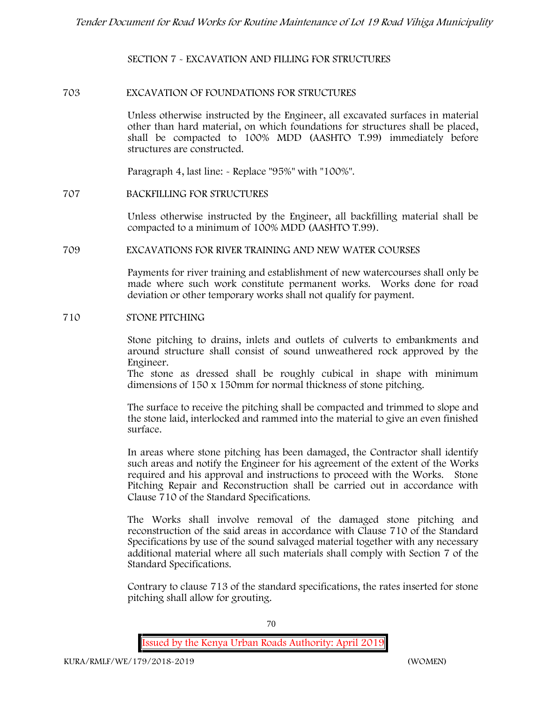**SECTION 7 - EXCAVATION AND FILLING FOR STRUCTURES**

#### **703 EXCAVATION OF FOUNDATIONS FOR STRUCTURES**

Unless otherwise instructed by the Engineer, all excavated surfaces in material other than hard material, on which foundations for structures shall be placed, shall be compacted to 100% MDD (AASHTO T.99) immediately before structures are constructed.

Paragraph 4, last line: - Replace "95%" with "100%".

#### **707 BACKFILLING FOR STRUCTURES**

Unless otherwise instructed by the Engineer, all backfilling material shall be compacted to a minimum of 100% MDD (AASHTO T.99).

#### **709 EXCAVATIONS FOR RIVER TRAINING AND NEW WATER COURSES**

Payments for river training and establishment of new watercourses shall only be made where such work constitute permanent works. Works done for road deviation or other temporary works shall not qualify for payment.

#### **710 STONE PITCHING**

Stone pitching to drains, inlets and outlets of culverts to embankments and around structure shall consist of sound unweathered rock approved by the Engineer.

The stone as dressed shall be roughly cubical in shape with minimum dimensions of 150 x 150mm for normal thickness of stone pitching.

The surface to receive the pitching shall be compacted and trimmed to slope and the stone laid, interlocked and rammed into the material to give an even finished surface.

In areas where stone pitching has been damaged, the Contractor shall identify such areas and notify the Engineer for his agreement of the extent of the Works required and his approval and instructions to proceed with the Works. Stone Pitching Repair and Reconstruction shall be carried out in accordance with Clause 710 of the Standard Specifications.

The Works shall involve removal of the damaged stone pitching and reconstruction of the said areas in accordance with Clause 710 of the Standard Specifications by use of the sound salvaged material together with any necessary additional material where all such materials shall comply with Section 7 of the Standard Specifications.

Contrary to clause 713 of the standard specifications, the rates inserted for stone pitching shall allow for grouting.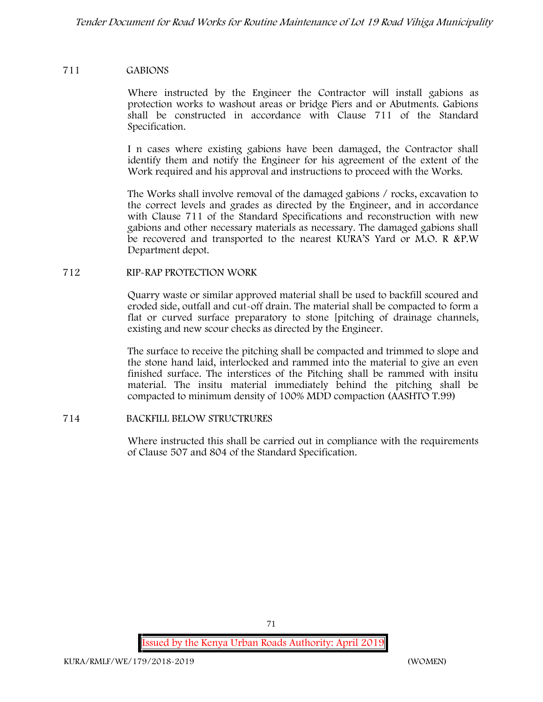#### **711 GABIONS**

Where instructed by the Engineer the Contractor will install gabions as protection works to washout areas or bridge Piers and or Abutments. Gabions shall be constructed in accordance with Clause 711 of the Standard Specification.

I n cases where existing gabions have been damaged, the Contractor shall identify them and notify the Engineer for his agreement of the extent of the Work required and his approval and instructions to proceed with the Works.

The Works shall involve removal of the damaged gabions / rocks, excavation to the correct levels and grades as directed by the Engineer, and in accordance with Clause 711 of the Standard Specifications and reconstruction with new gabions and other necessary materials as necessary. The damaged gabions shall be recovered and transported to the nearest KURA'S Yard or M.O. R &P.W Department depot.

#### **712 RIP-RAP PROTECTION WORK**

Quarry waste or similar approved material shall be used to backfill scoured and eroded side, outfall and cut-off drain. The material shall be compacted to form a flat or curved surface preparatory to stone [pitching of drainage channels, existing and new scour checks as directed by the Engineer.

The surface to receive the pitching shall be compacted and trimmed to slope and the stone hand laid, interlocked and rammed into the material to give an even finished surface. The interstices of the Pitching shall be rammed with insitu material. The insitu material immediately behind the pitching shall be compacted to minimum density of 100% MDD compaction (AASHTO T.99)

#### **714 BACKFILL BELOW STRUCTRURES**

Where instructed this shall be carried out in compliance with the requirements of Clause 507 and 804 of the Standard Specification.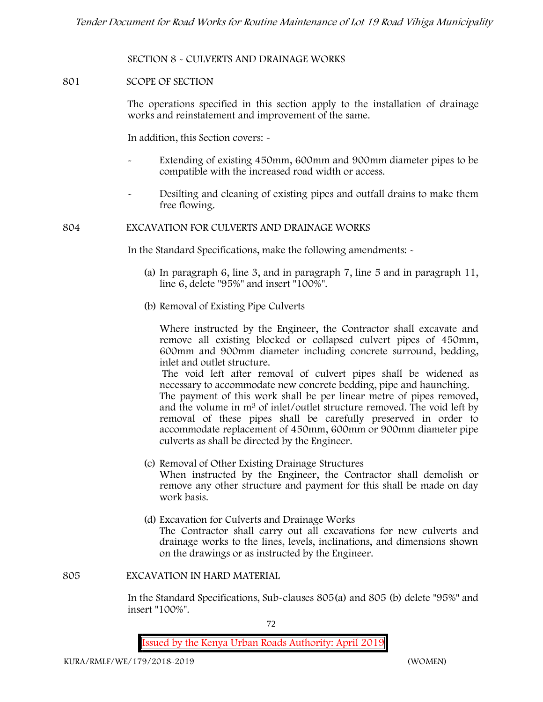**SECTION 8 - CULVERTS AND DRAINAGE WORKS**

## **801 SCOPE OF SECTION**

The operations specified in this section apply to the installation of drainage works and reinstatement and improvement of the same.

In addition, this Section covers: -

- Extending of existing 450mm, 600mm and 900mm diameter pipes to be compatible with the increased road width or access.
- Desilting and cleaning of existing pipes and outfall drains to make them free flowing.

**804 EXCAVATION FOR CULVERTS AND DRAINAGE WORKS**

In the Standard Specifications, make the following amendments: -

- (a) In paragraph 6, line 3, and in paragraph 7, line 5 and in paragraph 11, line 6, delete "95%" and insert "100%".
- (b) Removal of Existing Pipe Culverts

Where instructed by the Engineer, the Contractor shall excavate and remove all existing blocked or collapsed culvert pipes of 450mm, 600mm and 900mm diameter including concrete surround, bedding, inlet and outlet structure.

The void left after removal of culvert pipes shall be widened as necessary to accommodate new concrete bedding, pipe and haunching.

The payment of this work shall be per linear metre of pipes removed, and the volume in m<sup>3</sup> of inlet/outlet structure removed. The void left by removal of these pipes shall be carefully preserved in order to accommodate replacement of 450mm, 600mm or 900mm diameter pipe culverts as shall be directed by the Engineer.

- (c) Removal of Other Existing Drainage Structures When instructed by the Engineer, the Contractor shall demolish or remove any other structure and payment for this shall be made on day work basis.
- (d) Excavation for Culverts and Drainage Works The Contractor shall carry out all excavations for new culverts and drainage works to the lines, levels, inclinations, and dimensions shown on the drawings or as instructed by the Engineer.

**805 EXCAVATION IN HARD MATERIAL**

In the Standard Specifications, Sub-clauses 805(a) and 805 (b) delete "95%" and insert "100%".

72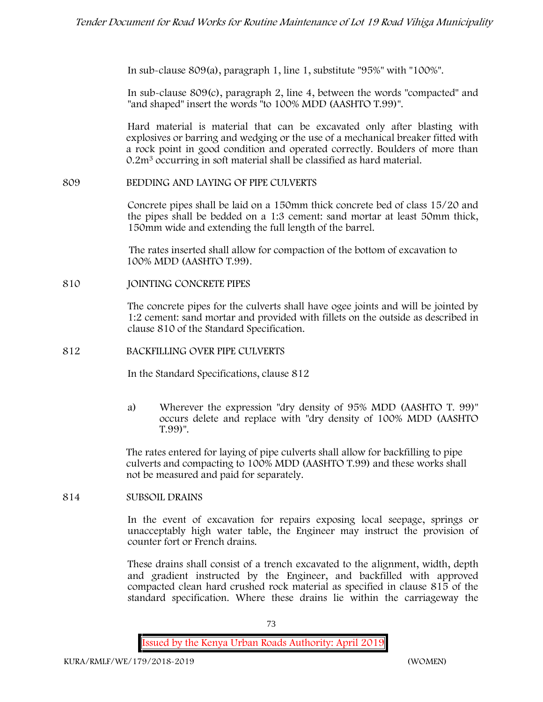In sub-clause 809(a), paragraph 1, line 1, substitute "95%" with "100%".

In sub-clause 809(c), paragraph 2, line 4, between the words "compacted" and "and shaped" insert the words "to 100% MDD (AASHTO T.99)".

Hard material is material that can be excavated only after blasting with explosives or barring and wedging or the use of a mechanical breaker fitted with a rock point in good condition and operated correctly. Boulders of more than 0.2m<sup>3</sup> occurring in soft material shall be classified as hard material.

## **809 BEDDING AND LAYING OF PIPE CULVERTS**

Concrete pipes shall be laid on a 150mm thick concrete bed of class 15/20 and the pipes shall be bedded on a 1:3 cement: sand mortar at least 50mm thick, 150mm wide and extending the full length of the barrel.

The rates inserted shall allow for compaction of the bottom of excavation to 100% MDD (AASHTO T.99).

### **810 JOINTING CONCRETE PIPES**

The concrete pipes for the culverts shall have ogee joints and will be jointed by 1:2 cement: sand mortar and provided with fillets on the outside as described in clause 810 of the Standard Specification.

## **812 BACKFILLING OVER PIPE CULVERTS**

In the Standard Specifications, clause 812

a) Wherever the expression "dry density of 95% MDD (AASHTO T. 99)" occurs delete and replace with "dry density of 100% MDD (AASHTO T.99)".

The rates entered for laying of pipe culverts shall allow for backfilling to pipe culverts and compacting to 100% MDD (AASHTO T.99) and these works shall not be measured and paid for separately.

### **814 SUBSOIL DRAINS**

In the event of excavation for repairs exposing local seepage, springs or unacceptably high water table, the Engineer may instruct the provision of counter fort or French drains.

These drains shall consist of a trench excavated to the alignment, width, depth and gradient instructed by the Engineer, and backfilled with approved compacted clean hard crushed rock material as specified in clause 815 of the standard specification. Where these drains lie within the carriageway the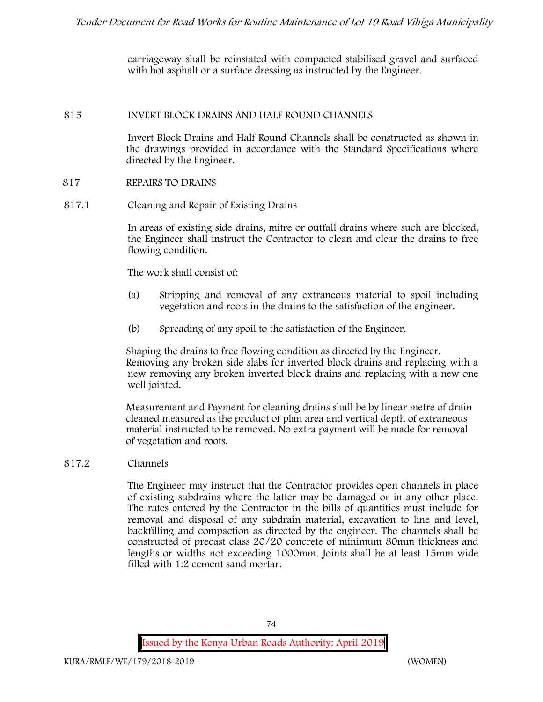carriageway shall be reinstated with compacted stabilised gravel and surfaced with hot asphalt or a surface dressing as instructed by the Engineer.

### **815 INVERT BLOCK DRAINS AND HALF ROUND CHANNELS**

Invert Block Drains and Half Round Channels shall be constructed as shown in the drawings provided in accordance with the Standard Specifications where directed by the Engineer.

## **817 REPAIRS TO DRAINS**

**817.1 Cleaning and Repair of Existing Drains**

In areas of existing side drains, mitre or outfall drains where such are blocked, the Engineer shall instruct the Contractor to clean and clear the drains to free flowing condition.

The work shall consist of:

- (a) Stripping and removal of any extraneous material to spoil including vegetation and roots in the drains to the satisfaction of the engineer.
- (b) Spreading of any spoil to the satisfaction of the Engineer.

Shaping the drains to free flowing condition as directed by the Engineer. Removing any broken side slabs for inverted block drains and replacing with a new removing any broken inverted block drains and replacing with a new one well jointed.

Measurement and Payment for cleaning drains shall be by linear metre of drain cleaned measured as the product of plan area and vertical depth of extraneous material instructed to be removed. No extra payment will be made for removal of vegetation and roots.

# **817.2 Channels**

The Engineer may instruct that the Contractor provides open channels in place of existing subdrains where the latter may be damaged or in any other place. The rates entered by the Contractor in the bills of quantities must include for removal and disposal of any subdrain material, excavation to line and level, backfilling and compaction as directed by the engineer. The channels shall be constructed of precast class 20/20 concrete of minimum 80mm thickness and lengths or widths not exceeding 1000mm. Joints shall be at least 15mm wide filled with 1:2 cement sand mortar.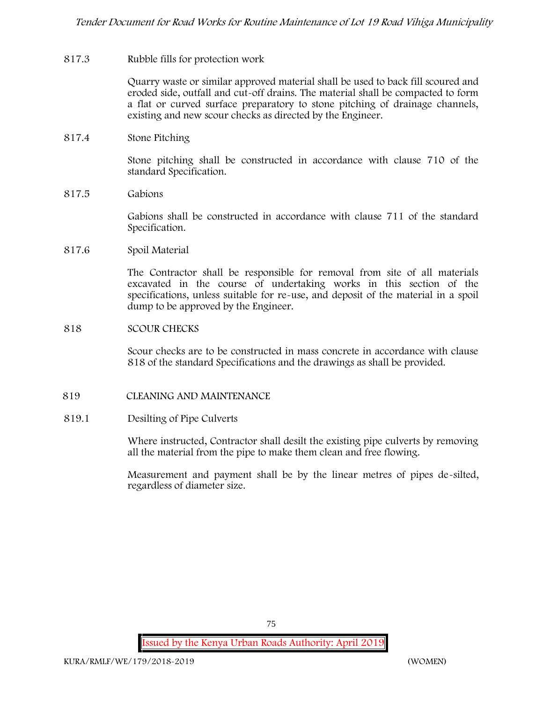### **817.3 Rubble fills for protection work**

Quarry waste or similar approved material shall be used to back fill scoured and eroded side, outfall and cut-off drains. The material shall be compacted to form a flat or curved surface preparatory to stone pitching of drainage channels, existing and new scour checks as directed by the Engineer.

## **817.4 Stone Pitching**

Stone pitching shall be constructed in accordance with clause 710 of the standard Specification.

**817.5 Gabions**

Gabions shall be constructed in accordance with clause 711 of the standard Specification.

**817.6 Spoil Material**

The Contractor shall be responsible for removal from site of all materials excavated in the course of undertaking works in this section of the specifications, unless suitable for re-use, and deposit of the material in a spoil dump to be approved by the Engineer.

### **818 SCOUR CHECKS**

Scour checks are to be constructed in mass concrete in accordance with clause 818 of the standard Specifications and the drawings as shall be provided.

#### **819 CLEANING AND MAINTENANCE**

#### **819.1 Desilting of Pipe Culverts**

Where instructed, Contractor shall desilt the existing pipe culverts by removing all the material from the pipe to make them clean and free flowing.

Measurement and payment shall be by the linear metres of pipes de-silted, regardless of diameter size.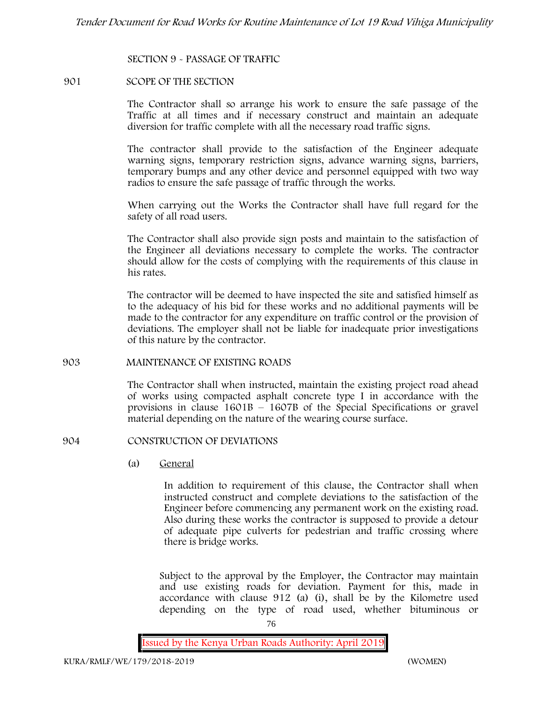**SECTION 9 - PASSAGE OF TRAFFIC**

#### **901 SCOPE OF THE SECTION**

The Contractor shall so arrange his work to ensure the safe passage of the Traffic at all times and if necessary construct and maintain an adequate diversion for traffic complete with all the necessary road traffic signs.

The contractor shall provide to the satisfaction of the Engineer adequate warning signs, temporary restriction signs, advance warning signs, barriers, temporary bumps and any other device and personnel equipped with two way radios to ensure the safe passage of traffic through the works.

When carrying out the Works the Contractor shall have full regard for the safety of all road users.

The Contractor shall also provide sign posts and maintain to the satisfaction of the Engineer all deviations necessary to complete the works. The contractor should allow for the costs of complying with the requirements of this clause in his rates.

The contractor will be deemed to have inspected the site and satisfied himself as to the adequacy of his bid for these works and no additional payments will be made to the contractor for any expenditure on traffic control or the provision of deviations. The employer shall not be liable for inadequate prior investigations of this nature by the contractor.

### **903 MAINTENANCE OF EXISTING ROADS**

The Contractor shall when instructed, maintain the existing project road ahead of works using compacted asphalt concrete type I in accordance with the provisions in clause 1601B – 1607B of the Special Specifications or gravel material depending on the nature of the wearing course surface.

## **904 CONSTRUCTION OF DEVIATIONS**

(a) **General**

In addition to requirement of this clause, the Contractor shall when instructed construct and complete deviations to the satisfaction of the Engineer before commencing any permanent work on the existing road. Also during these works the contractor is supposed to provide a detour of adequate pipe culverts for pedestrian and traffic crossing where there is bridge works.

Subject to the approval by the Employer, the Contractor may maintain and use existing roads for deviation. Payment for this, made in accordance with clause 912 (a) (i), shall be by the Kilometre used depending on the type of road used, whether bituminous or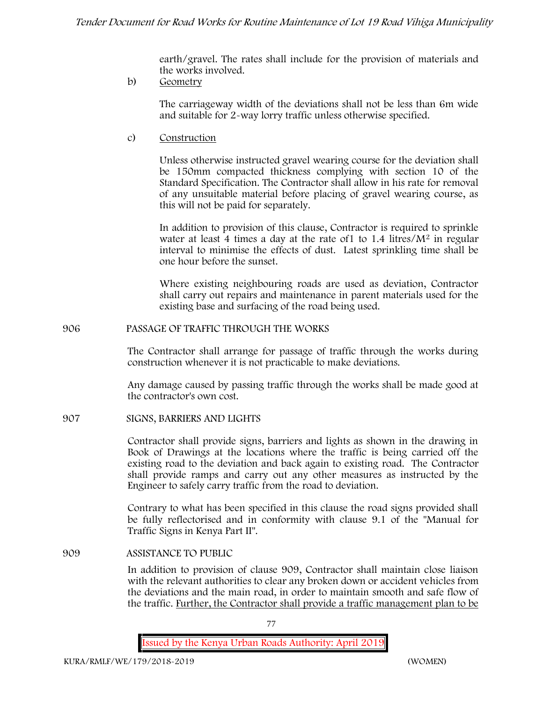earth/gravel. The rates shall include for the provision of materials and the works involved.

b) **Geometry**

The carriageway width of the deviations shall not be less than 6m wide and suitable for 2-way lorry traffic unless otherwise specified.

c) **Construction**

Unless otherwise instructed gravel wearing course for the deviation shall be 150mm compacted thickness complying with section 10 of the Standard Specification. The Contractor shall allow in his rate for removal of any unsuitable material before placing of gravel wearing course, as this will not be paid for separately.

In addition to provision of this clause, Contractor is required to sprinkle water at least 4 times a day at the rate of 1 to  $1.4$  litres/ $M<sup>2</sup>$  in regular interval to minimise the effects of dust. Latest sprinkling time shall be one hour before the sunset.

Where existing neighbouring roads are used as deviation, Contractor shall carry out repairs and maintenance in parent materials used for the existing base and surfacing of the road being used.

**906 PASSAGE OF TRAFFIC THROUGH THE WORKS**

The Contractor shall arrange for passage of traffic through the works during construction whenever it is not practicable to make deviations.

Any damage caused by passing traffic through the works shall be made good at the contractor's own cost.

**907 SIGNS, BARRIERS AND LIGHTS**

Contractor shall provide signs, barriers and lights as shown in the drawing in Book of Drawings at the locations where the traffic is being carried off the existing road to the deviation and back again to existing road. The Contractor shall provide ramps and carry out any other measures as instructed by the Engineer to safely carry traffic from the road to deviation.

Contrary to what has been specified in this clause the road signs provided shall be fully reflectorised and in conformity with clause 9.1 of the "Manual for Traffic Signs in Kenya Part II".

**909 ASSISTANCE TO PUBLIC**

In addition to provision of clause 909, Contractor shall maintain close liaison with the relevant authorities to clear any broken down or accident vehicles from the deviations and the main road, in order to maintain smooth and safe flow of the traffic. Further, the Contractor shall provide a traffic management plan to be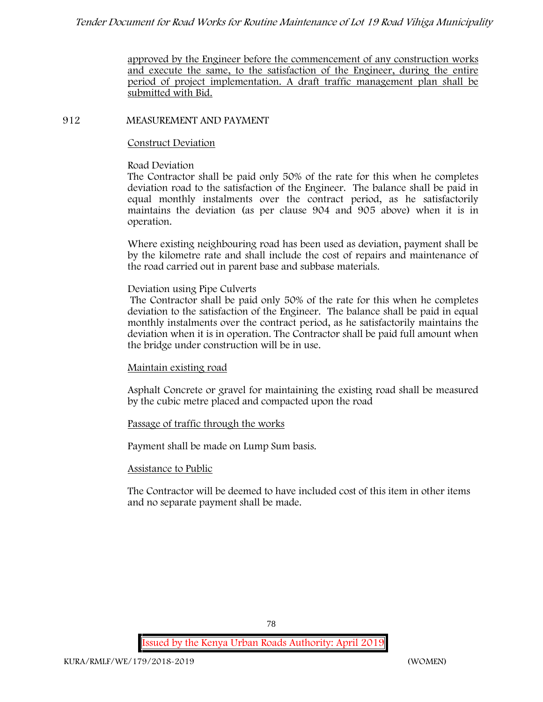approved by the Engineer before the commencement of any construction works and execute the same, to the satisfaction of the Engineer, during the entire period of project implementation. A draft traffic management plan shall be submitted with Bid.

## **912 MEASUREMENT AND PAYMENT**

## **Construct Deviation**

## **Road Deviation**

The Contractor shall be paid only 50% of the rate for this when he completes deviation road to the satisfaction of the Engineer. The balance shall be paid in equal monthly instalments over the contract period, as he satisfactorily maintains the deviation (as per clause 904 and 905 above) when it is in operation.

Where existing neighbouring road has been used as deviation, payment shall be by the kilometre rate and shall include the cost of repairs and maintenance of the road carried out in parent base and subbase materials.

## **Deviation using Pipe Culverts**

The Contractor shall be paid only 50% of the rate for this when he completes deviation to the satisfaction of the Engineer. The balance shall be paid in equal monthly instalments over the contract period, as he satisfactorily maintains the deviation when it is in operation. The Contractor shall be paid full amount when the bridge under construction will be in use.

# **Maintain existing road**

Asphalt Concrete or gravel for maintaining the existing road shall be measured by the cubic metre placed and compacted upon the road

# **Passage of traffic through the works**

Payment shall be made on Lump Sum basis.

## **Assistance to Public**

The Contractor will be deemed to have included cost of this item in other items and no separate payment shall be made.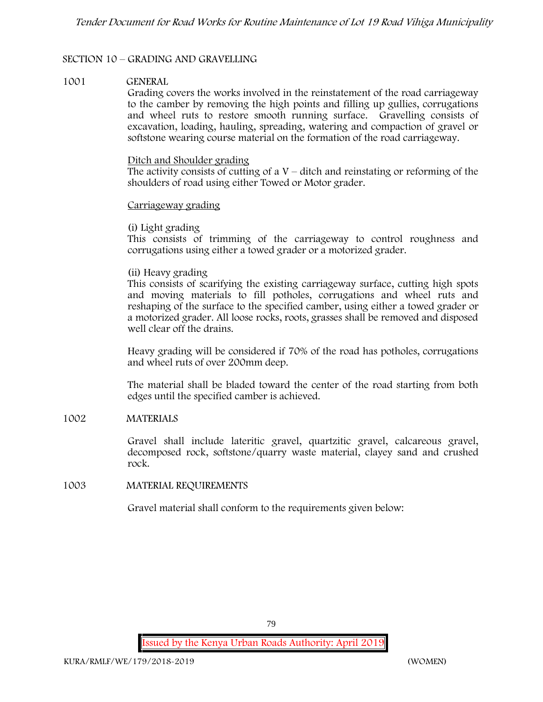## **SECTION 10 – GRADING AND GRAVELLING**

### **1001 GENERAL**

Grading covers the works involved in the reinstatement of the road carriageway to the camber by removing the high points and filling up gullies, corrugations and wheel ruts to restore smooth running surface. Gravelling consists of excavation, loading, hauling, spreading, watering and compaction of gravel or softstone wearing course material on the formation of the road carriageway.

### Ditch and Shoulder grading

The activity consists of cutting of a  $V$  – ditch and reinstating or reforming of the shoulders of road using either Towed or Motor grader.

### Carriageway grading

## **(i) Light grading**

This consists of trimming of the carriageway to control roughness and corrugations using either a towed grader or a motorized grader.

## **(ii) Heavy grading**

This consists of scarifying the existing carriageway surface, cutting high spots and moving materials to fill potholes, corrugations and wheel ruts and reshaping of the surface to the specified camber, using either a towed grader or a motorized grader. All loose rocks, roots, grasses shall be removed and disposed well clear off the drains.

Heavy grading will be considered if 70% of the road has potholes, corrugations and wheel ruts of over 200mm deep.

The material shall be bladed toward the center of the road starting from both edges until the specified camber is achieved.

## **1002 MATERIALS**

Gravel shall include lateritic gravel, quartzitic gravel, calcareous gravel, decomposed rock, softstone/quarry waste material, clayey sand and crushed rock.

## **1003 MATERIAL REQUIREMENTS**

Gravel material shall conform to the requirements given below: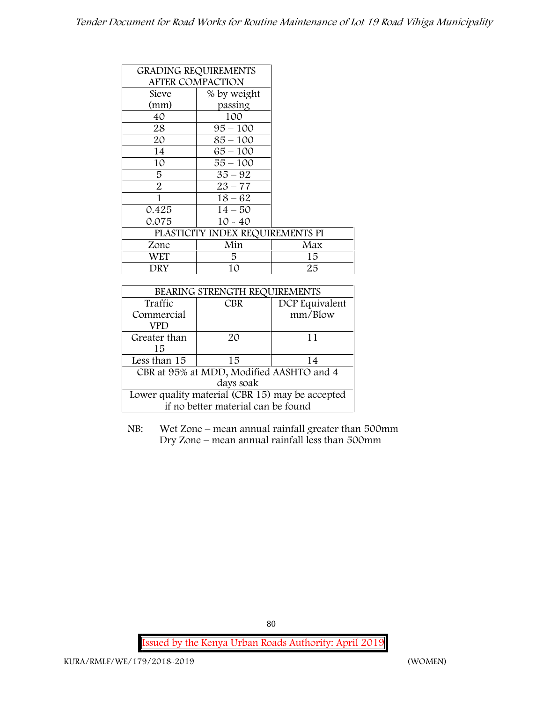|                         | <b>GRADING REQUIREMENTS</b>      |     |
|-------------------------|----------------------------------|-----|
| <b>AFTER COMPACTION</b> |                                  |     |
| Sieve                   | % by weight                      |     |
| (mm)                    | passing                          |     |
| 40                      | 100                              |     |
| 28                      | $95 - 100$                       |     |
| 20                      | $85 - 100$                       |     |
| 14                      | $65 - 100$                       |     |
| 10                      | $55 - 100$                       |     |
| 5                       | $35 - 92$                        |     |
| $\overline{2}$          | $23 - 77$                        |     |
| 1                       | $18 - 62$                        |     |
| 0.425                   | $14 - 50$                        |     |
| 0.075                   | $10 - 40$                        |     |
|                         | PLASTICITY INDEX REQUIREMENTS PI |     |
| Zone                    | Min                              | Max |
| WET                     | 5.                               | 15  |
| DRY                     | 10                               | 25  |

| BEARING STRENGTH REQUIREMENTS                   |            |                |  |  |
|-------------------------------------------------|------------|----------------|--|--|
| Traffic                                         | <b>CBR</b> | DCP Equivalent |  |  |
| Commercial                                      |            | mm/Blow        |  |  |
| VPD                                             |            |                |  |  |
| Greater than                                    | 20         | 11             |  |  |
| 15                                              |            |                |  |  |
| Less than 15                                    | 15         | 14             |  |  |
| CBR at 95% at MDD, Modified AASHTO and 4        |            |                |  |  |
| days soak                                       |            |                |  |  |
| Lower quality material (CBR 15) may be accepted |            |                |  |  |
| if no better material can be found              |            |                |  |  |

NB: Wet Zone – mean annual rainfall greater than 500mm Dry Zone – mean annual rainfall less than 500mm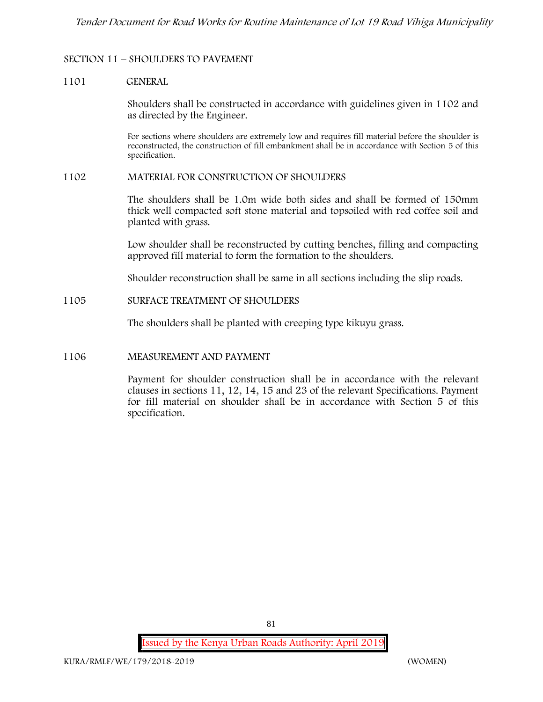## **SECTION 11 – SHOULDERS TO PAVEMENT**

#### **1101 GENERAL**

Shoulders shall be constructed in accordance with guidelines given in 1102 and as directed by the Engineer.

For sections where shoulders are extremely low and requires fill material before the shoulder is reconstructed, the construction of fill embankment shall be in accordance with Section 5 of this specification.

### **1102 MATERIAL FOR CONSTRUCTION OF SHOULDERS**

The shoulders shall be 1.0m wide both sides and shall be formed of 150mm thick well compacted soft stone material and topsoiled with red coffee soil and planted with grass.

Low shoulder shall be reconstructed by cutting benches, filling and compacting approved fill material to form the formation to the shoulders.

Shoulder reconstruction shall be same in all sections including the slip roads.

### **1105 SURFACE TREATMENT OF SHOULDERS**

The shoulders shall be planted with creeping type kikuyu grass.

## **1106 MEASUREMENT AND PAYMENT**

Payment for shoulder construction shall be in accordance with the relevant clauses in sections 11, 12, 14, 15 and 23 of the relevant Specifications. Payment for fill material on shoulder shall be in accordance with Section 5 of this specification.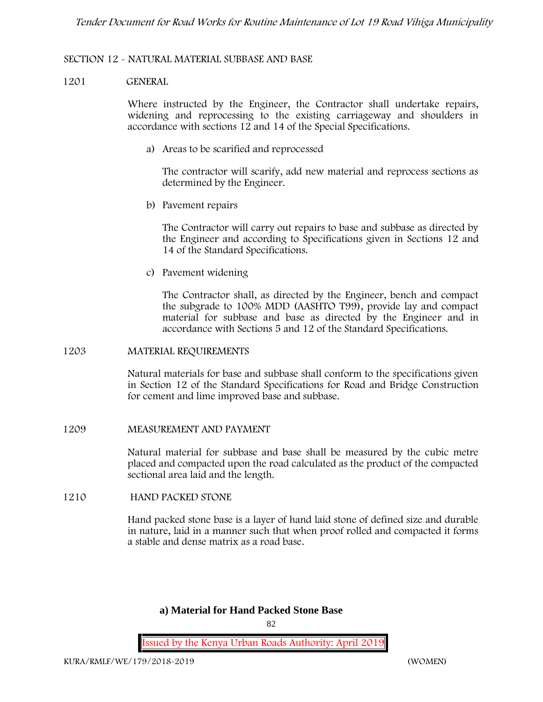### **SECTION 12 - NATURAL MATERIAL SUBBASE AND BASE**

#### **1201 GENERAL**

Where instructed by the Engineer, the Contractor shall undertake repairs, widening and reprocessing to the existing carriageway and shoulders in accordance with sections 12 and 14 of the Special Specifications.

**a) Areas to be scarified and reprocessed**

The contractor will scarify, add new material and reprocess sections as determined by the Engineer.

**b) Pavement repairs**

The Contractor will carry out repairs to base and subbase as directed by the Engineer and according to Specifications given in Sections 12 and 14 of the Standard Specifications.

**c) Pavement widening**

The Contractor shall, as directed by the Engineer, bench and compact the subgrade to 100% MDD (AASHTO T99), provide lay and compact material for subbase and base as directed by the Engineer and in accordance with Sections 5 and 12 of the Standard Specifications.

#### **1203 MATERIAL REQUIREMENTS**

Natural materials for base and subbase shall conform to the specifications given in Section 12 of the Standard Specifications for Road and Bridge Construction for cement and lime improved base and subbase.

**1209 MEASUREMENT AND PAYMENT**

Natural material for subbase and base shall be measured by the cubic metre placed and compacted upon the road calculated as the product of the compacted sectional area laid and the length.

## **1210 HAND PACKED STONE**

Hand packed stone base is a layer of hand laid stone of defined size and durable in nature, laid in a manner such that when proof rolled and compacted it forms a stable and dense matrix as a road base.

# **a) Material for Hand Packed Stone Base**

 $82$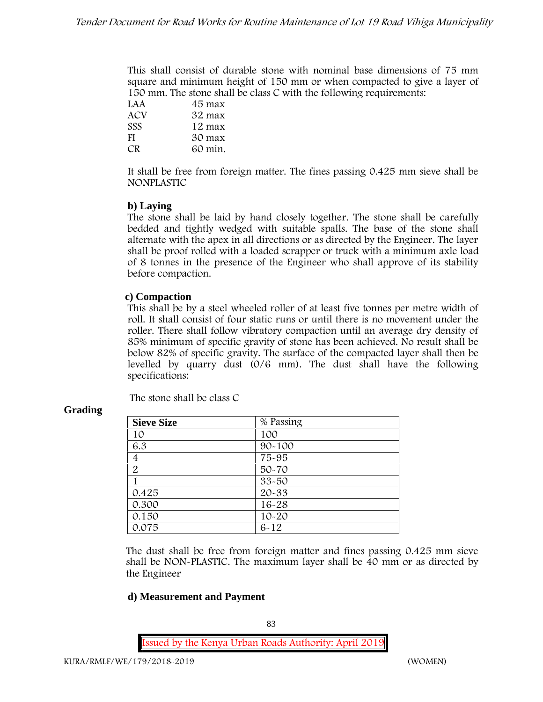This shall consist of durable stone with nominal base dimensions of 75 mm square and minimum height of 150 mm or when compacted to give a layer of 150 mm. The stone shall be class C with the following requirements:

| LAA        | 45 max  |
|------------|---------|
| ACV        | 32 max  |
| <b>SSS</b> | 12 max  |
| FI         | 30 max  |
| CR.        | 60 min. |

It shall be free from foreign matter. The fines passing 0.425 mm sieve shall be **NONPLASTIC**

# **b) Laying**

The stone shall be laid by hand closely together. The stone shall be carefully bedded and tightly wedged with suitable spalls. The base of the stone shall alternate with the apex in all directions or as directed by the Engineer. The layer shall be proof rolled with a loaded scrapper or truck with a minimum axle load of 8 tonnes in the presence of the Engineer who shall approve of its stability before compaction.

# **c) Compaction**

This shall be by a steel wheeled roller of at least five tonnes per metre width of roll. It shall consist of four static runs or until there is no movement under the roller. There shall follow vibratory compaction until an average dry density of 85% minimum of specific gravity of stone has been achieved. No result shall be below 82% of specific gravity. The surface of the compacted layer shall then be levelled by quarry dust (0/6 mm). The dust shall have the following specifications:

The stone shall be class C

| <b>Sieve Size</b> | % Passing  |
|-------------------|------------|
| 10                | 100        |
| 6.3               | $90 - 100$ |
| $\overline{4}$    | 75-95      |
| $\overline{2}$    | $50 - 70$  |
|                   | $33 - 50$  |
| 0.425             | $20 - 33$  |
| 0.300             | $16 - 28$  |
| 0.150             | $10 - 20$  |
| 0.075             | $6 - 12$   |

# **Grading**

The dust shall be free from foreign matter and fines passing 0.425 mm sieve shall be **NON-PLASTIC**. The maximum layer shall be 40 mm or as directed by the Engineer

# **d) Measurement and Payment**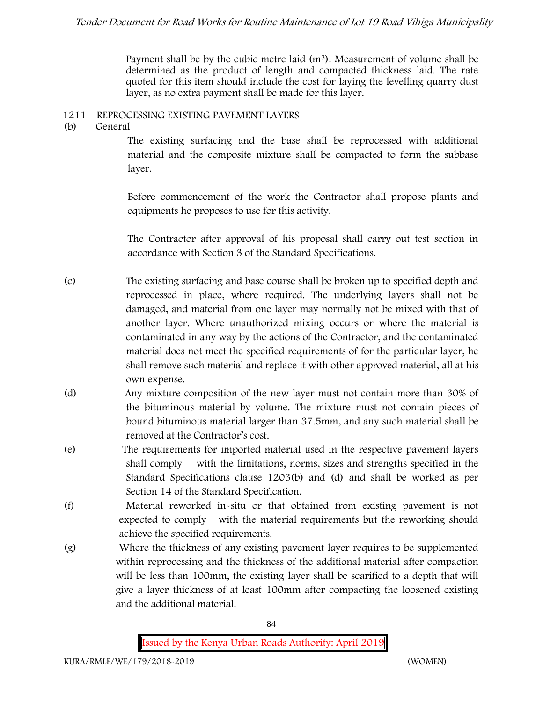Payment shall be by the cubic metre laid  $(m<sup>3</sup>)$ . Measurement of volume shall be determined as the product of length and compacted thickness laid. The rate quoted for this item should include the cost for laying the levelling quarry dust layer, as no extra payment shall be made for this layer.

# **1211 REPROCESSING EXISTING PAVEMENT LAYERS**

**(b) General**

The existing surfacing and the base shall be reprocessed with additional material and the composite mixture shall be compacted to form the subbase layer.

Before commencement of the work the Contractor shall propose plants and equipments he proposes to use for this activity.

The Contractor after approval of his proposal shall carry out test section in accordance with Section 3 of the Standard Specifications.

- (c) The existing surfacing and base course shall be broken up to specified depth and reprocessed in place, where required. The underlying layers shall not be damaged, and material from one layer may normally not be mixed with that of another layer. Where unauthorized mixing occurs or where the material is contaminated in any way by the actions of the Contractor, and the contaminated material does not meet the specified requirements of for the particular layer, he shall remove such material and replace it with other approved material, all at his own expense.
- (d) Any mixture composition of the new layer must not contain more than 30% of the bituminous material by volume. The mixture must not contain pieces of bound bituminous material larger than 37.5mm, and any such material shall be removed at the Contractor's cost.
- (e) The requirements for imported material used in the respective pavement layers shall comply with the limitations, norms, sizes and strengths specified in the Standard Specifications clause 1203(b) and (d) and shall be worked as per Section 14 of the Standard Specification.
- (f) Material reworked in-situ or that obtained from existing pavement is not expected to comply with the material requirements but the reworking should achieve the specified requirements.
- (g) Where the thickness of any existing pavement layer requires to be supplemented within reprocessing and the thickness of the additional material after compaction will be less than 100mm, the existing layer shall be scarified to a depth that will give a layer thickness of at least 100mm after compacting the loosened existing and the additional material.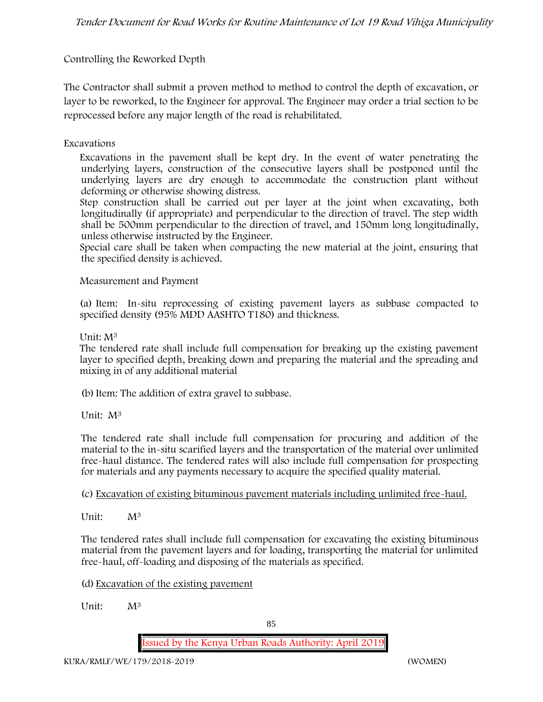# **Controlling the Reworked Depth**

The Contractor shall submit a proven method to method to control the depth of excavation, or layer to be reworked, to the Engineer for approval. The Engineer may order a trial section to be reprocessed before any major length of the road is rehabilitated.

## **Excavations**

Excavations in the pavement shall be kept dry. In the event of water penetrating the underlying layers, construction of the consecutive layers shall be postponed until the underlying layers are dry enough to accommodate the construction plant without deforming or otherwise showing distress.

Step construction shall be carried out per layer at the joint when excavating, both longitudinally (if appropriate) and perpendicular to the direction of travel. The step width shall be 500mm perpendicular to the direction of travel, and 150mm long longitudinally, unless otherwise instructed by the Engineer.

Special care shall be taken when compacting the new material at the joint, ensuring that the specified density is achieved.

## **Measurement and Payment**

(a) Item: In-situ reprocessing of existing pavement layers as subbase compacted to specified density (95% MDD AASHTO T180) and thickness.

## Unit: M<sup>3</sup>

The tendered rate shall include full compensation for breaking up the existing pavement layer to specified depth, breaking down and preparing the material and the spreading and mixing in of any additional material

(b)Item: The addition of extra gravel to subbase.

Unit: M<sup>3</sup>

The tendered rate shall include full compensation for procuring and addition of the material to the in-situ scarified layers and the transportation of the material over unlimited free-haul distance. The tendered rates will also include full compensation for prospecting for materials and any payments necessary to acquire the specified quality material.

(c) Excavation of existing bituminous pavement materials including unlimited free-haul.

Unit: M<sup>3</sup>

The tendered rates shall include full compensation for excavating the existing bituminous material from the pavement layers and for loading, transporting the material for unlimited free-haul, off-loading and disposing of the materials as specified.

(d) Excavation of the existing pavement

Unit: M<sup>3</sup>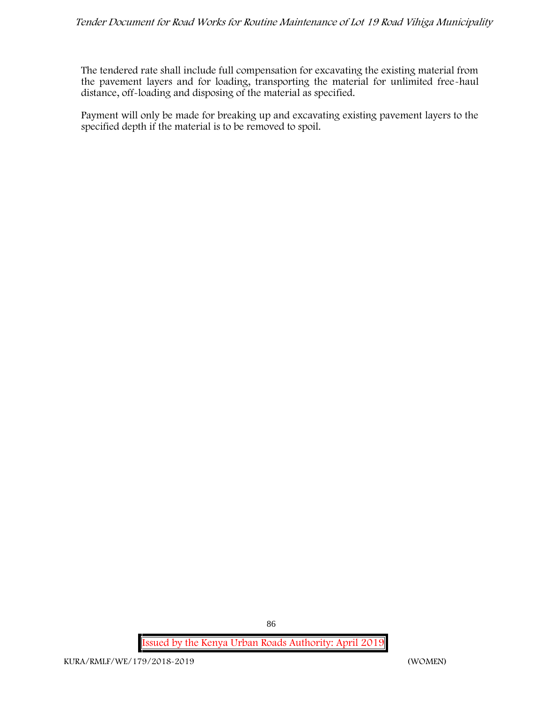The tendered rate shall include full compensation for excavating the existing material from the pavement layers and for loading, transporting the material for unlimited free-haul distance, off-loading and disposing of the material as specified.

Payment will only be made for breaking up and excavating existing pavement layers to the specified depth if the material is to be removed to spoil.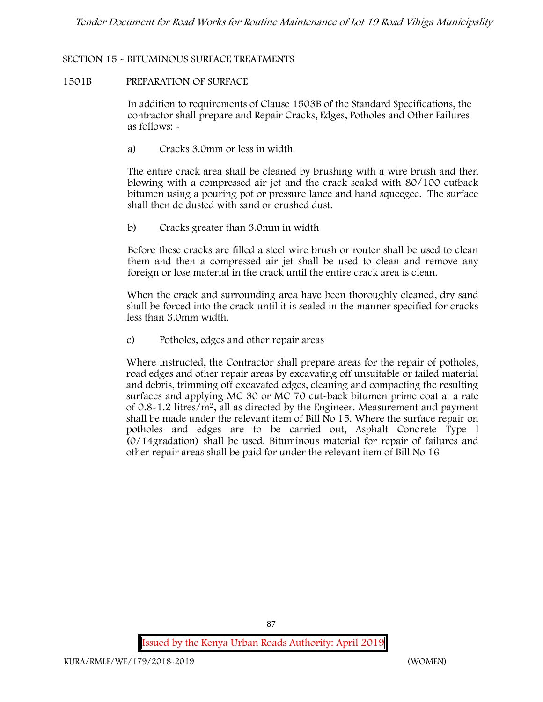## **SECTION 15 - BITUMINOUS SURFACE TREATMENTS**

### **1501B PREPARATION OF SURFACE**

In addition to requirements of Clause 1503B of the Standard Specifications, the contractor shall prepare and Repair Cracks, Edges, Potholes and Other Failures as follows: **-**

a) **Cracks 3.0mm or less in width**

The entire crack area shall be cleaned by brushing with a wire brush and then blowing with a compressed air jet and the crack sealed with 80/100 cutback bitumen using a pouring pot or pressure lance and hand squeegee. The surface shall then de dusted with sand or crushed dust.

b) **Cracks greater than 3.0mm in width**

Before these cracks are filled a steel wire brush or router shall be used to clean them and then a compressed air jet shall be used to clean and remove any foreign or lose material in the crack until the entire crack area is clean.

When the crack and surrounding area have been thoroughly cleaned, dry sand shall be forced into the crack until it is sealed in the manner specified for cracks less than 3.0mm width.

c) **Potholes, edges and other repair areas**

Where instructed, the Contractor shall prepare areas for the repair of potholes, road edges and other repair areas by excavating off unsuitable or failed material and debris, trimming off excavated edges, cleaning and compacting the resulting surfaces and applying MC 30 or MC 70 cut-back bitumen prime coat at a rate of 0.8-1.2 litres/m2, all as directed by the Engineer. Measurement and payment shall be made under the relevant item of Bill No 15. Where the surface repair on potholes and edges are to be carried out, Asphalt Concrete Type I (0/14gradation) shall be used. Bituminous material for repair of failures and other repair areas shall be paid for under the relevant item of Bill No 16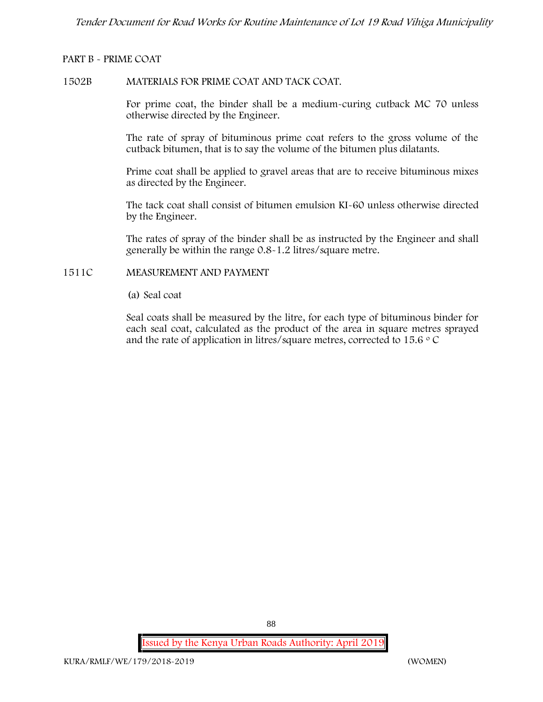### **PART B - PRIME COAT**

#### **1502B MATERIALS FOR PRIME COAT AND TACK COAT.**

For prime coat, the binder shall be a medium-curing cutback MC 70 unless otherwise directed by the Engineer.

The rate of spray of bituminous prime coat refers to the gross volume of the cutback bitumen, that is to say the volume of the bitumen plus dilatants.

Prime coat shall be applied to gravel areas that are to receive bituminous mixes as directed by the Engineer.

The tack coat shall consist of bitumen emulsion KI-60 unless otherwise directed by the Engineer.

The rates of spray of the binder shall be as instructed by the Engineer and shall generally be within the range 0.8-1.2 litres/square metre.

# **1511C MEASUREMENT AND PAYMENT**

(a) Seal coat

Seal coats shall be measured by the litre, for each type of bituminous binder for each seal coat, calculated as the product of the area in square metres sprayed and the rate of application in litres/square metres, corrected to 15.6  $\circ$  C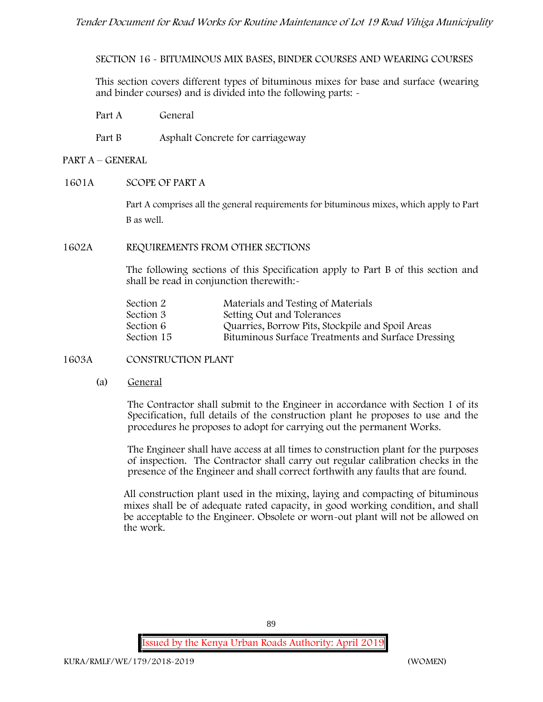**SECTION 16 - BITUMINOUS MIX BASES, BINDER COURSES AND WEARING COURSES**

This section covers different types of bituminous mixes for base and surface (wearing and binder courses) and is divided into the following parts: -

- Part A General
- Part B Asphalt Concrete for carriageway

## **PART A –GENERAL**

**1601A SCOPE OF PART A**

Part A comprises all the general requirements for bituminous mixes, which apply to Part B as well.

**1602A REQUIREMENTS FROM OTHER SECTIONS**

The following sections of this Specification apply to Part B of this section and shall be read in conjunction therewith:-

| Section 2  | Materials and Testing of Materials                 |
|------------|----------------------------------------------------|
| Section 3  | Setting Out and Tolerances                         |
| Section 6  | Quarries, Borrow Pits, Stockpile and Spoil Areas   |
| Section 15 | Bituminous Surface Treatments and Surface Dressing |

## **1603A CONSTRUCTION PLANT**

(a) **General**

The Contractor shall submit to the Engineer in accordance with Section 1 of its Specification, full details of the construction plant he proposes to use and the procedures he proposes to adopt for carrying out the permanent Works.

The Engineer shall have access at all times to construction plant for the purposes of inspection. The Contractor shall carry out regular calibration checks in the presence of the Engineer and shall correct forthwith any faults that are found.

All construction plant used in the mixing, laying and compacting of bituminous mixes shall be of adequate rated capacity, in good working condition, and shall be acceptable to the Engineer. Obsolete or worn-out plant will not be allowed on the work.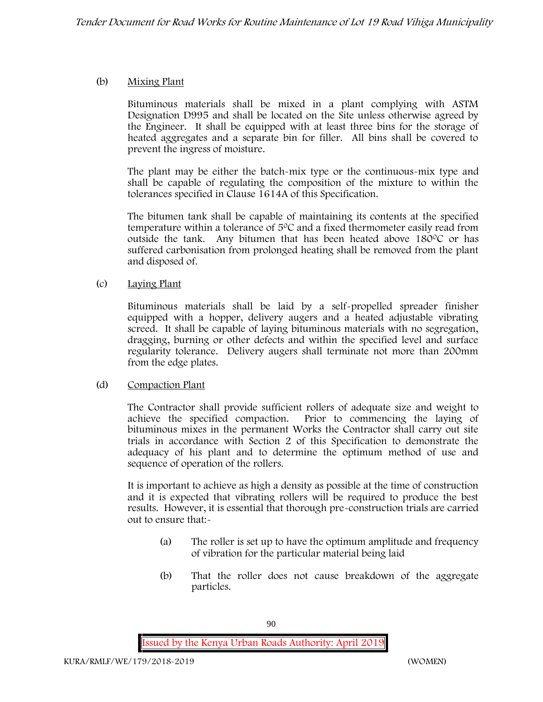# (b) **Mixing Plant**

Bituminous materials shall be mixed in a plant complying with ASTM Designation D995 and shall be located on the Site unless otherwise agreed by the Engineer. It shall be equipped with at least three bins for the storage of heated aggregates and a separate bin for filler. All bins shall be covered to prevent the ingress of moisture.

The plant may be either the batch-mix type or the continuous-mix type and shall be capable of regulating the composition of the mixture to within the tolerances specified in Clause 1614A of this Specification.

The bitumen tank shall be capable of maintaining its contents at the specified temperature within a tolerance of  $5^{\circ}$ C and a fixed thermometer easily read from outside the tank. Any bitumen that has been heated above  $180^{\circ}$ C or has suffered carbonisation from prolonged heating shall be removed from the plant and disposed of.

# (c) **Laying Plant**

Bituminous materials shall be laid by a self-propelled spreader finisher equipped with a hopper, delivery augers and a heated adjustable vibrating screed. It shall be capable of laying bituminous materials with no segregation, dragging, burning or other defects and within the specified level and surface regularity tolerance. Delivery augers shall terminate not more than 200mm from the edge plates.

## (d) **Compaction Plant**

The Contractor shall provide sufficient rollers of adequate size and weight to achieve the specified compaction. Prior to commencing the laying of bituminous mixes in the permanent Works the Contractor shall carry out site trials in accordance with Section 2 of this Specification to demonstrate the adequacy of his plant and to determine the optimum method of use and sequence of operation of the rollers.

It is important to achieve as high a density as possible at the time of construction and it is expected that vibrating rollers will be required to produce the best results. However, it is essential that thorough pre-construction trials are carried out to ensure that:-

- (a) The roller is set up to have the optimum amplitude and frequency of vibration for the particular material being laid
- (b) That the roller does not cause breakdown of the aggregate particles.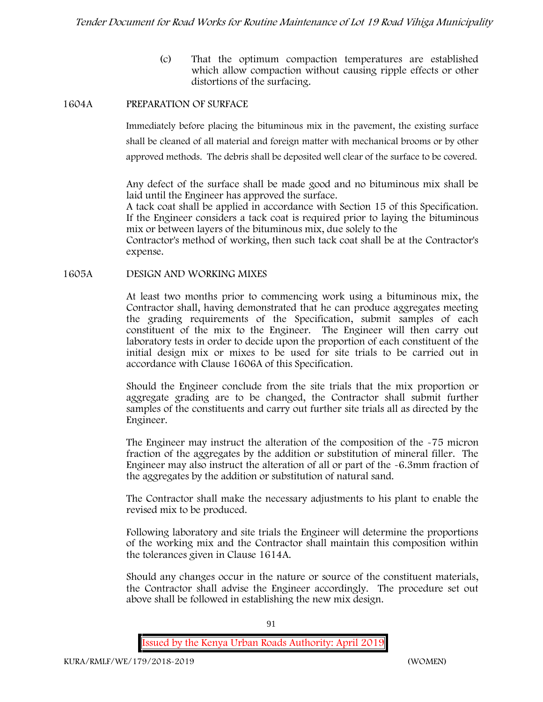(c) That the optimum compaction temperatures are established which allow compaction without causing ripple effects or other distortions of the surfacing.

### **1604A PREPARATION OF SURFACE**

Immediately before placing the bituminous mix in the pavement, the existing surface shall be cleaned of all material and foreign matter with mechanical brooms or by other approved methods. The debris shall be deposited well clear of the surface to be covered.

Any defect of the surface shall be made good and no bituminous mix shall be laid until the Engineer has approved the surface.

A tack coat shall be applied in accordance with Section 15 of this Specification. If the Engineer considers a tack coat is required prior to laying the bituminous mix or between layers of the bituminous mix, due solely to the

Contractor's method of working, then such tack coat shall be at the Contractor's expense.

**1605A DESIGN AND WORKING MIXES**

At least two months prior to commencing work using a bituminous mix, the Contractor shall, having demonstrated that he can produce aggregates meeting the grading requirements of the Specification, submit samples of each constituent of the mix to the Engineer. The Engineer will then carry out laboratory tests in order to decide upon the proportion of each constituent of the initial design mix or mixes to be used for site trials to be carried out in accordance with Clause 1606A of this Specification.

Should the Engineer conclude from the site trials that the mix proportion or aggregate grading are to be changed, the Contractor shall submit further samples of the constituents and carry out further site trials all as directed by the Engineer.

The Engineer may instruct the alteration of the composition of the -75 micron fraction of the aggregates by the addition or substitution of mineral filler. The Engineer may also instruct the alteration of all or part of the -6.3mm fraction of the aggregates by the addition or substitution of natural sand.

The Contractor shall make the necessary adjustments to his plant to enable the revised mix to be produced.

Following laboratory and site trials the Engineer will determine the proportions of the working mix and the Contractor shall maintain this composition within the tolerances given in Clause 1614A.

Should any changes occur in the nature or source of the constituent materials, the Contractor shall advise the Engineer accordingly. The procedure set out above shall be followed in establishing the new mix design.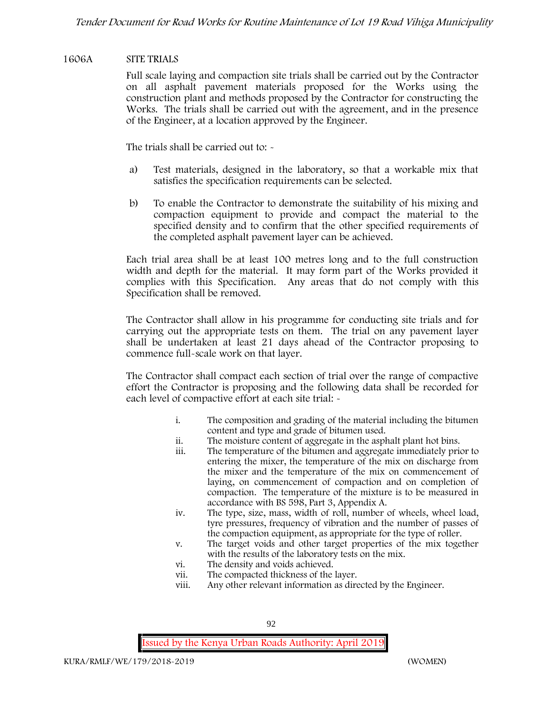## **1606A SITE TRIALS**

Full scale laying and compaction site trials shall be carried out by the Contractor on all asphalt pavement materials proposed for the Works using the construction plant and methods proposed by the Contractor for constructing the Works. The trials shall be carried out with the agreement, and in the presence of the Engineer, at a location approved by the Engineer.

The trials shall be carried out to: -

- a) Test materials, designed in the laboratory, so that a workable mix that satisfies the specification requirements can be selected.
- b) To enable the Contractor to demonstrate the suitability of his mixing and compaction equipment to provide and compact the material to the specified density and to confirm that the other specified requirements of the completed asphalt pavement layer can be achieved.

Each trial area shall be at least 100 metres long and to the full construction width and depth for the material. It may form part of the Works provided it complies with this Specification. Any areas that do not comply with this Specification shall be removed.

The Contractor shall allow in his programme for conducting site trials and for carrying out the appropriate tests on them. The trial on any pavement layer shall be undertaken at least 21 days ahead of the Contractor proposing to commence full-scale work on that layer.

The Contractor shall compact each section of trial over the range of compactive effort the Contractor is proposing and the following data shall be recorded for each level of compactive effort at each site trial:  $\sim$ 

- i. The composition and grading of the material including the bitumen content and type and grade of bitumen used.
- ii. The moisture content of aggregate in the asphalt plant hot bins.
- iii. The temperature of the bitumen and aggregate immediately prior to entering the mixer, the temperature of the mix on discharge from the mixer and the temperature of the mix on commencement of laying, on commencement of compaction and on completion of compaction. The temperature of the mixture is to be measured in accordance with BS 598, Part 3, Appendix A.
- iv. The type, size, mass, width of roll, number of wheels, wheel load, tyre pressures, frequency of vibration and the number of passes of the compaction equipment, as appropriate for the type of roller.
- v. The target voids and other target properties of the mix together with the results of the laboratory tests on the mix.
- vi. The density and voids achieved.
- vii. The compacted thickness of the layer.
- viii. Any other relevant information as directed by the Engineer.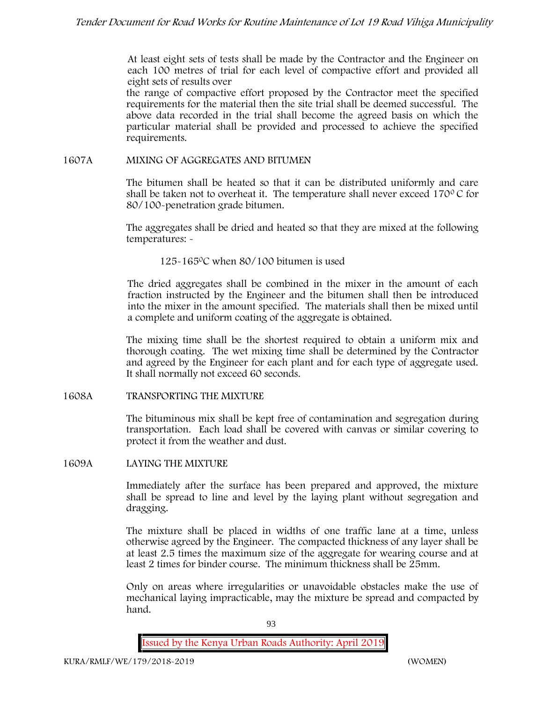At least eight sets of tests shall be made by the Contractor and the Engineer on each 100 metres of trial for each level of compactive effort and provided all eight sets of results over

the range of compactive effort proposed by the Contractor meet the specified requirements for the material then the site trial shall be deemed successful. The above data recorded in the trial shall become the agreed basis on which the particular material shall be provided and processed to achieve the specified requirements.

## **1607A MIXING OF AGGREGATES AND BITUMEN**

The bitumen shall be heated so that it can be distributed uniformly and care shall be taken not to overheat it. The temperature shall never exceed  $170^{\circ}$ C for 80/100-penetration grade bitumen.

The aggregates shall be dried and heated so that they are mixed at the following temperatures: -

125-1650C when 80/100 bitumen is used

The dried aggregates shall be combined in the mixer in the amount of each fraction instructed by the Engineer and the bitumen shall then be introduced into the mixer in the amount specified. The materials shall then be mixed until a complete and uniform coating of the aggregate is obtained.

The mixing time shall be the shortest required to obtain a uniform mix and thorough coating. The wet mixing time shall be determined by the Contractor and agreed by the Engineer for each plant and for each type of aggregate used. It shall normally not exceed 60 seconds.

**1608A TRANSPORTING THE MIXTURE**

The bituminous mix shall be kept free of contamination and segregation during transportation. Each load shall be covered with canvas or similar covering to protect it from the weather and dust.

## **1609A LAYING THE MIXTURE**

Immediately after the surface has been prepared and approved, the mixture shall be spread to line and level by the laying plant without segregation and dragging.

The mixture shall be placed in widths of one traffic lane at a time, unless otherwise agreed by the Engineer. The compacted thickness of any layer shall be at least 2.5 times the maximum size of the aggregate for wearing course and at least 2 times for binder course. The minimum thickness shall be 25mm.

Only on areas where irregularities or unavoidable obstacles make the use of mechanical laying impracticable, may the mixture be spread and compacted by hand.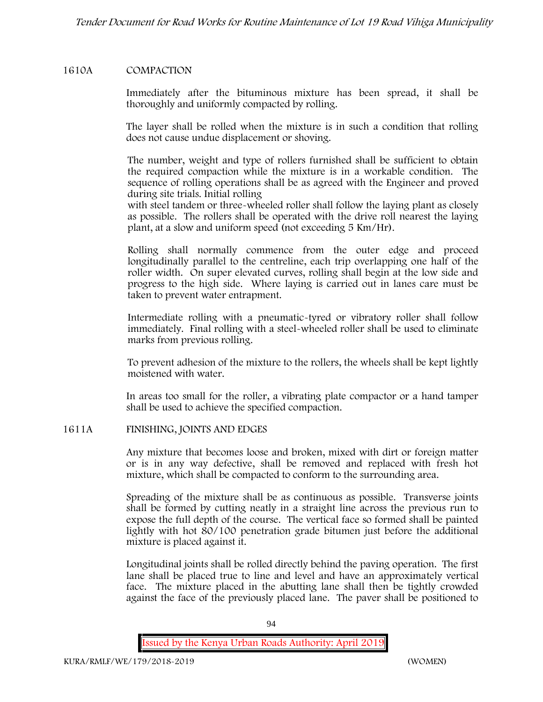## **1610A COMPACTION**

Immediately after the bituminous mixture has been spread, it shall be thoroughly and uniformly compacted by rolling.

The layer shall be rolled when the mixture is in such a condition that rolling does not cause undue displacement or shoving.

The number, weight and type of rollers furnished shall be sufficient to obtain the required compaction while the mixture is in a workable condition. The sequence of rolling operations shall be as agreed with the Engineer and proved during site trials. Initial rolling

with steel tandem or three-wheeled roller shall follow the laying plant as closely as possible. The rollers shall be operated with the drive roll nearest the laying plant, at a slow and uniform speed (not exceeding 5 Km/Hr).

Rolling shall normally commence from the outer edge and proceed longitudinally parallel to the centreline, each trip overlapping one half of the roller width. On super elevated curves, rolling shall begin at the low side and progress to the high side. Where laying is carried out in lanes care must be taken to prevent water entrapment.

Intermediate rolling with a pneumatic-tyred or vibratory roller shall follow immediately. Final rolling with a steel-wheeled roller shall be used to eliminate marks from previous rolling.

To prevent adhesion of the mixture to the rollers, the wheels shall be kept lightly moistened with water.

In areas too small for the roller, a vibrating plate compactor or a hand tamper shall be used to achieve the specified compaction.

## **1611A FINISHING, JOINTS AND EDGES**

Any mixture that becomes loose and broken, mixed with dirt or foreign matter or is in any way defective, shall be removed and replaced with fresh hot mixture, which shall be compacted to conform to the surrounding area.

Spreading of the mixture shall be as continuous as possible. Transverse joints shall be formed by cutting neatly in a straight line across the previous run to expose the full depth of the course. The vertical face so formed shall be painted lightly with hot 80/100 penetration grade bitumen just before the additional mixture is placed against it.

Longitudinal joints shall be rolled directly behind the paving operation. The first lane shall be placed true to line and level and have an approximately vertical face. The mixture placed in the abutting lane shall then be tightly crowded against the face of the previously placed lane. The paver shall be positioned to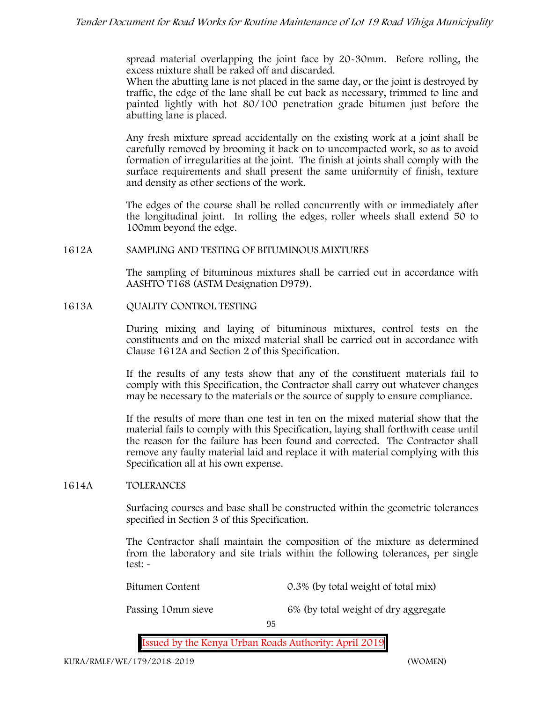spread material overlapping the joint face by 20-30mm. Before rolling, the excess mixture shall be raked off and discarded.

When the abutting lane is not placed in the same day, or the joint is destroyed by traffic, the edge of the lane shall be cut back as necessary, trimmed to line and painted lightly with hot 80/100 penetration grade bitumen just before the abutting lane is placed.

Any fresh mixture spread accidentally on the existing work at a joint shall be carefully removed by brooming it back on to uncompacted work, so as to avoid formation of irregularities at the joint. The finish at joints shall comply with the surface requirements and shall present the same uniformity of finish, texture and density as other sections of the work.

The edges of the course shall be rolled concurrently with or immediately after the longitudinal joint. In rolling the edges, roller wheels shall extend 50 to 100mm beyond the edge.

## **1612A SAMPLING AND TESTING OF BITUMINOUS MIXTURES**

The sampling of bituminous mixtures shall be carried out in accordance with AASHTO T168 (ASTM Designation D979).

**1613A QUALITY CONTROL TESTING**

During mixing and laying of bituminous mixtures, control tests on the constituents and on the mixed material shall be carried out in accordance with Clause 1612A and Section 2 of this Specification.

If the results of any tests show that any of the constituent materials fail to comply with this Specification, the Contractor shall carry out whatever changes may be necessary to the materials or the source of supply to ensure compliance.

If the results of more than one test in ten on the mixed material show that the material fails to comply with this Specification, laying shall forthwith cease until the reason for the failure has been found and corrected. The Contractor shall remove any faulty material laid and replace it with material complying with this Specification all at his own expense.

## **1614A TOLERANCES**

Surfacing courses and base shall be constructed within the geometric tolerances specified in Section 3 of this Specification.

The Contractor shall maintain the composition of the mixture as determined from the laboratory and site trials within the following tolerances, per single test: -

Bitumen Content 0.3% (by total weight of total mix)

Passing 10mm sieve 6% (by total weight of dry aggregate

95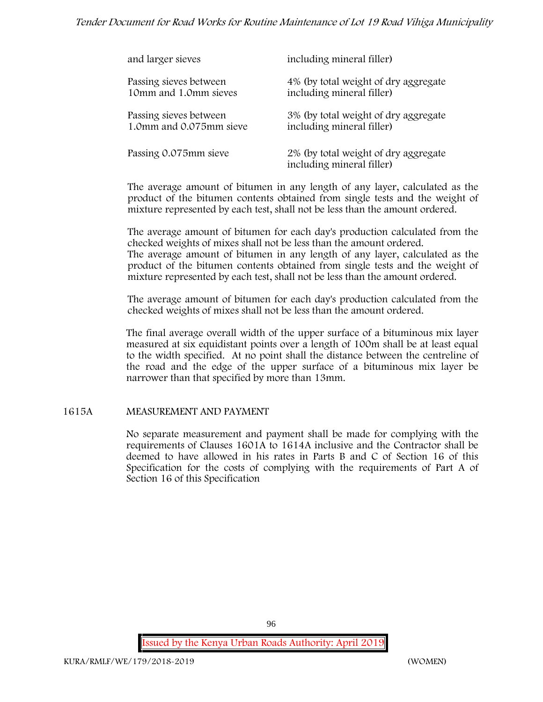# *Tender Document for Road Works for Routine Maintenance of Lot 19 Road Vihiga Municipality*

| and larger sieves       | including mineral filler)                                         |
|-------------------------|-------------------------------------------------------------------|
| Passing sieves between  | 4% (by total weight of dry aggregate                              |
| 10mm and 1.0mm sieves   | including mineral filler)                                         |
| Passing sieves between  | 3% (by total weight of dry aggregate                              |
| 1.0mm and 0.075mm sieve | including mineral filler)                                         |
| Passing 0.075mm sieve   | 2% (by total weight of dry aggregate<br>including mineral filler) |

The average amount of bitumen in any length of any layer, calculated as the product of the bitumen contents obtained from single tests and the weight of mixture represented by each test, shall not be less than the amount ordered.

The average amount of bitumen for each day's production calculated from the checked weights of mixes shall not be less than the amount ordered. The average amount of bitumen in any length of any layer, calculated as the product of the bitumen contents obtained from single tests and the weight of

The average amount of bitumen for each day's production calculated from the checked weights of mixes shall not be less than the amount ordered.

mixture represented by each test, shall not be less than the amount ordered.

The final average overall width of the upper surface of a bituminous mix layer measured at six equidistant points over a length of 100m shall be at least equal to the width specified. At no point shall the distance between the centreline of the road and the edge of the upper surface of a bituminous mix layer be narrower than that specified by more than 13mm.

## **1615A MEASUREMENT AND PAYMENT**

No separate measurement and payment shall be made for complying with the requirements of Clauses 1601A to 1614A inclusive and the Contractor shall be deemed to have allowed in his rates in Parts B and C of Section 16 of this Specification for the costs of complying with the requirements of Part A of Section 16 of this Specification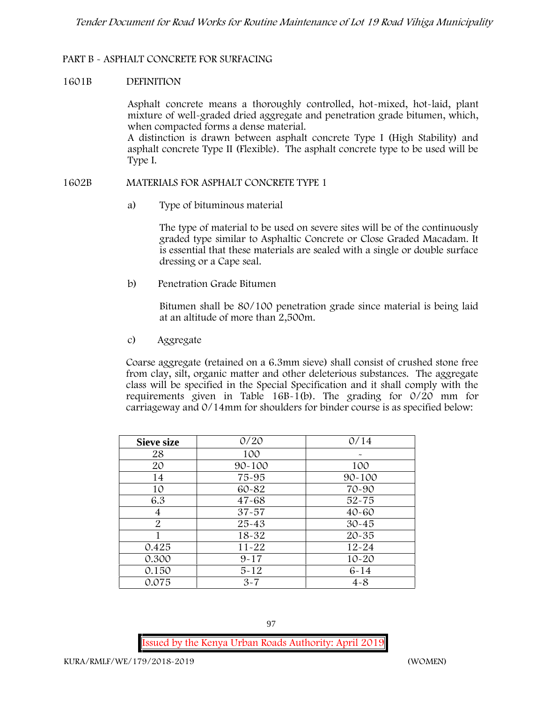## **PART B - ASPHALT CONCRETE FOR SURFACING**

### **1601B DEFINITION**

Asphalt concrete means a thoroughly controlled, hot-mixed, hot-laid, plant mixture of well-graded dried aggregate and penetration grade bitumen, which, when compacted forms a dense material.

A distinction is drawn between asphalt concrete Type I (High Stability) and asphalt concrete Type II (Flexible). The asphalt concrete type to be used will be Type I.

### **1602B MATERIALS FOR ASPHALT CONCRETE TYPE 1**

a) **Type of bituminous material**

The type of material to be used on severe sites will be of the continuously graded type similar to Asphaltic Concrete or Close Graded Macadam. It is essential that these materials are sealed with a single or double surface dressing or a Cape seal.

b) **Penetration Grade Bitumen**

Bitumen shall be 80/100 penetration grade since material is being laid at an altitude of more than 2,500m.

c) **Aggregate**

Coarse aggregate (retained on a 6.3mm sieve) shall consist of crushed stone free from clay, silt, organic matter and other deleterious substances. The aggregate class will be specified in the Special Specification and it shall comply with the requirements given in Table  $16B-1(b)$ . The grading for  $0/20$  mm for carriageway and 0/14mm for shoulders for binder course is as specified below:

| <b>Sieve size</b> | 0/20       | 0/14       |
|-------------------|------------|------------|
| 28                | 100        |            |
| 20                | $90 - 100$ | 100        |
| 14                | 75-95      | $90 - 100$ |
| 10                | 60-82      | 70-90      |
| 6.3               | $47 - 68$  | $52 - 75$  |
| 4                 | $37 - 57$  | $40 - 60$  |
| 2                 | 25-43      | $30 - 45$  |
|                   | 18-32      | $20 - 35$  |
| 0.425             | $11 - 22$  | $12 - 24$  |
| 0.300             | $9 - 17$   | $10 - 20$  |
| 0.150             | $5 - 12$   | $6 - 14$   |
| 0.075             | $3 - 7$    | $4 - 8$    |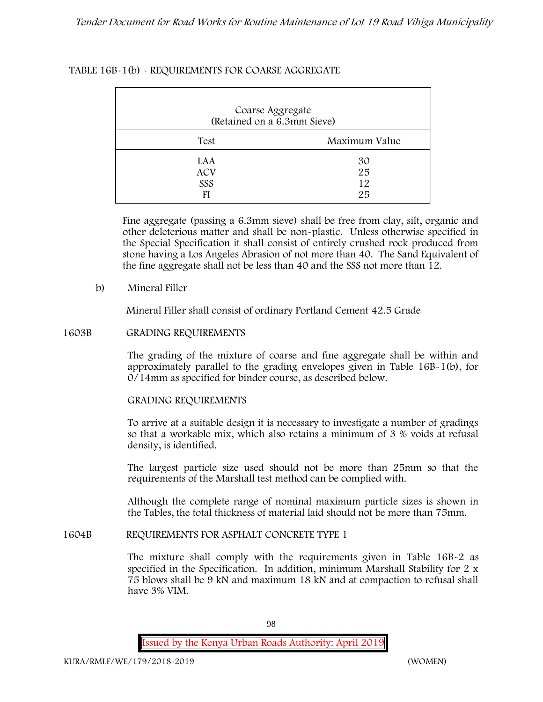# **TABLE 16B-1(b) - REQUIREMENTS FOR COARSE AGGREGATE**

| Coarse Aggregate<br>(Retained on a 6.3mm Sieve) |                      |
|-------------------------------------------------|----------------------|
| Test                                            | Maximum Value        |
| LAA<br><b>ACV</b><br>SSS                        | 30<br>25<br>12<br>25 |

Fine aggregate (passing a 6.3mm sieve) shall be free from clay, silt, organic and other deleterious matter and shall be non-plastic. Unless otherwise specified in the Special Specification it shall consist of entirely crushed rock produced from stone having a Los Angeles Abrasion of not more than 40. The Sand Equivalent of the fine aggregate shall not be less than 40 and the SSS not more than 12.

## **b) Mineral Filler**

Mineral Filler shall consist of ordinary Portland Cement 42.5 Grade

## **1603B GRADING REQUIREMENTS**

The grading of the mixture of coarse and fine aggregate shall be within and approximately parallel to the grading envelopes given in Table 16B-1(b), for 0/14mm as specified for binder course, as described below.

## **GRADING REQUIREMENTS**

To arrive at a suitable design it is necessary to investigate a number of gradings so that a workable mix, which also retains a minimum of 3 % voids at refusal density, is identified.

The largest particle size used should not be more than 25mm so that the requirements of the Marshall test method can be complied with.

Although the complete range of nominal maximum particle sizes is shown in the Tables, the total thickness of material laid should not be more than 75mm.

## **1604B REQUIREMENTS FOR ASPHALT CONCRETE TYPE 1**

The mixture shall comply with the requirements given in Table 16B-2 as specified in the Specification. In addition, minimum Marshall Stability for 2 x 75 blows shall be 9 kN and maximum 18 kN and at compaction to refusal shall have 3% VIM.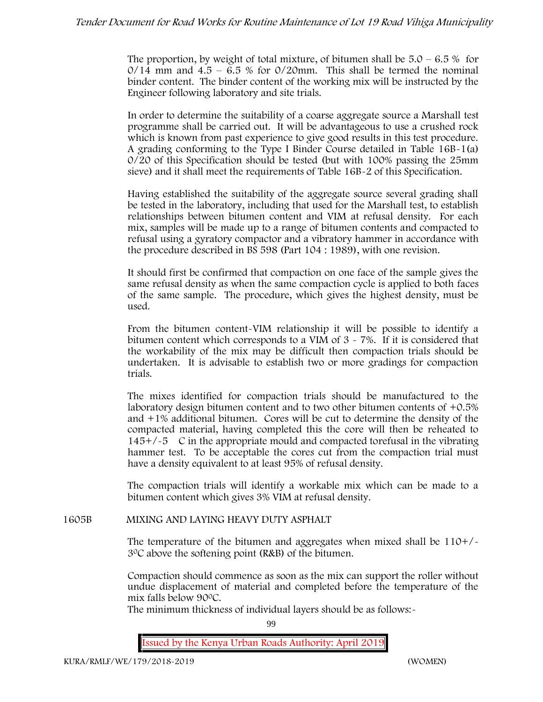The proportion, by weight of total mixture, of bitumen shall be  $5.0 - 6.5\%$  for  $0/14$  mm and  $4.5 - 6.5$  % for  $0/20$ mm. This shall be termed the nominal binder content. The binder content of the working mix will be instructed by the Engineer following laboratory and site trials.

In order to determine the suitability of a coarse aggregate source a Marshall test programme shall be carried out. It will be advantageous to use a crushed rock which is known from past experience to give good results in this test procedure. A grading conforming to the Type I Binder Course detailed in Table 16B-1(a) 0/20 of this Specification should be tested (but with 100% passing the 25mm sieve) and it shall meet the requirements of Table 16B-2 of this Specification.

Having established the suitability of the aggregate source several grading shall be tested in the laboratory, including that used for the Marshall test, to establish relationships between bitumen content and VIM at refusal density. For each mix, samples will be made up to a range of bitumen contents and compacted to refusal using a gyratory compactor and a vibratory hammer in accordance with the procedure described in BS 598 (Part 104 : 1989), with one revision.

It should first be confirmed that compaction on one face of the sample gives the same refusal density as when the same compaction cycle is applied to both faces of the same sample. The procedure, which gives the highest density, must be used.

From the bitumen content-VIM relationship it will be possible to identify a bitumen content which corresponds to a VIM of  $3 \times 7\%$ . If it is considered that the workability of the mix may be difficult then compaction trials should be undertaken. It is advisable to establish two or more gradings for compaction trials.

The mixes identified for compaction trials should be manufactured to the laboratory design bitumen content and to two other bitumen contents of +0.5% and +1% additional bitumen. Cores will be cut to determine the density of the compacted material, having completed this the core will then be reheated to  $145+/5$  C in the appropriate mould and compacted torefusal in the vibrating hammer test. To be acceptable the cores cut from the compaction trial must have a density equivalent to at least 95% of refusal density.

The compaction trials will identify a workable mix which can be made to a bitumen content which gives 3% VIM at refusal density.

**1605B MIXING AND LAYING HEAVY DUTY ASPHALT**

The temperature of the bitumen and aggregates when mixed shall be  $110+/$ 30C above the softening point (R&B) of the bitumen.

Compaction should commence as soon as the mix can support the roller without undue displacement of material and completed before the temperature of the mix falls below 900C.

The minimum thickness of individual layers should be as follows:-

99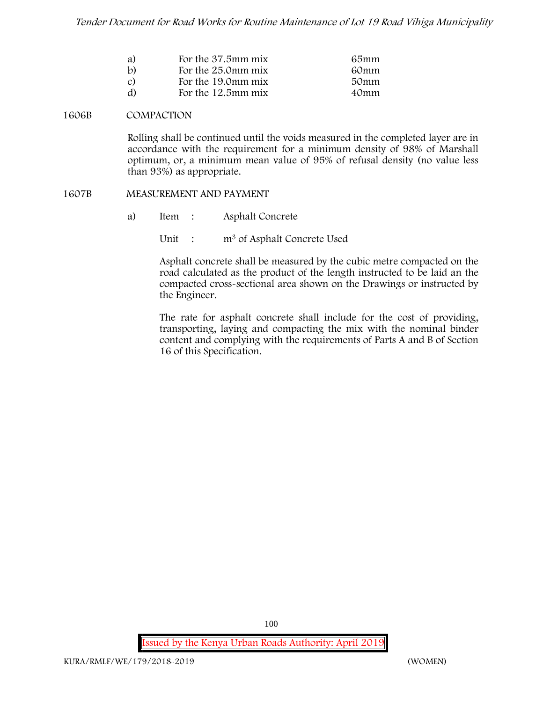| a)           | For the 37.5mm mix | 65mm |
|--------------|--------------------|------|
| $\mathbf{b}$ | For the 25.0mm mix | 60mm |
| C)           | For the 19.0mm mix | 50mm |
| d)           | For the 12.5mm mix | 40mm |

#### **1606B COMPACTION**

Rolling shall be continued until the voids measured in the completed layer are in accordance with the requirement for a minimum density of 98% of Marshall optimum, or, a minimum mean value of 95% of refusal density (no value less than 93%) as appropriate.

#### **1607B MEASUREMENT AND PAYMENT**

- a) Item : Asphalt Concrete
	- Unit : m<sup>3</sup> of Asphalt Concrete Used

Asphalt concrete shall be measured by the cubic metre compacted on the road calculated as the product of the length instructed to be laid an the compacted cross-sectional area shown on the Drawings or instructed by the Engineer.

The rate for asphalt concrete shall include for the cost of providing, transporting, laying and compacting the mix with the nominal binder content and complying with the requirements of Parts A and B of Section 16 of this Specification.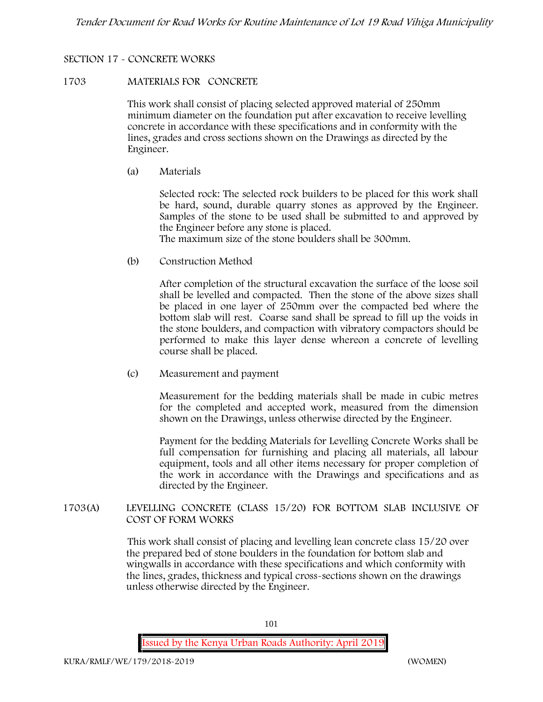# **SECTION 17 - CONCRETE WORKS**

### **1703 MATERIALS FOR CONCRETE**

This work shall consist of placing selected approved material of 250mm minimum diameter on the foundation put after excavation to receive levelling concrete in accordance with these specifications and in conformity with the lines, grades and cross sections shown on the Drawings as directed by the Engineer.

(a) **Materials**

Selected rock: The selected rock builders to be placed for this work shall be hard, sound, durable quarry stones as approved by the Engineer. Samples of the stone to be used shall be submitted to and approved by the Engineer before any stone is placed.

The maximum size of the stone boulders shall be 300mm.

(b) **Construction Method**

After completion of the structural excavation the surface of the loose soil shall be levelled and compacted. Then the stone of the above sizes shall be placed in one layer of 250mm over the compacted bed where the bottom slab will rest. Coarse sand shall be spread to fill up the voids in the stone boulders, and compaction with vibratory compactors should be performed to make this layer dense whereon a concrete of levelling course shall be placed.

(c) **Measurement and payment**

Measurement for the bedding materials shall be made in cubic metres for the completed and accepted work, measured from the dimension shown on the Drawings, unless otherwise directed by the Engineer.

Payment for the bedding Materials for Levelling Concrete Works shall be full compensation for furnishing and placing all materials, all labour equipment, tools and all other items necessary for proper completion of the work in accordance with the Drawings and specifications and as directed by the Engineer.

**1703(A) LEVELLING CONCRETE (CLASS 15/20) FOR BOTTOM SLAB INCLUSIVE OF COST OF FORM WORKS**

> This work shall consist of placing and levelling lean concrete class 15/20 over the prepared bed of stone boulders in the foundation for bottom slab and wingwalls in accordance with these specifications and which conformity with the lines, grades, thickness and typical cross-sections shown on the drawings unless otherwise directed by the Engineer.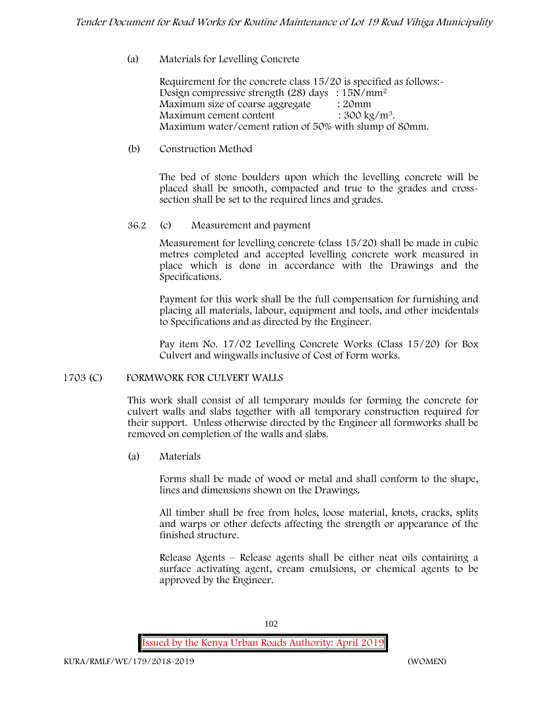# (a) **Materials for Levelling Concrete**

Requirement for the concrete class 15/20 is specified as follows:- Design compressive strength (28) days : 15N/mm<sup>2</sup> Maximum size of coarse aggregate : 20mm Maximum cement content  $: 300 \text{ kg/m}^3$ . Maximum water/cement ration of 50% with slump of 80mm.

## (b) **Construction Method**

The bed of stone boulders upon which the levelling concrete will be placed shall be smooth, compacted and true to the grades and crosssection shall be set to the required lines and grades.

## **36.2** (c) **Measurement and payment**

Measurement for levelling concrete (class 15/20) shall be made in cubic metres completed and accepted levelling concrete work measured in place which is done in accordance with the Drawings and the Specifications.

Payment for this work shall be the full compensation for furnishing and placing all materials, labour, equipment and tools, and other incidentals to Specifications and as directed by the Engineer.

Pay item No. 17/02 Levelling Concrete Works (Class 15/20) for Box Culvert and wingwalls inclusive of Cost of Form works.

## **1703 (C) FORMWORK FOR CULVERT WALLS**

This work shall consist of all temporary moulds for forming the concrete for culvert walls and slabs together with all temporary construction required for their support. Unless otherwise directed by the Engineer all formworks shall be removed on completion of the walls and slabs.

(a) **Materials**

Forms shall be made of wood or metal and shall conform to the shape, lines and dimensions shown on the Drawings.

All timber shall be free from holes, loose material, knots, cracks, splits and warps or other defects affecting the strength or appearance of the finished structure.

Release Agents – Release agents shall be either neat oils containing a surface activating agent, cream emulsions, or chemical agents to be approved by the Engineer.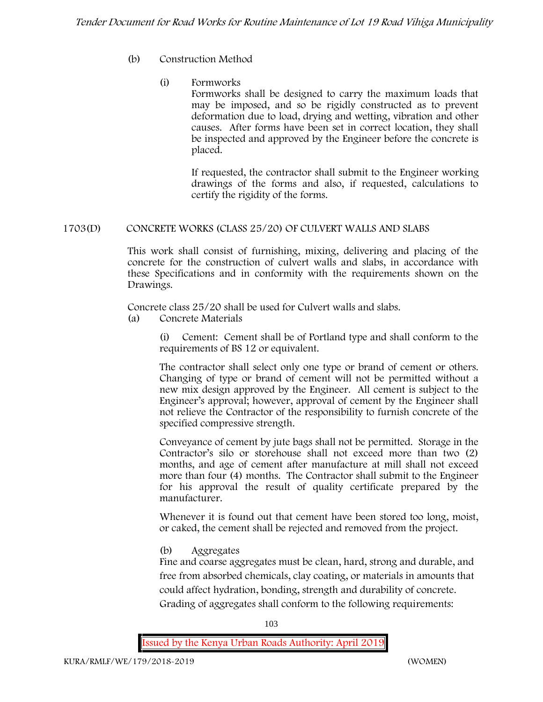# (b) **Construction Method**

# (i) **Formworks**

Formworks shall be designed to carry the maximum loads that may be imposed, and so be rigidly constructed as to prevent deformation due to load, drying and wetting, vibration and other causes. After forms have been set in correct location, they shall be inspected and approved by the Engineer before the concrete is placed.

If requested, the contractor shall submit to the Engineer working drawings of the forms and also, if requested, calculations to certify the rigidity of the forms.

# **1703(D) CONCRETE WORKS (CLASS 25/20) OF CULVERT WALLS AND SLABS**

This work shall consist of furnishing, mixing, delivering and placing of the concrete for the construction of culvert walls and slabs, in accordance with these Specifications and in conformity with the requirements shown on the Drawings.

Concrete class 25/20 shall be used for Culvert walls and slabs.

**(a) Concrete Materials**

(i) Cement: Cement shall be of Portland type and shall conform to the requirements of BS 12 or equivalent.

The contractor shall select only one type or brand of cement or others. Changing of type or brand of cement will not be permitted without a new mix design approved by the Engineer. All cement is subject to the Engineer's approval; however, approval of cement by the Engineer shall not relieve the Contractor of the responsibility to furnish concrete of the specified compressive strength.

Conveyance of cement by jute bags shall not be permitted. Storage in the Contractor's silo or storehouse shall not exceed more than two (2) months, and age of cement after manufacture at mill shall not exceed more than four (4) months. The Contractor shall submit to the Engineer for his approval the result of quality certificate prepared by the manufacturer.

Whenever it is found out that cement have been stored too long, moist, or caked, the cement shall be rejected and removed from the project.

# **(b) Aggregates**

Fine and coarse aggregates must be clean, hard, strong and durable, and free from absorbed chemicals, clay coating, or materials in amounts that could affect hydration, bonding, strength and durability of concrete. Grading of aggregates shall conform to the following requirements:

103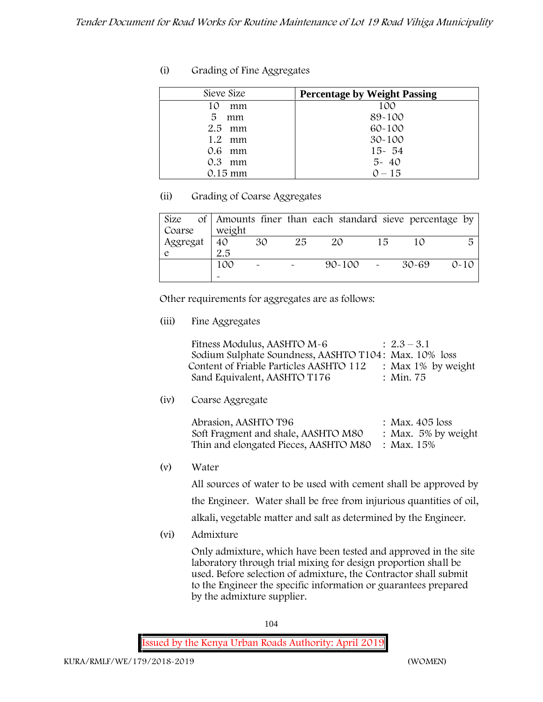| (i) | Grading of Fine Aggregates |  |
|-----|----------------------------|--|
|-----|----------------------------|--|

| Sieve Size     | <b>Percentage by Weight Passing</b> |
|----------------|-------------------------------------|
| 10<br>mm       | 100                                 |
| 5<br>mm        | 89-100                              |
| 2.5<br>mm      | $60 - 100$                          |
| $1.2 \cdot mm$ | $30 - 100$                          |
| $0.6$ mm       | $15 - 54$                           |
| $0.3$ mm       | $5 - 40$                            |
| 0.15 mm        | $0 - 15$                            |

# **(ii) Grading of Coarse Aggregates**

| Size     |        |                           |                       | of Amounts finer than each standard sieve percentage by |    |       |          |
|----------|--------|---------------------------|-----------------------|---------------------------------------------------------|----|-------|----------|
| Coarse   | weight |                           |                       |                                                         |    |       |          |
| Aggregat | 40     | 30                        | 25                    | 20                                                      | 15 |       | 局        |
|          | 2.5    |                           |                       |                                                         |    |       |          |
|          | 100    | $\widetilde{\phantom{m}}$ | $\tilde{\phantom{a}}$ | $90 - 100$ -                                            |    | 30-69 | $0 - 10$ |
|          |        |                           |                       |                                                         |    |       |          |

Other requirements for aggregates are as follows:

**(iii) Fine Aggregates**

| Fitness Modulus, AASHTO M-6                           | $: 2.3 - 3.1$         |
|-------------------------------------------------------|-----------------------|
| Sodium Sulphate Soundness, AASHTO T104: Max. 10% loss |                       |
| Content of Friable Particles AASHTO 112               | : Max $1\%$ by weight |
| Sand Equivalent, AASHTO T176                          | $\therefore$ Min. 75  |

**(iv) Coarse Aggregate**

| Abrasion, AASHTO T96                             | : Max. $405$ loss      |
|--------------------------------------------------|------------------------|
| Soft Fragment and shale, AASHTO M80              | : Max. $5\%$ by weight |
| Thin and elongated Pieces, AASHTO M80 : Max. 15% |                        |

**(v) Water**

All sources of water to be used with cement shall be approved by

the Engineer. Water shall be free from injurious quantities of oil,

alkali, vegetable matter and salt as determined by the Engineer.

**(vi) Admixture**

Only admixture, which have been tested and approved in the site laboratory through trial mixing for design proportion shall be used. Before selection of admixture, the Contractor shall submit to the Engineer the specific information or guarantees prepared by the admixture supplier.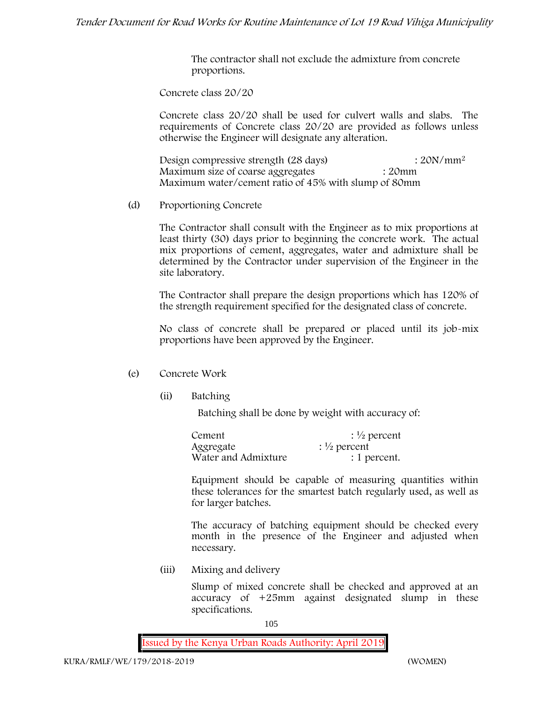The contractor shall not exclude the admixture from concrete proportions.

**Concrete class 20/20**

Concrete class 20/20 shall be used for culvert walls and slabs. The requirements of Concrete class 20/20 are provided as follows unless otherwise the Engineer will designate any alteration.

Design compressive strength (28 days) : 20N/mm<sup>2</sup> Maximum size of coarse aggregates : 20mm Maximum water/cement ratio of 45% with slump of 80mm

(d) **Proportioning Concrete**

The Contractor shall consult with the Engineer as to mix proportions at least thirty (30) days prior to beginning the concrete work. The actual mix proportions of cement, aggregates, water and admixture shall be determined by the Contractor under supervision of the Engineer in the site laboratory.

The Contractor shall prepare the design proportions which has 120% of the strength requirement specified for the designated class of concrete.

No class of concrete shall be prepared or placed until its job-mix proportions have been approved by the Engineer.

# (e) **Concrete Work**

**(ii) Batching**

Batching shall be done by weight with accuracy of:

| Cement              | $\frac{1}{2}$ percent |
|---------------------|-----------------------|
| Aggregate           | $\frac{1}{2}$ percent |
| Water and Admixture | : 1 percent.          |

Equipment should be capable of measuring quantities within these tolerances for the smartest batch regularly used, as well as for larger batches.

The accuracy of batching equipment should be checked every month in the presence of the Engineer and adjusted when necessary.

**(iii) Mixing and delivery**

Slump of mixed concrete shall be checked and approved at an accuracy of +25mm against designated slump in these specifications.

105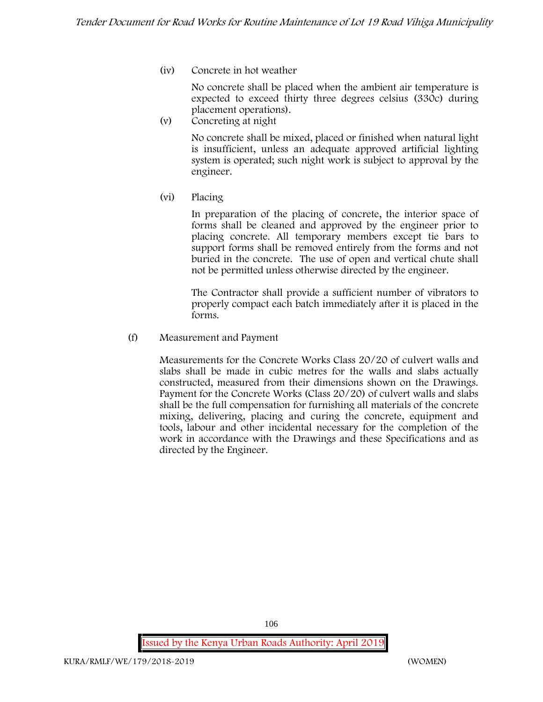**(iv) Concrete in hot weather**

No concrete shall be placed when the ambient air temperature is expected to exceed thirty three degrees celsius (330c) during placement operations).

**(v) Concreting at night**

No concrete shall be mixed, placed or finished when natural light is insufficient, unless an adequate approved artificial lighting system is operated; such night work is subject to approval by the engineer.

**(vi) Placing**

In preparation of the placing of concrete, the interior space of forms shall be cleaned and approved by the engineer prior to placing concrete. All temporary members except tie bars to support forms shall be removed entirely from the forms and not buried in the concrete. The use of open and vertical chute shall not be permitted unless otherwise directed by the engineer.

The Contractor shall provide a sufficient number of vibrators to properly compact each batch immediately after it is placed in the forms.

(f) **Measurement and Payment**

Measurements for the Concrete Works Class 20/20 of culvert walls and slabs shall be made in cubic metres for the walls and slabs actually constructed, measured from their dimensions shown on the Drawings. Payment for the Concrete Works (Class 20/20) of culvert walls and slabs shall be the full compensation for furnishing all materials of the concrete mixing, delivering, placing and curing the concrete, equipment and tools, labour and other incidental necessary for the completion of the work in accordance with the Drawings and these Specifications and as directed by the Engineer.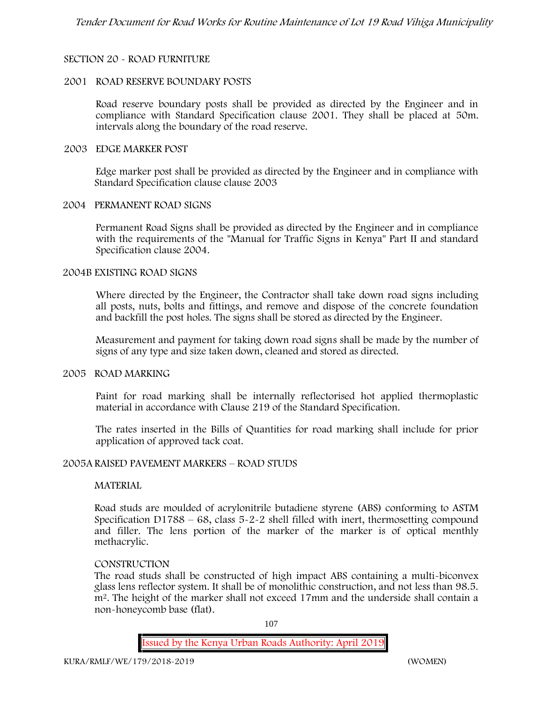# **SECTION 20 - ROAD FURNITURE**

### **2001 ROAD RESERVE BOUNDARY POSTS**

Road reserve boundary posts shall be provided as directed by the Engineer and in compliance with Standard Specification clause 2001. They shall be placed at 50m. intervals along the boundary of the road reserve.

### **2003 EDGE MARKER POST**

Edge marker post shall be provided as directed by the Engineer and in compliance with Standard Specification clause clause 2003

# **2004 PERMANENT ROAD SIGNS**

Permanent Road Signs shall be provided as directed by the Engineer and in compliance with the requirements of the "Manual for Traffic Signs in Kenya" Part II and standard Specification clause 2004.

### **2004B EXISTING ROAD SIGNS**

Where directed by the Engineer, the Contractor shall take down road signs including all posts, nuts, bolts and fittings, and remove and dispose of the concrete foundation and backfill the post holes. The signs shall be stored as directed by the Engineer.

Measurement and payment for taking down road signs shall be made by the number of signs of any type and size taken down, cleaned and stored as directed.

#### **2005 ROAD MARKING**

Paint for road marking shall be internally reflectorised hot applied thermoplastic material in accordance with Clause 219 of the Standard Specification.

The rates inserted in the Bills of Quantities for road marking shall include for prior application of approved tack coat.

## **2005A RAISED PAVEMENT MARKERS – ROAD STUDS**

## **MATERIAL**

Road studs are moulded of acrylonitrile butadiene styrene (ABS) conforming to ASTM Specification D1788 –  $68$ , class  $5-2-2$  shell filled with inert, thermosetting compound and filler. The lens portion of the marker of the marker is of optical menthly methacrylic.

## **CONSTRUCTION**

The road studs shall be constructed of high impact ABS containing a multi-biconvex glass lens reflector system. It shall be of monolithic construction, and not less than 98.5. m2. The height of the marker shall not exceed 17mm and the underside shall contain a non-honeycomb base (flat).

107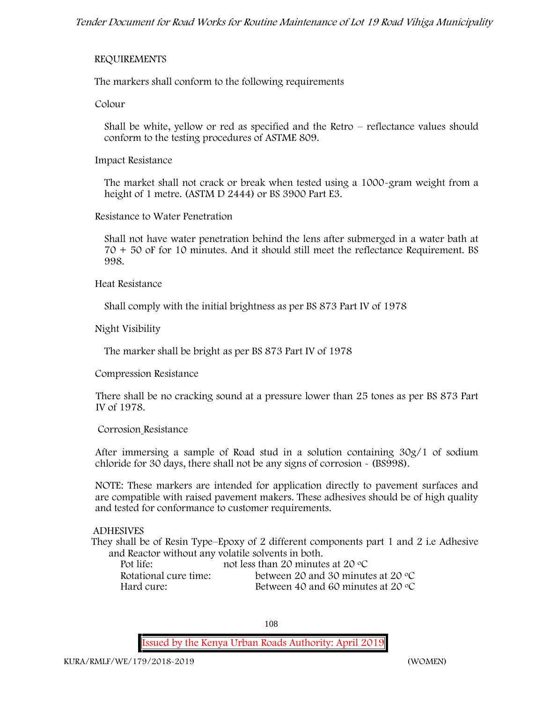### **REQUIREMENTS**

The markers shall conform to the following requirements

**Colour**

Shall be white, yellow or red as specified and the Retro – reflectance values should conform to the testing procedures of ASTME 809.

**Impact Resistance**

The market shall not crack or break when tested using a 1000**-**gram weight from a height of 1 metre. (ASTM D 2444) or BS 3900 Part E3.

**Resistance to Water Penetration**

Shall not have water penetration behind the lens after submerged in a water bath at 70 + 50 oF for 10 minutes. And it should still meet the reflectance Requirement. BS 998.

**Heat Resistance**

Shall comply with the initial brightness as per BS 873 Part IV of 1978

**Night Visibility**

The marker shall be bright as per BS 873 Part IV of 1978

**Compression Resistance**

There shall be no cracking sound at a pressure lower than 25 tones as per BS 873 Part IV of 1978.

#### **Corrosion Resistance**

After immersing a sample of Road stud in a solution containing 30g/1 of sodium chloride for 30 days, there shall not be any signs of corrosion **-** (BS998).

**NOTE**: These markers are intended for application directly to pavement surfaces and are compatible with raised pavement makers. These adhesives should be of high quality and tested for conformance to customer requirements.

### **ADHESIVES**

They shall be of Resin Type–Epoxy of 2 different components part 1 and 2 i.e Adhesive and Reactor without any volatile solvents in both.

| Pot life:             | not less than 20 minutes at 20 $\degree$ C  |
|-----------------------|---------------------------------------------|
| Rotational cure time: | between 20 and 30 minutes at 20 $\degree$ C |
| Hard cure:            | Between 40 and 60 minutes at 20 $\degree$ C |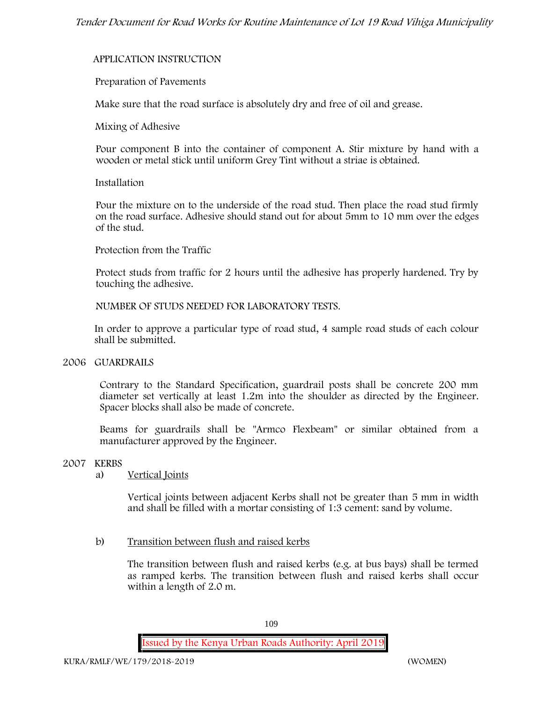### **APPLICATION INSTRUCTION**

### **Preparation of Pavements**

Make sure that the road surface is absolutely dry and free of oil and grease**.**

**Mixing of Adhesive**

Pour component B into the container of component A. Stir mixture by hand with a wooden or metal stick until uniform Grey Tint without a striae is obtained.

#### **Installation**

Pour the mixture on to the underside of the road stud. Then place the road stud firmly on the road surface. Adhesive should stand out for about 5mm to 10 mm over the edges of the stud.

**Protection from the Traffic**

Protect studs from traffic for 2 hours until the adhesive has properly hardened. Try by touching the adhesive.

**NUMBER OF STUDS NEEDED FOR LABORATORY TESTS.**

In order to approve a particular type of road stud, 4 sample road studs of each colour shall be submitted.

### **2006 GUARDRAILS**

Contrary to the Standard Specification, guardrail posts shall be concrete 200 mm diameter set vertically at least 1.2m into the shoulder as directed by the Engineer. Spacer blocks shall also be made of concrete.

Beams for guardrails shall be "Armco Flexbeam" or similar obtained from a manufacturer approved by the Engineer.

### **2007 KERBS**

a) **Vertical Joints**

Vertical joints between adjacent Kerbs shall not be greater than 5 mm in width and shall be filled with a mortar consisting of 1:3 cement: sand by volume.

b) **Transition between flush and raised kerbs**

The transition between flush and raised kerbs (e.g. at bus bays) shall be termed as ramped kerbs. The transition between flush and raised kerbs shall occur within a length of 2.0 m.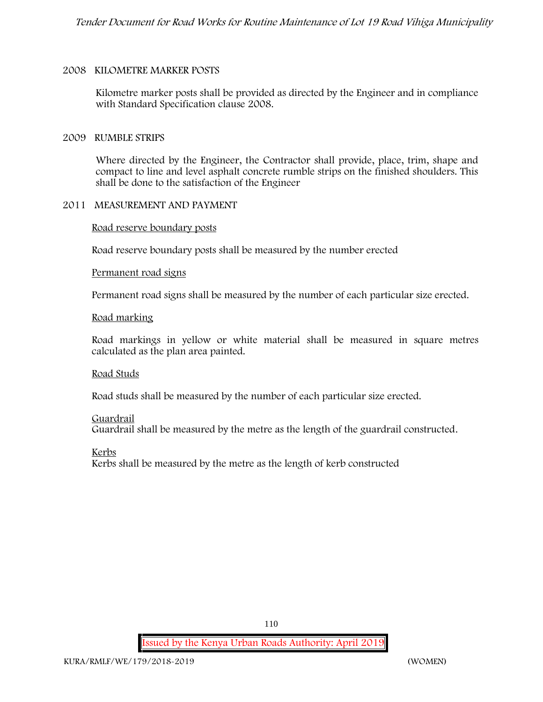### **2008 KILOMETRE MARKER POSTS**

Kilometre marker posts shall be provided as directed by the Engineer and in compliance with Standard Specification clause 2008.

#### **2009 RUMBLE STRIPS**

Where directed by the Engineer, the Contractor shall provide, place, trim, shape and compact to line and level asphalt concrete rumble strips on the finished shoulders. This shall be done to the satisfaction of the Engineer

### **2011 MEASUREMENT AND PAYMENT**

**Road reserve boundary posts**

Road reserve boundary posts shall be measured by the number erected

#### **Permanent road signs**

Permanent road signs shall be measured by the number of each particular size erected.

#### **Road marking**

Road markings in yellow or white material shall be measured in square metres calculated as the plan area painted.

#### **Road Studs**

Road studs shall be measured by the number of each particular size erected.

#### **Guardrail**

Guardrail shall be measured by the metre as the length of the guardrail constructed.

**Kerbs**

Kerbs shall be measured by the metre as the length of kerb constructed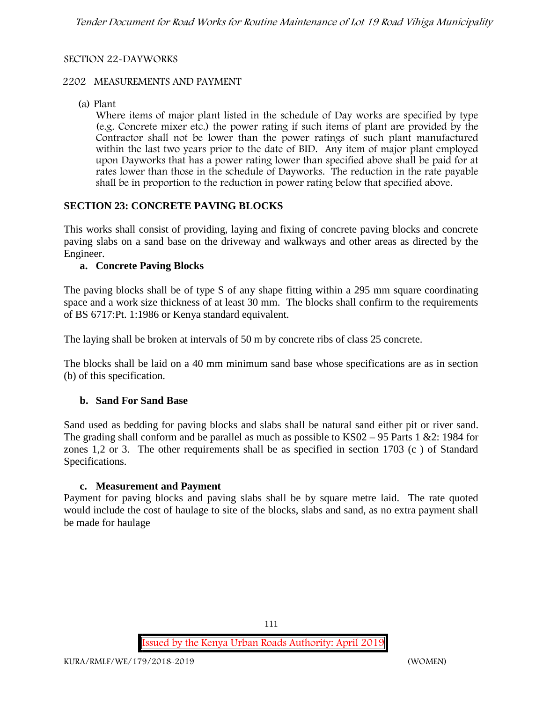### **SECTION 22-DAYWORKS**

### **2202 MEASUREMENTS AND PAYMENT**

(a) Plant

Where items of major plant listed in the schedule of Day works are specified by type (e.g. Concrete mixer etc.) the power rating if such items of plant are provided by the Contractor shall not be lower than the power ratings of such plant manufactured within the last two years prior to the date of BID. Any item of major plant employed upon Dayworks that has a power rating lower than specified above shall be paid for at rates lower than those in the schedule of Dayworks. The reduction in the rate payable shall be in proportion to the reduction in power rating below that specified above.

### **SECTION 23: CONCRETE PAVING BLOCKS**

This works shall consist of providing, laying and fixing of concrete paving blocks and concrete paving slabs on a sand base on the driveway and walkways and other areas as directed by the Engineer.

### **a. Concrete Paving Blocks**

The paving blocks shall be of type S of any shape fitting within a 295 mm square coordinating space and a work size thickness of at least 30 mm. The blocks shall confirm to the requirements of BS 6717:Pt. 1:1986 or Kenya standard equivalent.

The laying shall be broken at intervals of 50 m by concrete ribs of class 25 concrete.

The blocks shall be laid on a 40 mm minimum sand base whose specifications are as in section (b) of this specification.

### **b. Sand For Sand Base**

Sand used as bedding for paving blocks and slabs shall be natural sand either pit or river sand. The grading shall conform and be parallel as much as possible to KS02 – 95 Parts 1 &2: 1984 for zones 1,2 or 3. The other requirements shall be as specified in section 1703 (c ) of Standard Specifications.

### **c. Measurement and Payment**

Payment for paving blocks and paving slabs shall be by square metre laid. The rate quoted would include the cost of haulage to site of the blocks, slabs and sand, as no extra payment shall be made for haulage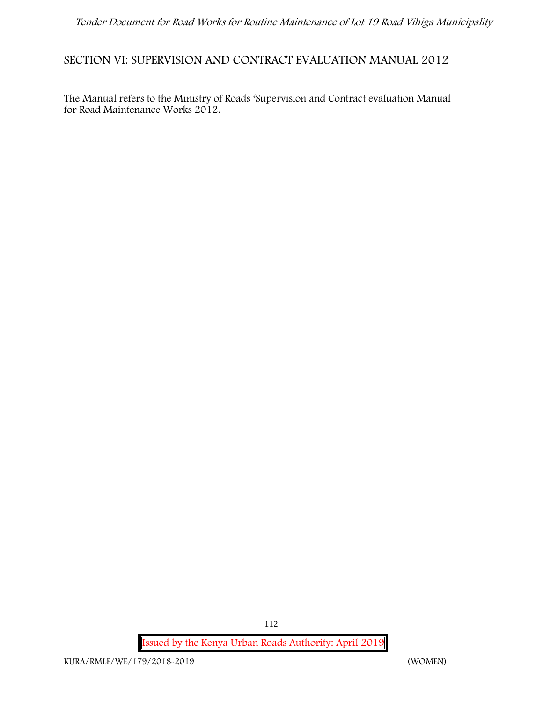# **SECTION VI: SUPERVISION AND CONTRACT EVALUATION MANUAL 2012**

The Manual refers to the Ministry of Roads 'Supervision and Contract evaluation Manual for Road Maintenance Works 2012.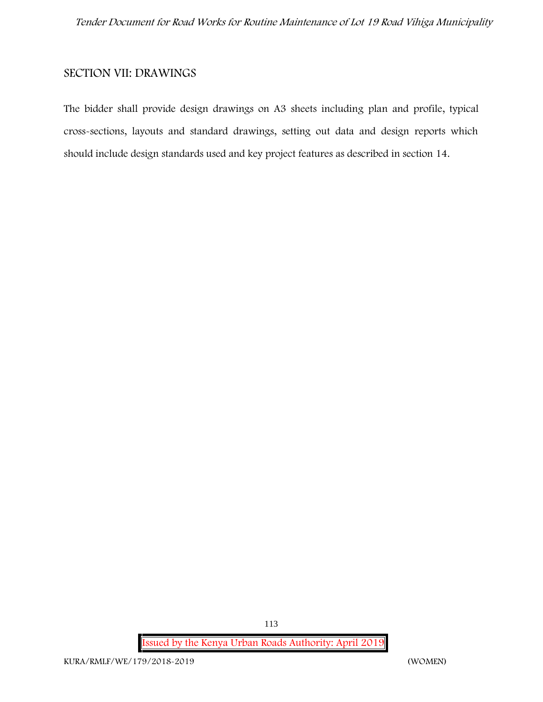# **SECTION VII: DRAWINGS**

The bidder shall provide design drawings on A3 sheets including plan and profile, typical cross-sections, layouts and standard drawings, setting out data and design reports which should include design standards used and key project features as described in section 14.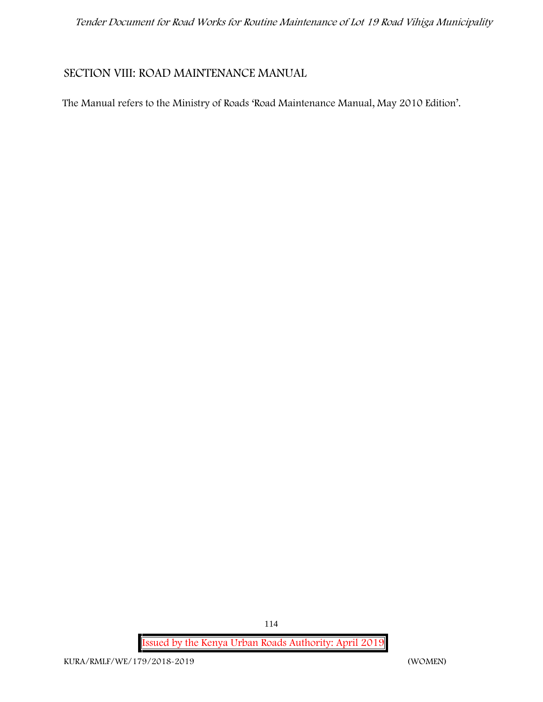# **SECTION VIII: ROAD MAINTENANCE MANUAL**

The Manual refers to the Ministry of Roads 'Road Maintenance Manual, May 2010 Edition'.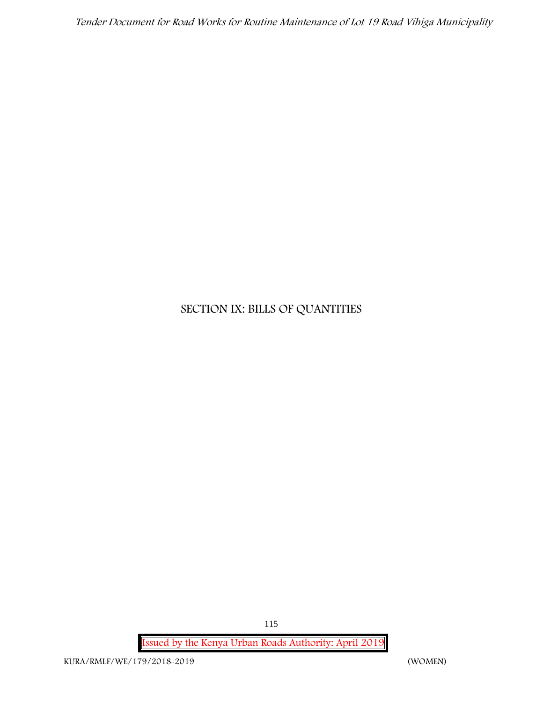# **SECTION IX: BILLS OF QUANTITIES**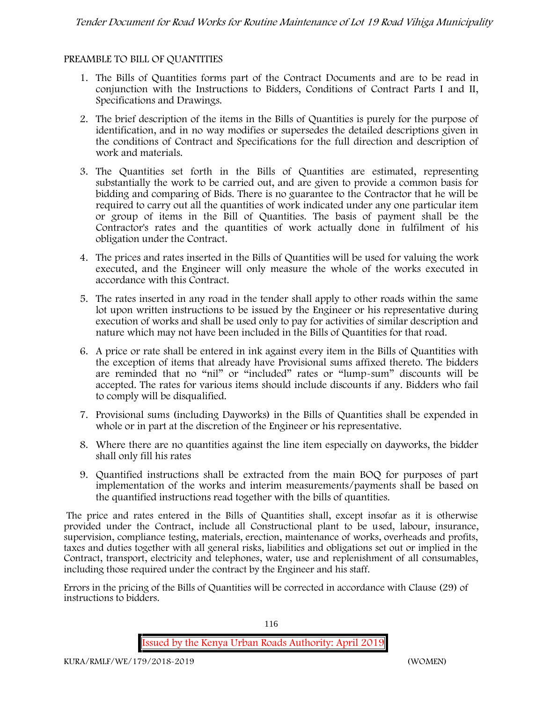### **PREAMBLE TO BILL OF QUANTITIES**

- 1. The Bills of Quantities forms part of the Contract Documents and are to be read in conjunction with the Instructions to Bidders, Conditions of Contract Parts I and II, Specifications and Drawings.
- 2. The brief description of the items in the Bills of Quantities is purely for the purpose of identification, and in no way modifies or supersedes the detailed descriptions given in the conditions of Contract and Specifications for the full direction and description of work and materials.
- 3. The Quantities set forth in the Bills of Quantities are estimated, representing substantially the work to be carried out, and are given to provide a common basis for bidding and comparing of Bids. There is no guarantee to the Contractor that he will be required to carry out all the quantities of work indicated under any one particular item or group of items in the Bill of Quantities. The basis of payment shall be the Contractor's rates and the quantities of work actually done in fulfilment of his obligation under the Contract.
- 4. The prices and rates inserted in the Bills of Quantities will be used for valuing the work executed, and the Engineer will only measure the whole of the works executed in accordance with this Contract.
- 5. The rates inserted in any road in the tender shall apply to other roads within the same lot upon written instructions to be issued by the Engineer or his representative during execution of works and shall be used only to pay for activities of similar description and nature which may not have been included in the Bills of Quantities for that road.
- 6. A price or rate shall be entered in ink against every item in the Bills of Quantities with the exception of items that already have Provisional sums affixed thereto. The bidders are reminded that no "nil" or "included" rates or "lump-sum" discounts will be accepted. The rates for various items should include discounts if any. Bidders who fail to comply will be disqualified.
- 7. Provisional sums (including Dayworks) in the Bills of Quantities shall be expended in whole or in part at the discretion of the Engineer or his representative.
- 8. Where there are no quantities against the line item especially on dayworks, the bidder shall only fill his rates
- 9. Quantified instructions shall be extracted from the main BOQ for purposes of part implementation of the works and interim measurements/payments shall be based on the quantified instructions read together with the bills of quantities.

The price and rates entered in the Bills of Quantities shall, except insofar as it is otherwise provided under the Contract, include all Constructional plant to be used, labour, insurance, supervision, compliance testing, materials, erection, maintenance of works, overheads and profits, taxes and duties together with all general risks, liabilities and obligations set out or implied in the Contract, transport, electricity and telephones, water, use and replenishment of all consumables, including those required under the contract by the Engineer and his staff.

Errors in the pricing of the Bills of Quantities will be corrected in accordance with Clause (29) of instructions to bidders.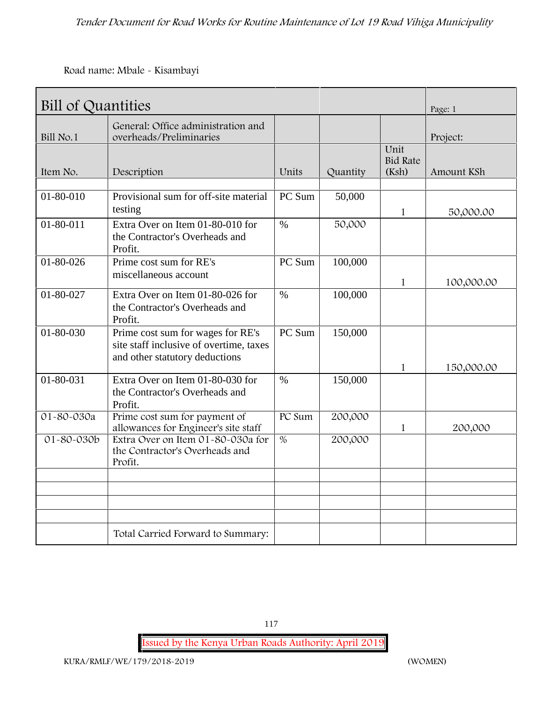**Road name: Mbale - Kisambayi**

| Bill of Quantities |                                                                                                                |                 |          |                                  | Page: 1    |
|--------------------|----------------------------------------------------------------------------------------------------------------|-----------------|----------|----------------------------------|------------|
| Bill No.1          | General: Office administration and<br>overheads/Preliminaries                                                  |                 |          |                                  | Project:   |
| Item No.           | Description                                                                                                    | Units           | Quantity | Unit<br><b>Bid Rate</b><br>(Ksh) | Amount KSh |
|                    |                                                                                                                |                 |          |                                  |            |
| 01-80-010          | Provisional sum for off-site material<br>testing                                                               | PC Sum          | 50,000   | $\mathbf{1}$                     | 50,000.00  |
| $01 - 80 - 011$    | Extra Over on Item 01-80-010 for<br>the Contractor's Overheads and<br>Profit.                                  | $\%$            | 50,000   |                                  |            |
| $01 - 80 - 026$    | Prime cost sum for RE's<br>miscellaneous account                                                               | PC Sum          | 100,000  | $\mathbf{1}$                     | 100,000.00 |
| 01-80-027          | Extra Over on Item 01-80-026 for<br>the Contractor's Overheads and<br>Profit.                                  | $\%$            | 100,000  |                                  |            |
| 01-80-030          | Prime cost sum for wages for RE's<br>site staff inclusive of overtime, taxes<br>and other statutory deductions | PC Sum          | 150,000  | $\mathbf{1}$                     | 150,000.00 |
| 01-80-031          | Extra Over on Item 01-80-030 for<br>the Contractor's Overheads and<br>Profit.                                  | $\frac{0}{0}$   | 150,000  |                                  |            |
| 01-80-030a         | Prime cost sum for payment of<br>allowances for Engineer's site staff                                          | PC Sum          | 200,000  | 1                                | 200,000    |
| 01-80-030b         | Extra Over on Item 01-80-030a for<br>the Contractor's Overheads and<br>Profit.                                 | $\overline{\%}$ | 200,000  |                                  |            |
|                    |                                                                                                                |                 |          |                                  |            |
|                    | Total Carried Forward to Summary:                                                                              |                 |          |                                  |            |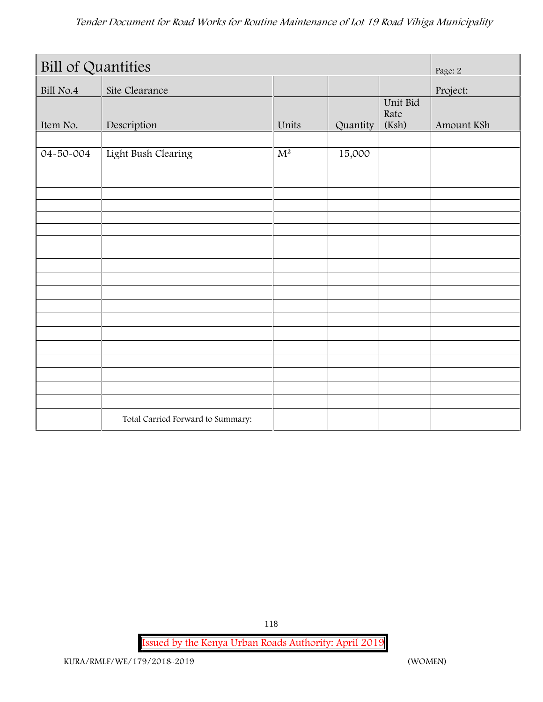| <b>Bill of Quantities</b> |                                   |       |          |                           | Page: 2    |
|---------------------------|-----------------------------------|-------|----------|---------------------------|------------|
| Bill No.4                 | Site Clearance                    |       |          |                           | Project:   |
| Item No.                  | Description                       | Units | Quantity | Unit Bid<br>Rate<br>(Ksh) | Amount KSh |
| 04-50-004                 | Light Bush Clearing               | $M^2$ | 15,000   |                           |            |
|                           |                                   |       |          |                           |            |
|                           |                                   |       |          |                           |            |
|                           |                                   |       |          |                           |            |
|                           |                                   |       |          |                           |            |
|                           |                                   |       |          |                           |            |
|                           |                                   |       |          |                           |            |
|                           | Total Carried Forward to Summary: |       |          |                           |            |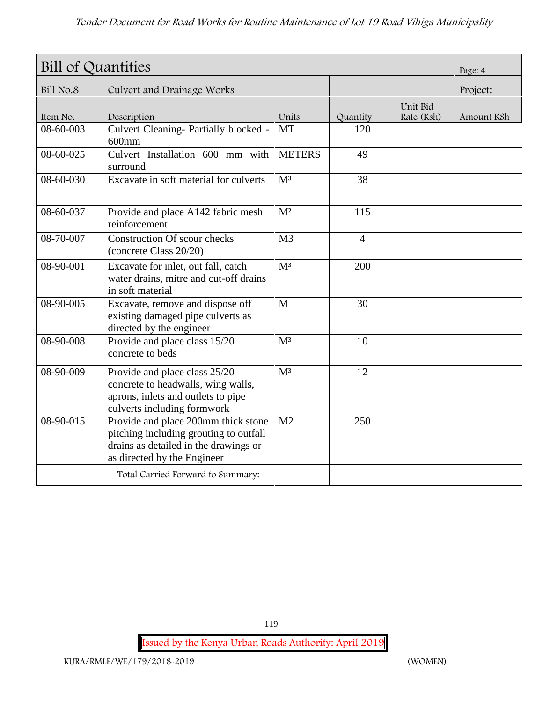| <b>Bill of Quantities</b> |                                                                                                                                                       |                  |                |                        | Page: 4    |
|---------------------------|-------------------------------------------------------------------------------------------------------------------------------------------------------|------------------|----------------|------------------------|------------|
| Bill No.8                 | Culvert and Drainage Works                                                                                                                            |                  |                |                        | Project:   |
| Item No.                  | Description                                                                                                                                           | Units            | Quantity       | Unit Bid<br>Rate (Ksh) | Amount KSh |
| 08-60-003                 | Culvert Cleaning- Partially blocked -<br>$600$ mm                                                                                                     | <b>MT</b>        | 120            |                        |            |
| 08-60-025                 | Culvert Installation 600 mm with<br>surround                                                                                                          | <b>METERS</b>    | 49             |                        |            |
| 08-60-030                 | Excavate in soft material for culverts                                                                                                                | M <sup>3</sup>   | 38             |                        |            |
| 08-60-037                 | Provide and place A142 fabric mesh<br>reinforcement                                                                                                   | M <sup>2</sup>   | 115            |                        |            |
| 08-70-007                 | <b>Construction Of scour checks</b><br>(concrete Class 20/20)                                                                                         | M <sub>3</sub>   | $\overline{4}$ |                        |            |
| 08-90-001                 | Excavate for inlet, out fall, catch<br>water drains, mitre and cut-off drains<br>in soft material                                                     | M <sup>3</sup>   | 200            |                        |            |
| 08-90-005                 | Excavate, remove and dispose off<br>existing damaged pipe culverts as<br>directed by the engineer                                                     | M                | 30             |                        |            |
| 08-90-008                 | Provide and place class 15/20<br>concrete to beds                                                                                                     | M <sup>3</sup>   | 10             |                        |            |
| $08 - 90 - 009$           | Provide and place class 25/20<br>concrete to headwalls, wing walls,<br>aprons, inlets and outlets to pipe<br>culverts including formwork              | $\overline{M^3}$ | 12             |                        |            |
| 08-90-015                 | Provide and place 200mm thick stone<br>pitching including grouting to outfall<br>drains as detailed in the drawings or<br>as directed by the Engineer | M <sub>2</sub>   | 250            |                        |            |
|                           | Total Carried Forward to Summary:                                                                                                                     |                  |                |                        |            |

119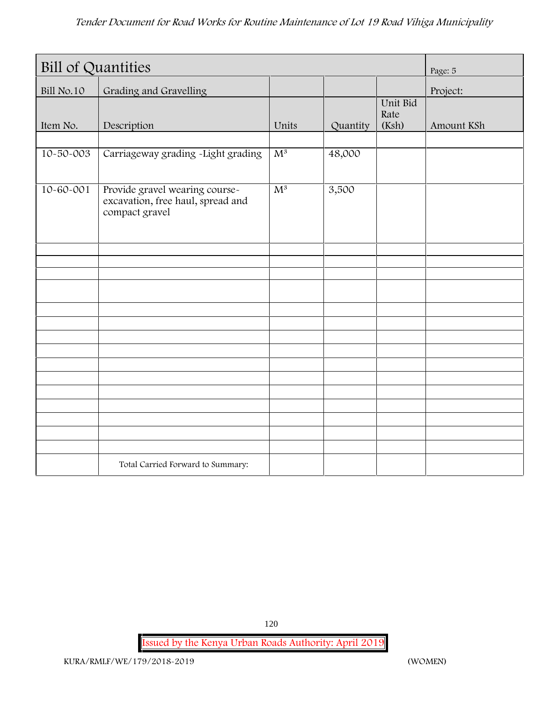| <b>Bill of Quantities</b> |                                                                                       |       |          |                           | Page: 5    |
|---------------------------|---------------------------------------------------------------------------------------|-------|----------|---------------------------|------------|
| Bill No.10                | Grading and Gravelling                                                                |       |          |                           | Project:   |
| Item No.                  | Description                                                                           | Units | Quantity | Unit Bid<br>Rate<br>(Ksh) | Amount KSh |
|                           |                                                                                       |       |          |                           |            |
| 10-50-003                 | Carriageway grading -Light grading                                                    | $M^3$ | 48,000   |                           |            |
| $10 - 60 - 001$           | Provide gravel wearing course-<br>excavation, free haul, spread and<br>compact gravel | $M^3$ | 3,500    |                           |            |
|                           |                                                                                       |       |          |                           |            |
|                           |                                                                                       |       |          |                           |            |
|                           |                                                                                       |       |          |                           |            |
|                           |                                                                                       |       |          |                           |            |
|                           |                                                                                       |       |          |                           |            |
|                           |                                                                                       |       |          |                           |            |
|                           |                                                                                       |       |          |                           |            |
|                           |                                                                                       |       |          |                           |            |
|                           |                                                                                       |       |          |                           |            |
|                           |                                                                                       |       |          |                           |            |
|                           |                                                                                       |       |          |                           |            |
|                           |                                                                                       |       |          |                           |            |
|                           |                                                                                       |       |          |                           |            |
|                           | Total Carried Forward to Summary:                                                     |       |          |                           |            |

120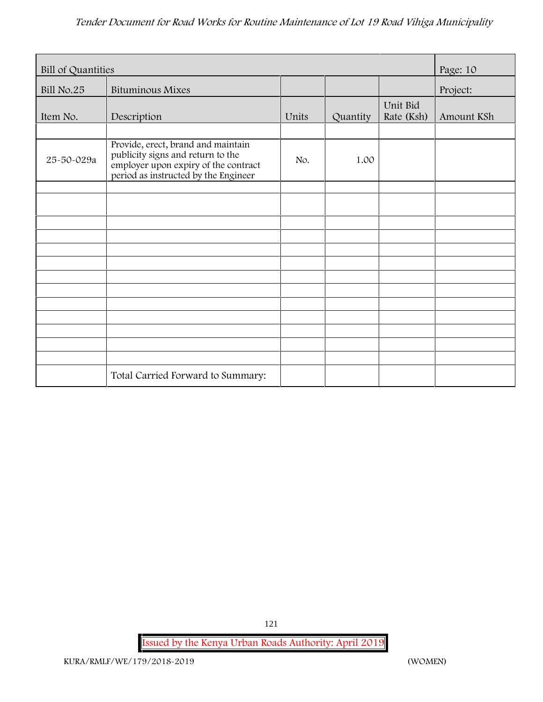| Bill of Quantities |                                                                                                                                                         |       |          |                        | Page: 10   |
|--------------------|---------------------------------------------------------------------------------------------------------------------------------------------------------|-------|----------|------------------------|------------|
| Bill No.25         | <b>Bituminous Mixes</b>                                                                                                                                 |       |          |                        | Project:   |
| Item No.           | Description                                                                                                                                             | Units | Quantity | Unit Bid<br>Rate (Ksh) | Amount KSh |
|                    |                                                                                                                                                         |       |          |                        |            |
| 25-50-029a         | Provide, erect, brand and maintain<br>publicity signs and return to the<br>employer upon expiry of the contract<br>period as instructed by the Engineer | No.   | 1.00     |                        |            |
|                    |                                                                                                                                                         |       |          |                        |            |
|                    |                                                                                                                                                         |       |          |                        |            |
|                    |                                                                                                                                                         |       |          |                        |            |
|                    |                                                                                                                                                         |       |          |                        |            |
|                    |                                                                                                                                                         |       |          |                        |            |
|                    |                                                                                                                                                         |       |          |                        |            |
|                    |                                                                                                                                                         |       |          |                        |            |
|                    |                                                                                                                                                         |       |          |                        |            |
|                    |                                                                                                                                                         |       |          |                        |            |
|                    |                                                                                                                                                         |       |          |                        |            |
|                    |                                                                                                                                                         |       |          |                        |            |
|                    | Total Carried Forward to Summary:                                                                                                                       |       |          |                        |            |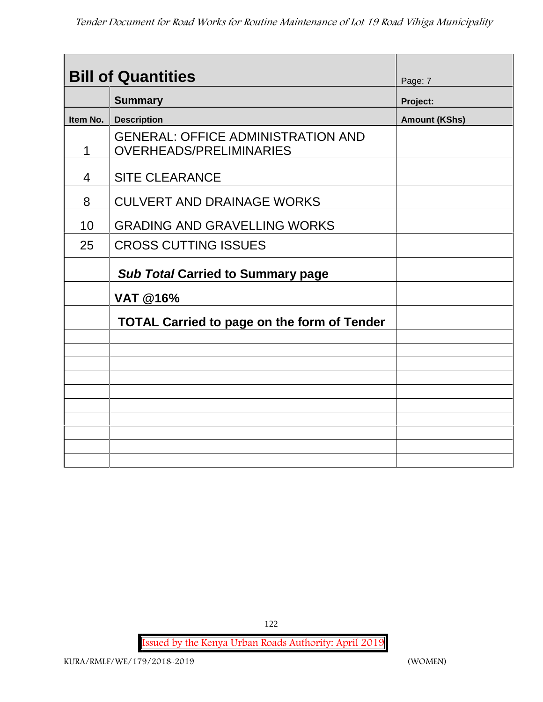|          | <b>Bill of Quantities</b>                                                   | Page: 7              |
|----------|-----------------------------------------------------------------------------|----------------------|
|          | <b>Summary</b>                                                              | Project:             |
| Item No. | <b>Description</b>                                                          | <b>Amount (KShs)</b> |
| 1        | <b>GENERAL: OFFICE ADMINISTRATION AND</b><br><b>OVERHEADS/PRELIMINARIES</b> |                      |
| 4        | <b>SITE CLEARANCE</b>                                                       |                      |
| 8        | <b>CULVERT AND DRAINAGE WORKS</b>                                           |                      |
| 10       | <b>GRADING AND GRAVELLING WORKS</b>                                         |                      |
| 25       | <b>CROSS CUTTING ISSUES</b>                                                 |                      |
|          | <b>Sub Total Carried to Summary page</b>                                    |                      |
|          | <b>VAT @16%</b>                                                             |                      |
|          | <b>TOTAL Carried to page on the form of Tender</b>                          |                      |
|          |                                                                             |                      |
|          |                                                                             |                      |
|          |                                                                             |                      |
|          |                                                                             |                      |
|          |                                                                             |                      |
|          |                                                                             |                      |
|          |                                                                             |                      |
|          |                                                                             |                      |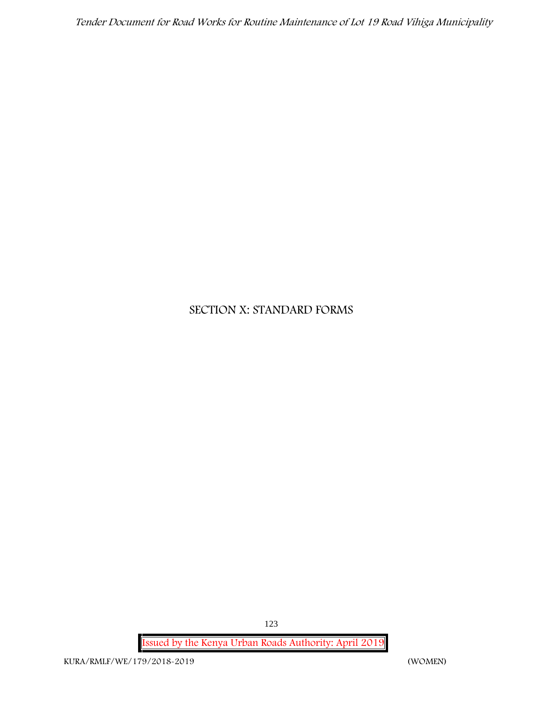# **SECTION X: STANDARD FORMS**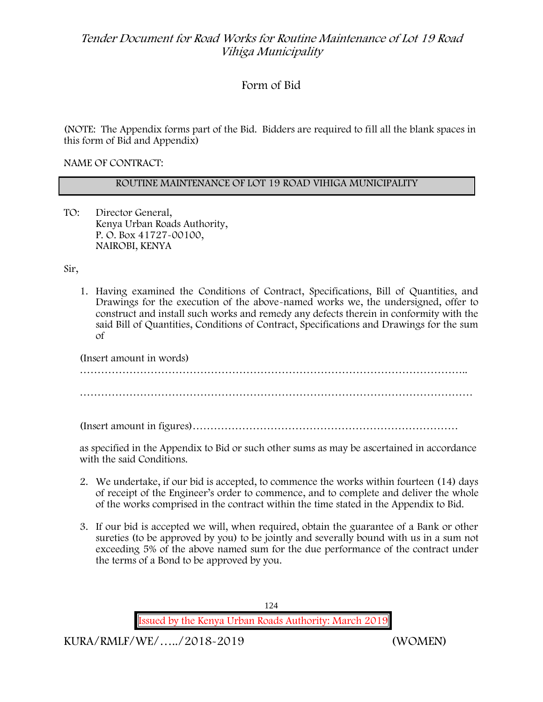# **Form of Bid**

(NOTE: The Appendix forms part of the Bid. Bidders are required to fill all the blank spaces in this form of Bid and Appendix)

**NAME OF CONTRACT:**

### **ROUTINE MAINTENANCE OF LOT 19 ROAD VIHIGA MUNICIPALITY**

TO: Director General, Kenya Urban Roads Authority, P. O. Box 41727-00100, **NAIROBI, KENYA**

Sir,

1. Having examined the Conditions of Contract, Specifications, Bill of Quantities, and Drawings for the execution of the above-named works we, the undersigned, offer to construct and install such works and remedy any defects therein in conformity with the said Bill of Quantities, Conditions of Contract, Specifications and Drawings for the sum of

| (Insert amount in words) |
|--------------------------|
|                          |
|                          |
|                          |

(Insert amount in figures)…………………………………………………………………

as specified in the Appendix to Bid or such other sums as may be ascertained in accordance with the said Conditions.

- 2. We undertake, if our bid is accepted, to commence the works within fourteen (14) days of receipt of the Engineer's order to commence, and to complete and deliver the whole of the works comprised in the contract within the time stated in the Appendix to Bid.
- 3. If our bid is accepted we will, when required, obtain the guarantee of a Bank or other sureties (to be approved by you) to be jointly and severally bound with us in a sum not exceeding 5% of the above named sum for the due performance of the contract under the terms of a Bond to be approved by you.

124 **Issued by the Kenya Urban Roads Authority: March 2019**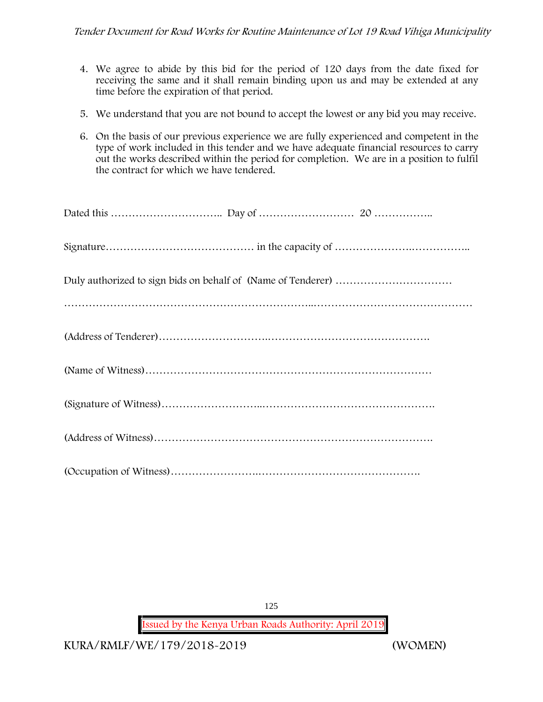- 4. We agree to abide by this bid for the period of 120 days from the date fixed for receiving the same and it shall remain binding upon us and may be extended at any time before the expiration of that period.
- 5. We understand that you are not bound to accept the lowest or any bid you may receive.
- 6. On the basis of our previous experience we are fully experienced and competent in the type of work included in this tender and we have adequate financial resources to carry out the works described within the period for completion. We are in a position to fulfil the contract for which we have tendered.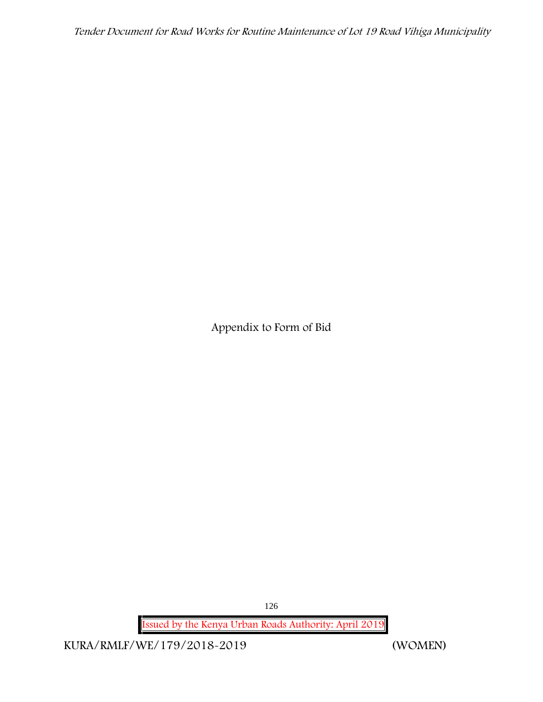**Appendix to Form of Bid**

126

**Issued by the Kenya Urban Roads Authority: April 2019**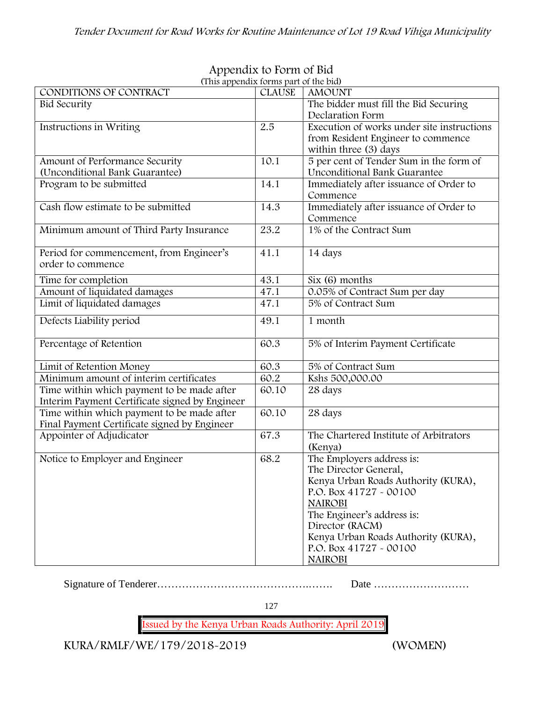| (This appendix forms part of the bid)          |               |                                            |
|------------------------------------------------|---------------|--------------------------------------------|
| CONDITIONS OF CONTRACT                         | <b>CLAUSE</b> | <b>AMOUNT</b>                              |
| <b>Bid Security</b>                            |               | The bidder must fill the Bid Securing      |
|                                                |               | Declaration Form                           |
| Instructions in Writing                        | 2.5           | Execution of works under site instructions |
|                                                |               | from Resident Engineer to commence         |
|                                                |               | within three (3) days                      |
| Amount of Performance Security                 | 10.1          | 5 per cent of Tender Sum in the form of    |
| (Unconditional Bank Guarantee)                 |               | Unconditional Bank Guarantee               |
| Program to be submitted                        | 14.1          | Immediately after issuance of Order to     |
|                                                |               | Commence                                   |
| Cash flow estimate to be submitted             | 14.3          | Immediately after issuance of Order to     |
|                                                |               | Commence                                   |
| Minimum amount of Third Party Insurance        | 23.2          | 1% of the Contract Sum                     |
|                                                |               |                                            |
| Period for commencement, from Engineer's       | 41.1          | 14 days                                    |
| order to commence                              |               |                                            |
| Time for completion                            | 43.1          | Six (6) months                             |
| Amount of liquidated damages                   | 47.1          | 0.05% of Contract Sum per day              |
| Limit of liquidated damages                    | 47.1          | 5% of Contract Sum                         |
|                                                |               |                                            |
| Defects Liability period                       | 49.1          | 1 month                                    |
|                                                |               |                                            |
| Percentage of Retention                        | 60.3          | 5% of Interim Payment Certificate          |
| Limit of Retention Money                       | 60.3          | 5% of Contract Sum                         |
| Minimum amount of interim certificates         | 60.2          | Kshs 500,000.00                            |
| Time within which payment to be made after     | 60.10         | 28 days                                    |
| Interim Payment Certificate signed by Engineer |               |                                            |
| Time within which payment to be made after     | 60.10         | 28 days                                    |
| Final Payment Certificate signed by Engineer   |               |                                            |
| Appointer of Adjudicator                       | 67.3          | The Chartered Institute of Arbitrators     |
|                                                |               | (Kenya)                                    |
| Notice to Employer and Engineer                | 68.2          | The Employers address is:                  |
|                                                |               | The Director General,                      |
|                                                |               | Kenya Urban Roads Authority (KURA),        |
|                                                |               | P.O. Box 41727 - 00100                     |
|                                                |               |                                            |
|                                                |               | <b>NAIROBI</b>                             |
|                                                |               | The Engineer's address is:                 |
|                                                |               | Director (RACM)                            |
|                                                |               | Kenya Urban Roads Authority (KURA),        |
|                                                |               | P.O. Box 41727 - 00100                     |
|                                                |               | <b>NAIROBI</b>                             |

# **Appendix to Form of Bid**

Signature of Tenderer…………………………………….……. Date ………………………

127

**Issued by the Kenya Urban Roads Authority: April 2019**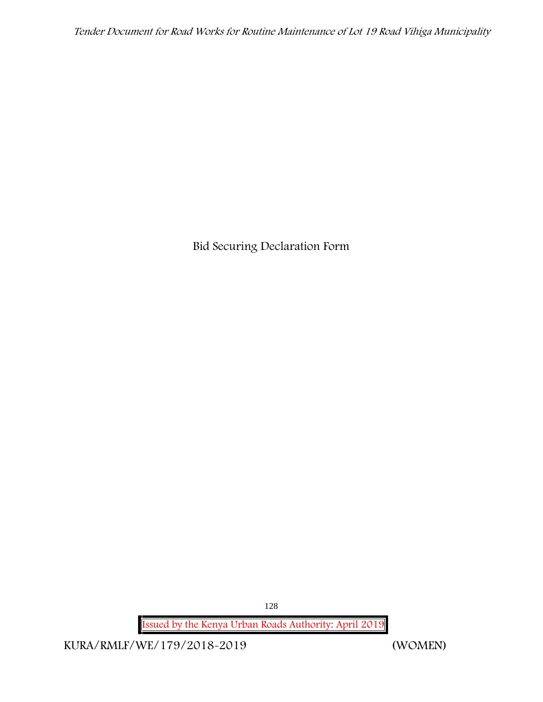**Bid Securing Declaration Form**

128

**Issued by the Kenya Urban Roads Authority: April 2019**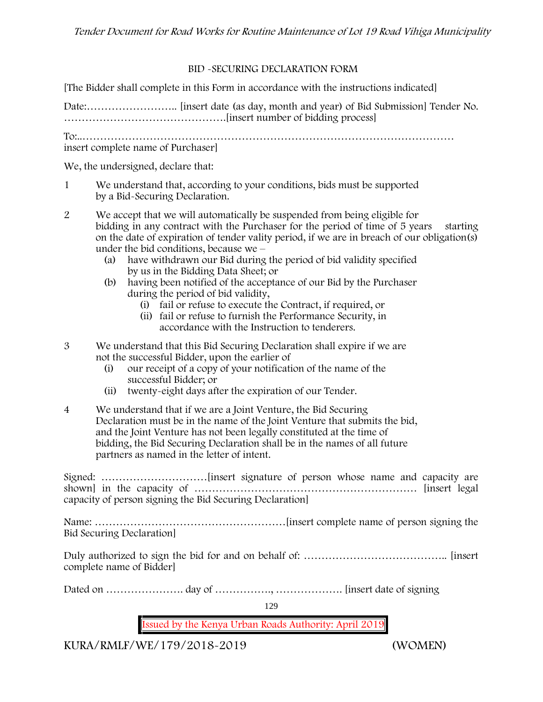### **BID -SECURING DECLARATION FORM**

[The Bidder shall complete in this Form in accordance with the instructions indicated]

Date:…………………….. [insert date (as day, month and year) of Bid Submission] Tender No. ……………………………………….[insert number of bidding process]

To:..…………………………………………………………………………………………… insert complete name of Purchaser]

We, the undersigned, declare that:

- 1 We understand that, according to your conditions, bids must be supported by a Bid-Securing Declaration.
- 2 We accept that we will automatically be suspended from being eligible for bidding in any contract with the Purchaser for the period of time of 5 years starting on the date of expiration of tender vality period, if we are in breach of our obligation(s) under the bid conditions, because we –
	- (a) have withdrawn our Bid during the period of bid validity specified by us in the Bidding Data Sheet; or
	- (b) having been notified of the acceptance of our Bid by the Purchaser during the period of bid validity,
		- (i) fail or refuse to execute the Contract, if required, or
		- (ii) fail or refuse to furnish the Performance Security, in accordance with the Instruction to tenderers.
- 3 We understand that this Bid Securing Declaration shall expire if we are not the successful Bidder, upon the earlier of
	- (i) our receipt of a copy of your notification of the name of the successful Bidder; or
	- (ii) twenty-eight days after the expiration of our Tender.
- 4 We understand that if we are a Joint Venture, the Bid Securing Declaration must be in the name of the Joint Venture that submits the bid, and the Joint Venture has not been legally constituted at the time of bidding, the Bid Securing Declaration shall be in the names of all future partners as named in the letter of intent.

Signed: …………………………[insert signature of person whose name and capacity are shown] in the capacity of ……………………………………………………… [insert legal capacity of person signing the Bid Securing Declaration]

Name: ………………………………………………[insert complete name of person signing the Bid Securing Declaration]

Duly authorized to sign the bid for and on behalf of: ………………………………….. [insert complete name of Bidder]

Dated on …………………. day of ……………., ………………. [insert date of signing

129

**Issued by the Kenya Urban Roads Authority: April 2019**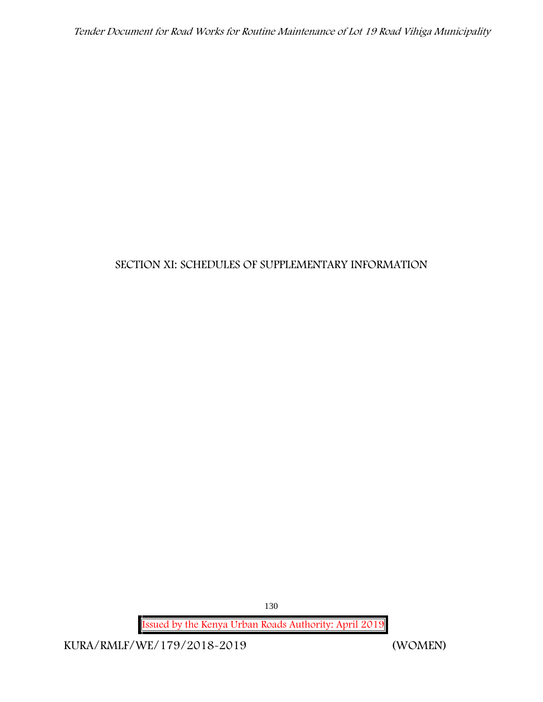# **SECTION XI: SCHEDULES OF SUPPLEMENTARY INFORMATION**

130

**Issued by the Kenya Urban Roads Authority: April 2019**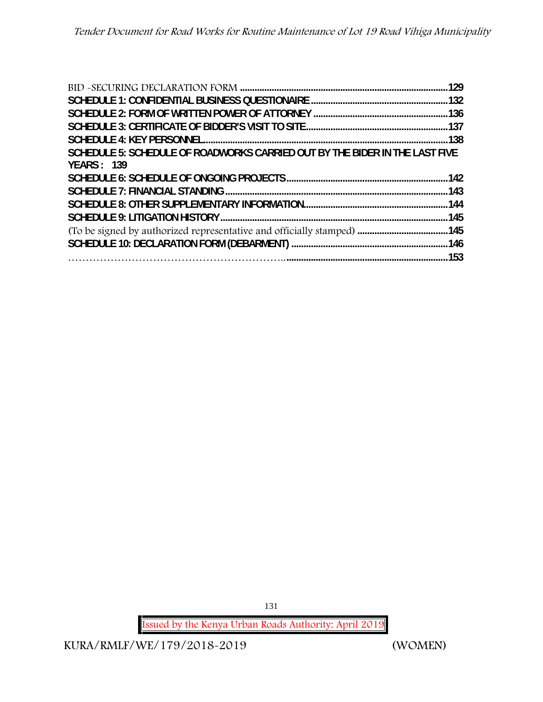|                                                                             | . 138 |
|-----------------------------------------------------------------------------|-------|
| SCHEDULE 5: SCHEDULE OF ROADWORKS CARRIED OUT BY THE BIDER IN THE LAST FIVE |       |
| <b>YEARS: 139</b>                                                           |       |
|                                                                             |       |
|                                                                             |       |
|                                                                             |       |
|                                                                             | 144   |
|                                                                             |       |
|                                                                             |       |
|                                                                             |       |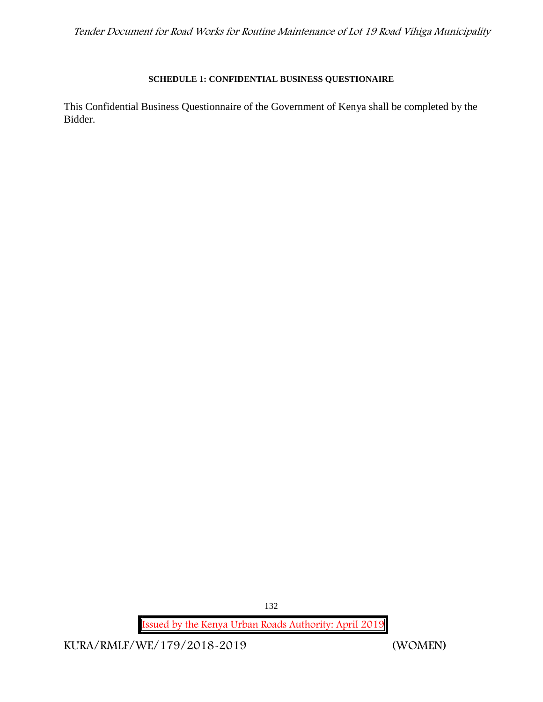# **SCHEDULE 1: CONFIDENTIAL BUSINESS QUESTIONAIRE**

This Confidential Business Questionnaire of the Government of Kenya shall be completed by the Bidder.

132

**Issued by the Kenya Urban Roads Authority: April 2019**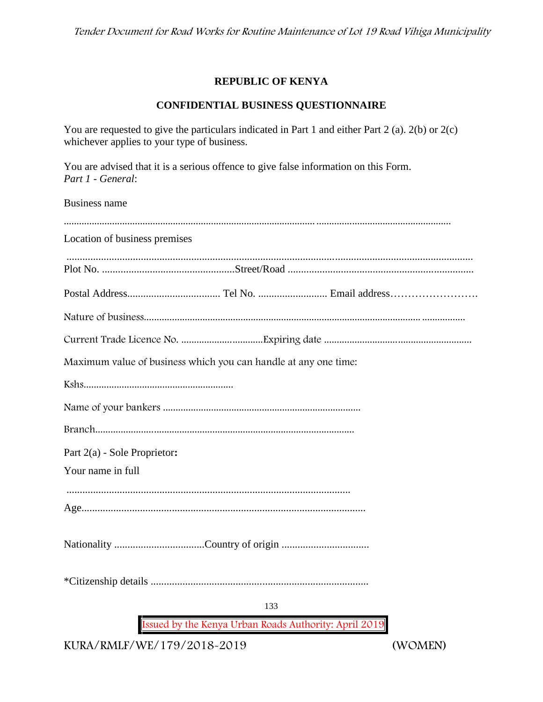# **REPUBLIC OF KENYA**

# **CONFIDENTIAL BUSINESS QUESTIONNAIRE**

You are requested to give the particulars indicated in Part 1 and either Part 2 (a). 2(b) or 2(c) whichever applies to your type of business.

You are advised that it is a serious offence to give false information on this Form. *Part 1 - General*:

Business name

| Location of business premises                                   |
|-----------------------------------------------------------------|
|                                                                 |
|                                                                 |
|                                                                 |
|                                                                 |
|                                                                 |
| Maximum value of business which you can handle at any one time: |
|                                                                 |
|                                                                 |
|                                                                 |
| Part 2(a) - Sole Proprietor:                                    |
| Your name in full                                               |
|                                                                 |
|                                                                 |
|                                                                 |
|                                                                 |
| 133                                                             |
| Issued by the Kenya Urban Roads Authority: April 2019           |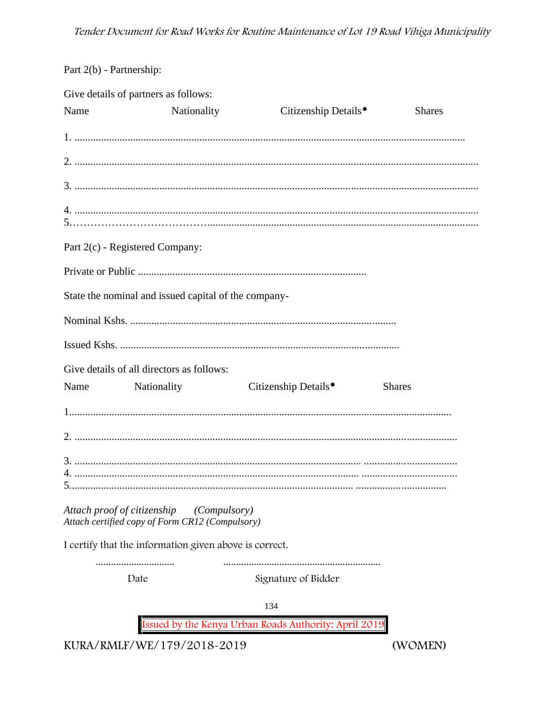Part 2(b) - Partnership:

|                             | Give details of partners as follows:                            |                                                       |               |
|-----------------------------|-----------------------------------------------------------------|-------------------------------------------------------|---------------|
| Name                        | Nationality                                                     | Citizenship Details <sup>•</sup>                      | <b>Shares</b> |
|                             |                                                                 |                                                       |               |
|                             |                                                                 |                                                       |               |
|                             |                                                                 |                                                       |               |
|                             |                                                                 |                                                       |               |
|                             | Part 2(c) - Registered Company:                                 |                                                       |               |
|                             |                                                                 |                                                       |               |
|                             | State the nominal and issued capital of the company-            |                                                       |               |
|                             |                                                                 |                                                       |               |
|                             |                                                                 |                                                       |               |
|                             | Give details of all directors as follows:                       |                                                       |               |
| Name                        | <b>Nationality</b>                                              | Citizenship Details <sup>•</sup>                      | <b>Shares</b> |
|                             |                                                                 |                                                       |               |
|                             |                                                                 |                                                       |               |
|                             |                                                                 |                                                       |               |
| Attach proof of citizenship | (Compulsory)<br>Attach certified copy of Form CR12 (Compulsory) |                                                       |               |
|                             | I certify that the information given above is correct.          |                                                       |               |
|                             | <br>Date                                                        | Signature of Bidder                                   |               |
|                             |                                                                 | 134                                                   |               |
|                             |                                                                 | Issued by the Kenya Urban Roads Authority: April 2019 |               |

KURA/RMLF/WE/179/2018-2019

(WOMEN)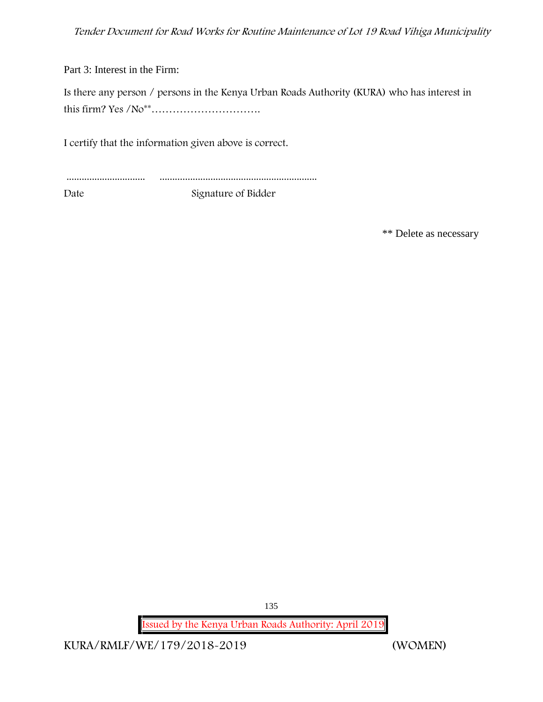Part 3: Interest in the Firm:

Is there any person / persons in the Kenya Urban Roads Authority (KURA) who has interest in this firm? Yes /No\*\*………………………….

I certify that the information given above is correct.

............................... ..............................................................

Date Signature of Bidder

\*\* Delete as necessary

135

**Issued by the Kenya Urban Roads Authority: April 2019**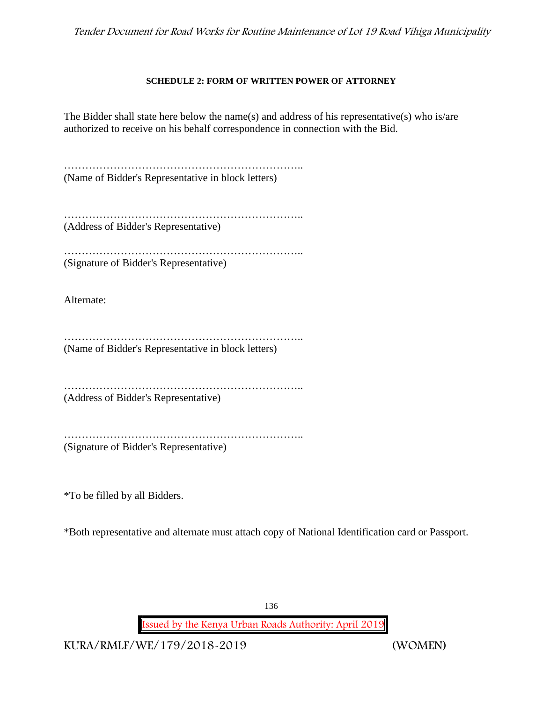### **SCHEDULE 2: FORM OF WRITTEN POWER OF ATTORNEY**

The Bidder shall state here below the name(s) and address of his representative(s) who is/are authorized to receive on his behalf correspondence in connection with the Bid.

………………………………………………………….. (Name of Bidder's Representative in block letters)

………………………………………………………….. (Address of Bidder's Representative)

……………………………………………………………………………… (Signature of Bidder's Representative)

Alternate:

………………………………………………………….. (Name of Bidder's Representative in block letters)

………………………………………………………….. (Address of Bidder's Representative)

………………………………………………………….. (Signature of Bidder's Representative)

\*To be filled by all Bidders.

\*Both representative and alternate must attach copy of National Identification card or Passport.

136

**Issued by the Kenya Urban Roads Authority: April 2019**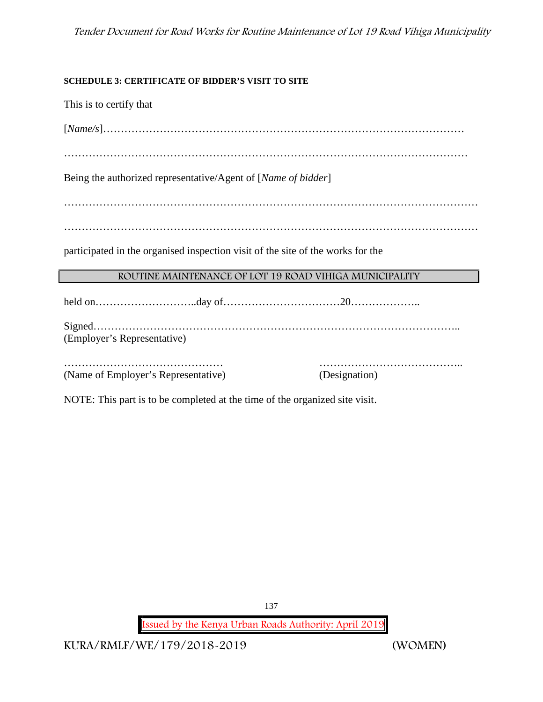# **SCHEDULE 3: CERTIFICATE OF BIDDER'S VISIT TO SITE**

This is to certify that

[*Name/s*]…………………………………………………………………………………………

……………………………………………………………………………………………………

Being the authorized representative/Agent of [*Name of bidder*]

………………………………………………………………………………………………………

………………………………………………………………………………………………………

participated in the organised inspection visit of the site of the works for the

# **ROUTINE MAINTENANCE OF LOT 19 ROAD VIHIGA MUNICIPALITY**

held on………………………..day of……………………………20……………….. Signed………………………………………………………………………………………….. (Employer's Representative)

……………………………………… ………………………………….. (Name of Employer's Representative) (Designation)

NOTE: This part is to be completed at the time of the organized site visit.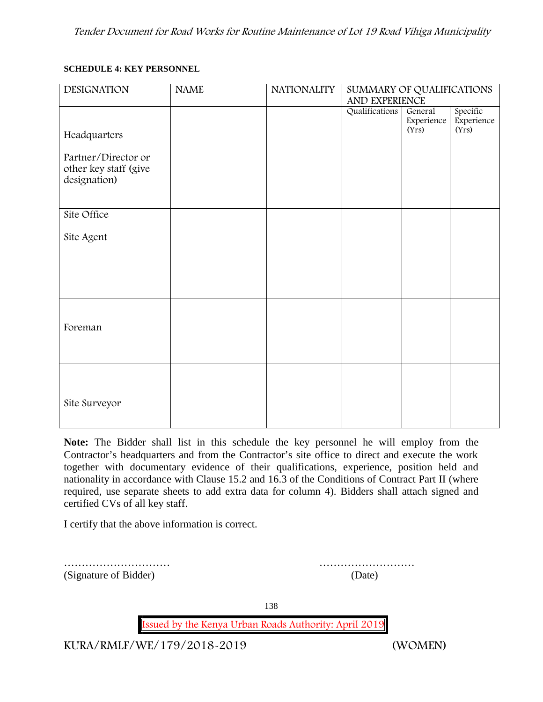### **SCHEDULE 4: KEY PERSONNEL**

| <b>DESIGNATION</b>                                           | <b>NAME</b> | <b>NATIONALITY</b> | SUMMARY OF QUALIFICATIONS<br>AND EXPERIENCE |                                |                                 |
|--------------------------------------------------------------|-------------|--------------------|---------------------------------------------|--------------------------------|---------------------------------|
|                                                              |             |                    | Qualifications                              | General<br>Experience<br>(Yrs) | Specific<br>Experience<br>(Yrs) |
| Headquarters                                                 |             |                    |                                             |                                |                                 |
| Partner/Director or<br>other key staff (give<br>designation) |             |                    |                                             |                                |                                 |
| Site Office                                                  |             |                    |                                             |                                |                                 |
| Site Agent                                                   |             |                    |                                             |                                |                                 |
|                                                              |             |                    |                                             |                                |                                 |
|                                                              |             |                    |                                             |                                |                                 |
| Foreman                                                      |             |                    |                                             |                                |                                 |
|                                                              |             |                    |                                             |                                |                                 |
|                                                              |             |                    |                                             |                                |                                 |
| Site Surveyor                                                |             |                    |                                             |                                |                                 |
|                                                              |             |                    |                                             |                                |                                 |

**Note:** The Bidder shall list in this schedule the key personnel he will employ from the Contractor's headquarters and from the Contractor's site office to direct and execute the work together with documentary evidence of their qualifications, experience, position held and nationality in accordance with Clause 15.2 and 16.3 of the Conditions of Contract Part II (where required, use separate sheets to add extra data for column 4). Bidders shall attach signed and certified CVs of all key staff.

I certify that the above information is correct.

(Signature of Bidder) (Date)

………………………… ………………………

138

**Issued by the Kenya Urban Roads Authority: April 2019**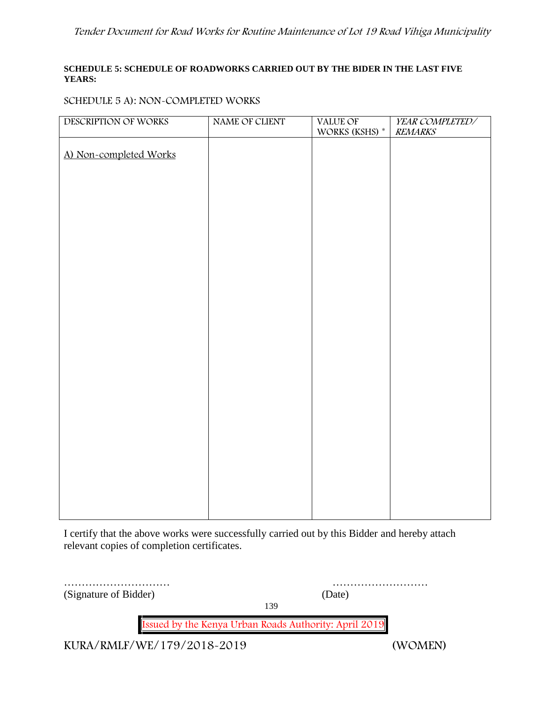### **SCHEDULE 5: SCHEDULE OF ROADWORKS CARRIED OUT BY THE BIDER IN THE LAST FIVE YEARS:**

## **SCHEDULE 5 A): NON-COMPLETED WORKS**

| DESCRIPTION OF WORKS   | NAME OF CLIENT | VALUE OF       | YEAR COMPLETED/ |
|------------------------|----------------|----------------|-----------------|
|                        |                | WORKS (KSHS) * | <b>REMARKS</b>  |
|                        |                |                |                 |
| A) Non-completed Works |                |                |                 |
|                        |                |                |                 |
|                        |                |                |                 |
|                        |                |                |                 |
|                        |                |                |                 |
|                        |                |                |                 |
|                        |                |                |                 |
|                        |                |                |                 |
|                        |                |                |                 |
|                        |                |                |                 |
|                        |                |                |                 |
|                        |                |                |                 |
|                        |                |                |                 |
|                        |                |                |                 |
|                        |                |                |                 |
|                        |                |                |                 |
|                        |                |                |                 |
|                        |                |                |                 |
|                        |                |                |                 |
|                        |                |                |                 |
|                        |                |                |                 |
|                        |                |                |                 |
|                        |                |                |                 |
|                        |                |                |                 |
|                        |                |                |                 |
|                        |                |                |                 |
|                        |                |                |                 |
|                        |                |                |                 |
|                        |                |                |                 |

I certify that the above works were successfully carried out by this Bidder and hereby attach relevant copies of completion certificates.

| (Signature of Bidder)                                 | (Date)  |
|-------------------------------------------------------|---------|
|                                                       | 139     |
| Issued by the Kenya Urban Roads Authority: April 2019 |         |
| KURA/RMLF/WE/179/2018-2019                            | (WOMEN) |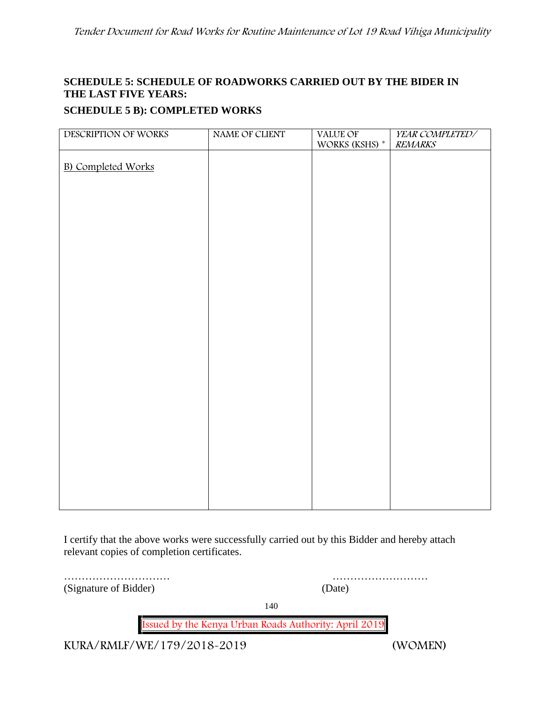# **SCHEDULE 5: SCHEDULE OF ROADWORKS CARRIED OUT BY THE BIDER IN THE LAST FIVE YEARS:**

# **SCHEDULE 5 B): COMPLETED WORKS**

| <b>B)</b> Completed Works | DESCRIPTION OF WORKS | NAME OF CLIENT | VALUE OF<br>WORKS (KSHS) * | YEAR COMPLETED/<br><b>REMARKS</b> |
|---------------------------|----------------------|----------------|----------------------------|-----------------------------------|
|                           |                      |                |                            |                                   |
|                           |                      |                |                            |                                   |
|                           |                      |                |                            |                                   |
|                           |                      |                |                            |                                   |
|                           |                      |                |                            |                                   |
|                           |                      |                |                            |                                   |
|                           |                      |                |                            |                                   |
|                           |                      |                |                            |                                   |
|                           |                      |                |                            |                                   |
|                           |                      |                |                            |                                   |
|                           |                      |                |                            |                                   |
|                           |                      |                |                            |                                   |
|                           |                      |                |                            |                                   |
|                           |                      |                |                            |                                   |
|                           |                      |                |                            |                                   |
|                           |                      |                |                            |                                   |
|                           |                      |                |                            |                                   |
|                           |                      |                |                            |                                   |
|                           |                      |                |                            |                                   |
|                           |                      |                |                            |                                   |
|                           |                      |                |                            |                                   |
|                           |                      |                |                            |                                   |
|                           |                      |                |                            |                                   |
|                           |                      |                |                            |                                   |
|                           |                      |                |                            |                                   |

I certify that the above works were successfully carried out by this Bidder and hereby attach relevant copies of completion certificates.

(Signature of Bidder) (Date)

………………………… ………………………

140

**Issued by the Kenya Urban Roads Authority: April 2019**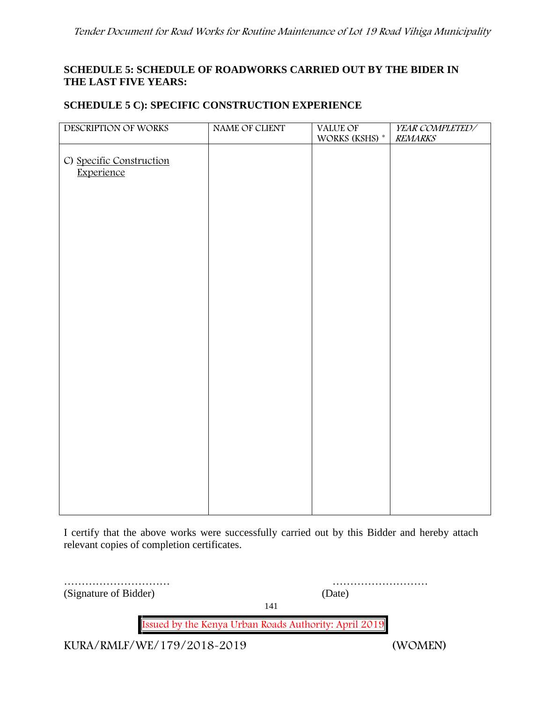# **SCHEDULE 5: SCHEDULE OF ROADWORKS CARRIED OUT BY THE BIDER IN THE LAST FIVE YEARS:**

# **SCHEDULE 5 C): SPECIFIC CONSTRUCTION EXPERIENCE**

| DESCRIPTION OF WORKS                   | NAME OF CLIENT | VALUE OF<br>WORKS (KSHS) * | YEAR COMPLETED/<br><b>REMARKS</b> |
|----------------------------------------|----------------|----------------------------|-----------------------------------|
| C) Specific Construction<br>Experience |                |                            |                                   |
|                                        |                |                            |                                   |
|                                        |                |                            |                                   |
|                                        |                |                            |                                   |
|                                        |                |                            |                                   |
|                                        |                |                            |                                   |
|                                        |                |                            |                                   |
|                                        |                |                            |                                   |

I certify that the above works were successfully carried out by this Bidder and hereby attach relevant copies of completion certificates.

| (Signature of Bidder)      | (Date)                                                |         |
|----------------------------|-------------------------------------------------------|---------|
|                            | 141                                                   |         |
|                            | Issued by the Kenya Urban Roads Authority: April 2019 |         |
| KURA/RMLF/WE/179/2018-2019 |                                                       | (WOMEN) |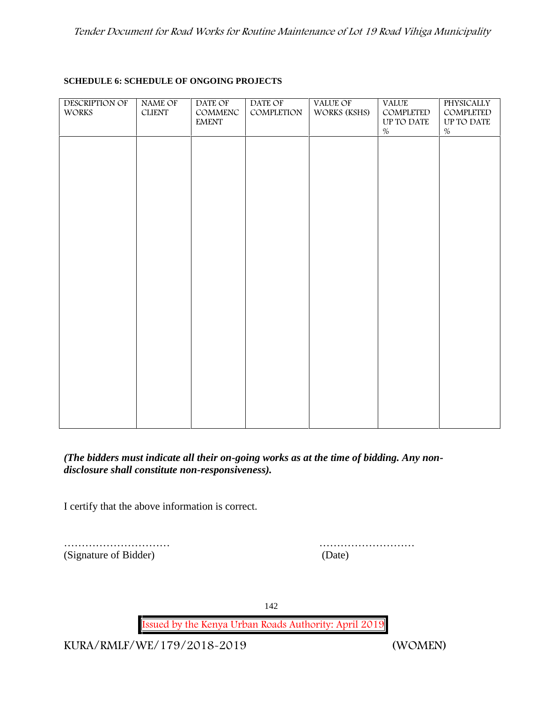### **SCHEDULE 6: SCHEDULE OF ONGOING PROJECTS**

| DESCRIPTION OF<br>WORKS | NAME OF<br>$CLIENT$ | DATE OF<br>COMMENC<br><b>EMENT</b> | DATE OF<br>COMPLETION | <b>VALUE OF</b><br>WORKS (KSHS) | <b>VALUE</b><br>COMPLETED<br>UP TO DATE<br>$\%$ | PHYSICALLY<br>COMPLETED<br>UP TO DATE<br>$\%$ |  |
|-------------------------|---------------------|------------------------------------|-----------------------|---------------------------------|-------------------------------------------------|-----------------------------------------------|--|
|                         |                     |                                    |                       |                                 |                                                 |                                               |  |
|                         |                     |                                    |                       |                                 |                                                 |                                               |  |
|                         |                     |                                    |                       |                                 |                                                 |                                               |  |
|                         |                     |                                    |                       |                                 |                                                 |                                               |  |
|                         |                     |                                    |                       |                                 |                                                 |                                               |  |
|                         |                     |                                    |                       |                                 |                                                 |                                               |  |
|                         |                     |                                    |                       |                                 |                                                 |                                               |  |

# *(The bidders must indicate all their on-going works as at the time of bidding. Any non disclosure shall constitute non-responsiveness).*

I certify that the above information is correct.

|                       | .      |
|-----------------------|--------|
| (Signature of Bidder) | (Date) |

………………………… ………………………

142

**Issued by the Kenya Urban Roads Authority: April 2019**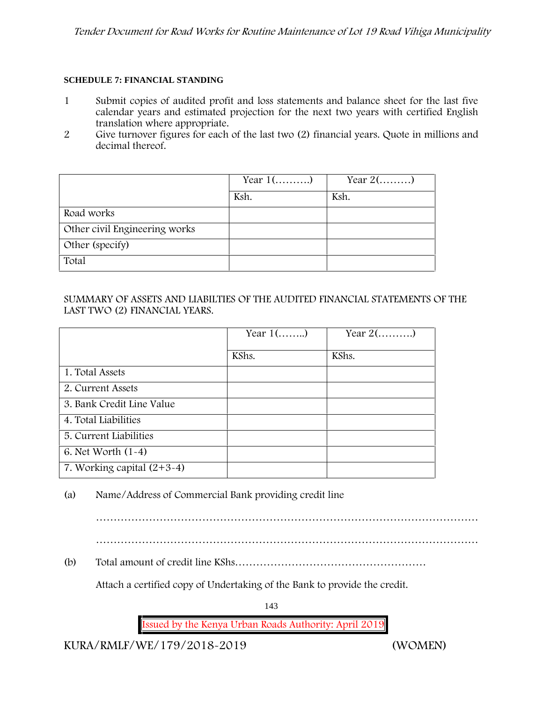### **SCHEDULE 7: FINANCIAL STANDING**

- 1 Submit copies of audited profit and loss statements and balance sheet for the last five calendar years and estimated projection for the next two years with certified English translation where appropriate.
- 2 Give turnover figures for each of the last two (2) financial years. Quote in millions and decimal thereof.

|                               | Year $1$ () | Year $2(\dots \dots)$ |
|-------------------------------|-------------|-----------------------|
|                               | Ksh.        | Ksh.                  |
| Road works                    |             |                       |
| Other civil Engineering works |             |                       |
| Other (specify)               |             |                       |
| Total                         |             |                       |

## SUMMARY OF ASSETS AND LIABILTIES OF THE AUDITED FINANCIAL STATEMENTS OF THE LAST TWO (2) FINANCIAL YEARS.

|                              | Year $1$ () | Year $2(\ldots,\ldots)$ |
|------------------------------|-------------|-------------------------|
|                              | KShs.       | KShs.                   |
| 1. Total Assets              |             |                         |
| 2. Current Assets            |             |                         |
| 3. Bank Credit Line Value    |             |                         |
| 4. Total Liabilities         |             |                         |
| 5. Current Liabilities       |             |                         |
| 6. Net Worth $(1-4)$         |             |                         |
| 7. Working capital $(2+3-4)$ |             |                         |

(a) Name/Address of Commercial Bank providing credit line

………………………………………………………………………………………………

………………………………………………………………………………………………

(b) Total amount of credit line KShs………………………………………………

Attach a certified copy of Undertaking of the Bank to provide the credit.

143

**Issued by the Kenya Urban Roads Authority: April 2019**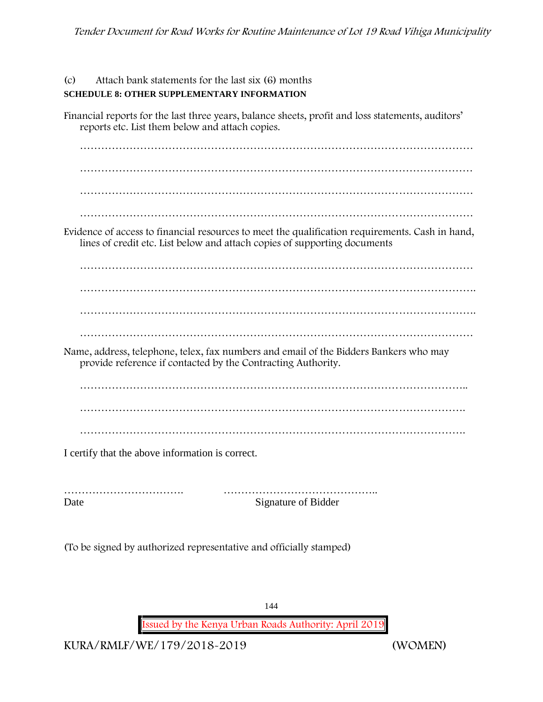(c) Attach bank statements for the last six (6) months **SCHEDULE 8: OTHER SUPPLEMENTARY INFORMATION**

Financial reports for the last three years, balance sheets, profit and loss statements, auditors' reports etc. List them below and attach copies. ………………………………………………………………………………………………… ………………………………………………………………………………………………… ………………………………………………………………………………………………… ………………………………………………………………………………………………… Evidence of access to financial resources to meet the qualification requirements. Cash in hand, lines of credit etc. List below and attach copies of supporting documents ………………………………………………………………………………………………… …………………………………………………………………………………………………. …………………………………………………………………………………………………. ………………………………………………………………………………………………… Name, address, telephone, telex, fax numbers and email of the Bidders Bankers who may provide reference if contacted by the Contracting Authority. ……………………………………………………………………………………………….. ………………………………………………………………………………………………. I certify that the above information is correct.

……………………………. …………………………………….. Date Signature of Bidder

(To be signed by authorized representative and officially stamped)

144

**Issued by the Kenya Urban Roads Authority: April 2019**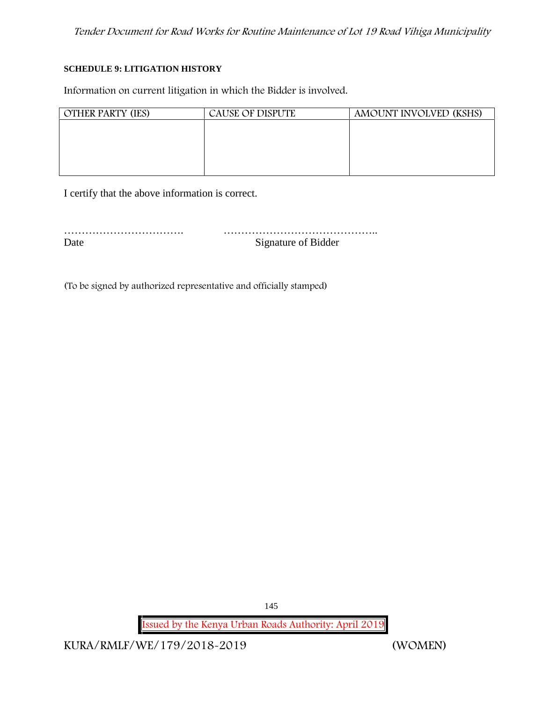#### **SCHEDULE 9: LITIGATION HISTORY**

Information on current litigation in which the Bidder is involved.

| <b>OTHER PARTY (IES)</b> | CAUSE OF DISPUTE | AMOUNT INVOLVED (KSHS) |
|--------------------------|------------------|------------------------|
|                          |                  |                        |
|                          |                  |                        |
|                          |                  |                        |
|                          |                  |                        |
|                          |                  |                        |

I certify that the above information is correct.

……………………………. …………………………………….. Date Signature of Bidder

(To be signed by authorized representative and officially stamped)

145

**Issued by the Kenya Urban Roads Authority: April 2019**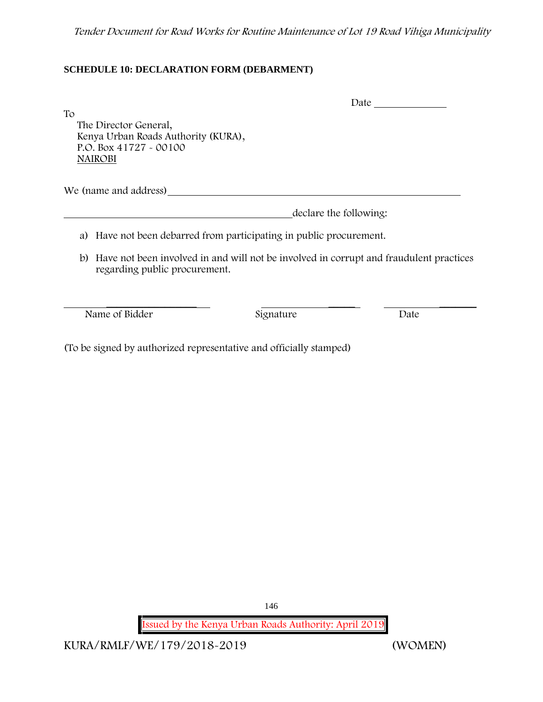### **SCHEDULE 10: DECLARATION FORM (DEBARMENT)**

|                                                                                                                |                                                                                        | Date |
|----------------------------------------------------------------------------------------------------------------|----------------------------------------------------------------------------------------|------|
| To<br>The Director General,<br>Kenya Urban Roads Authority (KURA),<br>P.O. Box 41727 - 00100<br><b>NAIROBI</b> |                                                                                        |      |
| We (name and address)                                                                                          |                                                                                        |      |
|                                                                                                                | declare the following:                                                                 |      |
| a)                                                                                                             | Have not been debarred from participating in public procurement.                       |      |
| b)<br>regarding public procurement.                                                                            | Have not been involved in and will not be involved in corrupt and fraudulent practices |      |
|                                                                                                                |                                                                                        |      |
| Name of Bidder                                                                                                 | Signature                                                                              | Date |

(To be signed by authorized representative and officially stamped)

146

**Issued by the Kenya Urban Roads Authority: April 2019**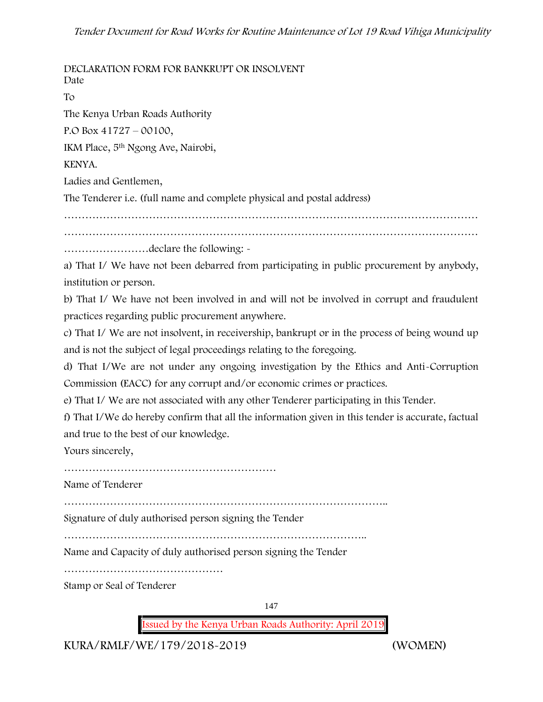**DECLARATION FORM FOR BANKRUPT OR INSOLVENT** Date To The Kenya Urban Roads Authority P.O Box 41727 – 00100, IKM Place, 5th Ngong Ave, Nairobi, KENYA. Ladies and Gentlemen, The Tenderer i.e. (full name and complete physical and postal address) ……………………………………………………………………………………………………… ……………………declare the following: a) That I/ We have not been debarred from participating in public procurement by anybody, institution or person. b) That I/ We have not been involved in and will not be involved in corrupt and fraudulent practices regarding public procurement anywhere. c) That I/ We are not insolvent, in receivership, bankrupt or in the process of being wound up and is not the subject of legal proceedings relating to the foregoing. d) That I/We are not under any ongoing investigation by the Ethics and Anti-Corruption Commission (EACC) for any corrupt and/or economic crimes or practices. e) That I/ We are not associated with any other Tenderer participating in this Tender. f) That I/We do hereby confirm that all the information given in this tender is accurate, factual and true to the best of our knowledge. Yours sincerely, …………………………………………………… Name of Tenderer ……………………………………………………………………………….. Signature of duly authorised person signing the Tender ………………………………………………………………………….. Name and Capacity of duly authorised person signing the Tender ……………………………………… Stamp or Seal of Tenderer

147

**Issued by the Kenya Urban Roads Authority: April 2019**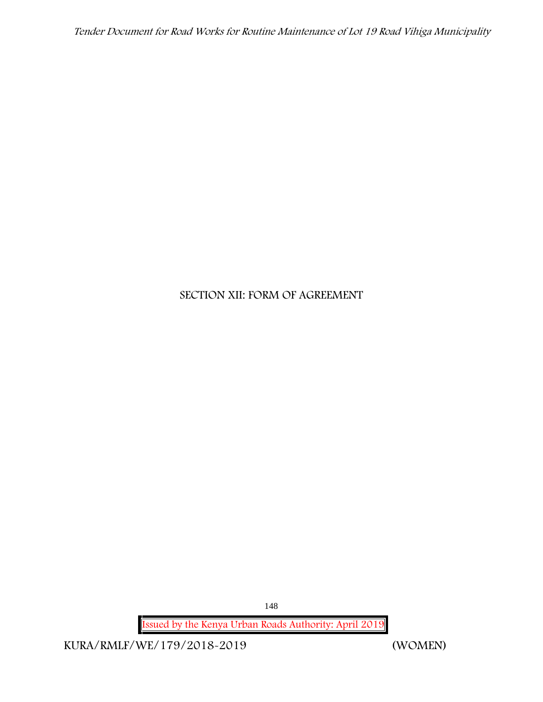*Tender Document for Road Works for Routine Maintenance of Lot 19 Road Vihiga Municipality*

# **SECTION XII: FORM OF AGREEMENT**

148

**Issued by the Kenya Urban Roads Authority: April 2019**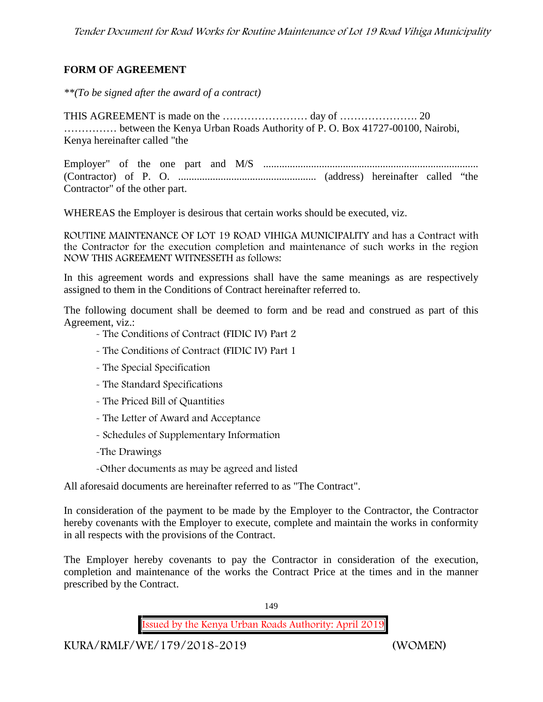### **FORM OF AGREEMENT**

*\*\*(To be signed after the award of a contract)*

THIS AGREEMENT is made on the …………………… day of …………………. 20 …………… between the Kenya Urban Roads Authority of P. O. Box 41727-00100, Nairobi, Kenya hereinafter called "the

Employer" of the one part and M/S ................................................................................. (Contractor) of P. O. .................................................... (address) hereinafter called "the Contractor" of the other part.

WHEREAS the Employer is desirous that certain works should be executed, viz.

**ROUTINE MAINTENANCE OF LOT 19 ROAD VIHIGA MUNICIPALITY** and has a Contract with the Contractor for the execution completion and maintenance of such works in the region NOW THIS AGREEMENT WITNESSETH as follows:

In this agreement words and expressions shall have the same meanings as are respectively assigned to them in the Conditions of Contract hereinafter referred to.

The following document shall be deemed to form and be read and construed as part of this Agreement, viz.:

- The Conditions of Contract (FIDIC IV) Part 2
- The Conditions of Contract (FIDIC IV) Part 1
- The Special Specification
- The Standard Specifications
- The Priced Bill of Quantities
- The Letter of Award and Acceptance
- Schedules of Supplementary Information
- -The Drawings

-Other documents as may be agreed and listed

All aforesaid documents are hereinafter referred to as "The Contract".

In consideration of the payment to be made by the Employer to the Contractor, the Contractor hereby covenants with the Employer to execute, complete and maintain the works in conformity in all respects with the provisions of the Contract.

The Employer hereby covenants to pay the Contractor in consideration of the execution, completion and maintenance of the works the Contract Price at the times and in the manner prescribed by the Contract.

149

**Issued by the Kenya Urban Roads Authority: April 2019**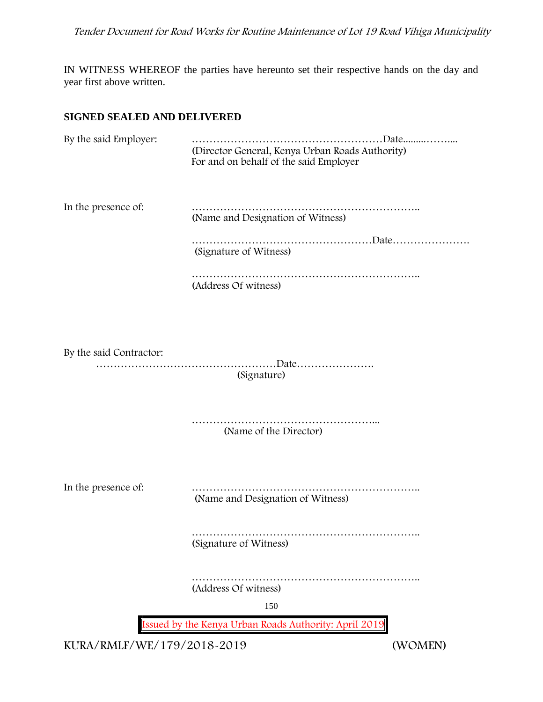IN WITNESS WHEREOF the parties have hereunto set their respective hands on the day and year first above written.

#### **SIGNED SEALED AND DELIVERED**

| By the said Employer:   | (Director General, Kenya Urban Roads Authority)<br>For and on behalf of the said Employer |
|-------------------------|-------------------------------------------------------------------------------------------|
| In the presence of:     | (Name and Designation of Witness)                                                         |
|                         | (Signature of Witness)                                                                    |
|                         | (Address Of witness)                                                                      |
|                         |                                                                                           |
| By the said Contractor: | (Signature)                                                                               |
|                         | (Name of the Director)                                                                    |
| In the presence of:     | (Name and Designation of Witness)                                                         |
|                         | (Signature of Witness)                                                                    |
|                         | (Address Of witness)                                                                      |
|                         | 150                                                                                       |
|                         | Issued by the Kenya Urban Roads Authority: April 2019                                     |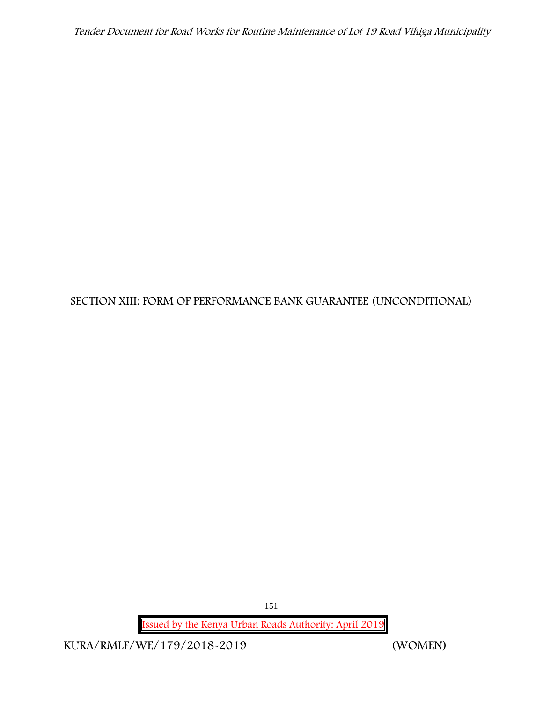# **SECTION XIII: FORM OF PERFORMANCE BANK GUARANTEE (UNCONDITIONAL)**

151

**Issued by the Kenya Urban Roads Authority: April 2019**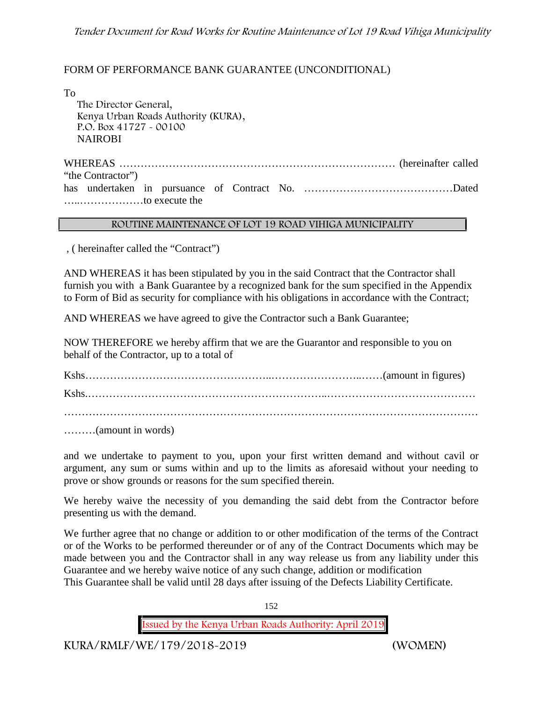#### FORM OF PERFORMANCE BANK GUARANTEE (UNCONDITIONAL)

To

The Director General, Kenya Urban Roads Authority (KURA), P.O. Box 41727 - 00100 **NAIROBI** 

WHEREAS …………………………………………………………………… (hereinafter called "the Contractor") has undertaken in pursuance of Contract No. ……………………………………Dated …..………………to execute the

#### **ROUTINE MAINTENANCE OF LOT 19 ROAD VIHIGA MUNICIPALITY**

, ( hereinafter called the "Contract")

AND WHEREAS it has been stipulated by you in the said Contract that the Contractor shall furnish you with a Bank Guarantee by a recognized bank for the sum specified in the Appendix to Form of Bid as security for compliance with his obligations in accordance with the Contract;

AND WHEREAS we have agreed to give the Contractor such a Bank Guarantee;

NOW THEREFORE we hereby affirm that we are the Guarantor and responsible to you on behalf of the Contractor, up to a total of

Kshs……………………………………………..……………………..……(amount in figures) Kshs.…………………………………………………………..…………………………………… ………………………………………………………………………………………………………

………(amount in words)

and we undertake to payment to you, upon your first written demand and without cavil or argument, any sum or sums within and up to the limits as aforesaid without your needing to prove or show grounds or reasons for the sum specified therein.

We hereby waive the necessity of you demanding the said debt from the Contractor before presenting us with the demand.

We further agree that no change or addition to or other modification of the terms of the Contract or of the Works to be performed thereunder or of any of the Contract Documents which may be made between you and the Contractor shall in any way release us from any liability under this Guarantee and we hereby waive notice of any such change, addition or modification This Guarantee shall be valid until 28 days after issuing of the Defects Liability Certificate.

152

**Issued by the Kenya Urban Roads Authority: April 2019**